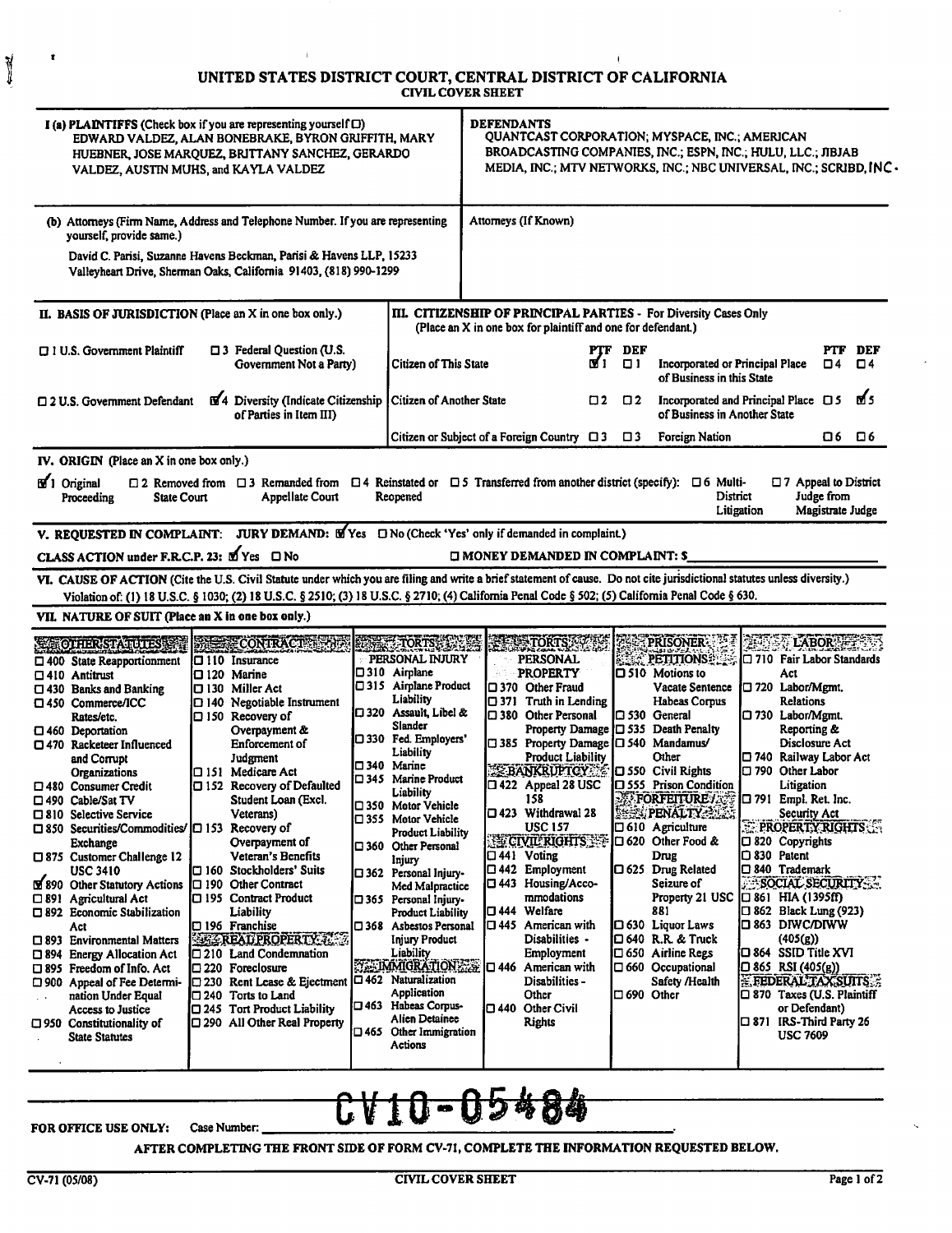| UNITED STATES DISTRICT COURT, CENTRAL DISTRICT OF CALIFORNIA |
|--------------------------------------------------------------|
| <b>CIVIL COVER SHEET</b>                                     |

 $\mathbf{i}$ 

 $\pm$ 

| I (a) PLAINTIFFS (Check box if you are representing yourself $\Box$ )<br>EDWARD VALDEZ, ALAN BONEBRAKE, BYRON GRIFFITH, MARY<br>HUEBNER, JOSE MARQUEZ, BRITTANY SANCHEZ, GERARDO<br>VALDEZ, AUSTIN MUHS, and KAYLA VALDEZ |                                                                                                                                                                                             |  |                                                                                                                                                                          |  |                                                                                          | <b>DEFENDANTS</b> |                                                  |                   |                  | QUANTCAST CORPORATION; MYSPACE, INC.; AMERICAN<br>BROADCASTING COMPANIES, INC.; ESPN, INC.; HULU, LLC.; JIBJAB<br>MEDIA, INC.; MTV NETWORKS, INC.; NBC UNIVERSAL, INC.; SCRIBD, INC. |                                                         |                                |                  |
|---------------------------------------------------------------------------------------------------------------------------------------------------------------------------------------------------------------------------|---------------------------------------------------------------------------------------------------------------------------------------------------------------------------------------------|--|--------------------------------------------------------------------------------------------------------------------------------------------------------------------------|--|------------------------------------------------------------------------------------------|-------------------|--------------------------------------------------|-------------------|------------------|--------------------------------------------------------------------------------------------------------------------------------------------------------------------------------------|---------------------------------------------------------|--------------------------------|------------------|
|                                                                                                                                                                                                                           | yourself, provide same.)                                                                                                                                                                    |  | (b) Attorneys (Firm Name, Address and Telephone Number. If you are representing                                                                                          |  |                                                                                          |                   | Attorneys (If Known)                             |                   |                  |                                                                                                                                                                                      |                                                         |                                |                  |
|                                                                                                                                                                                                                           |                                                                                                                                                                                             |  | David C. Parisi, Suzanne Havens Beckman, Parisi & Havens LLP, 15233<br>Valleyheart Drive, Sherman Oaks, California 91403, (818) 990-1299                                 |  |                                                                                          |                   |                                                  |                   |                  |                                                                                                                                                                                      |                                                         |                                |                  |
|                                                                                                                                                                                                                           | III. CITIZENSHIP OF PRINCIPAL PARTIES - For Diversity Cases Only<br>II. BASIS OF JURISDICTION (Place an X in one box only.)<br>(Place an X in one box for plaintiff and one for defendant.) |  |                                                                                                                                                                          |  |                                                                                          |                   |                                                  |                   |                  |                                                                                                                                                                                      |                                                         |                                |                  |
|                                                                                                                                                                                                                           | $\Box$ 1 U.S. Government Plaintiff                                                                                                                                                          |  | □ 3 Federal Question (U.S.<br>Government Not a Party)                                                                                                                    |  | Citizen of This State                                                                    |                   |                                                  | <b>PTF</b><br>MI. | DEF<br>$\Box$    | Incorporated or Principal Place<br>of Business in this State                                                                                                                         |                                                         | PTF<br>□4                      | <b>DEF</b><br>□4 |
|                                                                                                                                                                                                                           | □ 2 U.S. Government Defendant                                                                                                                                                               |  | 14 Diversity (Indicate Citizenship<br>of Parties in Item III)                                                                                                            |  | Citizen of Another State                                                                 |                   |                                                  | □2                | <b>D2</b>        | Incorporated and Principal Place $\Box$ 5<br>of Business in Another State                                                                                                            |                                                         |                                | M 5              |
|                                                                                                                                                                                                                           |                                                                                                                                                                                             |  |                                                                                                                                                                          |  | Citizen or Subject of a Foreign Country $\Box$ 3                                         |                   |                                                  |                   | $\square$ 3      | Foreign Nation                                                                                                                                                                       |                                                         | O6 O6                          |                  |
|                                                                                                                                                                                                                           | IV. ORIGIN (Place an X in one box only.)                                                                                                                                                    |  |                                                                                                                                                                          |  |                                                                                          |                   |                                                  |                   |                  |                                                                                                                                                                                      |                                                         |                                |                  |
|                                                                                                                                                                                                                           | <b>M</b> 1 Original<br>Proceeding<br>State Court                                                                                                                                            |  | $\Box$ 2 Removed from $\Box$ 3 Remanded from<br><b>Appellate Court</b>                                                                                                   |  | $\Box$ 4 Reinstated or $\Box$ 5 Transferred from another district (specify):<br>Reopened |                   |                                                  |                   |                  | $\square$ 6 Multi-<br>District                                                                                                                                                       | $\Box$ 7 Appeal to District<br>Litigation               | Judge from<br>Magistrate Judge |                  |
|                                                                                                                                                                                                                           | V. REQUESTED IN COMPLAINT:                                                                                                                                                                  |  |                                                                                                                                                                          |  |                                                                                          |                   |                                                  |                   |                  |                                                                                                                                                                                      |                                                         |                                |                  |
|                                                                                                                                                                                                                           | CLASS ACTION under F.R.C.P. 23: M Yes □ No                                                                                                                                                  |  |                                                                                                                                                                          |  |                                                                                          |                   | <b>C MONEY DEMANDED IN COMPLAINT: S</b>          |                   |                  |                                                                                                                                                                                      |                                                         |                                |                  |
|                                                                                                                                                                                                                           |                                                                                                                                                                                             |  | VI. CAUSE OF ACTION (Cite the U.S. Civil Statute under which you are filing and write a brief statement of cause. Do not cite jurisdictional statutes unless diversity.) |  |                                                                                          |                   |                                                  |                   |                  |                                                                                                                                                                                      |                                                         |                                |                  |
|                                                                                                                                                                                                                           |                                                                                                                                                                                             |  | Violation of: (1) 18 U.S.C. § 1030; (2) 18 U.S.C. § 2510; (3) 18 U.S.C. § 2710; (4) California Penal Code § 502; (5) California Penal Code § 630.                        |  |                                                                                          |                   |                                                  |                   |                  |                                                                                                                                                                                      |                                                         |                                |                  |
|                                                                                                                                                                                                                           | VII. NATURE OF SUIT (Place an X in one box only.)                                                                                                                                           |  |                                                                                                                                                                          |  |                                                                                          |                   |                                                  |                   |                  |                                                                                                                                                                                      |                                                         |                                |                  |
|                                                                                                                                                                                                                           |                                                                                                                                                                                             |  | COHERSTATULES & BEEF CONTRACTED AND                                                                                                                                      |  | <b>TORTS SERVE</b>                                                                       |                   | <b>EXECTORTS</b>                                 |                   |                  | <b>EXPRISONER:</b>                                                                                                                                                                   | LABOR & STRA                                            |                                |                  |
|                                                                                                                                                                                                                           | $\Box$ 400 State Reapportionment                                                                                                                                                            |  | $\Box$ 110 Insurance                                                                                                                                                     |  | PERSONAL INJURY                                                                          |                   | <b>PERSONAL</b>                                  |                   |                  | <b>PETITIONS</b>                                                                                                                                                                     | 710 Fair Labor Standards                                |                                |                  |
|                                                                                                                                                                                                                           | $\Box$ 410 Antitrust                                                                                                                                                                        |  | $\Box$ 120 Marine                                                                                                                                                        |  | $\square$ 310 Airplane<br>□ 315 Airplane Product                                         |                   | <b>PROPERTY</b>                                  |                   |                  | $\Box$ 510 Motions to                                                                                                                                                                | Act                                                     |                                |                  |
|                                                                                                                                                                                                                           | $\Box$ 430 Banks and Banking<br>□ 450 Commerce/ICC                                                                                                                                          |  | □ 130 Miller Act<br>□ 140 Negotiable Instrument                                                                                                                          |  | Liability                                                                                |                   | □ 370 Other Fraud<br>$\Box$ 371 Truth in Lending |                   |                  | <b>Vacate Sentence</b><br>Habeas Corpus                                                                                                                                              | □ 720 Labor/Mgmt.<br><b>Relations</b>                   |                                |                  |
|                                                                                                                                                                                                                           | Rates/etc.                                                                                                                                                                                  |  | $\square$ 150 Recovery of                                                                                                                                                |  | □ 320 Assault, Libel &                                                                   |                   | □ 380 Other Personal                             |                   |                  | I□ 530 General                                                                                                                                                                       | □ 730 Labor/Mgmt.                                       |                                |                  |
|                                                                                                                                                                                                                           | $\Box$ 460 Deportation                                                                                                                                                                      |  | Overpayment &                                                                                                                                                            |  | Slander                                                                                  |                   | <b>Property Damage</b>                           |                   |                  | □ 535 Death Penalty                                                                                                                                                                  | Reporting &                                             |                                |                  |
|                                                                                                                                                                                                                           | □ 470 Racketeer Influenced                                                                                                                                                                  |  | Enforcement of                                                                                                                                                           |  | 330 Fed. Employers'<br>Liability                                                         |                   | □ 385 Property Damage   340 Mandamus/            |                   |                  |                                                                                                                                                                                      | Disclosure Act                                          |                                |                  |
|                                                                                                                                                                                                                           | and Corrupt                                                                                                                                                                                 |  | Judgment                                                                                                                                                                 |  | $\square$ 340 Marine                                                                     |                   | <b>Product Liability</b>                         |                   |                  | Other                                                                                                                                                                                | □ 740 Railway Labor Act                                 |                                |                  |
|                                                                                                                                                                                                                           | Organizations                                                                                                                                                                               |  | $\Box$ 151 Medicare Act<br>152 Recovery of Defaulted                                                                                                                     |  | $\square$ 345 Marine Product                                                             |                   | <b>E BANKRUPTOY</b><br>$\Box$ 422 Appeal 28 USC  |                   |                  | $\Box$ 550 Civil Rights<br>$\square$ 555 Prison Condition                                                                                                                            | □ 790 Other Labor<br>Litigation                         |                                |                  |
|                                                                                                                                                                                                                           | □ 480 Consumer Credit<br>$\square$ 490 Cable/Sat TV                                                                                                                                         |  | Student Loan (Excl.                                                                                                                                                      |  | Liability                                                                                |                   | 158                                              |                   | J                | FORFEITURE /                                                                                                                                                                         | $\Box$ 791 Empl. Ret. Inc.                              |                                |                  |
|                                                                                                                                                                                                                           | □ 810 Selective Service                                                                                                                                                                     |  | Veterans)                                                                                                                                                                |  | $\Box$ 350 Motor Vehicle<br>□ 355 Motor Vehicle                                          |                   | □ 423 Withdrawal 28                              |                   |                  | <b>PENALTY PERSON</b>                                                                                                                                                                | Security Act                                            |                                |                  |
|                                                                                                                                                                                                                           | $\Box$ 850 Securities/Commodities/ $\Box$ 153 Recovery of                                                                                                                                   |  |                                                                                                                                                                          |  | <b>Product Liability</b>                                                                 |                   | <b>USC 157</b>                                   |                   |                  | $\Box$ 610 Agriculture                                                                                                                                                               | PROPERTY RIGHTS                                         |                                |                  |
|                                                                                                                                                                                                                           | Exchange                                                                                                                                                                                    |  | Overpayment of                                                                                                                                                           |  | □ 360 Other Personal                                                                     |                   | <b>EXCIVILE RIGHTS</b>                           |                   |                  | □ 620 Other Food &                                                                                                                                                                   | $\Box$ 820 Copyrights                                   |                                |                  |
|                                                                                                                                                                                                                           | □ 875 Customer Challenge 12                                                                                                                                                                 |  | Veteran's Benefits                                                                                                                                                       |  | Injury                                                                                   |                   | $\Box$ 441 Voting<br>$\square$ 442 Employment    |                   |                  | Drug<br>□ 625 Drug Related                                                                                                                                                           | $\Box$ 830 Patent<br>$\square$ 840 Trademark            |                                |                  |
|                                                                                                                                                                                                                           | <b>USC 3410</b><br><b>M</b> 890 Other Statutory Actions                                                                                                                                     |  | $\Box$ 160 Stockholders' Suits<br>I⊡ 190 Other Contract                                                                                                                  |  | □ 362 Personal Injury-<br>Med Malpractice                                                |                   | □ 443 Housing/Acco-                              |                   |                  | Seizure of                                                                                                                                                                           | SOCIAL SECURITY                                         |                                |                  |
|                                                                                                                                                                                                                           | $\Box$ 891 Agricultural Act                                                                                                                                                                 |  | □ 195 Contract Product                                                                                                                                                   |  | □ 365 Personal Injury-                                                                   |                   | mmodations                                       |                   |                  | Property 21 USC                                                                                                                                                                      | □ 861 HIA (1395ff)                                      |                                |                  |
|                                                                                                                                                                                                                           | □ 892 Economic Stabilization                                                                                                                                                                |  | Liability                                                                                                                                                                |  | <b>Product Liability</b>                                                                 |                   | $\Box$ 444 Welfare                               |                   |                  | 881                                                                                                                                                                                  | $\Box$ 862 Black Lung (923)                             |                                |                  |
|                                                                                                                                                                                                                           | Act                                                                                                                                                                                         |  | □ 196 Franchise                                                                                                                                                          |  | □ 368 Asbestos Personal                                                                  |                   | $\square$ 445 American with                      |                   |                  | $\Box$ 630 Liquor Laws                                                                                                                                                               | □ 863 DIWC/DIWW                                         |                                |                  |
|                                                                                                                                                                                                                           | □ 893 Environmental Matters                                                                                                                                                                 |  | <b>SEE REAL PROPERTY RESE</b>                                                                                                                                            |  | <b>Injury Product</b>                                                                    |                   | Disabilities -                                   |                   |                  | □ 640 R.R. & Truck                                                                                                                                                                   | (405(g))                                                |                                |                  |
|                                                                                                                                                                                                                           | □ 894 Energy Allocation Act<br>□ 895 Freedom of Info. Act                                                                                                                                   |  | $\Box$ 210 Land Condemnation<br>$\square$ 220 Foreclosure                                                                                                                |  | Liability<br>AssiMMIGRATION : 2   0 446 American with                                    |                   | Employment                                       |                   |                  | $\square$ 650 Airline Regs<br>$\Box$ 660 Occupational                                                                                                                                | $\square$ 864 SSID Title XVI<br>$\Box$ 865 RSI (405(g)) |                                |                  |
|                                                                                                                                                                                                                           | □ 900 Appeal of Fee Determi-                                                                                                                                                                |  | □ 230 Rent Lease & Ejectment □ 462 Naturalization                                                                                                                        |  |                                                                                          |                   | Disabilities -                                   |                   |                  | Safety /Health                                                                                                                                                                       | <b>EFEDERAL TAX SUITS</b>                               |                                |                  |
|                                                                                                                                                                                                                           | nation Under Equal                                                                                                                                                                          |  | $\square$ 240 Torts to Land                                                                                                                                              |  | Application                                                                              |                   | Other                                            |                   | $\Box$ 690 Other |                                                                                                                                                                                      | $\Box$ 870 Taxes (U.S. Plaintiff                        |                                |                  |
|                                                                                                                                                                                                                           | Access to Justice                                                                                                                                                                           |  | □ 245 Tort Product Liability                                                                                                                                             |  | □ 463 Habeas Corpus-                                                                     |                   | $\square$ 440 Other Civil                        |                   |                  |                                                                                                                                                                                      | or Defendant)                                           |                                |                  |
|                                                                                                                                                                                                                           | $\square$ 950 Constitutionality of<br><b>State Statutes</b>                                                                                                                                 |  | □ 290 All Other Real Property                                                                                                                                            |  | Alien Detainee<br>$\Box$ 465 Other Immigration                                           |                   | <b>Rights</b>                                    |                   |                  |                                                                                                                                                                                      | $\Box$ 871 IRS-Third Party 26<br><b>USC 7609</b>        |                                |                  |
|                                                                                                                                                                                                                           |                                                                                                                                                                                             |  |                                                                                                                                                                          |  | Actions                                                                                  |                   |                                                  |                   |                  |                                                                                                                                                                                      |                                                         |                                |                  |
|                                                                                                                                                                                                                           |                                                                                                                                                                                             |  |                                                                                                                                                                          |  |                                                                                          |                   |                                                  |                   |                  |                                                                                                                                                                                      |                                                         |                                |                  |

 $CVI0 - 05484$ 

FOR OFFICE USE ONLY: Case Number:

AFTER COMPLETING THE FRONT SIDE OF FORM CV-71, COMPLETE THE INFORMATION REQUESTED BELOW.

 $\overline{\mathcal{C}}$ 

ł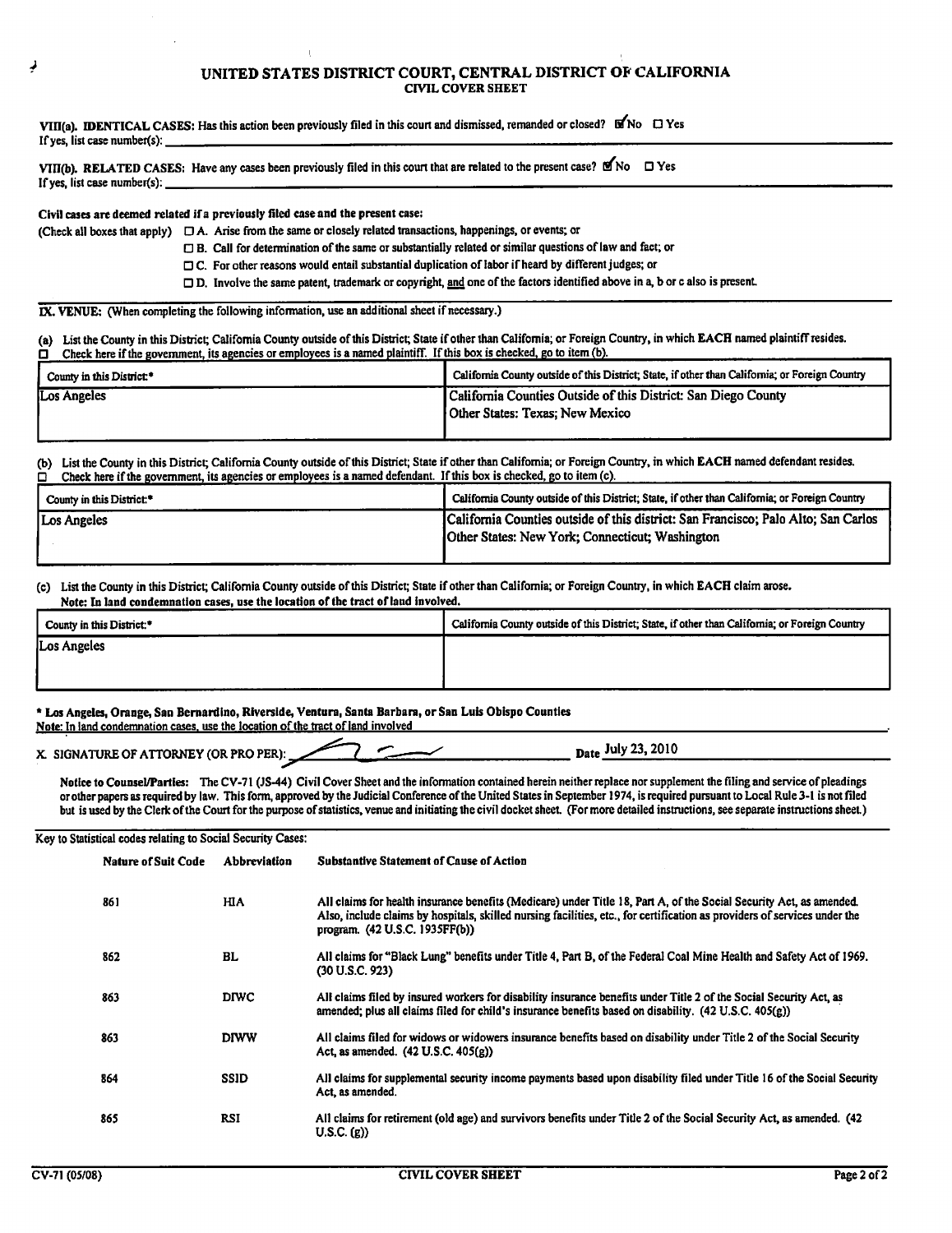#### UNITED STATES DISTRICT COURT, CENTRAL DISTRICT OF CALIFORNIA **CIVIL COVER SHEET**

VIII(a). IDENTICAL CASES: Has this action been previously filed in this court and dismissed, remanded or closed? MNo DYes If yes, list case number(s):

VIII(b). RELATED CASES: Have any cases been previously filed in this court that are related to the present case?  $\Box$  No  $\Box$  Yes If yes, list case number(s):

Civil cases are deemed related if a previously filed case and the present case:

- (Check all boxes that apply) □ A. Arise from the same or closely related transactions, happenings, or events; or
	- $\Box$  B. Call for determination of the same or substantially related or similar questions of law and fact; or
	- $\Box$  C. For other reasons would entail substantial duplication of labor if heard by different judges; or
	- D. Involve the same patent, trademark or copyright, and one of the factors identified above in a, b or c also is present.

IX. VENUE: (When completing the following information, use an additional sheet if necessary.)

(a) List the County in this District; California County outside of this District; State if other than California; or Foreign Country, in which EACH named plaintiff resides.  $\Box$  Check here if the government, its agencies or employees is a named plaintiff. If this box is checked, go to item (b).

| County in this District:* | California County outside of this District; State, if other than California; or Foreign Country   |
|---------------------------|---------------------------------------------------------------------------------------------------|
| Los Angeles               | California Counties Outside of this District: San Diego County<br>Other States: Texas; New Mexico |

(b) List the County in this District; California County outside of this District; State if other than California; or Foreign Country, in which EACH named defendant resides. Check here if the government, its agencies or employees is a named defendant. If this box is checked, go to item (c).

| County in this District:* | California County outside of this District; State, if other than California; or Foreign Country |
|---------------------------|-------------------------------------------------------------------------------------------------|
| Los Angeles               | California Counties outside of this district: San Francisco; Palo Alto; San Carlos              |
|                           | <b>Other States: New York: Connecticut: Washington</b>                                          |
|                           |                                                                                                 |

(c) List the County in this District; California County outside of this District; State if other than California; or Foreign Country, in which EACH claim arose. Note: In land condemnation cases, use the location of the tract of land involved.

| County in this District: $\bullet$ | California County outside of this District; State, if other than California; or Foreign Country |
|------------------------------------|-------------------------------------------------------------------------------------------------|
| Los Angeles                        |                                                                                                 |
|                                    |                                                                                                 |

\* Los Angeles, Orange, San Bernardino, Riverside, Ventura, Santa Barbara, or San Luis Obispo Counties Note: In land condemnation cases, use the location of the tract of land involved

X. SIGNATURE OF ATTORNEY (OR PRO PER):

Date July 23, 2010

Notice to Counsel/Parties: The CV-71 (JS-44) Civil Cover Sheet and the information contained herein neither replace nor supplement the filing and service of pleadings or other papers as required by law. This form, approved by the Judicial Conference of the United States in September 1974, is required pursuant to Local Rule 3-1 is not filed but is used by the Clerk of the Court for the purpose of statistics, venue and initiating the civil docket sheet. (For more detailed instructions, see separate instructions sheet.)

Key to Statistical codes relating to Social Security Cases:

| <b>Nature of Suit Code</b> | Abbreviation | <b>Substantive Statement of Cause of Action</b>                                                                                                                                                                                                                                    |
|----------------------------|--------------|------------------------------------------------------------------------------------------------------------------------------------------------------------------------------------------------------------------------------------------------------------------------------------|
| 861                        | <b>HIA</b>   | All claims for health insurance benefits (Medicare) under Title 18, Part A, of the Social Security Act, as amended.<br>Also, include claims by hospitals, skilled nursing facilities, etc., for certification as providers of services under the<br>program. (42 U.S.C. 1935FF(b)) |
| 862                        | BL           | All claims for "Black Lung" benefits under Title 4, Part B, of the Federal Coal Mine Health and Safety Act of 1969.<br>(30 U.S.C. 923)                                                                                                                                             |
| 863                        | <b>DIWC</b>  | All claims filed by insured workers for disability insurance benefits under Title 2 of the Social Security Act, as<br>amended; plus all claims filed for child's insurance benefits based on disability. $(42 \text{ U.S.C. } 405(g))$                                             |
| 863                        | <b>DIWW</b>  | All claims filed for widows or widowers insurance benefits based on disability under Title 2 of the Social Security<br>Act, as amended. $(42 \text{ U.S.C. } 405 \text{ (g)})$                                                                                                     |
| 864                        | <b>SSID</b>  | All claims for supplemental security income payments based upon disability filed under Title 16 of the Social Security<br>Act, as amended.                                                                                                                                         |
| 865                        | <b>RSI</b>   | All claims for retirement (old age) and survivors benefits under Title 2 of the Social Security Act, as amended. (42<br>U.S.C. (g)                                                                                                                                                 |
|                            |              |                                                                                                                                                                                                                                                                                    |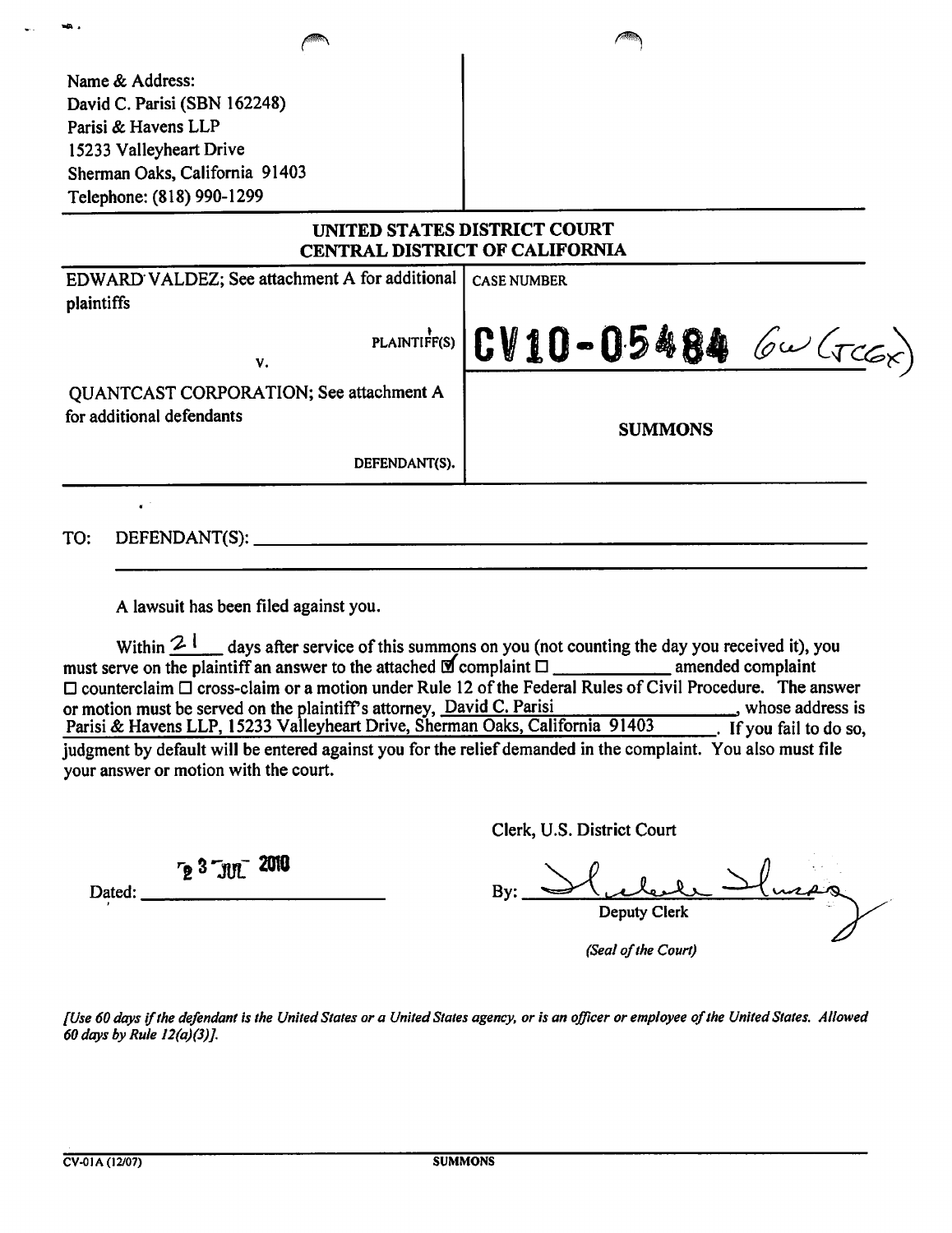| Name & Address:<br>David C. Parisi (SBN 162248)<br>Parisi & Havens LLP<br>15233 Valleyheart Drive<br>Sherman Oaks, California 91403<br>Telephone: (818) 990-1299 |                                                                       |
|------------------------------------------------------------------------------------------------------------------------------------------------------------------|-----------------------------------------------------------------------|
|                                                                                                                                                                  | UNITED STATES DISTRICT COURT<br><b>CENTRAL DISTRICT OF CALIFORNIA</b> |
| EDWARD VALDEZ; See attachment A for additional<br>plaintiffs                                                                                                     | <b>CASE NUMBER</b>                                                    |
| PLAINTIFF(S)<br>v.                                                                                                                                               | $CV10 - 054846$ ( $V1C(x)$ )                                          |
| QUANTCAST CORPORATION; See attachment A<br>for additional defendants                                                                                             | <b>SUMMONS</b>                                                        |
| DEFENDANT(S).                                                                                                                                                    |                                                                       |
| e f<br>π∩∙<br>DEEENDANT(S).                                                                                                                                      |                                                                       |

A lawsuit has been filed against you.

Within  $2\ell$  days after service of this summons on you (not counting the day you received it), you or motion must be served on the plaintiff's attorney, David C. Parisi<br>Parisi & Havens LLP, 15233 Valleyheart Drive, Sherman Oaks, California 91403 [15]. If you fail to do so, judgment by default will be entered against you for the relief demanded in the complaint. You also must file your answer or motion with the court.

Clerk, U.S. District Court

 $r_{\rm R}$  3  $r_{\rm JUT}$  2010 Dated:

Bv: **Deputy Clerk** 

(Seal of the Court)

[Use 60 days if the defendant is the United States or a United States agency, or is an officer or employee of the United States. Allowed 60 days by Rule 12(a)(3)].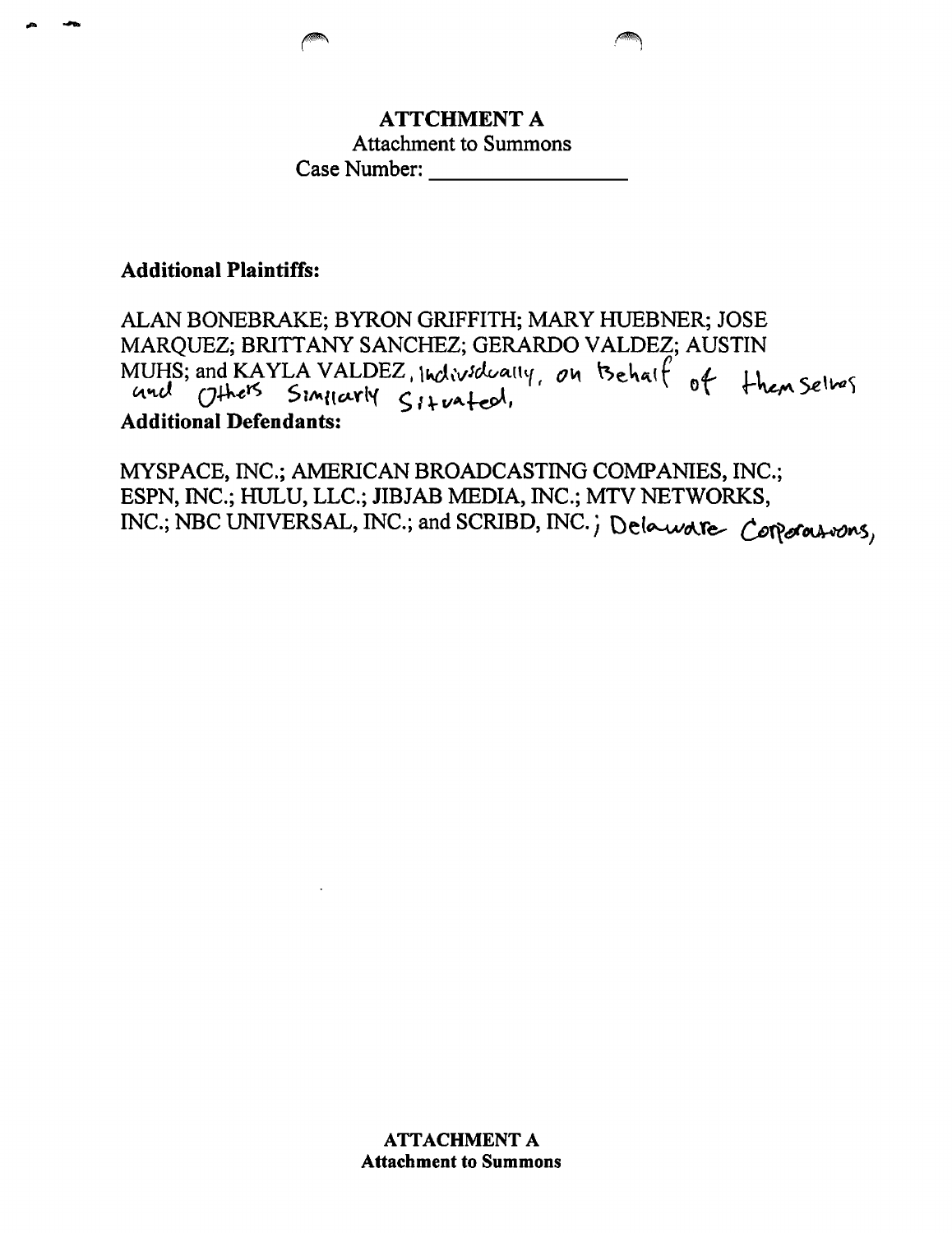# **ATTCHMENT A**

**Attachment to Summons** 

Case Number:

## **Additional Plaintiffs:**

ALAN BONEBRAKE; BYRON GRIFFITH; MARY HUEBNER; JOSE MARQUEZ; BRITTANY SANCHEZ; GERARDO VALDEZ; AUSTIN MUHS; and KAYLA VALDEZ, Individually, on tschalf of them selves **Additional Defendants:** 

MYSPACE, INC.; AMERICAN BROADCASTING COMPANIES, INC.; ESPN, INC.; HULU, LLC.; JIBJAB MEDIA, INC.; MTV NETWORKS, INC.; NBC UNIVERSAL, INC.; and SCRIBD, INC.; Delaware Corporations,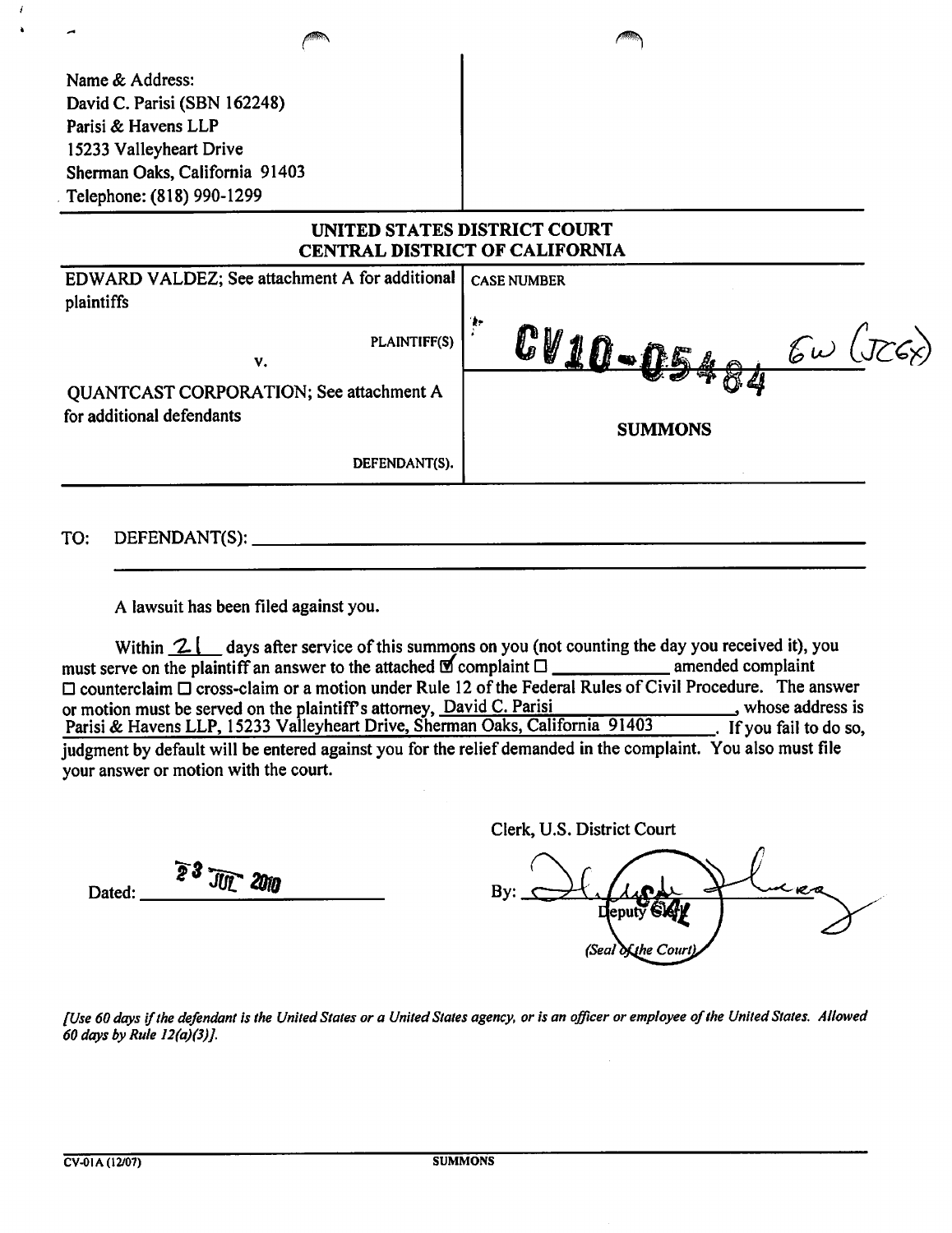| Name & Address:<br>David C. Parisi (SBN 162248)<br>Parisi & Havens LLP<br>15233 Valleyheart Drive<br>Sherman Oaks, California 91403<br>Telephone: (818) 990-1299 |                                                                       |
|------------------------------------------------------------------------------------------------------------------------------------------------------------------|-----------------------------------------------------------------------|
|                                                                                                                                                                  | UNITED STATES DISTRICT COURT<br><b>CENTRAL DISTRICT OF CALIFORNIA</b> |
| EDWARD VALDEZ; See attachment A for additional<br>plaintiffs                                                                                                     | <b>CASE NUMBER</b>                                                    |
| <b>PLAINTIFF(S)</b><br>v.                                                                                                                                        | 'N-<br>$\epsilon \omega$ (JCGX)<br>CV10-054                           |
| QUANTCAST CORPORATION; See attachment A<br>for additional defendants                                                                                             | <b>SUMMONS</b>                                                        |
| DEFENDANT(S).                                                                                                                                                    |                                                                       |
|                                                                                                                                                                  |                                                                       |

TO:

A lawsuit has been filed against you.

Within  $2\ell$  days after service of this summons on you (not counting the day you received it), you must serve on the plaintiff an answer to the attached  $\overline{\omega}$  complaint  $\Box$  amended complaint<br>  $\Box$  counterclaim  $\Box$  cross-claim or a motion under Rule 12 of the Federal Rules of Civil Procedure. The answer or motion must be served on the plaintiff's attorney, David C. Parisi<br>Parisi & Havens LLP, 15233 Valleyheart Drive, Sherman Oaks, California 91403 [15]. If you fail to do so, judgment by default will be entered against you for the relief demanded in the complaint. You also must file your answer or motion with the court.

23 JUT 2010 Dated:

| Clerk, U.S. District Court |  |
|----------------------------|--|
| By:                        |  |
| ienut⊽ '                   |  |
| (Seal of the Court)        |  |

[Use 60 days if the defendant is the United States or a United States agency, or is an officer or employee of the United States. Allowed 60 days by Rule 12(a)(3)].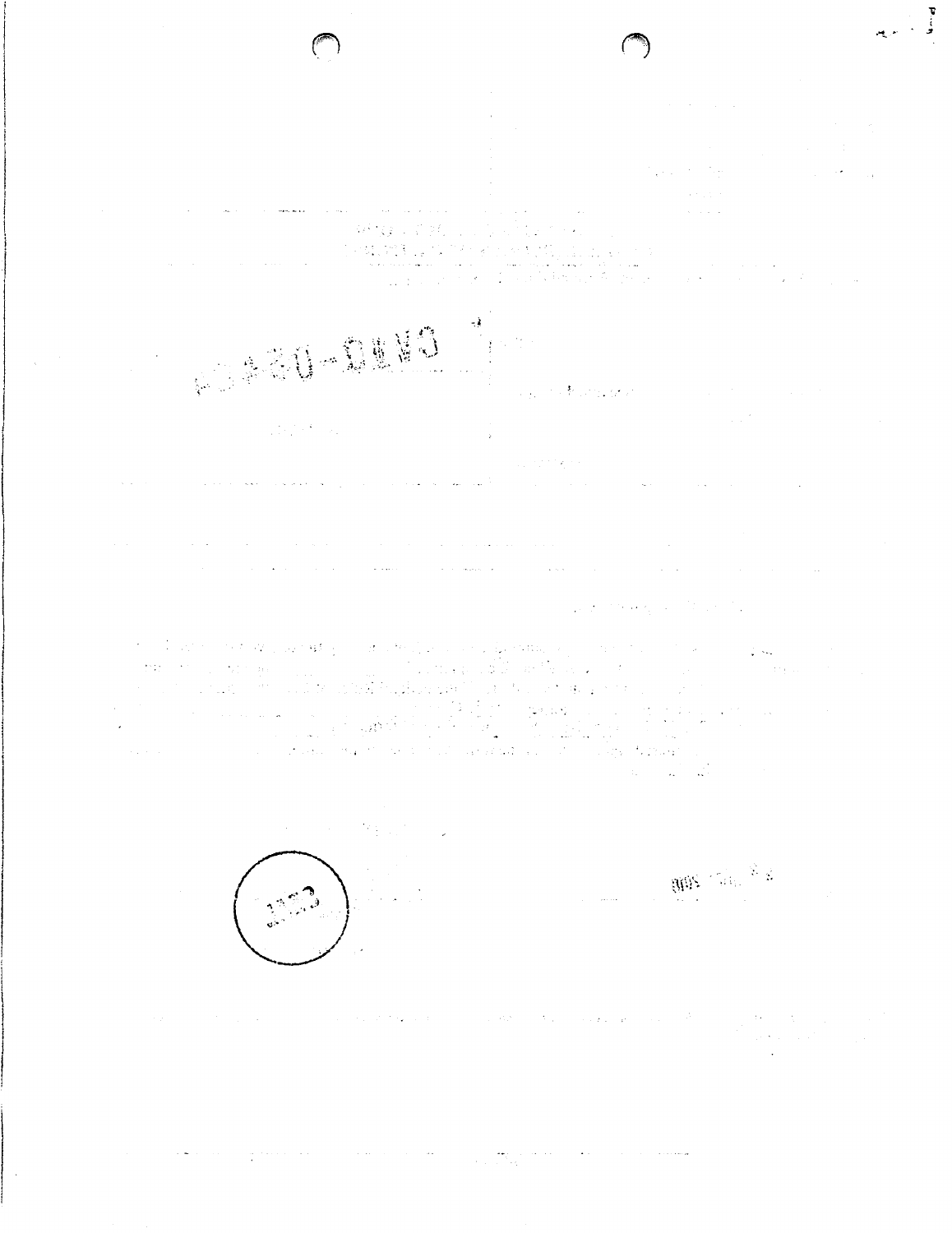$\alpha_{\rm{max}}$  ,  $\alpha_{\rm{max}}$  ,  $\alpha_{\rm{max}}$  ,  $\alpha_{\rm{max}}$  ,  $\alpha_{\rm{max}}$ 

 $\mathcal{L}^{\mathcal{L}}(\mathcal{A})$  and  $\mathcal{L}^{\mathcal{L}}(\mathcal{A})$  and  $\mathcal{L}^{\mathcal{L}}(\mathcal{A})$  $\sqrt{1+\frac{1}{2}}$  , where  $\frac{1}{2}$ 

 $\mathcal{A}^{\mathcal{A}}$  and  $\mathcal{A}^{\mathcal{A}}$ 

أناصف المتعارض المتعاطف والمتعارض والمتعارف 转放,引致,以及消除不足。

All-ALVA I de la partide de la constancia de la constancia de la constancia de la constancia de la constancia de la constancia de la constancia de la constancia de la constancia de la constancia de la constancia de la constancia de l  $\frac{1}{\sqrt{2}}\sum_{i=1}^n\frac{1}{2}\left(\frac{1}{2}\sum_{i=1}^n\frac{1}{2}\right)^2\left(\frac{1}{2}\sum_{i=1}^n\frac{1}{2}\right)^2.$  $\sim 10^7$  $\mathcal{L}_{\text{max}}$  , and the same

المتابعة والمتعاون والمحجب والمتوارد والمتناول المتأمل والمتعارض والتقارب  $\mathcal{L}^{\text{max}}_{\text{max}}$  ,  $\mathcal{L}^{\text{max}}_{\text{max}}$ 

. The components of the second contract of the second contract of the second contract of the second contract of  $\mathcal{L}_\text{c}$ المسجد المسجد المسجد المسجد المسجد المسجد المسجد المسجد المسجد المسجد المسجد المسجد المسجد المسجد ال

 $\mathcal{L}^{\mathcal{L}}$  and the set of the set of the set of the set of the set of the set of the set of the set of the set of the set of the set of the set of the set of the set of the set of the set of the set of the set of the

 $\label{eq:2} \mathcal{A}_{\mathcal{A}} = \mathcal{A}_{\mathcal{A}} = \mathcal{A}_{\mathcal{A}}$ 



t en la participat de la participat de la participat de la participat de la participat de la participat de la<br>La participat de la participat de la participat de la participat de la participat de la participat de la parti

المستطعم الماليات التواريخ المتعدد وال<mark>بلا</mark>د التي يعد التي يتم من التي يتم التي يتم المتحدة التي التي يتم التي ال<br>المستطعم التي التي التي يتم التي التي التي يتم التي يتم التي يتم التي يتم التي يتم التي يتم التي يتم التي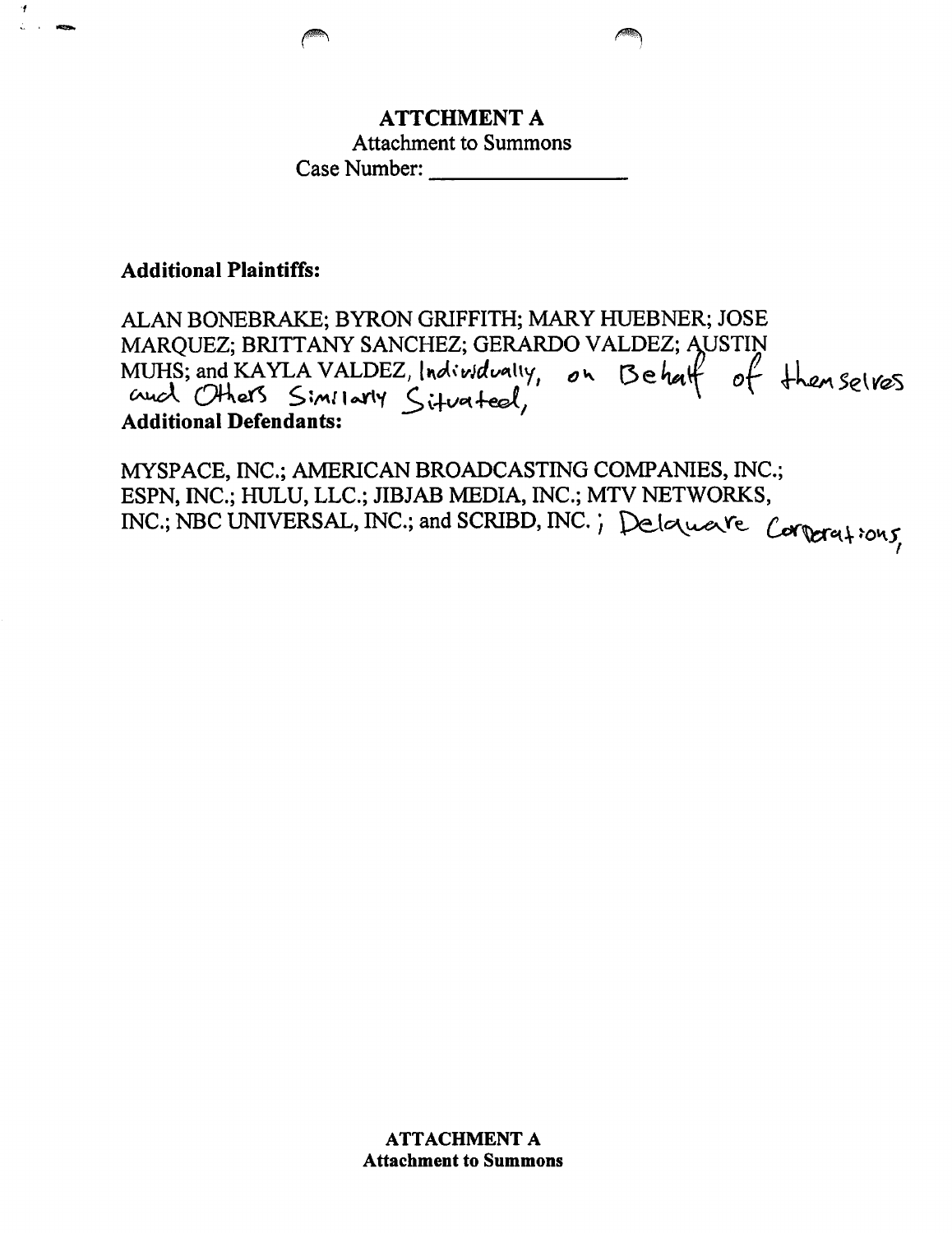# **ATTCHMENT A Attachment to Summons** Case Number:

### **Additional Plaintiffs:**

 $\mathcal{L}$ 

ALAN BONEBRAKE; BYRON GRIFFITH; MARY HUEBNER; JOSE MARQUEZ; BRITTANY SANCHEZ; GERARDO VALDEZ; AUSTIN MUHS; and KAYLA VALDEZ, Individually, on Behalf of them selves<br>and Cthers Similarly Situated,

MYSPACE, INC.; AMERICAN BROADCASTING COMPANIES, INC.; ESPN, INC.; HULU, LLC.; JIBJAB MEDIA, INC.; MTV NETWORKS,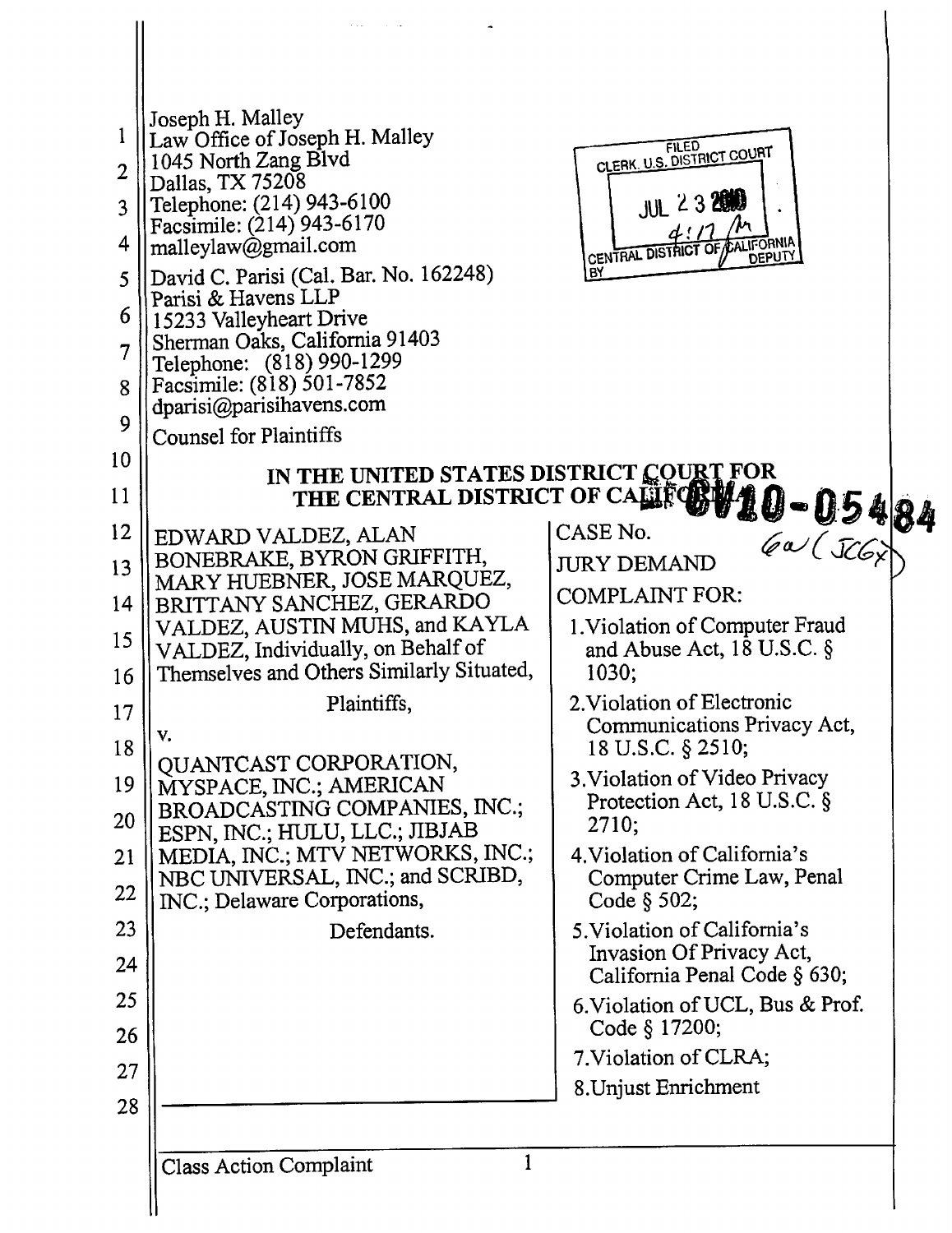|                                              | Joseph H. Malley<br>Law Office of Joseph H. Malley<br>1045 North Zang Blvd<br>Dallas, TX 75208<br>Telephone: (214) 943-6100<br>Facsimile: (214) 943-6170<br>malleylaw@gmail.com<br>David C. Parisi (Cal. Bar. No. 162248)<br>Parisi & Havens LLP<br>15233 Valleyheart Drive<br>Sherman Oaks, California 91403<br>Telephone: (818) 990-1299<br>Facsimile: (818) 501-7852<br>dparisi@parisihavens.com<br>Counsel for Plaintiffs                                                                    | <b>FILED</b><br>CLERK, U.S. DISTRICT COURT<br><b>JUL 23200</b><br>$\left  \frac{d!}{CENTRAL DISTRICTOFA}\right $<br><b>IFORNIA</b><br><b>DEPUTY</b><br>BY                                                                                                                                                                                                                                                                                                                                                                                                                          |
|----------------------------------------------|--------------------------------------------------------------------------------------------------------------------------------------------------------------------------------------------------------------------------------------------------------------------------------------------------------------------------------------------------------------------------------------------------------------------------------------------------------------------------------------------------|------------------------------------------------------------------------------------------------------------------------------------------------------------------------------------------------------------------------------------------------------------------------------------------------------------------------------------------------------------------------------------------------------------------------------------------------------------------------------------------------------------------------------------------------------------------------------------|
|                                              | IN THE UNITED STATES DISTRICT COURT FOR<br>THE CENTRAL DISTRICT OF CALIFORD                                                                                                                                                                                                                                                                                                                                                                                                                      |                                                                                                                                                                                                                                                                                                                                                                                                                                                                                                                                                                                    |
| V.<br>22<br>23<br>24<br>25<br>26<br>27<br>28 | EDWARD VALDEZ, ALAN<br>BONEBRAKE, BYRON GRIFFITH,<br>MARY HUEBNER, JOSE MARQUEZ,<br>BRITTANY SANCHEZ, GERARDO<br>VALDEZ, AUSTIN MUHS, and KAYLA<br>VALDEZ, Individually, on Behalf of<br>Themselves and Others Similarly Situated,<br>Plaintiffs.<br>QUANTCAST CORPORATION,<br>MYSPACE, INC.; AMERICAN<br>BROADCASTING COMPANIES, INC.;<br>ESPN, INC.; HULU, LLC.; JIBJAB<br>MEDIA, INC.; MTV NETWORKS, INC.;<br>NBC UNIVERSAL, INC.; and SCRIBD,<br>INC.; Delaware Corporations,<br>Defendants. | $10 - 05484$<br>CASE No.<br><b>JURY DEMAND</b><br>COMPLAINT FOR:<br>1. Violation of Computer Fraud<br>and Abuse Act, 18 U.S.C. §<br>1030;<br>2. Violation of Electronic<br>Communications Privacy Act,<br>18 U.S.C. § 2510;<br>3. Violation of Video Privacy<br>Protection Act, 18 U.S.C. §<br>2710;<br>4. Violation of California's<br>Computer Crime Law, Penal<br>Code § 502;<br>5. Violation of California's<br>Invasion Of Privacy Act,<br>California Penal Code § 630;<br>6. Violation of UCL, Bus & Prof.<br>Code § 17200;<br>7. Violation of CLRA;<br>8. Unjust Enrichment |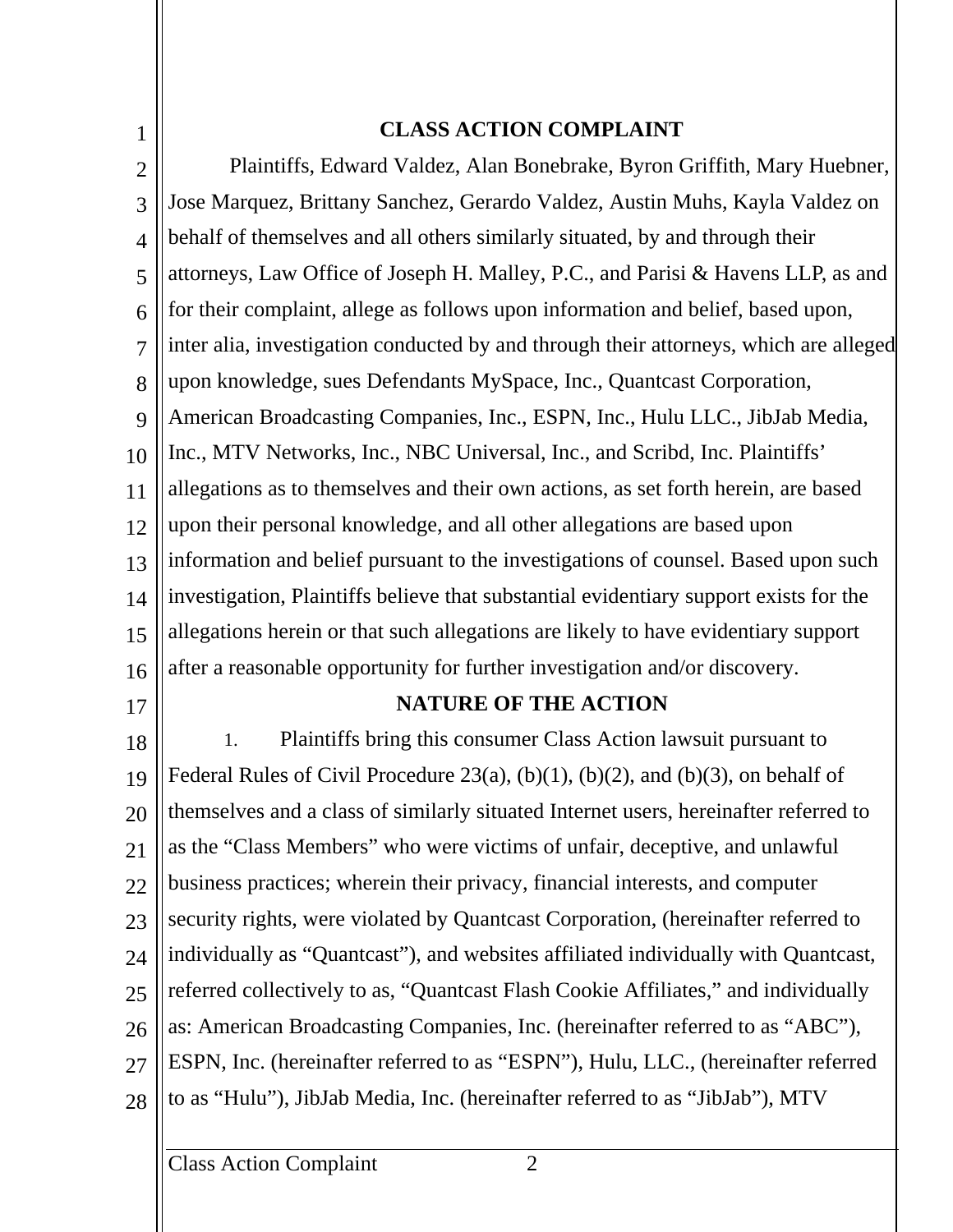| $\mathbf{1}$   | <b>CLASS ACTION COMPLAINT</b>                                                             |  |
|----------------|-------------------------------------------------------------------------------------------|--|
| $\overline{2}$ | Plaintiffs, Edward Valdez, Alan Bonebrake, Byron Griffith, Mary Huebner,                  |  |
| 3              | Jose Marquez, Brittany Sanchez, Gerardo Valdez, Austin Muhs, Kayla Valdez on              |  |
| $\overline{4}$ | behalf of themselves and all others similarly situated, by and through their              |  |
| 5              | attorneys, Law Office of Joseph H. Malley, P.C., and Parisi & Havens LLP, as and          |  |
| 6              | for their complaint, allege as follows upon information and belief, based upon,           |  |
| $\overline{7}$ | inter alia, investigation conducted by and through their attorneys, which are alleged     |  |
| 8              | upon knowledge, sues Defendants MySpace, Inc., Quantcast Corporation,                     |  |
| 9              | American Broadcasting Companies, Inc., ESPN, Inc., Hulu LLC., JibJab Media,               |  |
| 10             | Inc., MTV Networks, Inc., NBC Universal, Inc., and Scribd, Inc. Plaintiffs'               |  |
| 11             | allegations as to themselves and their own actions, as set forth herein, are based        |  |
| 12             | upon their personal knowledge, and all other allegations are based upon                   |  |
| 13             | information and belief pursuant to the investigations of counsel. Based upon such         |  |
| 14             | investigation, Plaintiffs believe that substantial evidentiary support exists for the     |  |
| 15             | allegations herein or that such allegations are likely to have evidentiary support        |  |
| 16             | after a reasonable opportunity for further investigation and/or discovery.                |  |
| 17             | <b>NATURE OF THE ACTION</b>                                                               |  |
| 18             | Plaintiffs bring this consumer Class Action lawsuit pursuant to<br>1.                     |  |
| 19             | Federal Rules of Civil Procedure 23(a), $(b)(1)$ , $(b)(2)$ , and $(b)(3)$ , on behalf of |  |
| 20             | themselves and a class of similarly situated Internet users, hereinafter referred to      |  |
| 21             | as the "Class Members" who were victims of unfair, deceptive, and unlawful                |  |
| 22             | business practices; wherein their privacy, financial interests, and computer              |  |
| 23             | security rights, were violated by Quantcast Corporation, (hereinafter referred to         |  |
| 24             | individually as "Quantcast"), and websites affiliated individually with Quantcast,        |  |
| 25             | referred collectively to as, "Quantcast Flash Cookie Affiliates," and individually        |  |
| 26             | as: American Broadcasting Companies, Inc. (hereinafter referred to as "ABC"),             |  |
| 27             | ESPN, Inc. (hereinafter referred to as "ESPN"), Hulu, LLC., (hereinafter referred         |  |
| 28             | to as "Hulu"), JibJab Media, Inc. (hereinafter referred to as "JibJab"), MTV              |  |
|                |                                                                                           |  |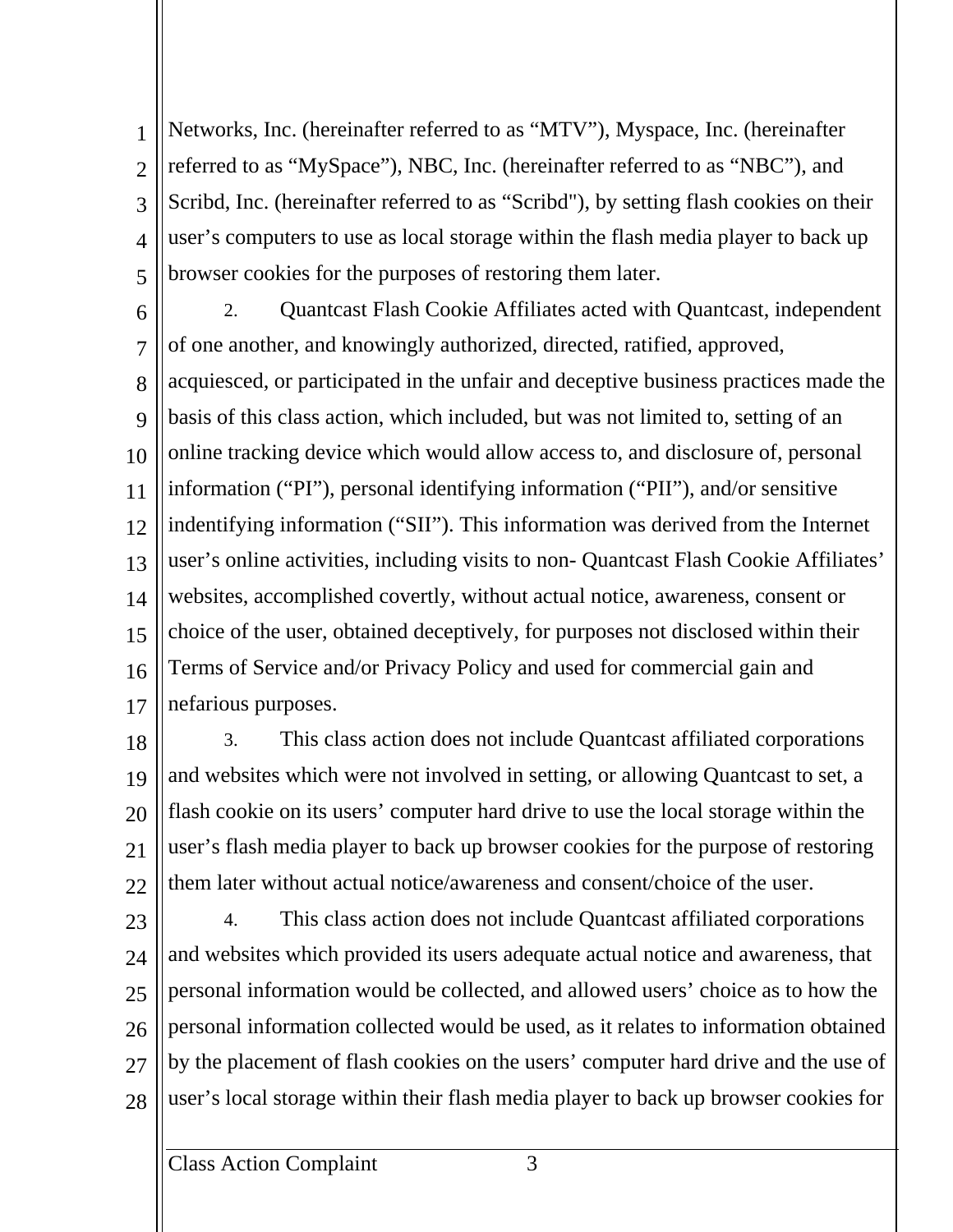1  $\mathcal{D}$ 3 4 5 Networks, Inc. (hereinafter referred to as "MTV"), Myspace, Inc. (hereinafter referred to as "MySpace"), NBC, Inc. (hereinafter referred to as "NBC"), and Scribd, Inc. (hereinafter referred to as "Scribd"), by setting flash cookies on their user's computers to use as local storage within the flash media player to back up browser cookies for the purposes of restoring them later.

6 7 8  $\mathbf Q$ 10 11 12 13 14 15 16 17 2. Quantcast Flash Cookie Affiliates acted with Quantcast, independent of one another, and knowingly authorized, directed, ratified, approved, acquiesced, or participated in the unfair and deceptive business practices made the basis of this class action, which included, but was not limited to, setting of an online tracking device which would allow access to, and disclosure of, personal information ("PI"), personal identifying information ("PII"), and/or sensitive indentifying information ("SII"). This information was derived from the Internet user's online activities, including visits to non- Quantcast Flash Cookie Affiliates' websites, accomplished covertly, without actual notice, awareness, consent or choice of the user, obtained deceptively, for purposes not disclosed within their Terms of Service and/or Privacy Policy and used for commercial gain and nefarious purposes.

18 19 20 21 22 3. This class action does not include Quantcast affiliated corporations and websites which were not involved in setting, or allowing Quantcast to set, a flash cookie on its users' computer hard drive to use the local storage within the user's flash media player to back up browser cookies for the purpose of restoring them later without actual notice/awareness and consent/choice of the user.

23 24 25 26 27 28 4. This class action does not include Quantcast affiliated corporations and websites which provided its users adequate actual notice and awareness, that personal information would be collected, and allowed users' choice as to how the personal information collected would be used, as it relates to information obtained by the placement of flash cookies on the users' computer hard drive and the use of user's local storage within their flash media player to back up browser cookies for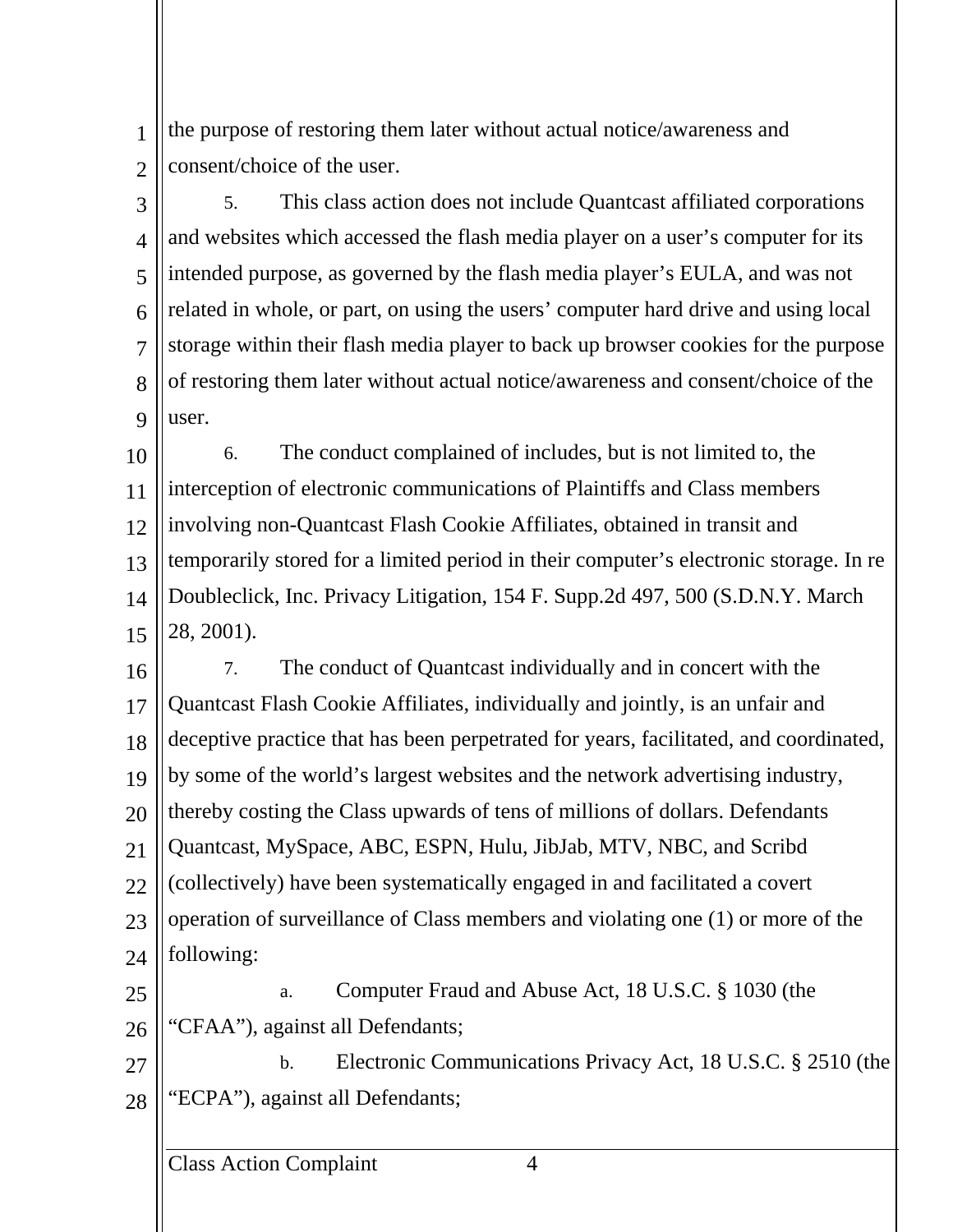1  $\mathcal{D}$ the purpose of restoring them later without actual notice/awareness and consent/choice of the user.

3 4 5 6 7 8  $\mathbf Q$ 5. This class action does not include Quantcast affiliated corporations and websites which accessed the flash media player on a user's computer for its intended purpose, as governed by the flash media player's EULA, and was not related in whole, or part, on using the users' computer hard drive and using local storage within their flash media player to back up browser cookies for the purpose of restoring them later without actual notice/awareness and consent/choice of the user.

10 11 12 13 14 15 6. The conduct complained of includes, but is not limited to, the interception of electronic communications of Plaintiffs and Class members involving non-Quantcast Flash Cookie Affiliates, obtained in transit and temporarily stored for a limited period in their computer's electronic storage. In re Doubleclick, Inc. Privacy Litigation, 154 F. Supp.2d 497, 500 (S.D.N.Y. March 28, 2001).

16 17 18 19 20 21 22 23 24 7. The conduct of Quantcast individually and in concert with the Quantcast Flash Cookie Affiliates, individually and jointly, is an unfair and deceptive practice that has been perpetrated for years, facilitated, and coordinated, by some of the world's largest websites and the network advertising industry, thereby costing the Class upwards of tens of millions of dollars. Defendants Quantcast, MySpace, ABC, ESPN, Hulu, JibJab, MTV, NBC, and Scribd (collectively) have been systematically engaged in and facilitated a covert operation of surveillance of Class members and violating one (1) or more of the following:

25 26 a. Computer Fraud and Abuse Act, 18 U.S.C. § 1030 (the "CFAA"), against all Defendants;

27 28 b. Electronic Communications Privacy Act, 18 U.S.C. § 2510 (the "ECPA"), against all Defendants;

Class Action Complaint 4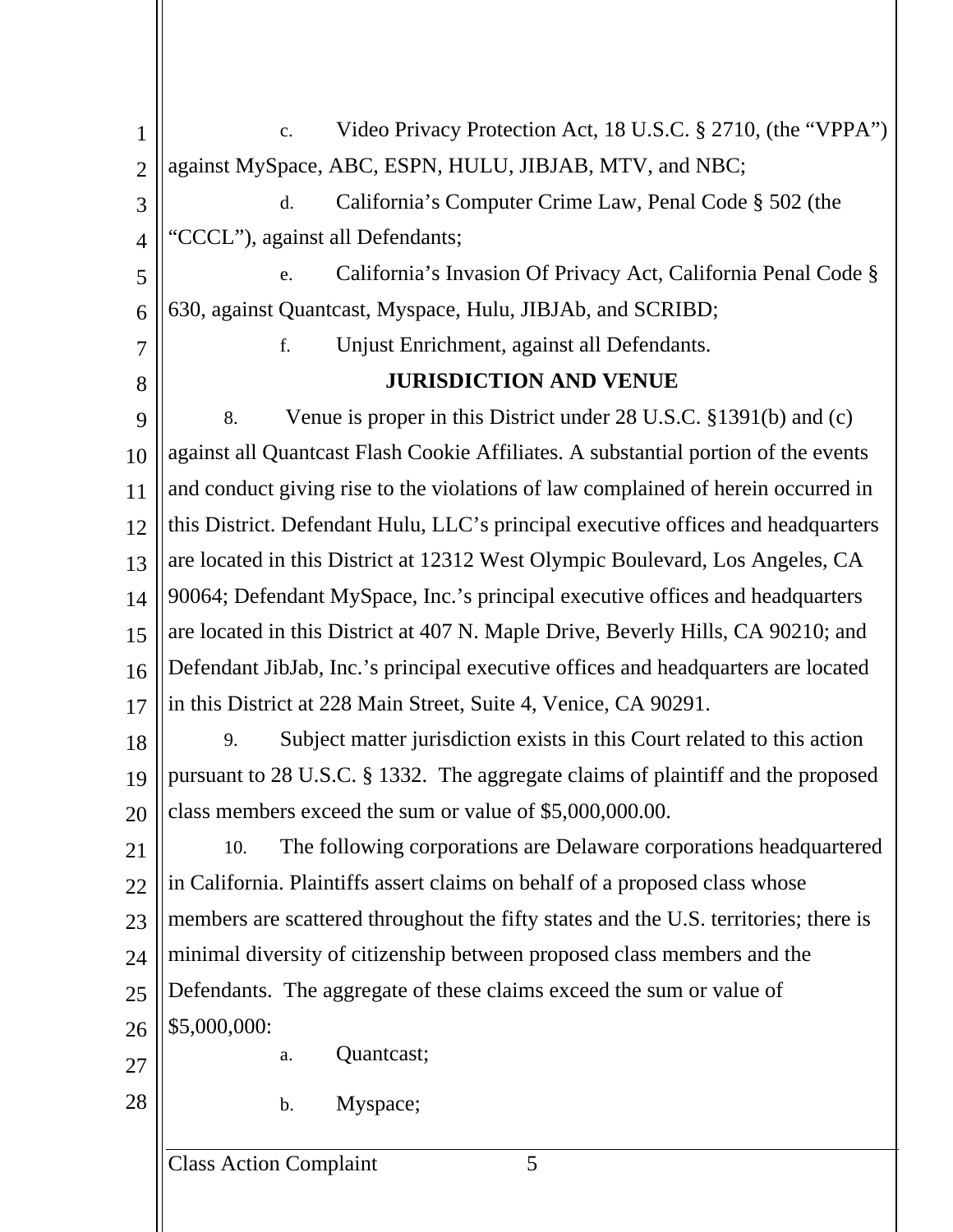| $\mathbf{1}$   | Video Privacy Protection Act, 18 U.S.C. § 2710, (the "VPPA")<br>$\mathbf{c}$ .       |
|----------------|--------------------------------------------------------------------------------------|
| $\mathfrak{2}$ | against MySpace, ABC, ESPN, HULU, JIBJAB, MTV, and NBC;                              |
| 3              | California's Computer Crime Law, Penal Code § 502 (the<br>d.                         |
| $\overline{4}$ | "CCCL"), against all Defendants;                                                     |
| 5              | California's Invasion Of Privacy Act, California Penal Code §<br>e.                  |
| 6              | 630, against Quantcast, Myspace, Hulu, JIBJAb, and SCRIBD;                           |
| 7              | f.<br>Unjust Enrichment, against all Defendants.                                     |
| 8              | <b>JURISDICTION AND VENUE</b>                                                        |
| 9              | Venue is proper in this District under 28 U.S.C. §1391(b) and (c)<br>8.              |
| 10             | against all Quantcast Flash Cookie Affiliates. A substantial portion of the events   |
| 11             | and conduct giving rise to the violations of law complained of herein occurred in    |
| 12             | this District. Defendant Hulu, LLC's principal executive offices and headquarters    |
| 13             | are located in this District at 12312 West Olympic Boulevard, Los Angeles, CA        |
| 14             | 90064; Defendant MySpace, Inc.'s principal executive offices and headquarters        |
| 15             | are located in this District at 407 N. Maple Drive, Beverly Hills, CA 90210; and     |
| 16             | Defendant JibJab, Inc.'s principal executive offices and headquarters are located    |
| 17             | in this District at 228 Main Street, Suite 4, Venice, CA 90291.                      |
| 18             | Subject matter jurisdiction exists in this Court related to this action<br>9.        |
| 19             | pursuant to 28 U.S.C. § 1332. The aggregate claims of plaintiff and the proposed     |
| 20             | class members exceed the sum or value of \$5,000,000.00.                             |
| 21             | The following corporations are Delaware corporations headquartered<br>10.            |
| 22             | in California. Plaintiffs assert claims on behalf of a proposed class whose          |
| 23             | members are scattered throughout the fifty states and the U.S. territories; there is |
| 24             | minimal diversity of citizenship between proposed class members and the              |
| 25             | Defendants. The aggregate of these claims exceed the sum or value of                 |
| 26             | \$5,000,000:                                                                         |
| 27             | Quantcast;<br>a.                                                                     |
| 28             | Myspace;<br>$\mathbf b$ .                                                            |
|                |                                                                                      |
|                | <b>Class Action Complaint</b><br>5                                                   |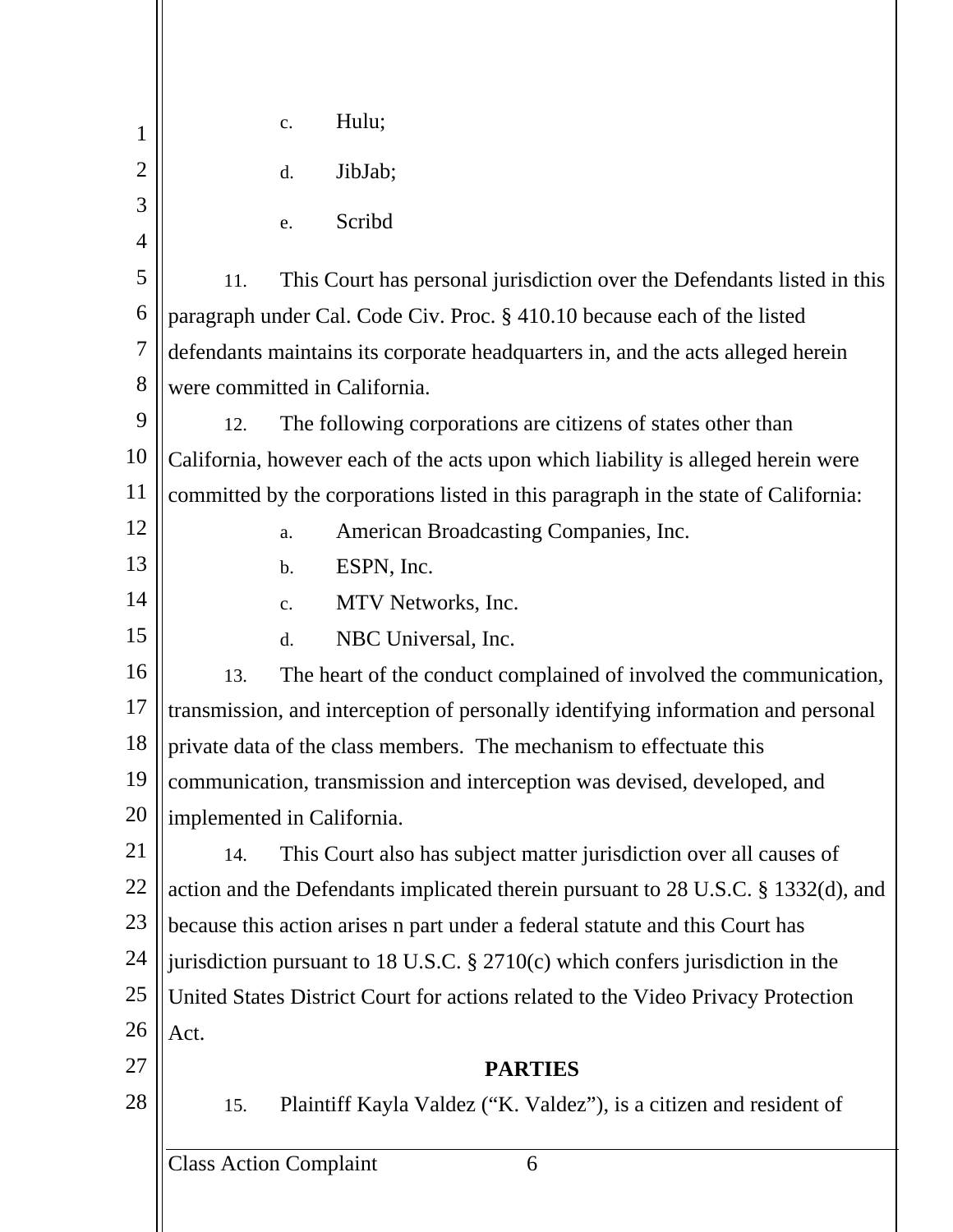| 1              | Hulu;<br>c.                                                                        |
|----------------|------------------------------------------------------------------------------------|
| $\overline{2}$ | JibJab;<br>d.                                                                      |
| 3              | Scribd<br>e.                                                                       |
| 4              |                                                                                    |
| 5              | This Court has personal jurisdiction over the Defendants listed in this<br>11.     |
| 6              | paragraph under Cal. Code Civ. Proc. § 410.10 because each of the listed           |
| 7              | defendants maintains its corporate headquarters in, and the acts alleged herein    |
| 8              | were committed in California.                                                      |
| 9              | The following corporations are citizens of states other than<br>12.                |
| 10             | California, however each of the acts upon which liability is alleged herein were   |
| 11             | committed by the corporations listed in this paragraph in the state of California: |
| 12             | American Broadcasting Companies, Inc.<br>a.                                        |
| 13             | ESPN, Inc.<br>$\mathbf b$ .                                                        |
| 14             | MTV Networks, Inc.<br>$\mathbf{c}$ .                                               |
| 15             | NBC Universal, Inc.<br>d.                                                          |
| 16             | The heart of the conduct complained of involved the communication,<br>13.          |
| 17             | transmission, and interception of personally identifying information and personal  |
| 18             | private data of the class members. The mechanism to effectuate this                |
| 19             | communication, transmission and interception was devised, developed, and           |
| 20             | implemented in California.                                                         |
| 21             | This Court also has subject matter jurisdiction over all causes of<br>14.          |
| 22             | action and the Defendants implicated therein pursuant to 28 U.S.C. § 1332(d), and  |
| 23             | because this action arises n part under a federal statute and this Court has       |
| 24             | jurisdiction pursuant to 18 U.S.C. $\S 2710(c)$ which confers jurisdiction in the  |
| 25             | United States District Court for actions related to the Video Privacy Protection   |
| 26             | Act.                                                                               |
| 27             | <b>PARTIES</b>                                                                     |
| 28             | Plaintiff Kayla Valdez ("K. Valdez"), is a citizen and resident of<br>15.          |
|                | <b>Class Action Complaint</b><br>6                                                 |
|                |                                                                                    |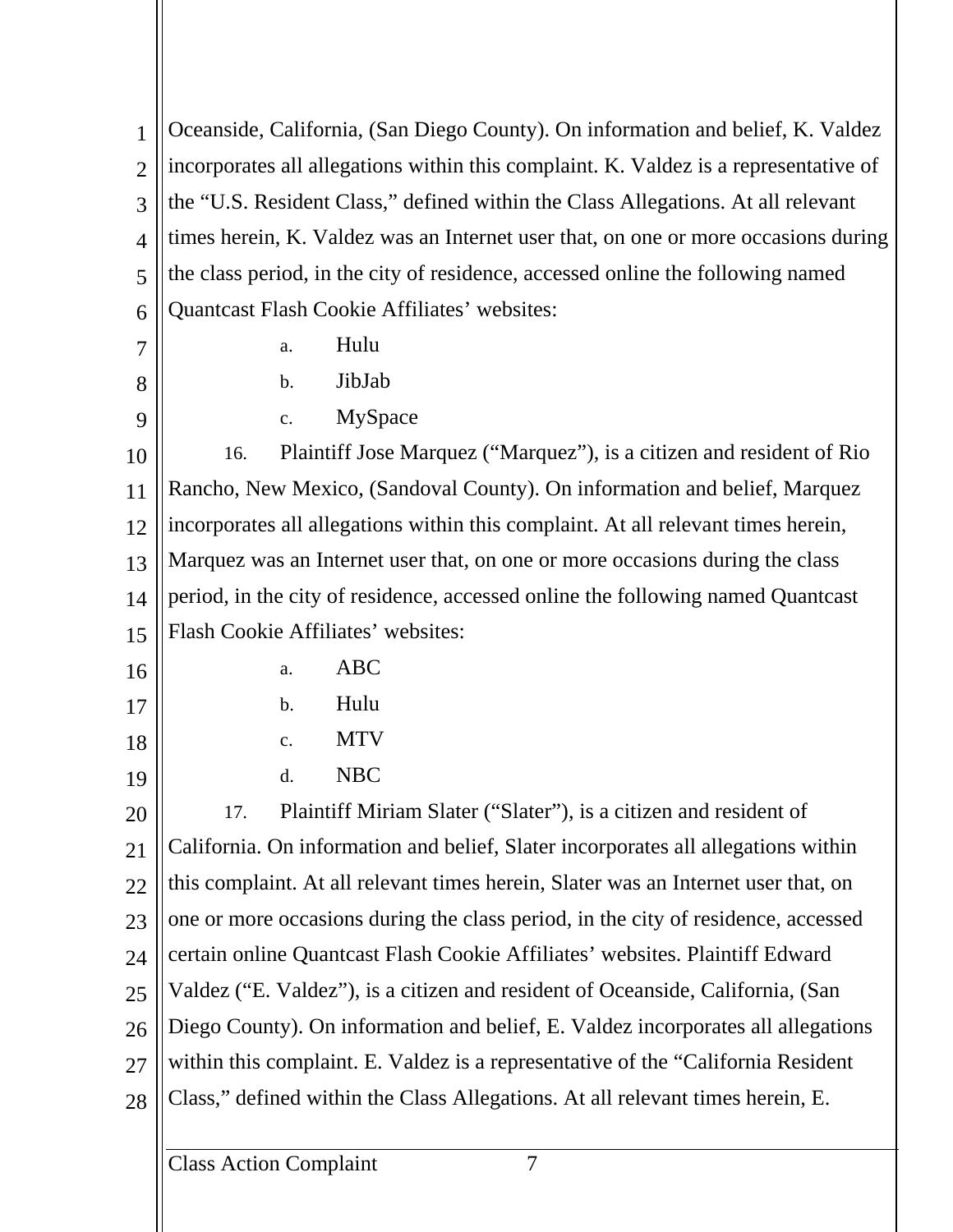1  $\mathcal{D}$ 3 4 5 6 Oceanside, California, (San Diego County). On information and belief, K. Valdez incorporates all allegations within this complaint. K. Valdez is a representative of the "U.S. Resident Class," defined within the Class Allegations. At all relevant times herein, K. Valdez was an Internet user that, on one or more occasions during the class period, in the city of residence, accessed online the following named Quantcast Flash Cookie Affiliates' websites:

- a. Hulu
- 8

7

9

- b. JibJab
- c. MySpace

10 11 12 13 14 15 16. Plaintiff Jose Marquez ("Marquez"), is a citizen and resident of Rio Rancho, New Mexico, (Sandoval County). On information and belief, Marquez incorporates all allegations within this complaint. At all relevant times herein, Marquez was an Internet user that, on one or more occasions during the class period, in the city of residence, accessed online the following named Quantcast Flash Cookie Affiliates' websites:

- 16
- a. ABC
- b. Hulu
- 18 c. MTV
- 19

17

d. NBC

20 21 22 23 24 25 26 27 28 17. Plaintiff Miriam Slater ("Slater"), is a citizen and resident of California. On information and belief, Slater incorporates all allegations within this complaint. At all relevant times herein, Slater was an Internet user that, on one or more occasions during the class period, in the city of residence, accessed certain online Quantcast Flash Cookie Affiliates' websites. Plaintiff Edward Valdez ("E. Valdez"), is a citizen and resident of Oceanside, California, (San Diego County). On information and belief, E. Valdez incorporates all allegations within this complaint. E. Valdez is a representative of the "California Resident Class," defined within the Class Allegations. At all relevant times herein, E.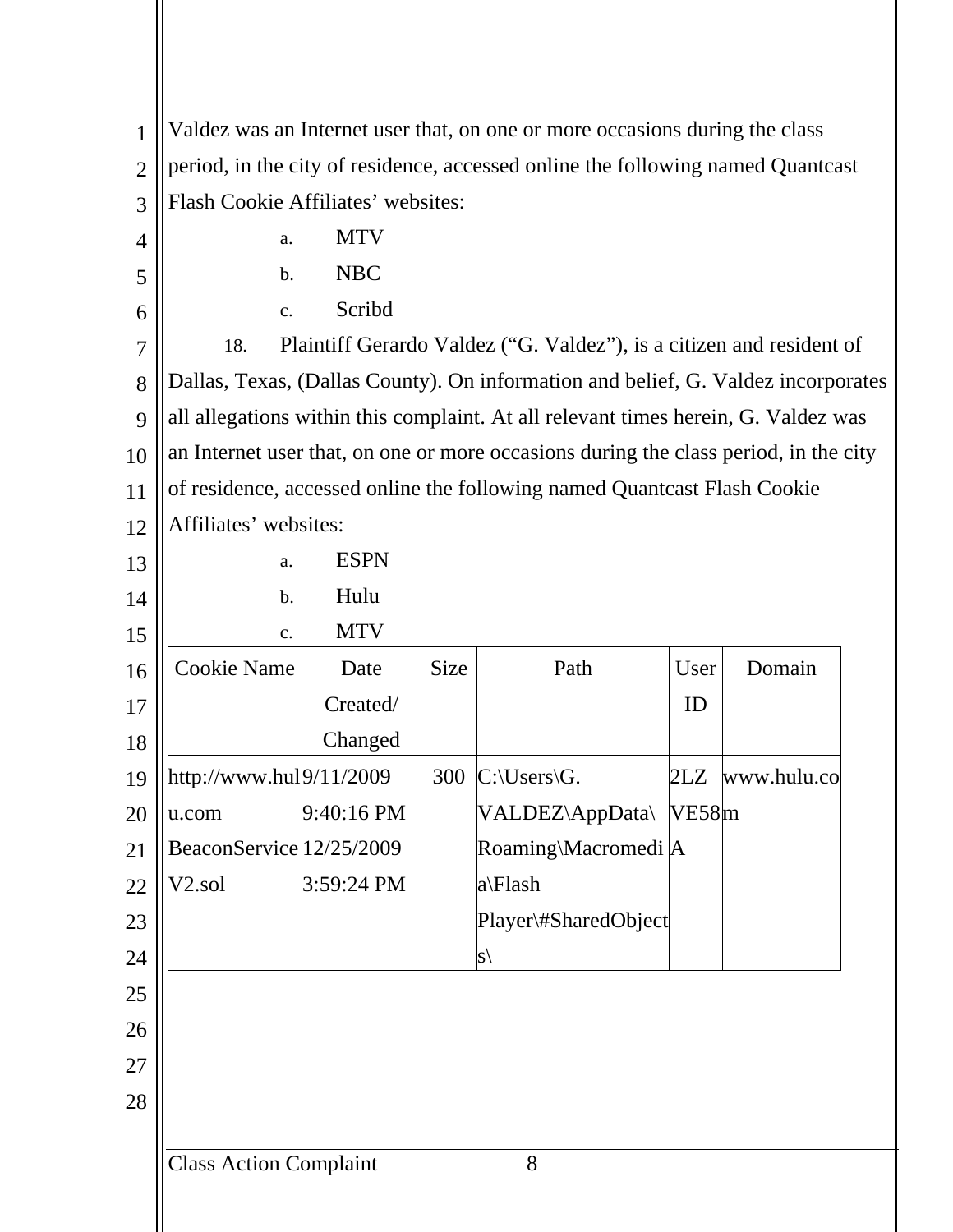1  $\mathcal{D}$ 3 4 5 6 7 8  $\mathbf Q$ 10 11 12 13 14 15 16 17 18 19 20 21 22 23 24 25 26 27 28 Class Action Complaint 8 Valdez was an Internet user that, on one or more occasions during the class period, in the city of residence, accessed online the following named Quantcast Flash Cookie Affiliates' websites: a. MTV b. NBC c. Scribd 18. Plaintiff Gerardo Valdez ("G. Valdez"), is a citizen and resident of Dallas, Texas, (Dallas County). On information and belief, G. Valdez incorporates all allegations within this complaint. At all relevant times herein, G. Valdez was an Internet user that, on one or more occasions during the class period, in the city of residence, accessed online the following named Quantcast Flash Cookie Affiliates' websites: a. ESPN b. Hulu c. MTV Cookie Name Date Created/ Changed Size Path User ID Domain http://www.hul 9/11/2009 u.com BeaconService 12/25/2009 V2.sol 9:40:16 PM 3:59:24 PM 300  $C:\V{Users}\G$ . VALDEZ\AppData\ Roaming\Macromedi A a\Flash Player\#SharedObject s\ 2LZ www.hulu.co VE58 m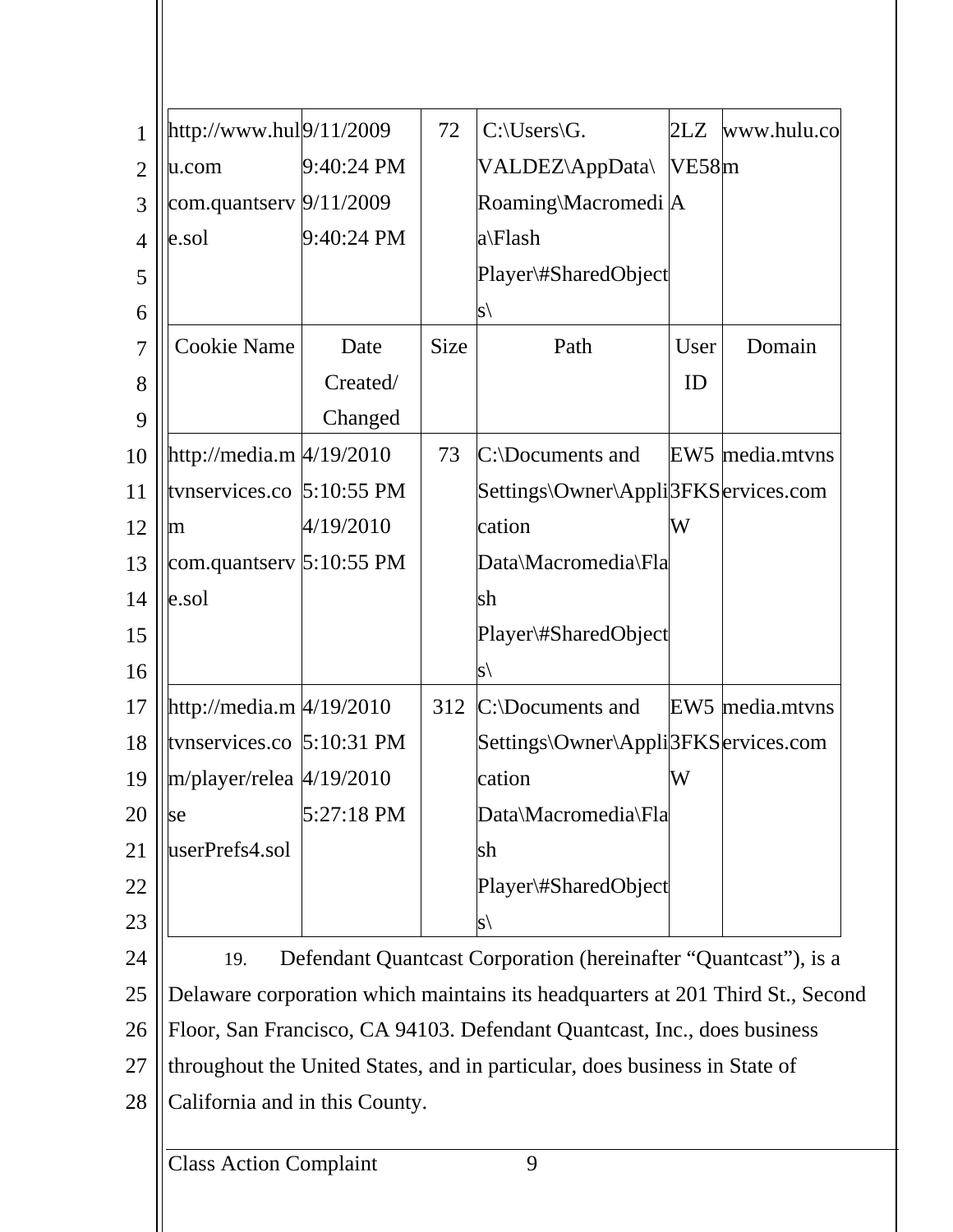| 1              | http://www.hul9/11/2009        |                      | 72   | $C:\Upsilon\$                                                                  | 2LZ   | www.hulu.co     |
|----------------|--------------------------------|----------------------|------|--------------------------------------------------------------------------------|-------|-----------------|
| $\overline{2}$ | u.com                          | 9:40:24 PM           |      | VALDEZ\AppData\                                                                | VE58m |                 |
| 3              | com.quantserv $9/11/2009$      |                      |      | Roaming\Macromedi  A                                                           |       |                 |
| $\overline{4}$ | e.sol                          | 9:40:24 PM           |      | a\Flash                                                                        |       |                 |
| 5              |                                |                      |      | Player\#SharedObject                                                           |       |                 |
| 6              |                                |                      |      | $s\setminus$                                                                   |       |                 |
| 7              | Cookie Name                    | Date                 | Size | Path                                                                           | User  | Domain          |
| 8              |                                | Created/             |      |                                                                                | ID    |                 |
| 9              |                                | Changed              |      |                                                                                |       |                 |
| 10             | http://media.m $4/19/2010$     |                      | 73   | C:\Documents and                                                               |       | EW5 media.mtvns |
| 11             | tynservices.co $5:10:55$ PM    |                      |      | Settings\Owner\Appli3FKServices.com                                            |       |                 |
| 12             | m                              | 4/19/2010            |      | cation                                                                         | W     |                 |
| 13             | com.quantserv $5:10:55$ PM     |                      |      | Data\Macromedia\Fla                                                            |       |                 |
| 14             | e.sol                          |                      |      | sh                                                                             |       |                 |
| 15             |                                |                      |      | Player\#SharedObject                                                           |       |                 |
| 16             |                                |                      |      | $s\setminus$                                                                   |       |                 |
| 17             | http://media.m $4/19/2010$     |                      | 312  | $C:\longrightarrow$ Documents and                                              |       | EW5 media.mtvns |
| 18             | tvnservices.co $5:10:31$ PM    |                      |      | Settings\Owner\Appli3FKS\ervices.com                                           |       |                 |
|                | 19 $\frac{10}{2010}$           |                      |      | cation                                                                         | W     |                 |
| 20             | se                             | $5:27:18 \text{ PM}$ |      | Data\Macromedia\Fla                                                            |       |                 |
| 21             | userPrefs4.sol                 |                      |      | sh                                                                             |       |                 |
| 22             |                                |                      |      | Player\#SharedObject                                                           |       |                 |
| 23             |                                |                      |      | $s\setminus$                                                                   |       |                 |
| 24             | 19.                            |                      |      | Defendant Quantcast Corporation (hereinafter "Quantcast"), is a                |       |                 |
| 25             |                                |                      |      | Delaware corporation which maintains its headquarters at 201 Third St., Second |       |                 |
| 26             |                                |                      |      | Floor, San Francisco, CA 94103. Defendant Quantcast, Inc., does business       |       |                 |
| 27             |                                |                      |      | throughout the United States, and in particular, does business in State of     |       |                 |
| 28             | California and in this County. |                      |      |                                                                                |       |                 |
|                | <b>Class Action Complaint</b>  |                      |      | 9                                                                              |       |                 |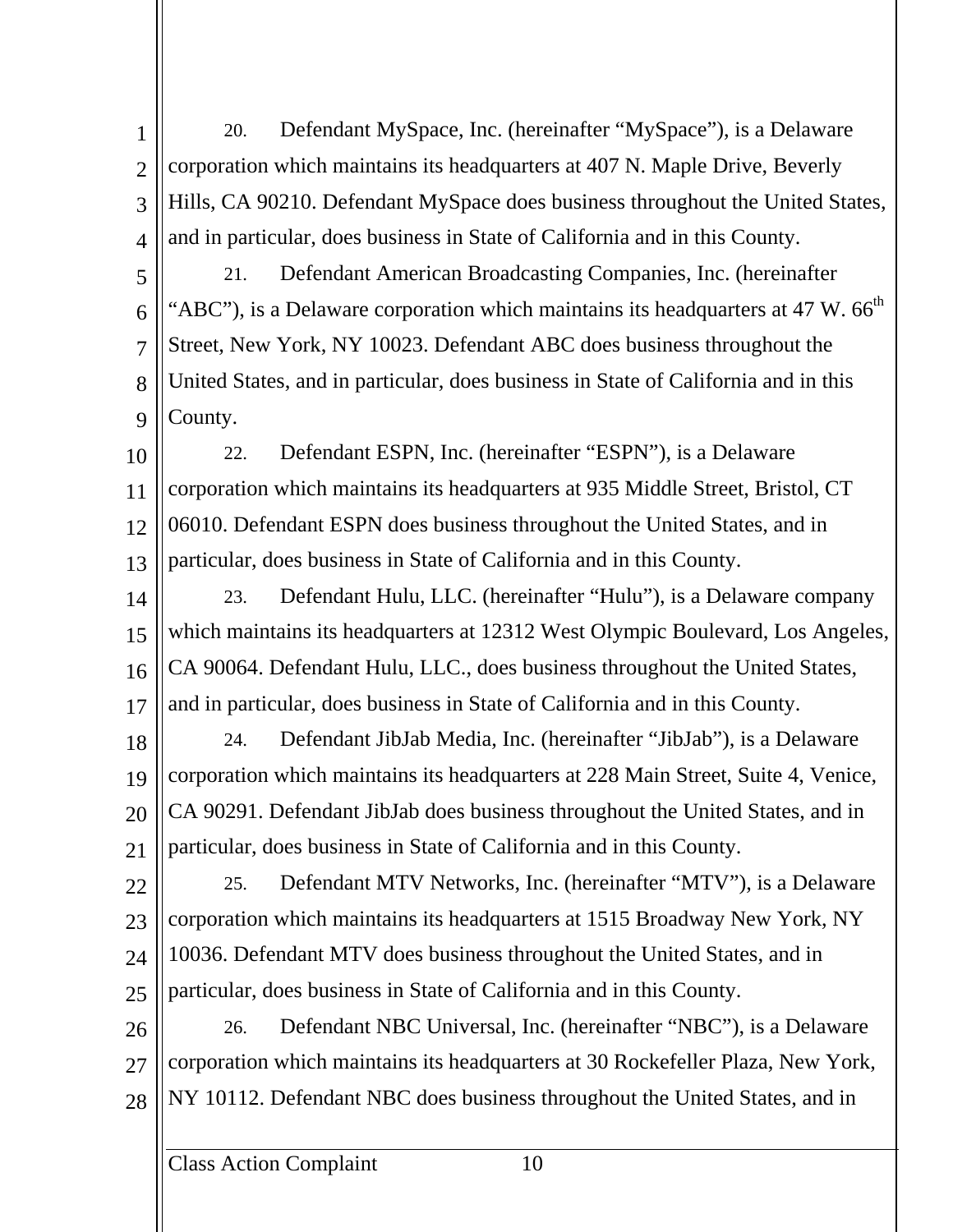1  $\overline{2}$ 3 4 20. Defendant MySpace, Inc. (hereinafter "MySpace"), is a Delaware corporation which maintains its headquarters at 407 N. Maple Drive, Beverly Hills, CA 90210. Defendant MySpace does business throughout the United States, and in particular, does business in State of California and in this County.

5 6 7 8 9 21. Defendant American Broadcasting Companies, Inc. (hereinafter "ABC"), is a Delaware corporation which maintains its headquarters at 47 W.  $66<sup>th</sup>$ Street, New York, NY 10023. Defendant ABC does business throughout the United States, and in particular, does business in State of California and in this County.

10 11 12 13 22. Defendant ESPN, Inc. (hereinafter "ESPN"), is a Delaware corporation which maintains its headquarters at 935 Middle Street, Bristol, CT 06010. Defendant ESPN does business throughout the United States, and in particular, does business in State of California and in this County.

14 15 16 17 23. Defendant Hulu, LLC. (hereinafter "Hulu"), is a Delaware company which maintains its headquarters at 12312 West Olympic Boulevard, Los Angeles, CA 90064. Defendant Hulu, LLC., does business throughout the United States, and in particular, does business in State of California and in this County.

18 19 20 21 24. Defendant JibJab Media, Inc. (hereinafter "JibJab"), is a Delaware corporation which maintains its headquarters at 228 Main Street, Suite 4, Venice, CA 90291. Defendant JibJab does business throughout the United States, and in particular, does business in State of California and in this County.

22 23 24 25 25. Defendant MTV Networks, Inc. (hereinafter "MTV"), is a Delaware corporation which maintains its headquarters at 1515 Broadway New York, NY 10036. Defendant MTV does business throughout the United States, and in particular, does business in State of California and in this County.

26 27 28 26. Defendant NBC Universal, Inc. (hereinafter "NBC"), is a Delaware corporation which maintains its headquarters at 30 Rockefeller Plaza, New York, NY 10112. Defendant NBC does business throughout the United States, and in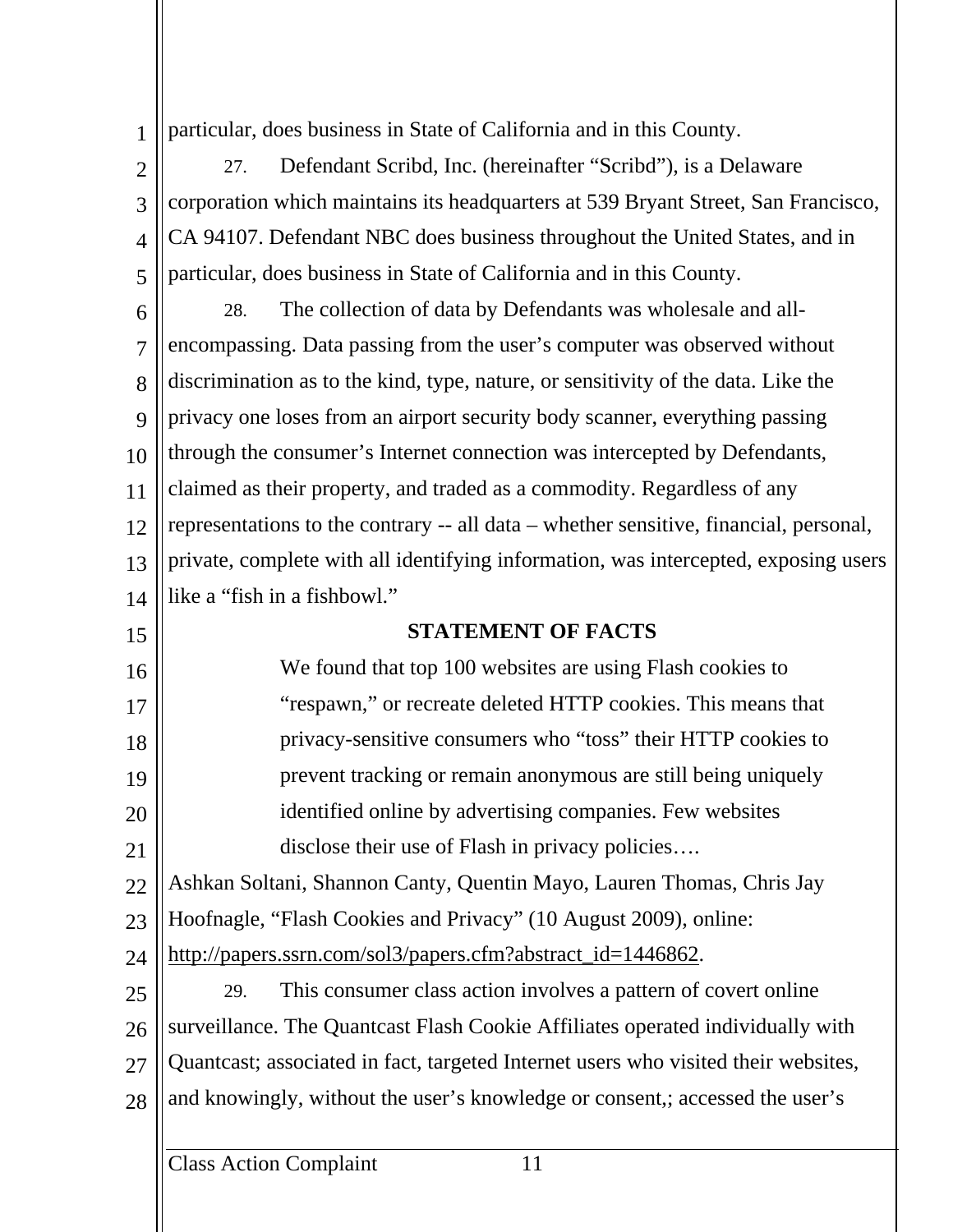1 particular, does business in State of California and in this County.

 $\mathcal{L}$ 3 4 5 27. Defendant Scribd, Inc. (hereinafter "Scribd"), is a Delaware corporation which maintains its headquarters at 539 Bryant Street, San Francisco, CA 94107. Defendant NBC does business throughout the United States, and in particular, does business in State of California and in this County.

6 7 8  $\mathbf Q$ 10 11 12 13 14 28. The collection of data by Defendants was wholesale and allencompassing. Data passing from the user's computer was observed without discrimination as to the kind, type, nature, or sensitivity of the data. Like the privacy one loses from an airport security body scanner, everything passing through the consumer's Internet connection was intercepted by Defendants, claimed as their property, and traded as a commodity. Regardless of any representations to the contrary -- all data – whether sensitive, financial, personal, private, complete with all identifying information, was intercepted, exposing users like a "fish in a fishbowl."

### **STATEMENT OF FACTS**

16 17 18 19 20 21 22 23 24 25 26 27 28 We found that top 100 websites are using Flash cookies to "respawn," or recreate deleted HTTP cookies. This means that privacy-sensitive consumers who "toss" their HTTP cookies to prevent tracking or remain anonymous are still being uniquely identified online by advertising companies. Few websites disclose their use of Flash in privacy policies…. Ashkan Soltani, Shannon Canty, Quentin Mayo, Lauren Thomas, Chris Jay Hoofnagle, "Flash Cookies and Privacy" (10 August 2009), online: http://papers.ssrn.com/sol3/papers.cfm?abstract\_id=1446862. 29. This consumer class action involves a pattern of covert online surveillance. The Quantcast Flash Cookie Affiliates operated individually with Quantcast; associated in fact, targeted Internet users who visited their websites, and knowingly, without the user's knowledge or consent,; accessed the user's

15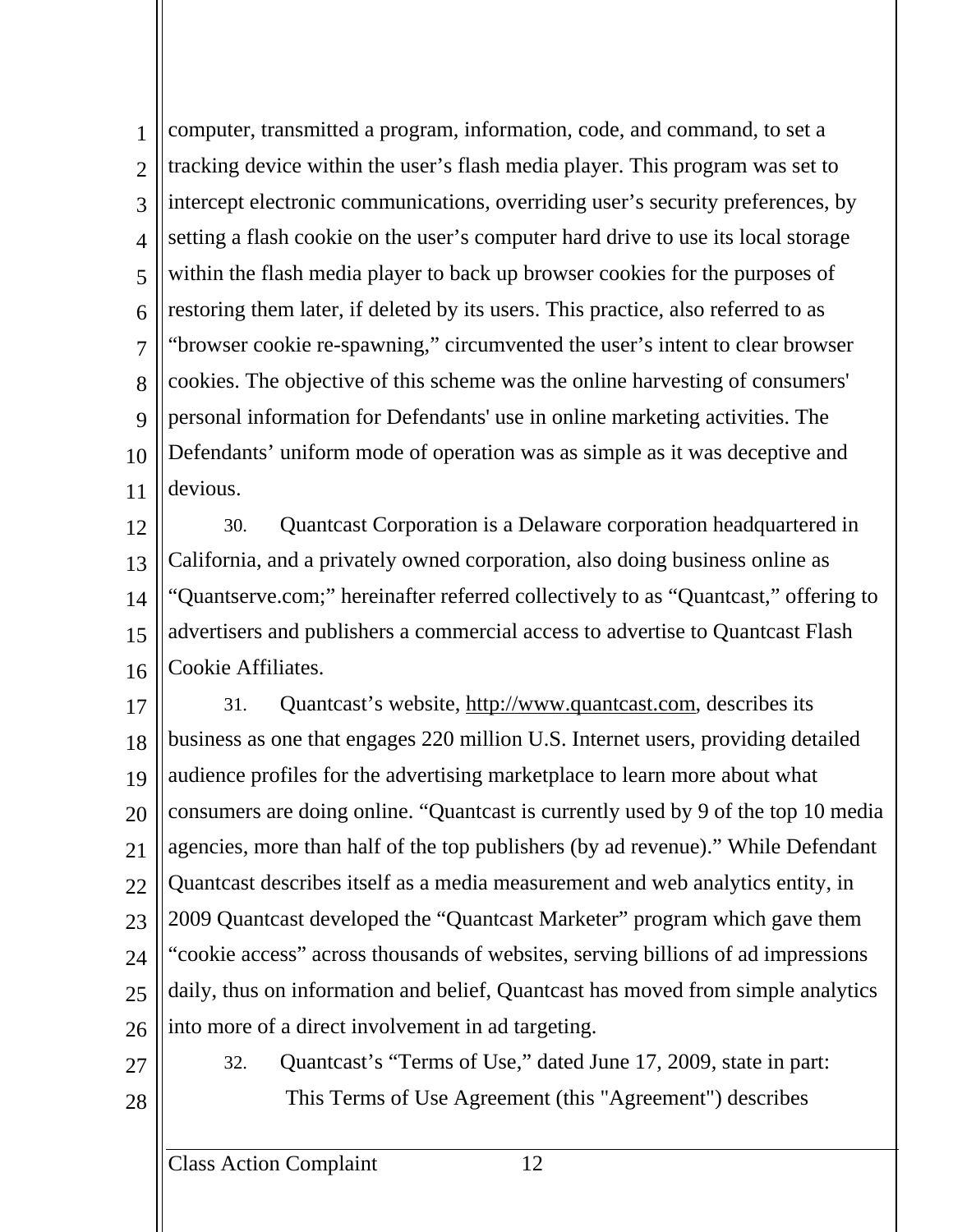1  $\mathcal{D}$ 3 4 5 6 7 8  $\mathbf Q$ 10 11 computer, transmitted a program, information, code, and command, to set a tracking device within the user's flash media player. This program was set to intercept electronic communications, overriding user's security preferences, by setting a flash cookie on the user's computer hard drive to use its local storage within the flash media player to back up browser cookies for the purposes of restoring them later, if deleted by its users. This practice, also referred to as "browser cookie re-spawning," circumvented the user's intent to clear browser cookies. The objective of this scheme was the online harvesting of consumers' personal information for Defendants' use in online marketing activities. The Defendants' uniform mode of operation was as simple as it was deceptive and devious.

12 13 14 15 16 30. Quantcast Corporation is a Delaware corporation headquartered in California, and a privately owned corporation, also doing business online as "Quantserve.com;" hereinafter referred collectively to as "Quantcast," offering to advertisers and publishers a commercial access to advertise to Quantcast Flash Cookie Affiliates.

17 18 19 20 21 22 23 24 25 26 31. Quantcast's website, http://www.quantcast.com, describes its business as one that engages 220 million U.S. Internet users, providing detailed audience profiles for the advertising marketplace to learn more about what consumers are doing online. "Quantcast is currently used by 9 of the top 10 media agencies, more than half of the top publishers (by ad revenue)." While Defendant Quantcast describes itself as a media measurement and web analytics entity, in 2009 Quantcast developed the "Quantcast Marketer" program which gave them "cookie access" across thousands of websites, serving billions of ad impressions daily, thus on information and belief, Quantcast has moved from simple analytics into more of a direct involvement in ad targeting.

27

28

32. Quantcast's "Terms of Use," dated June 17, 2009, state in part: This Terms of Use Agreement (this "Agreement") describes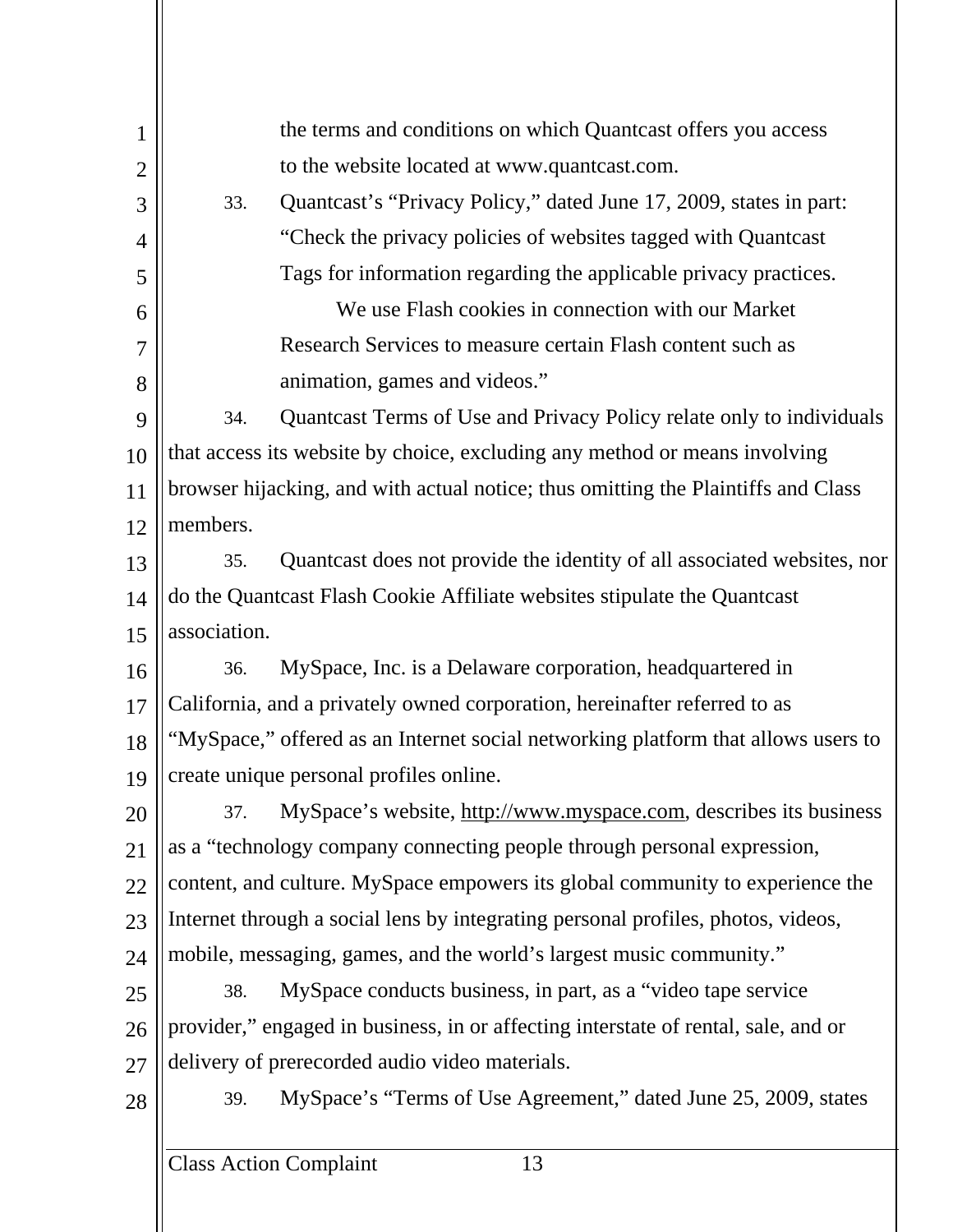| $\mathbf{1}$   | the terms and conditions on which Quantcast offers you access                      |
|----------------|------------------------------------------------------------------------------------|
| $\overline{2}$ | to the website located at www.quantcast.com.                                       |
| 3              | Quantcast's "Privacy Policy," dated June 17, 2009, states in part:<br>33.          |
| 4              | "Check the privacy policies of websites tagged with Quantcast                      |
| 5              | Tags for information regarding the applicable privacy practices.                   |
| 6              | We use Flash cookies in connection with our Market                                 |
| 7              | Research Services to measure certain Flash content such as                         |
| 8              | animation, games and videos."                                                      |
| 9              | Quantcast Terms of Use and Privacy Policy relate only to individuals<br>34.        |
| 10             | that access its website by choice, excluding any method or means involving         |
| 11             | browser hijacking, and with actual notice; thus omitting the Plaintiffs and Class  |
| 12             | members.                                                                           |
| 13             | Quantcast does not provide the identity of all associated websites, nor<br>35.     |
| 14             | do the Quantcast Flash Cookie Affiliate websites stipulate the Quantcast           |
| 15             | association.                                                                       |
| 16             | MySpace, Inc. is a Delaware corporation, headquartered in<br>36.                   |
| 17             | California, and a privately owned corporation, hereinafter referred to as          |
| 18             | "MySpace," offered as an Internet social networking platform that allows users to  |
| 19             | create unique personal profiles online.                                            |
| 20             | MySpace's website, http://www.myspace.com, describes its business<br>37.           |
| 21             | as a "technology company connecting people through personal expression,            |
| 22             | content, and culture. MySpace empowers its global community to experience the      |
| 23             | Internet through a social lens by integrating personal profiles, photos, videos,   |
| 24             | mobile, messaging, games, and the world's largest music community."                |
| 25             | MySpace conducts business, in part, as a "video tape service"<br>38.               |
| 26             | provider," engaged in business, in or affecting interstate of rental, sale, and or |
| 27             | delivery of prerecorded audio video materials.                                     |
| 28             | MySpace's "Terms of Use Agreement," dated June 25, 2009, states<br>39.             |
|                | <b>Class Action Complaint</b><br>13                                                |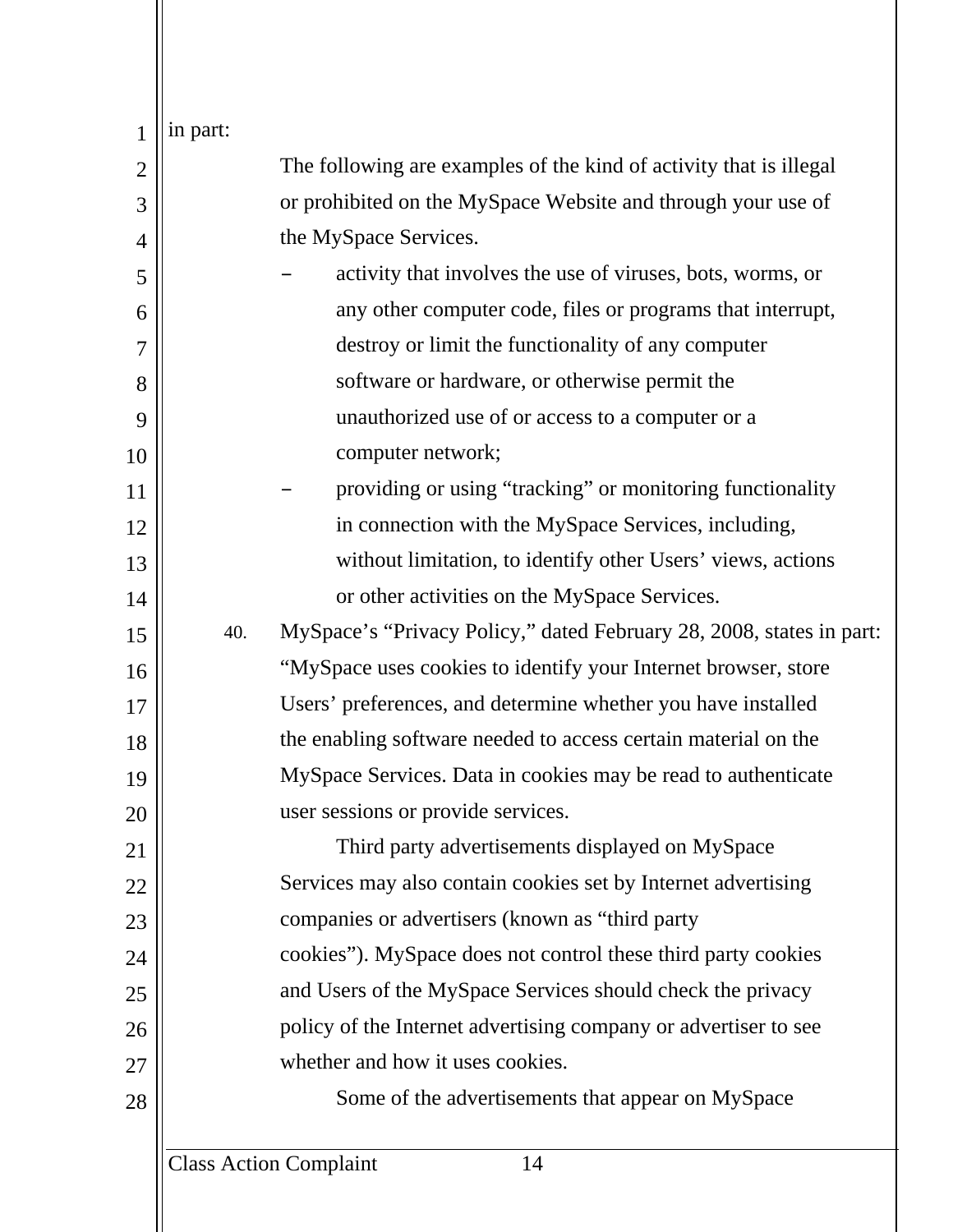| 1              | in part: |                                                                      |
|----------------|----------|----------------------------------------------------------------------|
| $\overline{2}$ |          | The following are examples of the kind of activity that is illegal   |
| 3              |          | or prohibited on the MySpace Website and through your use of         |
| 4              |          | the MySpace Services.                                                |
| 5              |          | activity that involves the use of viruses, bots, worms, or           |
| 6              |          | any other computer code, files or programs that interrupt,           |
| 7              |          | destroy or limit the functionality of any computer                   |
| 8              |          | software or hardware, or otherwise permit the                        |
| 9              |          | unauthorized use of or access to a computer or a                     |
| 10             |          | computer network;                                                    |
| 11             |          | providing or using "tracking" or monitoring functionality            |
| 12             |          | in connection with the MySpace Services, including,                  |
| 13             |          | without limitation, to identify other Users' views, actions          |
| 14             |          | or other activities on the MySpace Services.                         |
| 15             | 40.      | MySpace's "Privacy Policy," dated February 28, 2008, states in part: |
| 16             |          | "MySpace uses cookies to identify your Internet browser, store       |
| 17             |          | Users' preferences, and determine whether you have installed         |
| 18             |          | the enabling software needed to access certain material on the       |
| 19             |          | MySpace Services. Data in cookies may be read to authenticate        |
| 20             |          | user sessions or provide services.                                   |
| 21             |          | Third party advertisements displayed on MySpace                      |
| 22             |          | Services may also contain cookies set by Internet advertising        |
| 23             |          | companies or advertisers (known as "third party                      |
| 24             |          | cookies"). MySpace does not control these third party cookies        |
| 25             |          | and Users of the MySpace Services should check the privacy           |
| 26             |          | policy of the Internet advertising company or advertiser to see      |
| 27             |          | whether and how it uses cookies.                                     |
| 28             |          | Some of the advertisements that appear on MySpace                    |
|                |          |                                                                      |
|                |          | <b>Class Action Complaint</b><br>14                                  |

 $\parallel$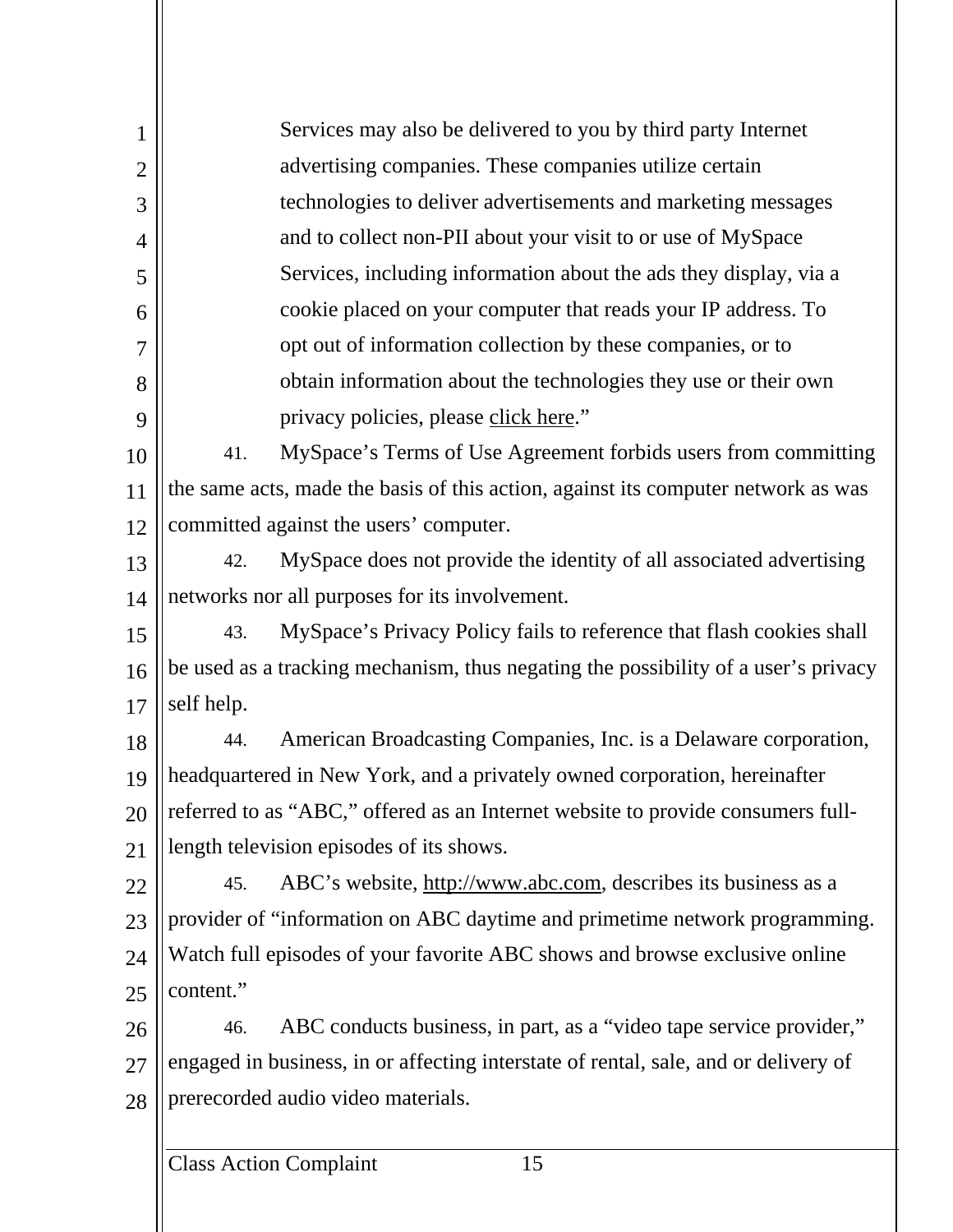1 2 3 4 5 6 7 8  $\mathbf Q$ 10 11 12 13 14 15 16 17 18 19 20 21 22 23 24 25 26 27 28 Services may also be delivered to you by third party Internet advertising companies. These companies utilize certain technologies to deliver advertisements and marketing messages and to collect non-PII about your visit to or use of MySpace Services, including information about the ads they display, via a cookie placed on your computer that reads your IP address. To opt out of information collection by these companies, or to obtain information about the technologies they use or their own privacy policies, please click here." 41. MySpace's Terms of Use Agreement forbids users from committing the same acts, made the basis of this action, against its computer network as was committed against the users' computer. 42. MySpace does not provide the identity of all associated advertising networks nor all purposes for its involvement. 43. MySpace's Privacy Policy fails to reference that flash cookies shall be used as a tracking mechanism, thus negating the possibility of a user's privacy self help. 44. American Broadcasting Companies, Inc. is a Delaware corporation, headquartered in New York, and a privately owned corporation, hereinafter referred to as "ABC," offered as an Internet website to provide consumers fulllength television episodes of its shows. 45. ABC's website, http://www.abc.com, describes its business as a provider of "information on ABC daytime and primetime network programming. Watch full episodes of your favorite ABC shows and browse exclusive online content." 46. ABC conducts business, in part, as a "video tape service provider," engaged in business, in or affecting interstate of rental, sale, and or delivery of prerecorded audio video materials.

Class Action Complaint 15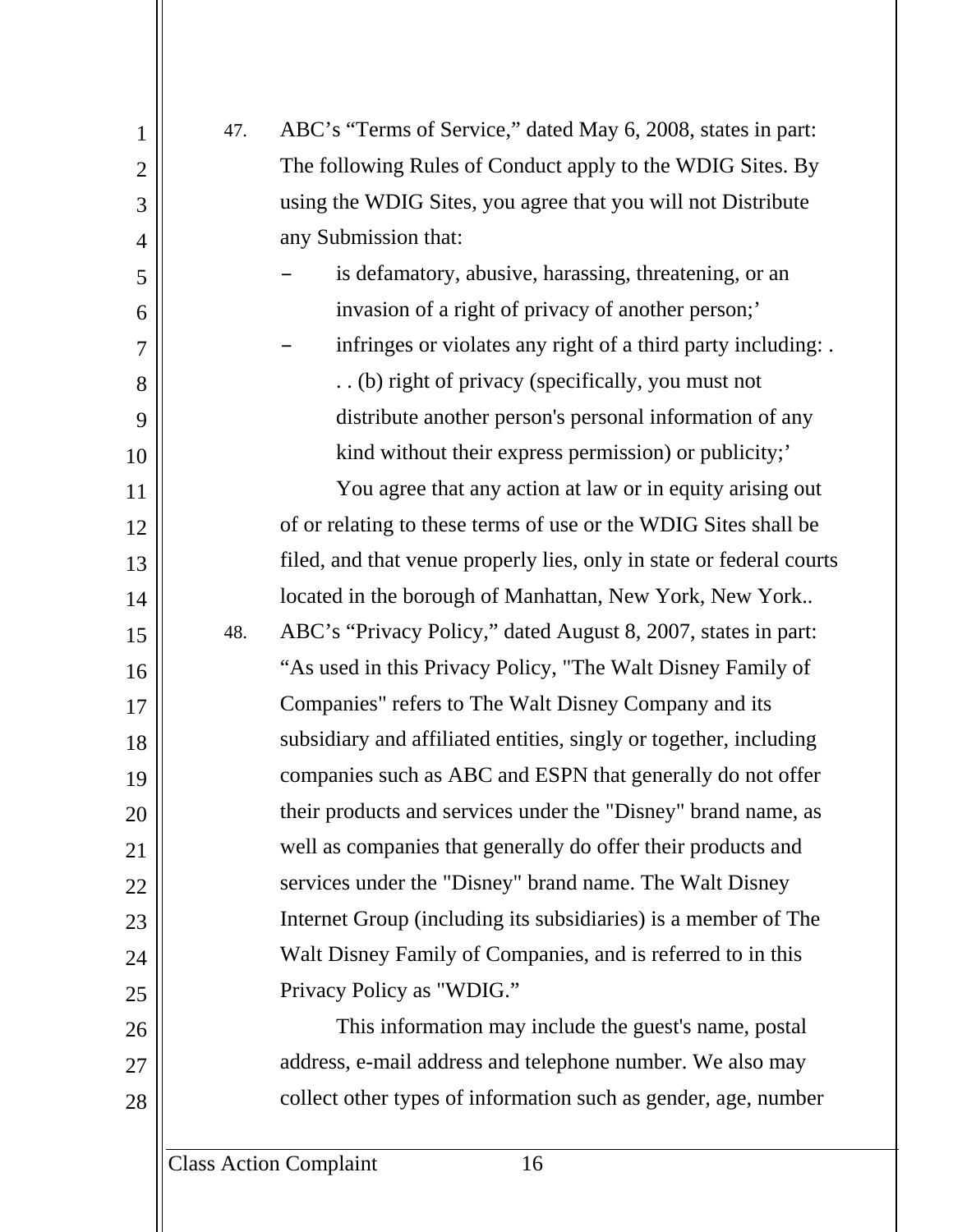| $\mathbf{1}$   | 47. | ABC's "Terms of Service," dated May 6, 2008, states in part:         |
|----------------|-----|----------------------------------------------------------------------|
| $\overline{2}$ |     | The following Rules of Conduct apply to the WDIG Sites. By           |
| 3              |     | using the WDIG Sites, you agree that you will not Distribute         |
| $\overline{4}$ |     | any Submission that:                                                 |
| 5              |     | is defamatory, abusive, harassing, threatening, or an                |
| 6              |     | invasion of a right of privacy of another person;                    |
| $\overline{7}$ |     | infringes or violates any right of a third party including: .        |
| 8              |     | (b) right of privacy (specifically, you must not                     |
| 9              |     | distribute another person's personal information of any              |
| 10             |     | kind without their express permission) or publicity;'                |
| 11             |     | You agree that any action at law or in equity arising out            |
| 12             |     | of or relating to these terms of use or the WDIG Sites shall be      |
| 13             |     | filed, and that venue properly lies, only in state or federal courts |
| 14             |     | located in the borough of Manhattan, New York, New York              |
| 15             | 48. | ABC's "Privacy Policy," dated August 8, 2007, states in part:        |
| 16             |     | "As used in this Privacy Policy, "The Walt Disney Family of          |
| 17             |     | Companies" refers to The Walt Disney Company and its                 |
| 18             |     | subsidiary and affiliated entities, singly or together, including    |
| 19             |     | companies such as ABC and ESPN that generally do not offer           |
| 20             |     | their products and services under the "Disney" brand name, as        |
| 21             |     | well as companies that generally do offer their products and         |
| 22             |     | services under the "Disney" brand name. The Walt Disney              |
| 23             |     | Internet Group (including its subsidiaries) is a member of The       |
| 24             |     | Walt Disney Family of Companies, and is referred to in this          |
| 25             |     | Privacy Policy as "WDIG."                                            |
| 26             |     | This information may include the guest's name, postal                |
| 27             |     | address, e-mail address and telephone number. We also may            |
| 28             |     | collect other types of information such as gender, age, number       |
|                |     |                                                                      |
|                |     | <b>Class Action Complaint</b><br>16                                  |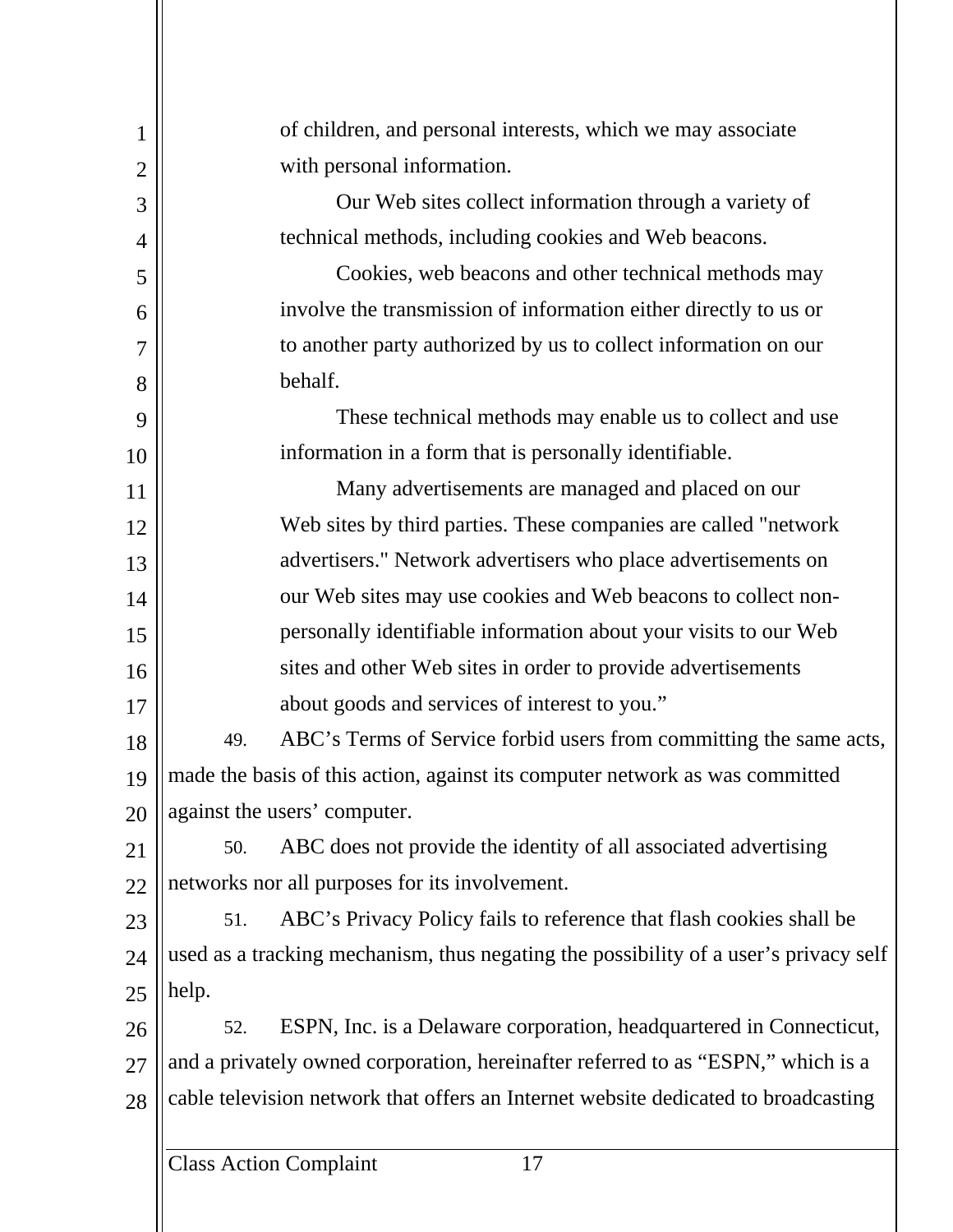| 1              | of children, and personal interests, which we may associate                          |  |
|----------------|--------------------------------------------------------------------------------------|--|
| $\overline{2}$ | with personal information.                                                           |  |
| 3              | Our Web sites collect information through a variety of                               |  |
| $\overline{4}$ | technical methods, including cookies and Web beacons.                                |  |
| 5              | Cookies, web beacons and other technical methods may                                 |  |
| 6              | involve the transmission of information either directly to us or                     |  |
| $\overline{7}$ | to another party authorized by us to collect information on our                      |  |
| 8              | behalf.                                                                              |  |
| 9              | These technical methods may enable us to collect and use                             |  |
| 10             | information in a form that is personally identifiable.                               |  |
| 11             | Many advertisements are managed and placed on our                                    |  |
| 12             | Web sites by third parties. These companies are called "network"                     |  |
| 13             | advertisers." Network advertisers who place advertisements on                        |  |
| 14             | our Web sites may use cookies and Web beacons to collect non-                        |  |
| 15             | personally identifiable information about your visits to our Web                     |  |
| 16             | sites and other Web sites in order to provide advertisements                         |  |
| 17             | about goods and services of interest to you."                                        |  |
| 18             | ABC's Terms of Service forbid users from committing the same acts,<br>49.            |  |
| 19             | made the basis of this action, against its computer network as was committed         |  |
| 20             | against the users' computer.                                                         |  |
| 21             | ABC does not provide the identity of all associated advertising<br>50.               |  |
| 22             | networks nor all purposes for its involvement.                                       |  |
| 23             | ABC's Privacy Policy fails to reference that flash cookies shall be<br>51.           |  |
| 24             | used as a tracking mechanism, thus negating the possibility of a user's privacy self |  |
| 25             | help.                                                                                |  |
| 26             | ESPN, Inc. is a Delaware corporation, headquartered in Connecticut,<br>52.           |  |
| 27             | and a privately owned corporation, hereinafter referred to as "ESPN," which is a     |  |
| 28             | cable television network that offers an Internet website dedicated to broadcasting   |  |
|                | <b>Class Action Complaint</b><br>17                                                  |  |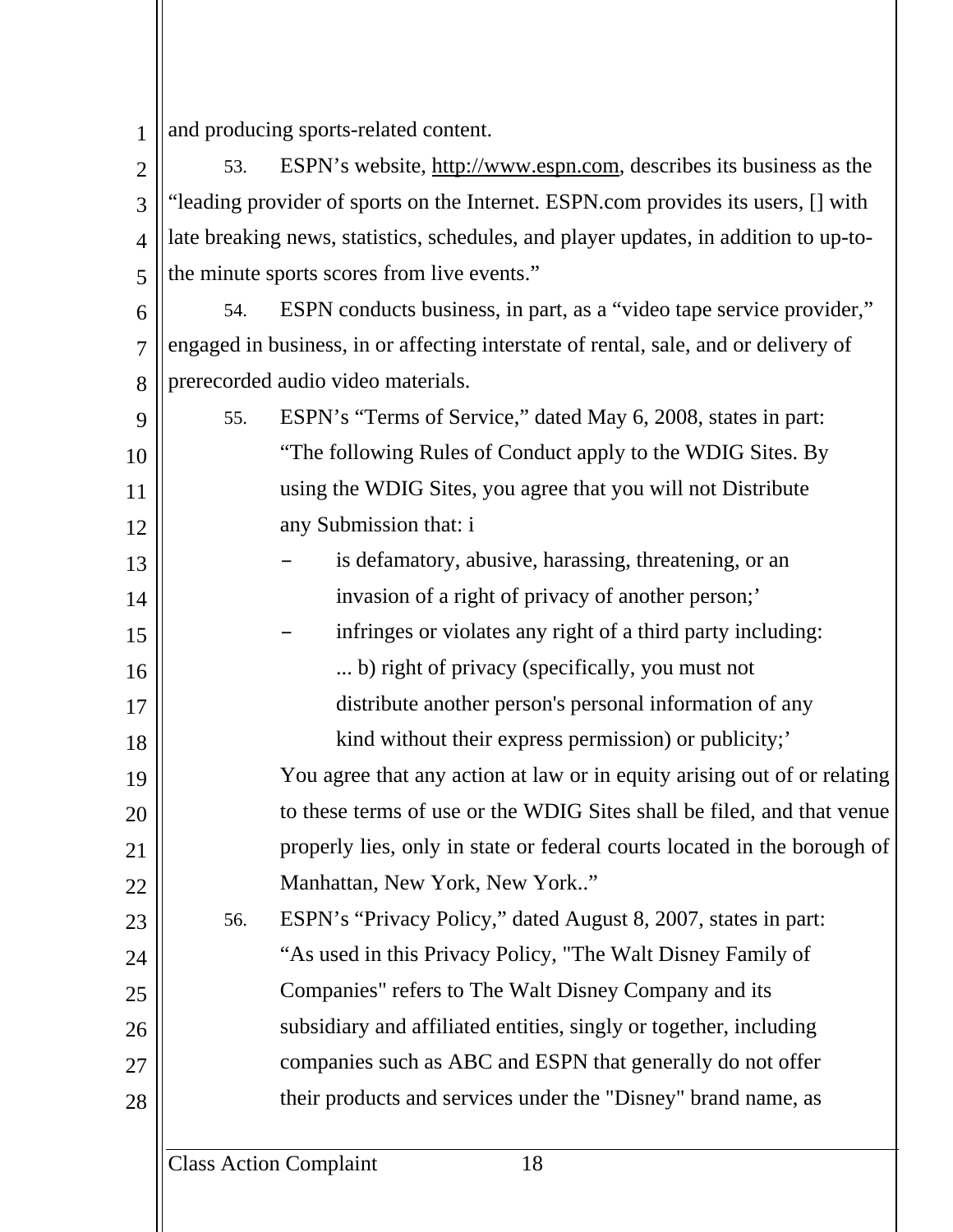1 and producing sports-related content.

 $\mathcal{L}$ 3 4 5 53. ESPN's website, http://www.espn.com, describes its business as the "leading provider of sports on the Internet. ESPN.com provides its users, [] with late breaking news, statistics, schedules, and player updates, in addition to up-tothe minute sports scores from live events."

- 6 7 8 54. ESPN conducts business, in part, as a "video tape service provider," engaged in business, in or affecting interstate of rental, sale, and or delivery of prerecorded audio video materials.
- $\mathbf Q$ 10 11 12 13 14 15 16 55. ESPN's "Terms of Service," dated May 6, 2008, states in part: "The following Rules of Conduct apply to the WDIG Sites. By using the WDIG Sites, you agree that you will not Distribute any Submission that: i is defamatory, abusive, harassing, threatening, or an invasion of a right of privacy of another person;' infringes or violates any right of a third party including: ... b) right of privacy (specifically, you must not
	- distribute another person's personal information of any kind without their express permission) or publicity;'

You agree that any action at law or in equity arising out of or relating to these terms of use or the WDIG Sites shall be filed, and that venue properly lies, only in state or federal courts located in the borough of Manhattan, New York, New York.."

23 24 25 26 27 28 56. ESPN's "Privacy Policy," dated August 8, 2007, states in part: "As used in this Privacy Policy, "The Walt Disney Family of Companies" refers to The Walt Disney Company and its subsidiary and affiliated entities, singly or together, including companies such as ABC and ESPN that generally do not offer their products and services under the "Disney" brand name, as

17

18

19

20

21

22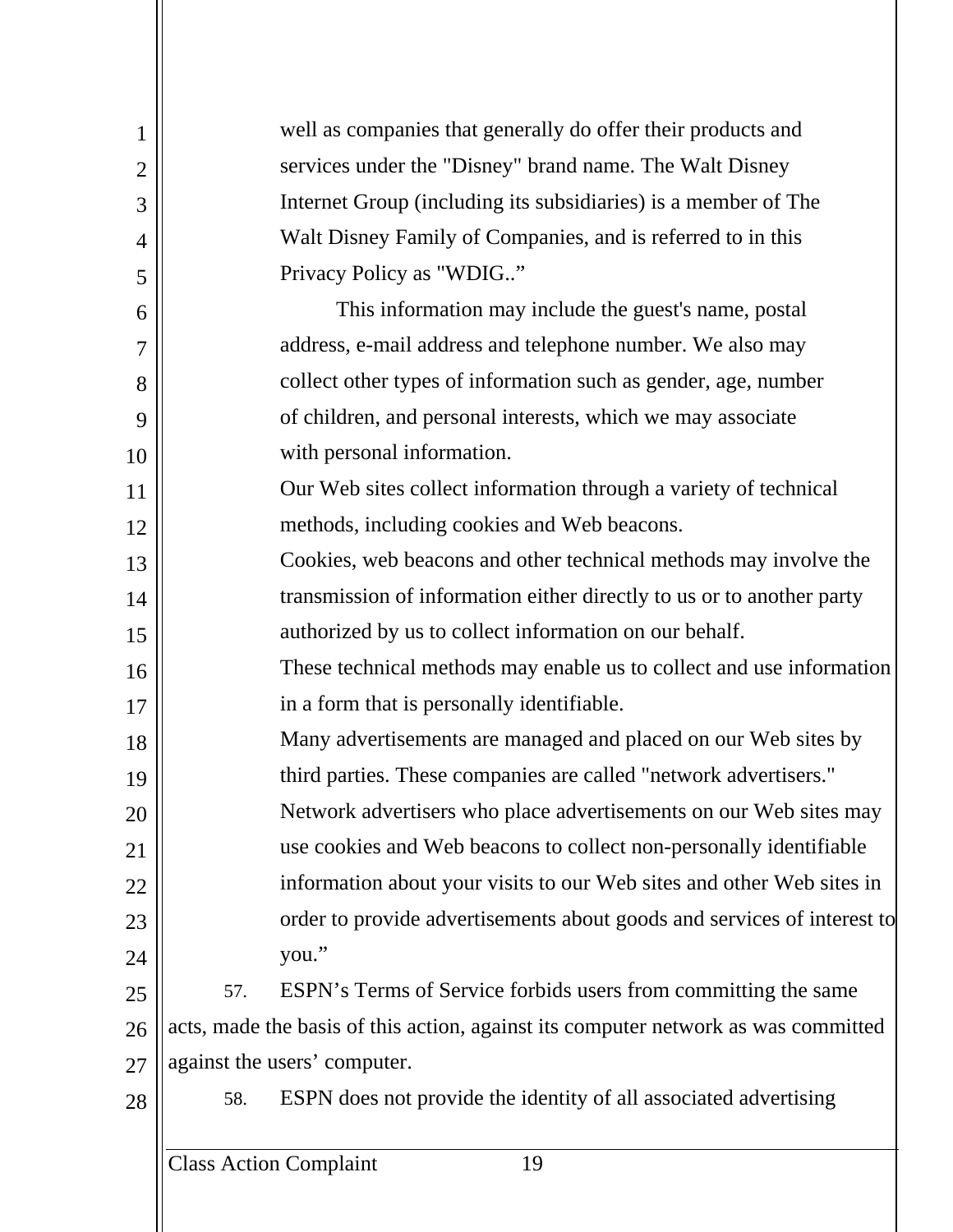| 1              |     | well as companies that generally do offer their products and                       |
|----------------|-----|------------------------------------------------------------------------------------|
| $\overline{2}$ |     | services under the "Disney" brand name. The Walt Disney                            |
| 3              |     | Internet Group (including its subsidiaries) is a member of The                     |
| $\overline{4}$ |     | Walt Disney Family of Companies, and is referred to in this                        |
| 5              |     | Privacy Policy as "WDIG"                                                           |
| 6              |     | This information may include the guest's name, postal                              |
| $\overline{7}$ |     | address, e-mail address and telephone number. We also may                          |
| 8              |     | collect other types of information such as gender, age, number                     |
| 9              |     | of children, and personal interests, which we may associate                        |
| 10             |     | with personal information.                                                         |
| 11             |     | Our Web sites collect information through a variety of technical                   |
| 12             |     | methods, including cookies and Web beacons.                                        |
| 13             |     | Cookies, web beacons and other technical methods may involve the                   |
| 14             |     | transmission of information either directly to us or to another party              |
| 15             |     | authorized by us to collect information on our behalf.                             |
| 16             |     | These technical methods may enable us to collect and use information               |
| 17             |     | in a form that is personally identifiable.                                         |
| 18             |     | Many advertisements are managed and placed on our Web sites by                     |
| 19             |     | third parties. These companies are called "network advertisers."                   |
| 20             |     | Network advertisers who place advertisements on our Web sites may                  |
| 21             |     | use cookies and Web beacons to collect non-personally identifiable                 |
| 22             |     | information about your visits to our Web sites and other Web sites in              |
| 23             |     | order to provide advertisements about goods and services of interest to            |
| 24             |     | you."                                                                              |
| 25             | 57. | ESPN's Terms of Service forbids users from committing the same                     |
| 26             |     | acts, made the basis of this action, against its computer network as was committed |
| 27             |     | against the users' computer.                                                       |
| 28             | 58. | ESPN does not provide the identity of all associated advertising                   |
|                |     | <b>Class Action Complaint</b><br>19                                                |
|                |     |                                                                                    |
|                |     |                                                                                    |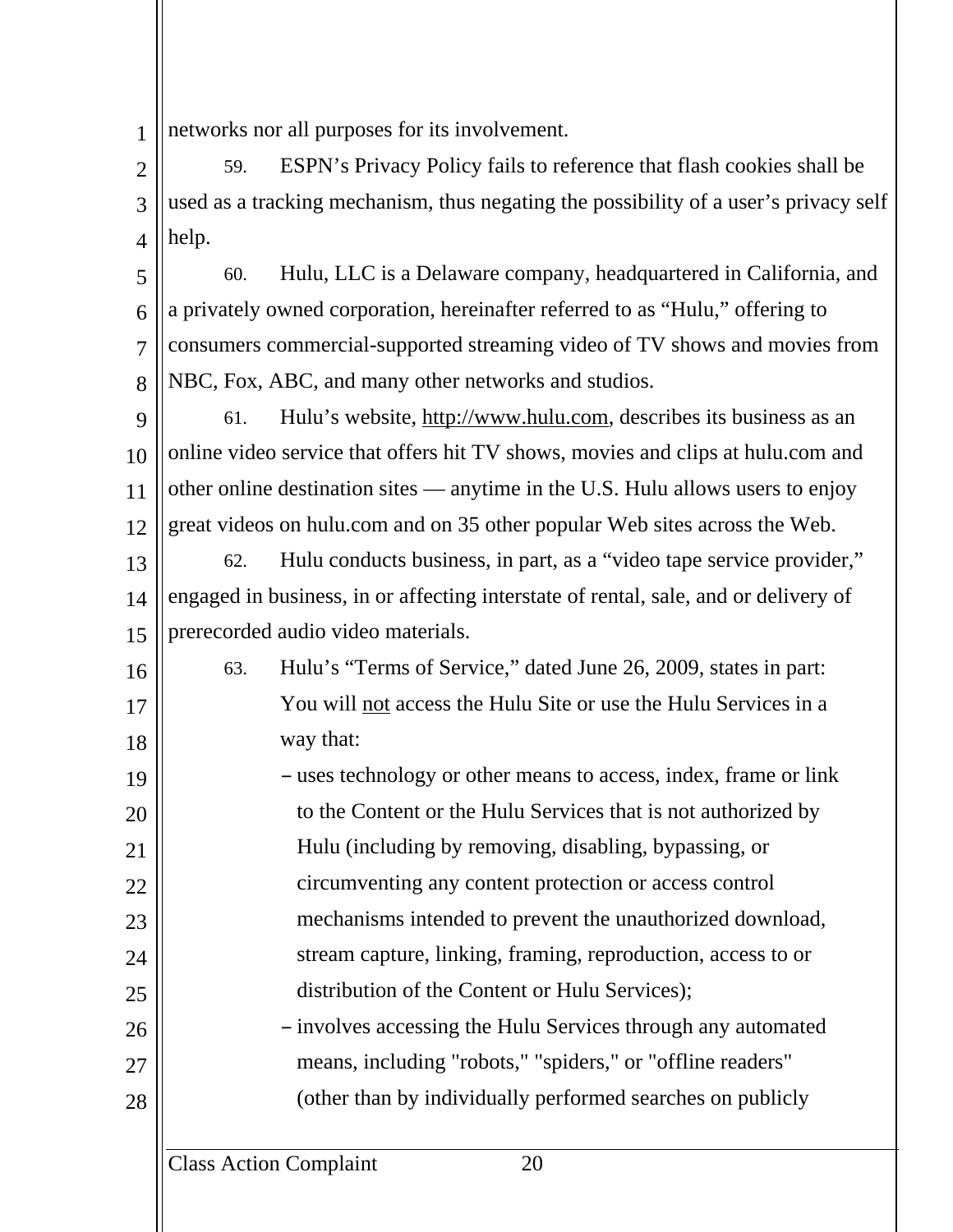1 networks nor all purposes for its involvement.

 $\mathcal{L}$ 3 4 59. ESPN's Privacy Policy fails to reference that flash cookies shall be used as a tracking mechanism, thus negating the possibility of a user's privacy self help.

5 6 7 8 60. Hulu, LLC is a Delaware company, headquartered in California, and a privately owned corporation, hereinafter referred to as "Hulu," offering to consumers commercial-supported streaming video of TV shows and movies from NBC, Fox, ABC, and many other networks and studios.

 $\mathbf Q$ 10 11 12 61. Hulu's website, http://www.hulu.com, describes its business as an online video service that offers hit TV shows, movies and clips at hulu.com and other online destination sites — anytime in the U.S. Hulu allows users to enjoy great videos on hulu.com and on 35 other popular Web sites across the Web.

13 14 15 62. Hulu conducts business, in part, as a "video tape service provider," engaged in business, in or affecting interstate of rental, sale, and or delivery of prerecorded audio video materials.

16 17 18 63. Hulu's "Terms of Service," dated June 26, 2009, states in part: You will not access the Hulu Site or use the Hulu Services in a way that:

19 20 21 22 23 24 25 26 27 – uses technology or other means to access, index, frame or link to the Content or the Hulu Services that is not authorized by Hulu (including by removing, disabling, bypassing, or circumventing any content protection or access control mechanisms intended to prevent the unauthorized download, stream capture, linking, framing, reproduction, access to or distribution of the Content or Hulu Services); – involves accessing the Hulu Services through any automated means, including "robots," "spiders," or "offline readers"

(other than by individually performed searches on publicly

28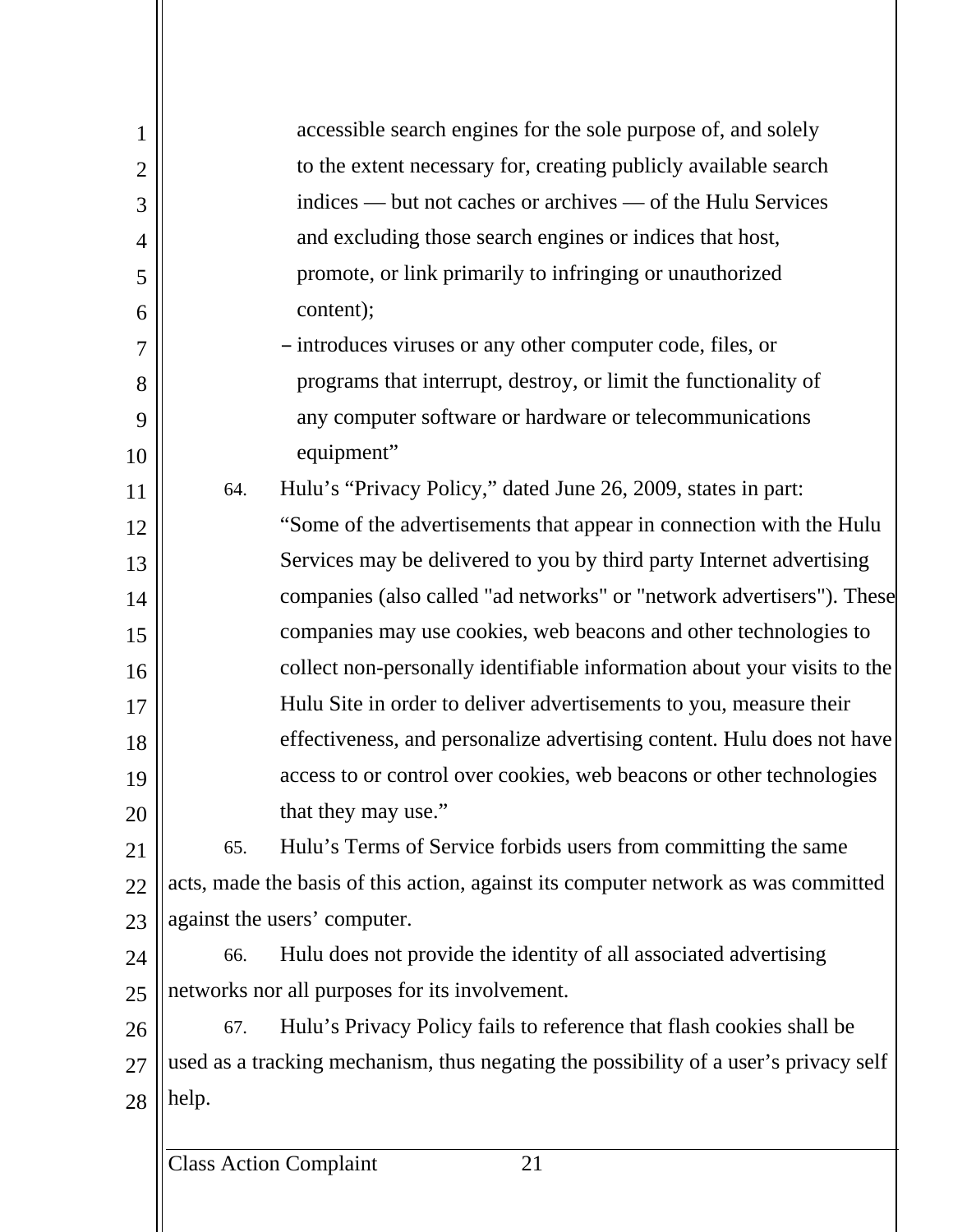| $\mathbf{1}$   | accessible search engines for the sole purpose of, and solely                        |
|----------------|--------------------------------------------------------------------------------------|
| $\overline{2}$ | to the extent necessary for, creating publicly available search                      |
| 3              | indices — but not caches or archives — of the Hulu Services                          |
| $\overline{4}$ | and excluding those search engines or indices that host,                             |
| 5              | promote, or link primarily to infringing or unauthorized                             |
| 6              | content);                                                                            |
| $\overline{7}$ | - introduces viruses or any other computer code, files, or                           |
| 8              | programs that interrupt, destroy, or limit the functionality of                      |
| 9              | any computer software or hardware or telecommunications                              |
| 10             | equipment"                                                                           |
| 11             | Hulu's "Privacy Policy," dated June 26, 2009, states in part:<br>64.                 |
| 12             | "Some of the advertisements that appear in connection with the Hulu                  |
| 13             | Services may be delivered to you by third party Internet advertising                 |
| 14             | companies (also called "ad networks" or "network advertisers"). These                |
| 15             | companies may use cookies, web beacons and other technologies to                     |
| 16             | collect non-personally identifiable information about your visits to the             |
| 17             | Hulu Site in order to deliver advertisements to you, measure their                   |
| 18             | effectiveness, and personalize advertising content. Hulu does not have               |
| 19             | access to or control over cookies, web beacons or other technologies                 |
| 20             | that they may use.'                                                                  |
| 21             | Hulu's Terms of Service forbids users from committing the same<br>65.                |
| 22             | acts, made the basis of this action, against its computer network as was committed   |
| 23             | against the users' computer.                                                         |
| 24             | Hulu does not provide the identity of all associated advertising<br>66.              |
| 25             | networks nor all purposes for its involvement.                                       |
| 26             | Hulu's Privacy Policy fails to reference that flash cookies shall be<br>67.          |
| 27             | used as a tracking mechanism, thus negating the possibility of a user's privacy self |
| 28             | help.                                                                                |
|                |                                                                                      |
|                | <b>Class Action Complaint</b><br>21                                                  |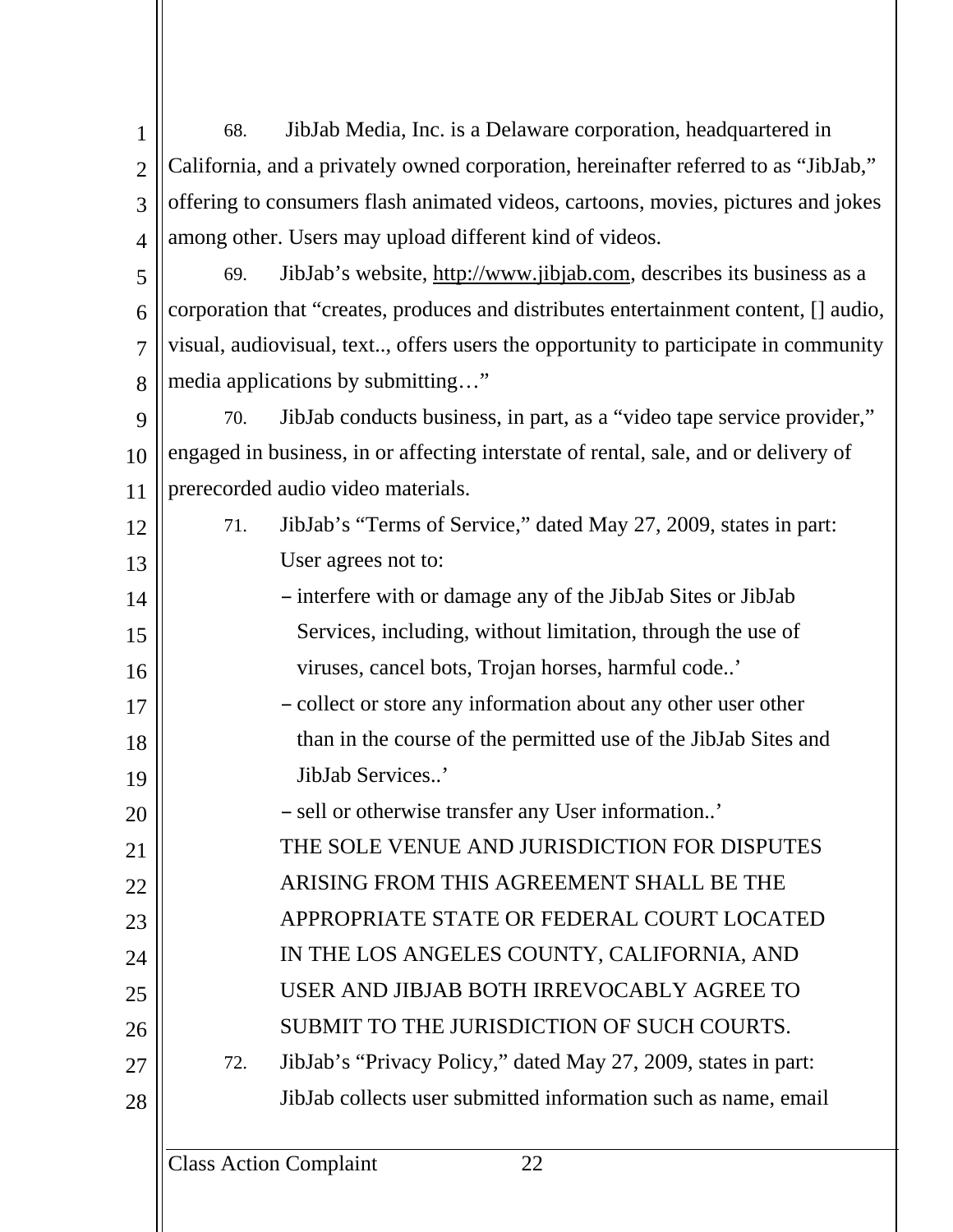| $\mathbf{1}$   | JibJab Media, Inc. is a Delaware corporation, headquartered in<br>68.                |
|----------------|--------------------------------------------------------------------------------------|
| $\overline{2}$ | California, and a privately owned corporation, hereinafter referred to as "JibJab,"  |
| 3              | offering to consumers flash animated videos, cartoons, movies, pictures and jokes    |
| $\overline{4}$ | among other. Users may upload different kind of videos.                              |
| 5              | JibJab's website, http://www.jibjab.com, describes its business as a<br>69.          |
| 6              | corporation that "creates, produces and distributes entertainment content, [] audio, |
| 7              | visual, audiovisual, text, offers users the opportunity to participate in community  |
| 8              | media applications by submitting"                                                    |
| 9              | JibJab conducts business, in part, as a "video tape service provider,"<br>70.        |
| 10             | engaged in business, in or affecting interstate of rental, sale, and or delivery of  |
| 11             | prerecorded audio video materials.                                                   |
| 12             | JibJab's "Terms of Service," dated May 27, 2009, states in part:<br>71.              |
| 13             | User agrees not to:                                                                  |
| 14             | - interfere with or damage any of the JibJab Sites or JibJab                         |
| 15             | Services, including, without limitation, through the use of                          |
| 16             | viruses, cancel bots, Trojan horses, harmful code'                                   |
| 17             | - collect or store any information about any other user other                        |
| 18             | than in the course of the permitted use of the JibJab Sites and                      |
| 19             | JibJab Services'                                                                     |
| 20             | - sell or otherwise transfer any User information'                                   |
| 21             | THE SOLE VENUE AND JURISDICTION FOR DISPUTES                                         |
| 22             | ARISING FROM THIS AGREEMENT SHALL BE THE                                             |
| 23             | APPROPRIATE STATE OR FEDERAL COURT LOCATED                                           |
| 24             | IN THE LOS ANGELES COUNTY, CALIFORNIA, AND                                           |
| 25             | USER AND JIBJAB BOTH IRREVOCABLY AGREE TO                                            |
| 26             | SUBMIT TO THE JURISDICTION OF SUCH COURTS.                                           |
| 27             | JibJab's "Privacy Policy," dated May 27, 2009, states in part:<br>72.                |
| 28             | JibJab collects user submitted information such as name, email                       |
|                |                                                                                      |
|                | <b>Class Action Complaint</b><br>22                                                  |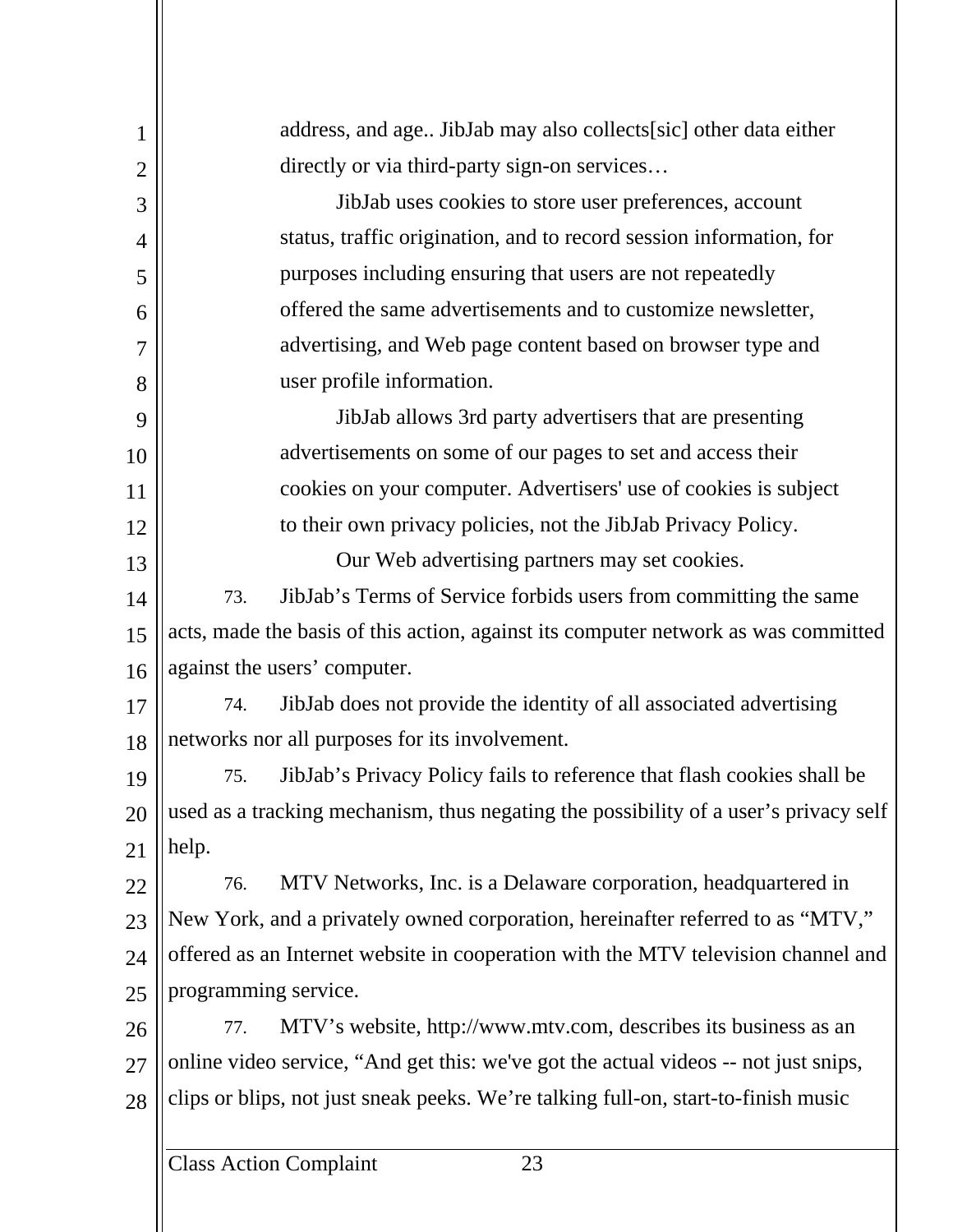| 1              | address, and age JibJab may also collects[sic] other data either                     |
|----------------|--------------------------------------------------------------------------------------|
| $\overline{2}$ | directly or via third-party sign-on services                                         |
| 3              | JibJab uses cookies to store user preferences, account                               |
| 4              | status, traffic origination, and to record session information, for                  |
| 5              | purposes including ensuring that users are not repeatedly                            |
| 6              | offered the same advertisements and to customize newsletter,                         |
| $\overline{7}$ | advertising, and Web page content based on browser type and                          |
| 8              | user profile information.                                                            |
| 9              | JibJab allows 3rd party advertisers that are presenting                              |
| 10             | advertisements on some of our pages to set and access their                          |
| 11             | cookies on your computer. Advertisers' use of cookies is subject                     |
| 12             | to their own privacy policies, not the JibJab Privacy Policy.                        |
| 13             | Our Web advertising partners may set cookies.                                        |
| 14             | JibJab's Terms of Service forbids users from committing the same<br>73.              |
| 15             | acts, made the basis of this action, against its computer network as was committed   |
| 16             | against the users' computer.                                                         |
| 17             | JibJab does not provide the identity of all associated advertising<br>74.            |
| 18             | networks nor all purposes for its involvement.                                       |
| 19             | JibJab's Privacy Policy fails to reference that flash cookies shall be<br>75.        |
| 20             | used as a tracking mechanism, thus negating the possibility of a user's privacy self |
| 21             | help.                                                                                |
| 22             | MTV Networks, Inc. is a Delaware corporation, headquartered in<br>76.                |
| 23             | New York, and a privately owned corporation, hereinafter referred to as "MTV,"       |
| 24             | offered as an Internet website in cooperation with the MTV television channel and    |
| 25             | programming service.                                                                 |
| 26             | MTV's website, http://www.mtv.com, describes its business as an<br>77.               |
| 27             | online video service, "And get this: we've got the actual videos -- not just snips,  |
| 28             | clips or blips, not just sneak peeks. We're talking full-on, start-to-finish music   |
|                | <b>Class Action Complaint</b><br>23                                                  |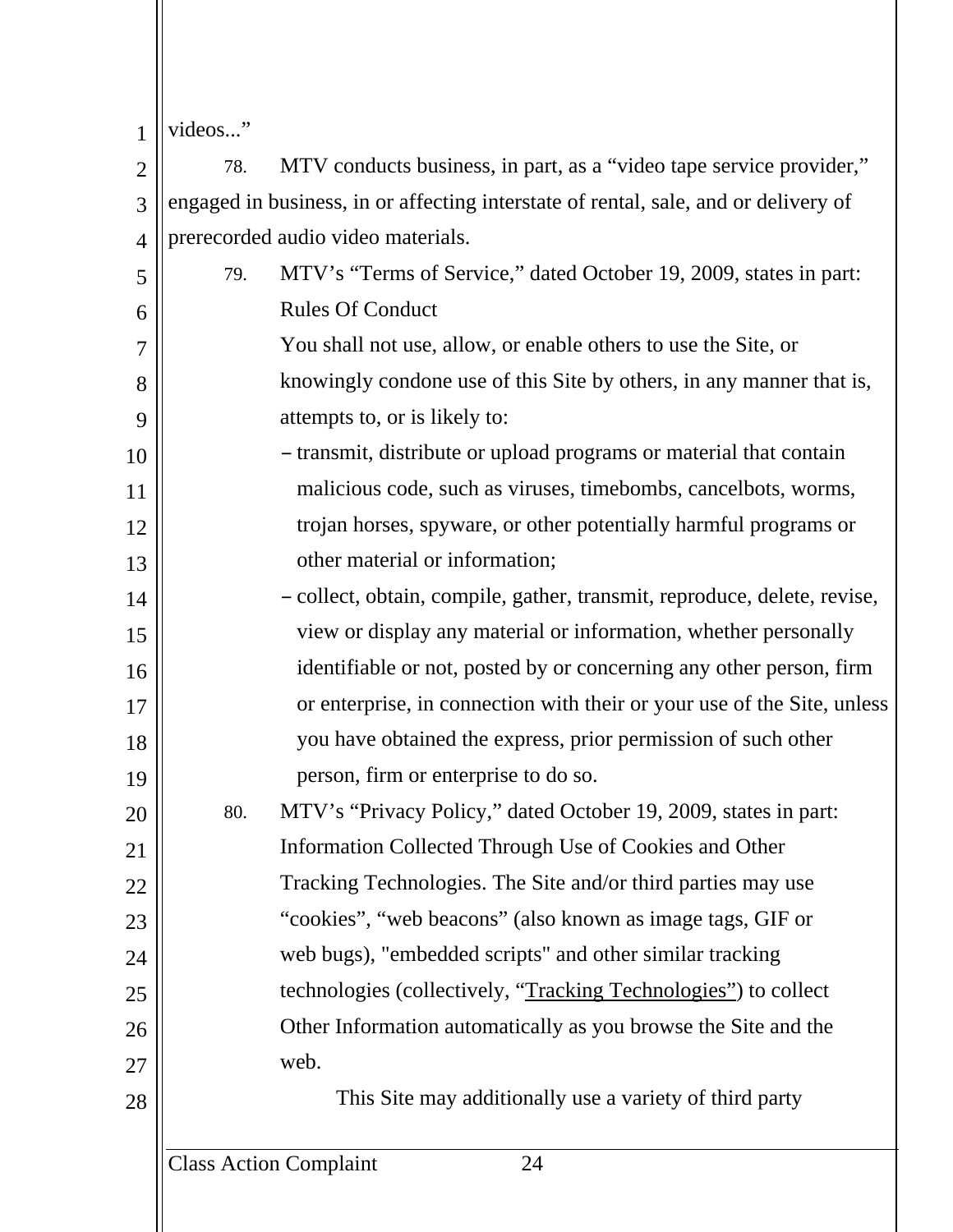$1$  | videos..."

| $\overline{2}$ | 78. | MTV conducts business, in part, as a "video tape service provider,"                 |
|----------------|-----|-------------------------------------------------------------------------------------|
| 3              |     | engaged in business, in or affecting interstate of rental, sale, and or delivery of |
| $\overline{4}$ |     | prerecorded audio video materials.                                                  |
| 5              | 79. | MTV's "Terms of Service," dated October 19, 2009, states in part:                   |
| 6              |     | <b>Rules Of Conduct</b>                                                             |
| 7              |     | You shall not use, allow, or enable others to use the Site, or                      |
| 8              |     | knowingly condone use of this Site by others, in any manner that is,                |
| 9              |     | attempts to, or is likely to:                                                       |
| 10             |     | - transmit, distribute or upload programs or material that contain                  |
| 11             |     | malicious code, such as viruses, timebombs, cancelbots, worms,                      |
| 12             |     | trojan horses, spyware, or other potentially harmful programs or                    |
| 13             |     | other material or information;                                                      |
| 14             |     | - collect, obtain, compile, gather, transmit, reproduce, delete, revise,            |
| 15             |     | view or display any material or information, whether personally                     |
| 16             |     | identifiable or not, posted by or concerning any other person, firm                 |
| 17             |     | or enterprise, in connection with their or your use of the Site, unless             |
| 18             |     | you have obtained the express, prior permission of such other                       |
| 19             |     | person, firm or enterprise to do so.                                                |
| 20             | 80. | MTV's "Privacy Policy," dated October 19, 2009, states in part:                     |
| 21             |     | Information Collected Through Use of Cookies and Other                              |
| 22             |     | Tracking Technologies. The Site and/or third parties may use                        |
| 23             |     | "cookies", "web beacons" (also known as image tags, GIF or                          |
| 24             |     | web bugs), "embedded scripts" and other similar tracking                            |
| 25             |     | technologies (collectively, "Tracking Technologies") to collect                     |
| 26             |     | Other Information automatically as you browse the Site and the                      |
| 27             |     | web.                                                                                |
| 28             |     | This Site may additionally use a variety of third party                             |
|                |     |                                                                                     |
|                |     | <b>Class Action Complaint</b><br>24                                                 |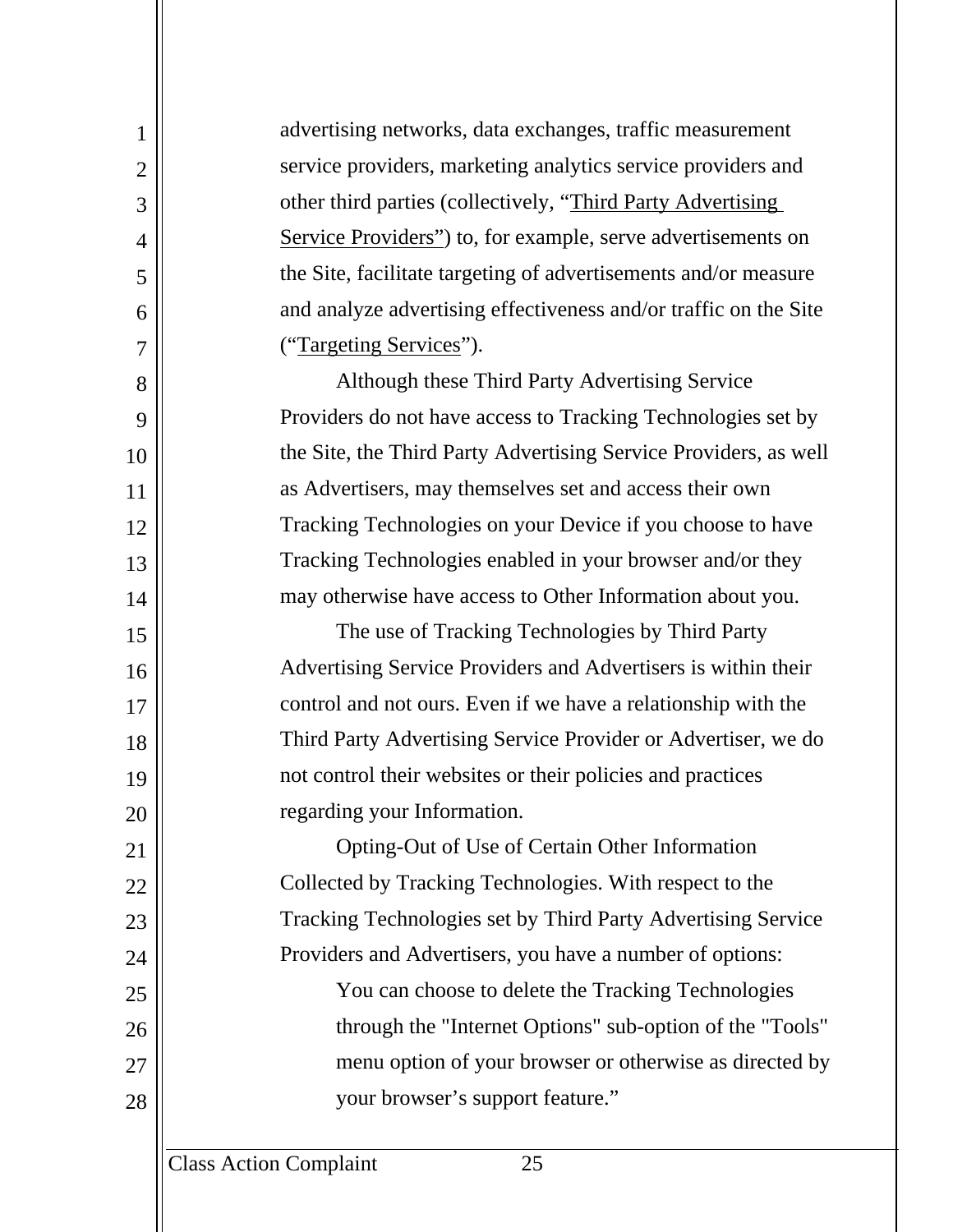1 2 3 4 5 6 7 8 9 10 11 12 13 14 15 16 17 18 19 20 21 22 23 24 25 26 27 28 Class Action Complaint 25 advertising networks, data exchanges, traffic measurement service providers, marketing analytics service providers and other third parties (collectively, "Third Party Advertising Service Providers") to, for example, serve advertisements on the Site, facilitate targeting of advertisements and/or measure and analyze advertising effectiveness and/or traffic on the Site ("Targeting Services"). Although these Third Party Advertising Service Providers do not have access to Tracking Technologies set by the Site, the Third Party Advertising Service Providers, as well as Advertisers, may themselves set and access their own Tracking Technologies on your Device if you choose to have Tracking Technologies enabled in your browser and/or they may otherwise have access to Other Information about you. The use of Tracking Technologies by Third Party Advertising Service Providers and Advertisers is within their control and not ours. Even if we have a relationship with the Third Party Advertising Service Provider or Advertiser, we do not control their websites or their policies and practices regarding your Information. Opting-Out of Use of Certain Other Information Collected by Tracking Technologies. With respect to the Tracking Technologies set by Third Party Advertising Service Providers and Advertisers, you have a number of options: You can choose to delete the Tracking Technologies through the "Internet Options" sub-option of the "Tools" menu option of your browser or otherwise as directed by your browser's support feature."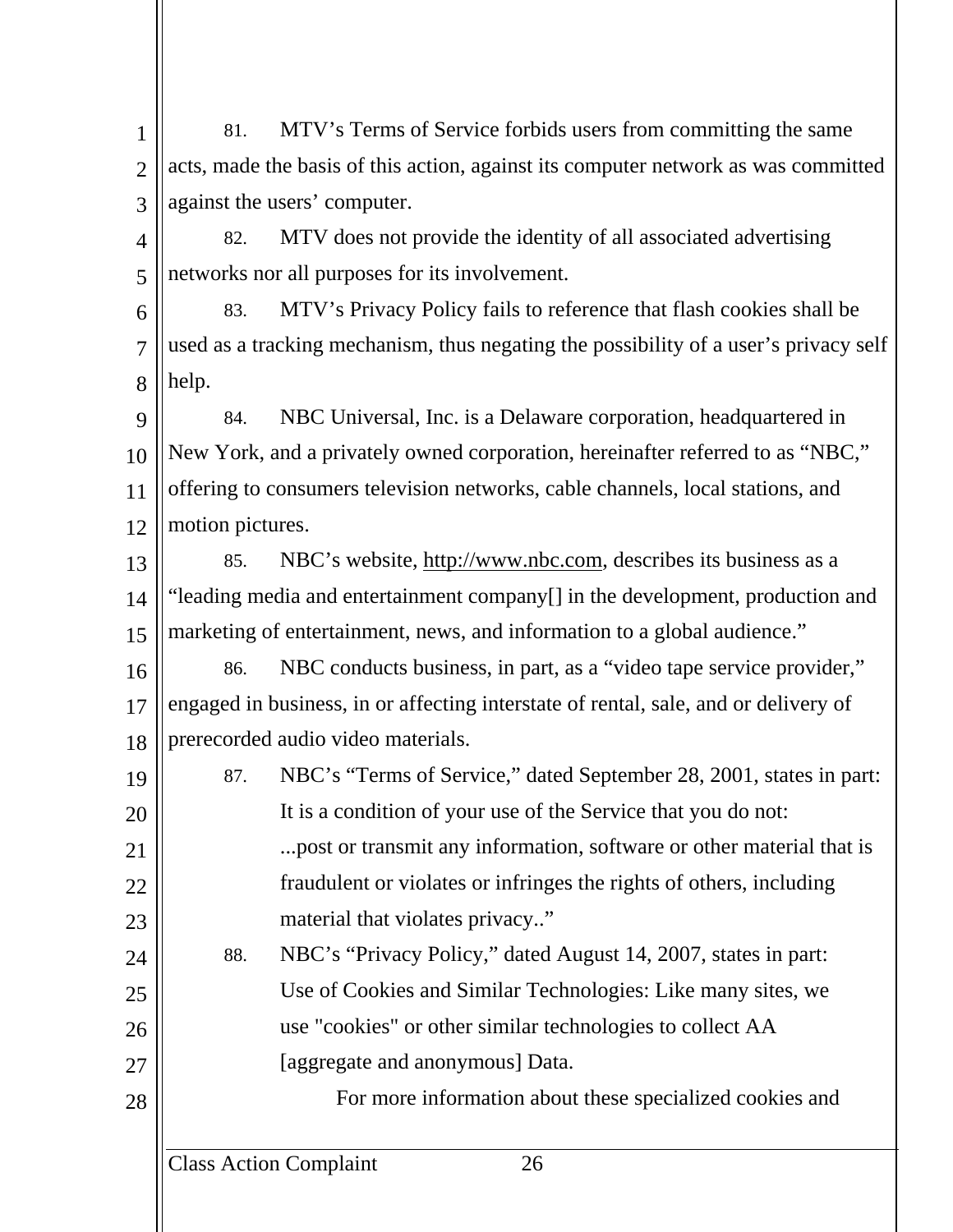1  $\overline{2}$ 3 81. MTV's Terms of Service forbids users from committing the same acts, made the basis of this action, against its computer network as was committed against the users' computer.

4 5 82. MTV does not provide the identity of all associated advertising networks nor all purposes for its involvement.

6 7 8 83. MTV's Privacy Policy fails to reference that flash cookies shall be used as a tracking mechanism, thus negating the possibility of a user's privacy self help.

 $\mathbf Q$ 10 11 12 84. NBC Universal, Inc. is a Delaware corporation, headquartered in New York, and a privately owned corporation, hereinafter referred to as "NBC," offering to consumers television networks, cable channels, local stations, and motion pictures.

13 14 15 85. NBC's website, http://www.nbc.com, describes its business as a "leading media and entertainment company[] in the development, production and marketing of entertainment, news, and information to a global audience."

16 17 18 86. NBC conducts business, in part, as a "video tape service provider," engaged in business, in or affecting interstate of rental, sale, and or delivery of prerecorded audio video materials.

| 19 | 87. | NBC's "Terms of Service," dated September 28, 2001, states in part:  |
|----|-----|----------------------------------------------------------------------|
| 20 |     | It is a condition of your use of the Service that you do not:        |
| 21 |     | post or transmit any information, software or other material that is |
| 22 |     | fraudulent or violates or infringes the rights of others, including  |
| 23 |     | material that violates privacy"                                      |
|    |     |                                                                      |

#### 24 25 26 27 88. NBC's "Privacy Policy," dated August 14, 2007, states in part: Use of Cookies and Similar Technologies: Like many sites, we use "cookies" or other similar technologies to collect AA [aggregate and anonymous] Data.

For more information about these specialized cookies and

28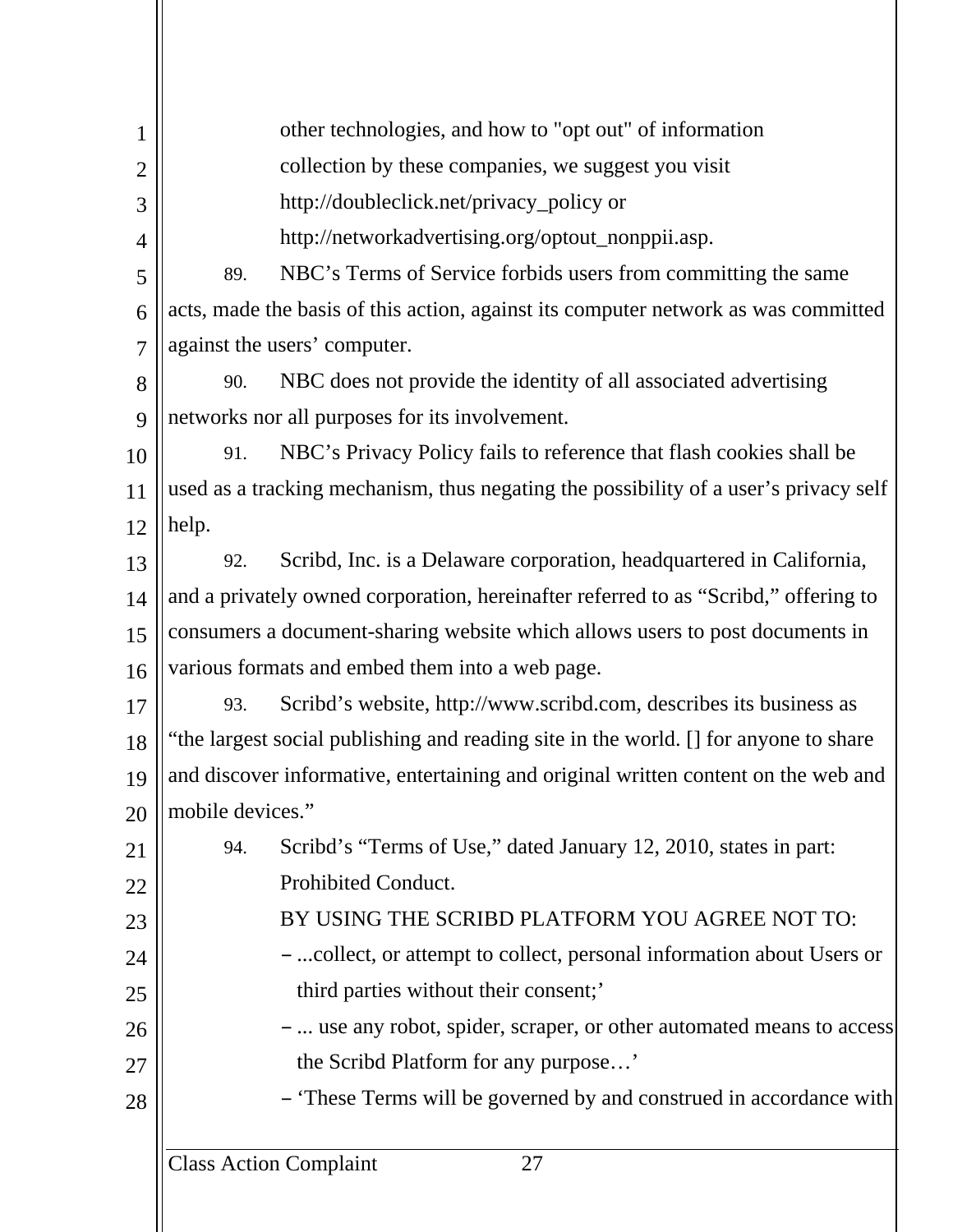| $\mathbf 1$    |                                                                                      | other technologies, and how to "opt out" of information                             |  |
|----------------|--------------------------------------------------------------------------------------|-------------------------------------------------------------------------------------|--|
| $\overline{2}$ |                                                                                      | collection by these companies, we suggest you visit                                 |  |
| 3              |                                                                                      | http://doubleclick.net/privacy_policy or                                            |  |
| $\overline{4}$ |                                                                                      | http://networkadvertising.org/optout_nonppii.asp.                                   |  |
| 5              | 89.                                                                                  | NBC's Terms of Service forbids users from committing the same                       |  |
| 6              | acts, made the basis of this action, against its computer network as was committed   |                                                                                     |  |
| $\overline{7}$ | against the users' computer.                                                         |                                                                                     |  |
| 8              | 90.                                                                                  | NBC does not provide the identity of all associated advertising                     |  |
| 9              | networks nor all purposes for its involvement.                                       |                                                                                     |  |
| 10             | 91.                                                                                  | NBC's Privacy Policy fails to reference that flash cookies shall be                 |  |
| 11             | used as a tracking mechanism, thus negating the possibility of a user's privacy self |                                                                                     |  |
| 12             | help.                                                                                |                                                                                     |  |
| 13             | 92.                                                                                  | Scribd, Inc. is a Delaware corporation, headquartered in California,                |  |
| 14             |                                                                                      | and a privately owned corporation, hereinafter referred to as "Scribd," offering to |  |
| 15             | consumers a document-sharing website which allows users to post documents in         |                                                                                     |  |
| 16             | various formats and embed them into a web page.                                      |                                                                                     |  |
| 17             | 93.                                                                                  | Scribd's website, http://www.scribd.com, describes its business as                  |  |
| 18             | "the largest social publishing and reading site in the world. [] for anyone to share |                                                                                     |  |
| 19             | and discover informative, entertaining and original written content on the web and   |                                                                                     |  |
| 20             | mobile devices."                                                                     |                                                                                     |  |
| 21             | 94.                                                                                  | Scribd's "Terms of Use," dated January 12, 2010, states in part:                    |  |
| 22             |                                                                                      | Prohibited Conduct.                                                                 |  |
| 23             |                                                                                      | BY USING THE SCRIBD PLATFORM YOU AGREE NOT TO:                                      |  |
| 24             |                                                                                      | -  collect, or attempt to collect, personal information about Users or              |  |
| 25             |                                                                                      | third parties without their consent;                                                |  |
| 26             |                                                                                      | –  use any robot, spider, scraper, or other automated means to access               |  |
| 27             |                                                                                      | the Scribd Platform for any purpose'                                                |  |
| 28             |                                                                                      | – 'These Terms will be governed by and construed in accordance with                 |  |
|                |                                                                                      |                                                                                     |  |
|                | <b>Class Action Complaint</b><br>27                                                  |                                                                                     |  |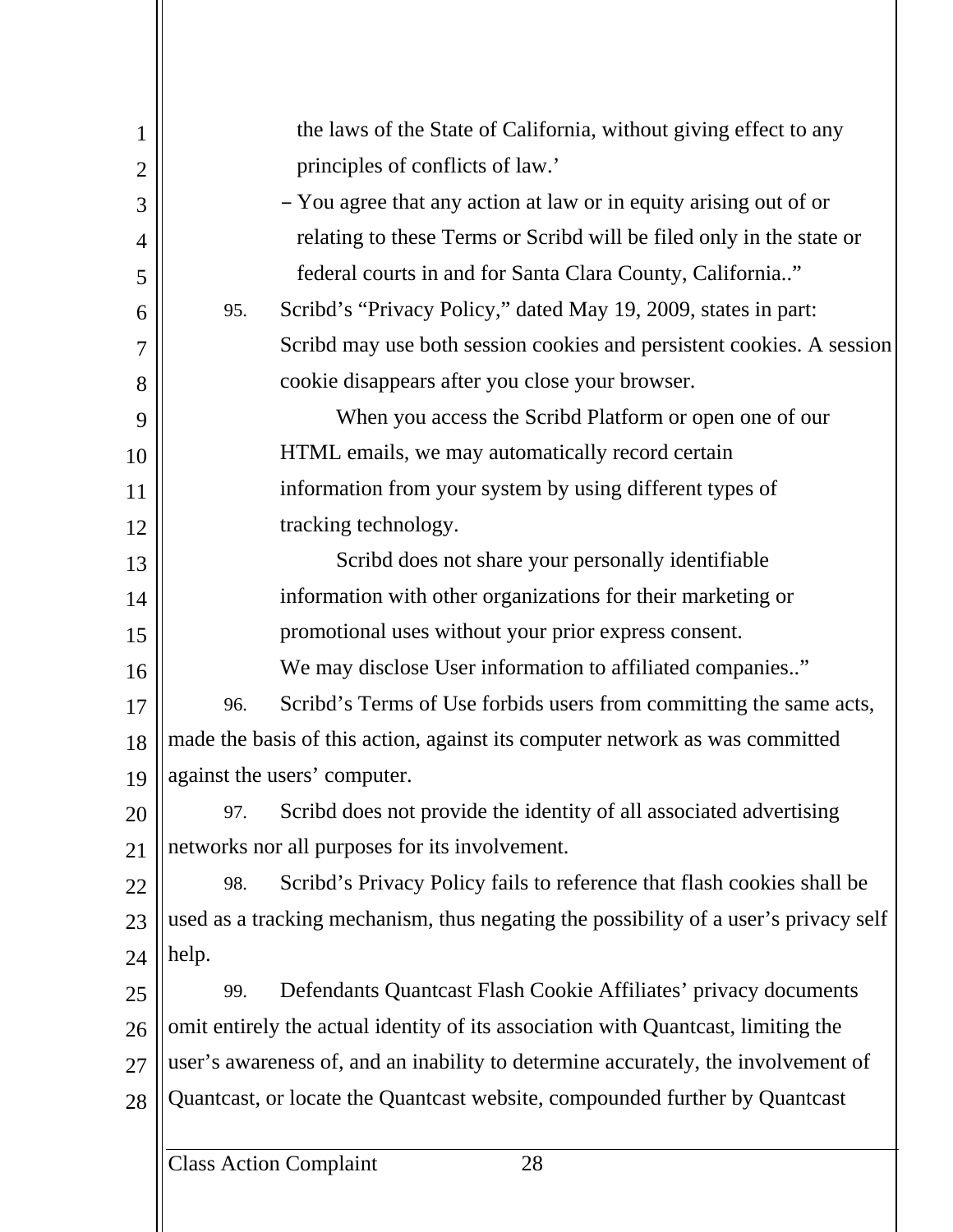| $\mathbf 1$    |                                                                                      | the laws of the State of California, without giving effect to any      |  |
|----------------|--------------------------------------------------------------------------------------|------------------------------------------------------------------------|--|
| $\overline{2}$ |                                                                                      | principles of conflicts of law.'                                       |  |
| 3              |                                                                                      | - You agree that any action at law or in equity arising out of or      |  |
| $\overline{4}$ |                                                                                      | relating to these Terms or Scribd will be filed only in the state or   |  |
| 5              |                                                                                      | federal courts in and for Santa Clara County, California"              |  |
| 6              | 95.                                                                                  | Scribd's "Privacy Policy," dated May 19, 2009, states in part:         |  |
| $\overline{7}$ |                                                                                      | Scribd may use both session cookies and persistent cookies. A session  |  |
| 8              |                                                                                      | cookie disappears after you close your browser.                        |  |
| 9              |                                                                                      | When you access the Scribd Platform or open one of our                 |  |
| 10             |                                                                                      | HTML emails, we may automatically record certain                       |  |
| 11             |                                                                                      | information from your system by using different types of               |  |
| 12             |                                                                                      | tracking technology.                                                   |  |
| 13             |                                                                                      | Scribd does not share your personally identifiable                     |  |
| 14             |                                                                                      | information with other organizations for their marketing or            |  |
| 15             |                                                                                      | promotional uses without your prior express consent.                   |  |
| 16             |                                                                                      | We may disclose User information to affiliated companies"              |  |
| 17             | 96.                                                                                  | Scribd's Terms of Use forbids users from committing the same acts,     |  |
| 18             | made the basis of this action, against its computer network as was committed         |                                                                        |  |
| 19             | against the users' computer.                                                         |                                                                        |  |
| 20             | 97.                                                                                  | Scribd does not provide the identity of all associated advertising     |  |
| 21             | networks nor all purposes for its involvement.                                       |                                                                        |  |
| 22             | 98.                                                                                  | Scribd's Privacy Policy fails to reference that flash cookies shall be |  |
| 23             | used as a tracking mechanism, thus negating the possibility of a user's privacy self |                                                                        |  |
| 24             | help.                                                                                |                                                                        |  |
| 25             | 99.                                                                                  | Defendants Quantcast Flash Cookie Affiliates' privacy documents        |  |
| 26             | omit entirely the actual identity of its association with Quantcast, limiting the    |                                                                        |  |
| 27             | user's awareness of, and an inability to determine accurately, the involvement of    |                                                                        |  |
| 28             | Quantcast, or locate the Quantcast website, compounded further by Quantcast          |                                                                        |  |
|                |                                                                                      |                                                                        |  |
|                |                                                                                      | <b>Class Action Complaint</b><br>28                                    |  |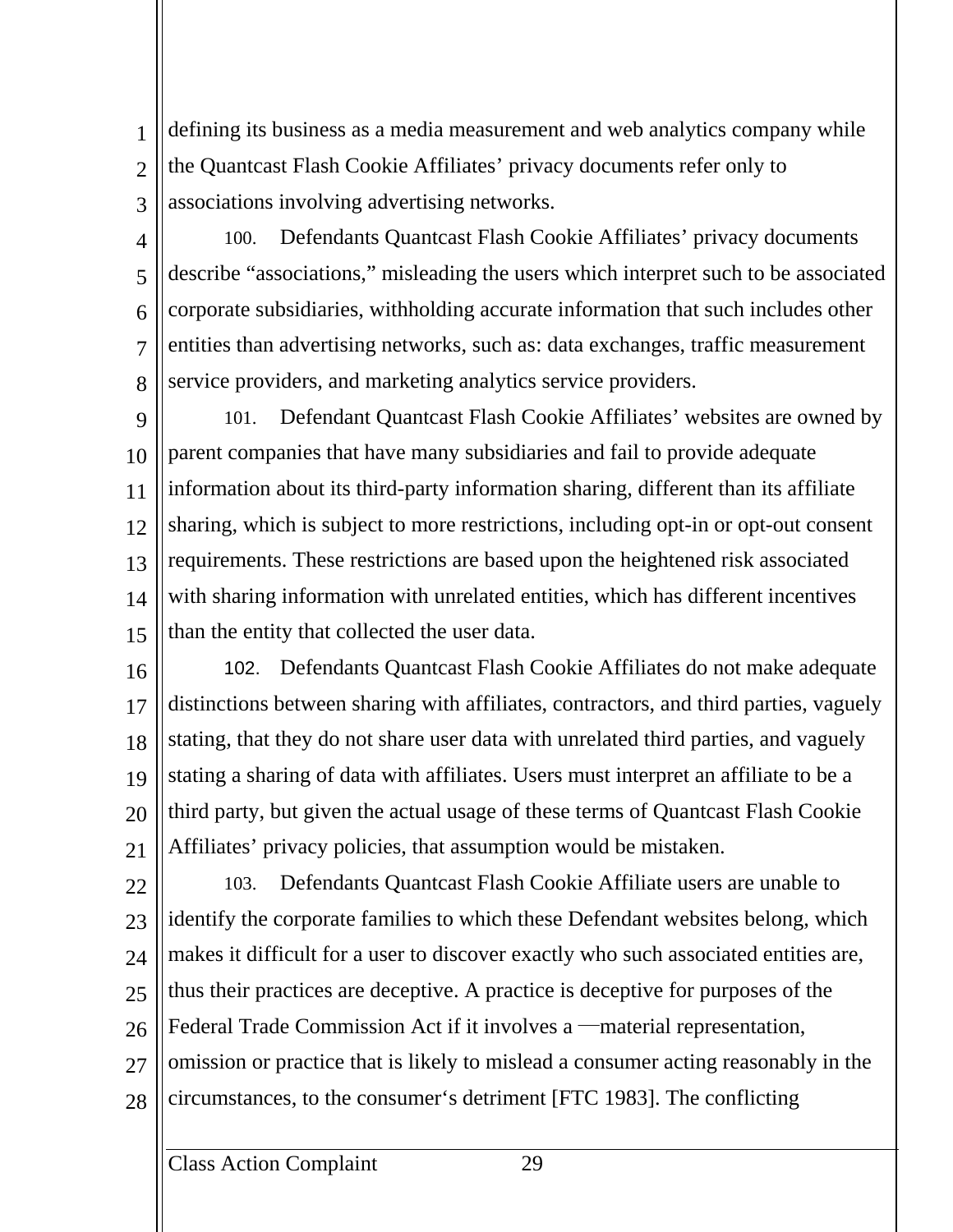1  $\mathcal{D}$ 3 defining its business as a media measurement and web analytics company while the Quantcast Flash Cookie Affiliates' privacy documents refer only to associations involving advertising networks.

4

5

7

6 8 100. Defendants Quantcast Flash Cookie Affiliates' privacy documents describe "associations," misleading the users which interpret such to be associated corporate subsidiaries, withholding accurate information that such includes other entities than advertising networks, such as: data exchanges, traffic measurement service providers, and marketing analytics service providers.

 $\mathbf Q$ 10 11 12 13 14 15 101. Defendant Quantcast Flash Cookie Affiliates' websites are owned by parent companies that have many subsidiaries and fail to provide adequate information about its third-party information sharing, different than its affiliate sharing, which is subject to more restrictions, including opt-in or opt-out consent requirements. These restrictions are based upon the heightened risk associated with sharing information with unrelated entities, which has different incentives than the entity that collected the user data.

- 16 17 18 19 20 21 102. Defendants Quantcast Flash Cookie Affiliates do not make adequate distinctions between sharing with affiliates, contractors, and third parties, vaguely stating, that they do not share user data with unrelated third parties, and vaguely stating a sharing of data with affiliates. Users must interpret an affiliate to be a third party, but given the actual usage of these terms of Quantcast Flash Cookie Affiliates' privacy policies, that assumption would be mistaken.
- 22 23 24 25 26 27 28 103. Defendants Quantcast Flash Cookie Affiliate users are unable to identify the corporate families to which these Defendant websites belong, which makes it difficult for a user to discover exactly who such associated entities are, thus their practices are deceptive. A practice is deceptive for purposes of the Federal Trade Commission Act if it involves a —material representation, omission or practice that is likely to mislead a consumer acting reasonably in the circumstances, to the consumer's detriment [FTC 1983]. The conflicting

Class Action Complaint 29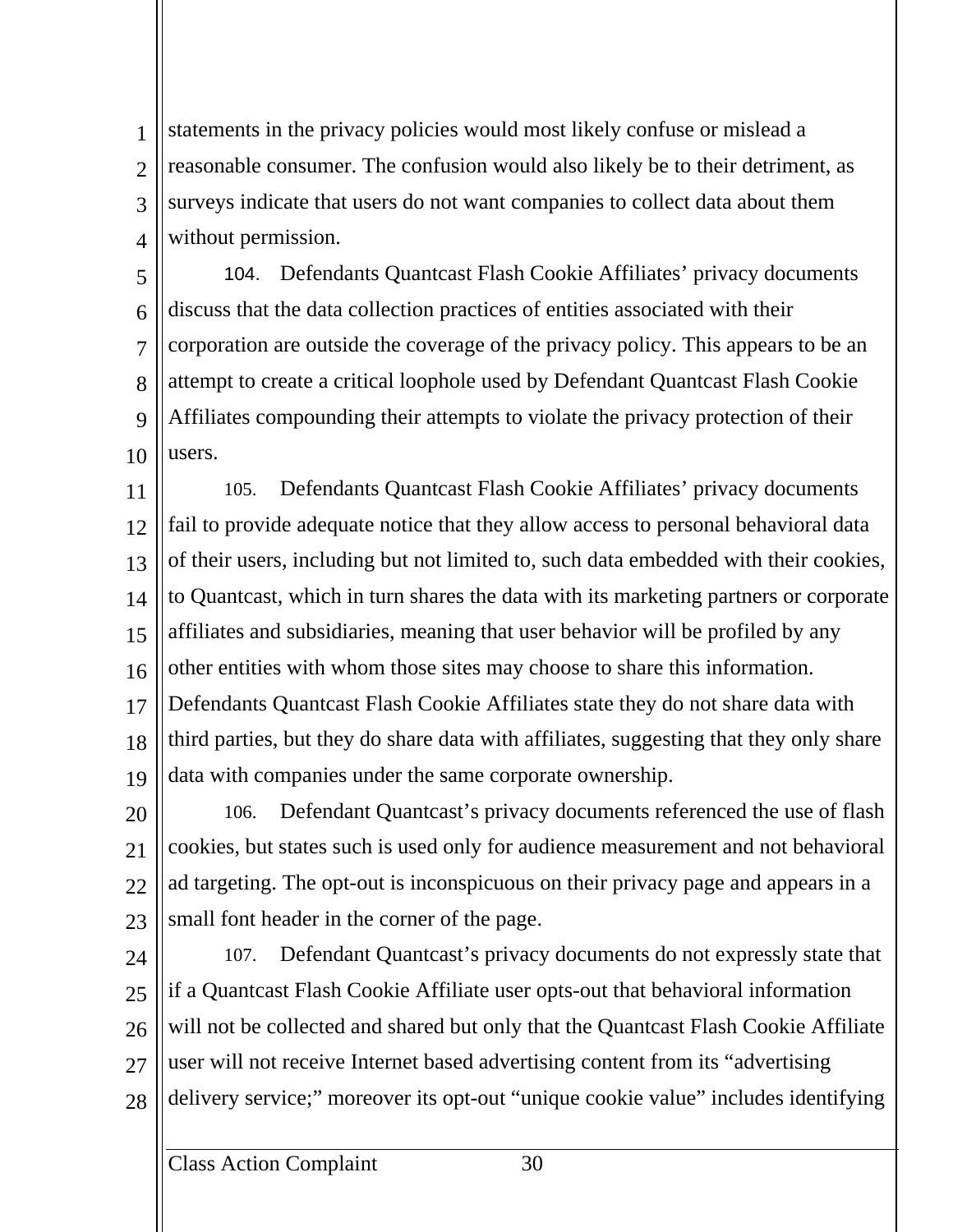1  $\mathcal{D}$ 3 4 statements in the privacy policies would most likely confuse or mislead a reasonable consumer. The confusion would also likely be to their detriment, as surveys indicate that users do not want companies to collect data about them without permission.

5 6 7 8  $\mathbf Q$ 10 104. Defendants Quantcast Flash Cookie Affiliates' privacy documents discuss that the data collection practices of entities associated with their corporation are outside the coverage of the privacy policy. This appears to be an attempt to create a critical loophole used by Defendant Quantcast Flash Cookie Affiliates compounding their attempts to violate the privacy protection of their users.

11 12 13 14 15 16 17 105. Defendants Quantcast Flash Cookie Affiliates' privacy documents fail to provide adequate notice that they allow access to personal behavioral data of their users, including but not limited to, such data embedded with their cookies, to Quantcast, which in turn shares the data with its marketing partners or corporate affiliates and subsidiaries, meaning that user behavior will be profiled by any other entities with whom those sites may choose to share this information. Defendants Quantcast Flash Cookie Affiliates state they do not share data with

18 19 third parties, but they do share data with affiliates, suggesting that they only share data with companies under the same corporate ownership.

20 21 22 23 106. Defendant Quantcast's privacy documents referenced the use of flash cookies, but states such is used only for audience measurement and not behavioral ad targeting. The opt-out is inconspicuous on their privacy page and appears in a small font header in the corner of the page.

24 25 26 27 28 107. Defendant Quantcast's privacy documents do not expressly state that if a Quantcast Flash Cookie Affiliate user opts-out that behavioral information will not be collected and shared but only that the Quantcast Flash Cookie Affiliate user will not receive Internet based advertising content from its "advertising delivery service;" moreover its opt-out "unique cookie value" includes identifying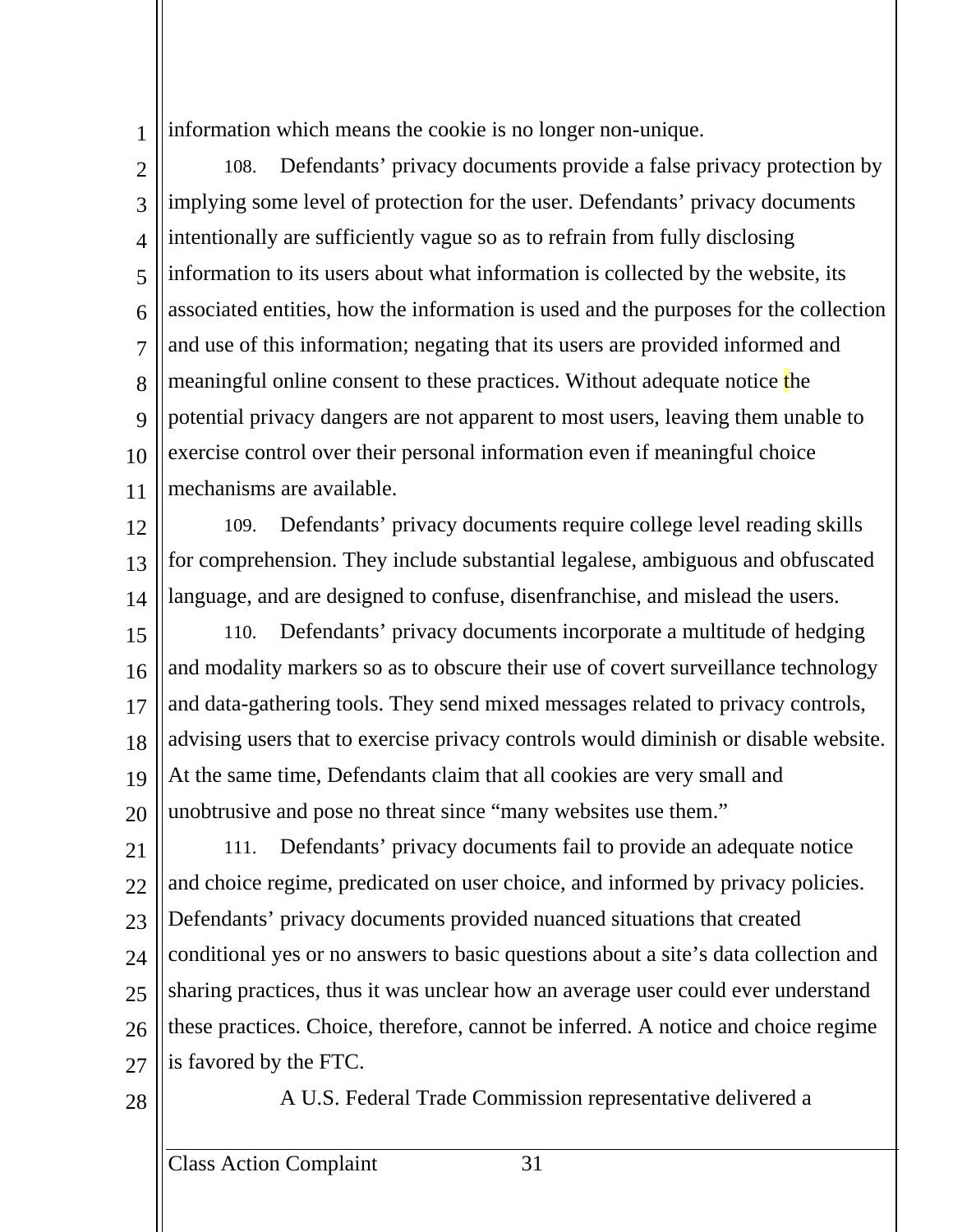1 information which means the cookie is no longer non-unique.

 $\mathcal{L}$ 3 4 5 6 7 8  $\mathbf Q$ 10 11 108. Defendants' privacy documents provide a false privacy protection by implying some level of protection for the user. Defendants' privacy documents intentionally are sufficiently vague so as to refrain from fully disclosing information to its users about what information is collected by the website, its associated entities, how the information is used and the purposes for the collection and use of this information; negating that its users are provided informed and meaningful online consent to these practices. Without adequate notice the potential privacy dangers are not apparent to most users, leaving them unable to exercise control over their personal information even if meaningful choice mechanisms are available.

12 13 14 109. Defendants' privacy documents require college level reading skills for comprehension. They include substantial legalese, ambiguous and obfuscated language, and are designed to confuse, disenfranchise, and mislead the users.

15 16 17 18 19 20 110. Defendants' privacy documents incorporate a multitude of hedging and modality markers so as to obscure their use of covert surveillance technology and data-gathering tools. They send mixed messages related to privacy controls, advising users that to exercise privacy controls would diminish or disable website. At the same time, Defendants claim that all cookies are very small and unobtrusive and pose no threat since "many websites use them."

21 22 23 24 25 26 27 111. Defendants' privacy documents fail to provide an adequate notice and choice regime, predicated on user choice, and informed by privacy policies. Defendants' privacy documents provided nuanced situations that created conditional yes or no answers to basic questions about a site's data collection and sharing practices, thus it was unclear how an average user could ever understand these practices. Choice, therefore, cannot be inferred. A notice and choice regime is favored by the FTC.

28

A U.S. Federal Trade Commission representative delivered a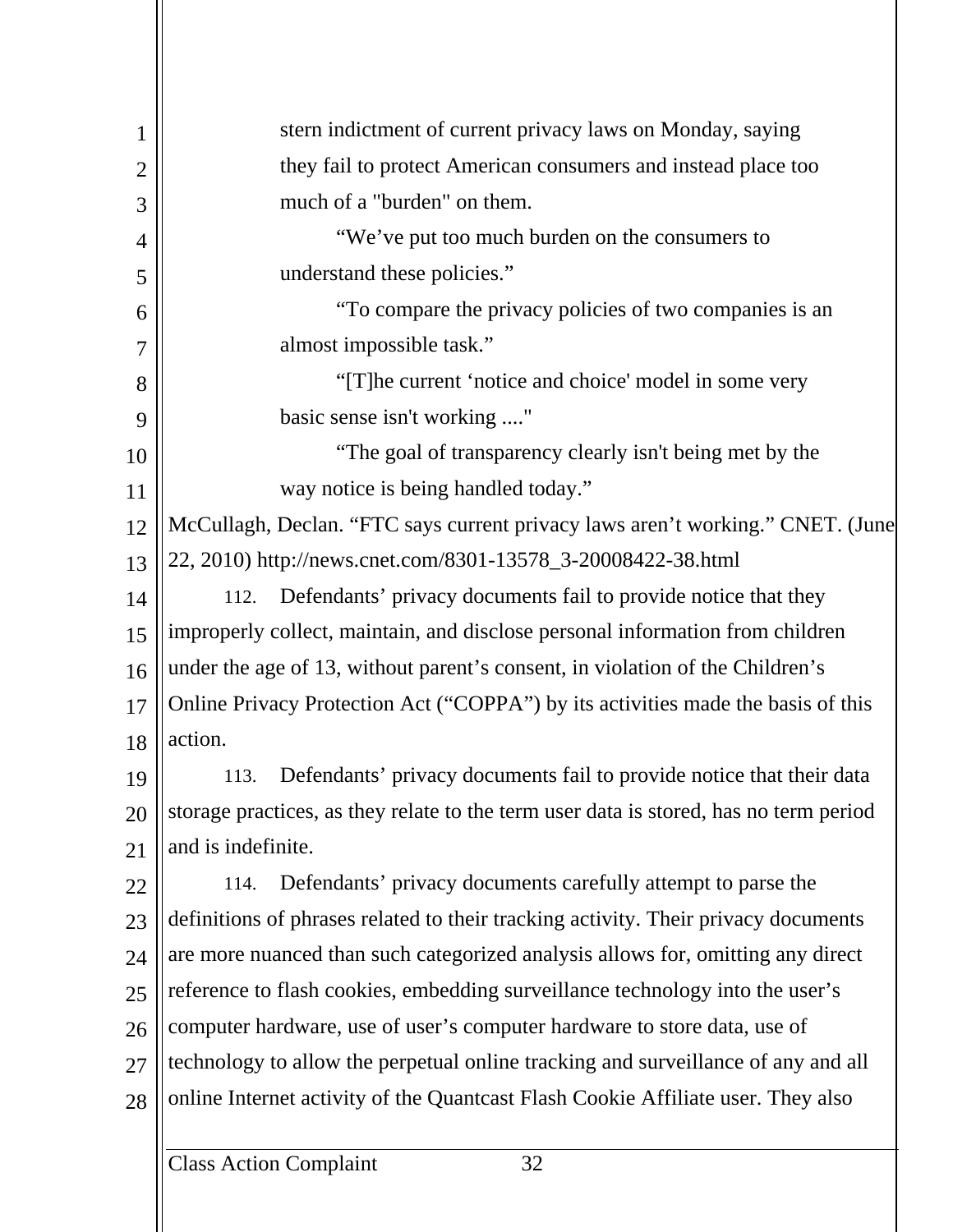| 1              | stern indictment of current privacy laws on Monday, saying                            |
|----------------|---------------------------------------------------------------------------------------|
| $\overline{2}$ | they fail to protect American consumers and instead place too                         |
| 3              | much of a "burden" on them.                                                           |
| 4              | "We've put too much burden on the consumers to                                        |
| 5              | understand these policies."                                                           |
| 6              | "To compare the privacy policies of two companies is an                               |
| 7              | almost impossible task."                                                              |
| 8              | "[T] he current 'notice and choice' model in some very                                |
| 9              | basic sense isn't working "                                                           |
| 10             | "The goal of transparency clearly isn't being met by the                              |
| 11             | way notice is being handled today."                                                   |
| 12             | McCullagh, Declan. "FTC says current privacy laws aren't working." CNET. (June        |
| 13             | 22, 2010) http://news.cnet.com/8301-13578_3-20008422-38.html                          |
| 14             | Defendants' privacy documents fail to provide notice that they<br>112.                |
| 15             | improperly collect, maintain, and disclose personal information from children         |
| 16             | under the age of 13, without parent's consent, in violation of the Children's         |
| 17             | Online Privacy Protection Act ("COPPA") by its activities made the basis of this      |
| 18             | action.                                                                               |
| 19             | Defendants' privacy documents fail to provide notice that their data<br>113.          |
| 20             | storage practices, as they relate to the term user data is stored, has no term period |
| 21             | and is indefinite.                                                                    |
| 22             | Defendants' privacy documents carefully attempt to parse the<br>114.                  |
| 23             | definitions of phrases related to their tracking activity. Their privacy documents    |
| 24             | are more nuanced than such categorized analysis allows for, omitting any direct       |
| 25             | reference to flash cookies, embedding surveillance technology into the user's         |
| 26             | computer hardware, use of user's computer hardware to store data, use of              |
| 27             | technology to allow the perpetual online tracking and surveillance of any and all     |
| 28             | online Internet activity of the Quantcast Flash Cookie Affiliate user. They also      |
|                |                                                                                       |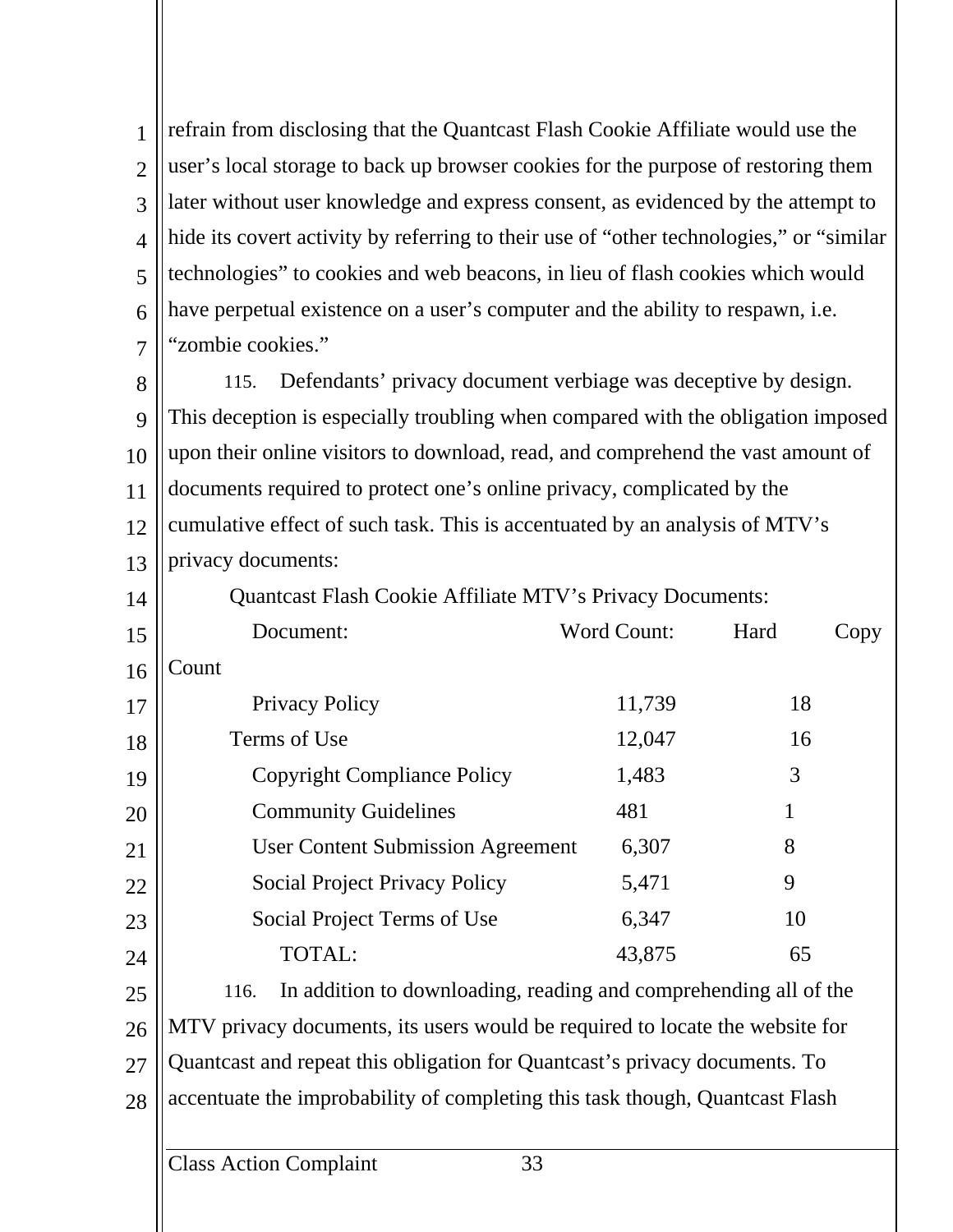1  $\mathcal{D}$ 3 4 5 6 7 refrain from disclosing that the Quantcast Flash Cookie Affiliate would use the user's local storage to back up browser cookies for the purpose of restoring them later without user knowledge and express consent, as evidenced by the attempt to hide its covert activity by referring to their use of "other technologies," or "similar technologies" to cookies and web beacons, in lieu of flash cookies which would have perpetual existence on a user's computer and the ability to respawn, i.e. "zombie cookies."

8 9 10 11 12 13 115. Defendants' privacy document verbiage was deceptive by design. This deception is especially troubling when compared with the obligation imposed upon their online visitors to download, read, and comprehend the vast amount of documents required to protect one's online privacy, complicated by the cumulative effect of such task. This is accentuated by an analysis of MTV's privacy documents:

Quantcast Flash Cookie Affiliate MTV's Privacy Documents:

| 15 | Document:                                | <b>Word Count:</b> | Hard | Copy |
|----|------------------------------------------|--------------------|------|------|
| 16 | Count                                    |                    |      |      |
| 17 | <b>Privacy Policy</b>                    | 11,739             | 18   |      |
| 18 | Terms of Use                             | 12,047             | 16   |      |
| 19 | <b>Copyright Compliance Policy</b>       | 1,483              | 3    |      |
| 20 | <b>Community Guidelines</b>              | 481                |      |      |
| 21 | <b>User Content Submission Agreement</b> | 6,307              | 8    |      |
| 22 | Social Project Privacy Policy            | 5,471              | 9    |      |
| 23 | Social Project Terms of Use              | 6,347              | 10   |      |
| 24 | TOTAL:                                   | 43,875             | 65   |      |

25 26 27 28 116. In addition to downloading, reading and comprehending all of the MTV privacy documents, its users would be required to locate the website for Quantcast and repeat this obligation for Quantcast's privacy documents. To accentuate the improbability of completing this task though, Quantcast Flash

14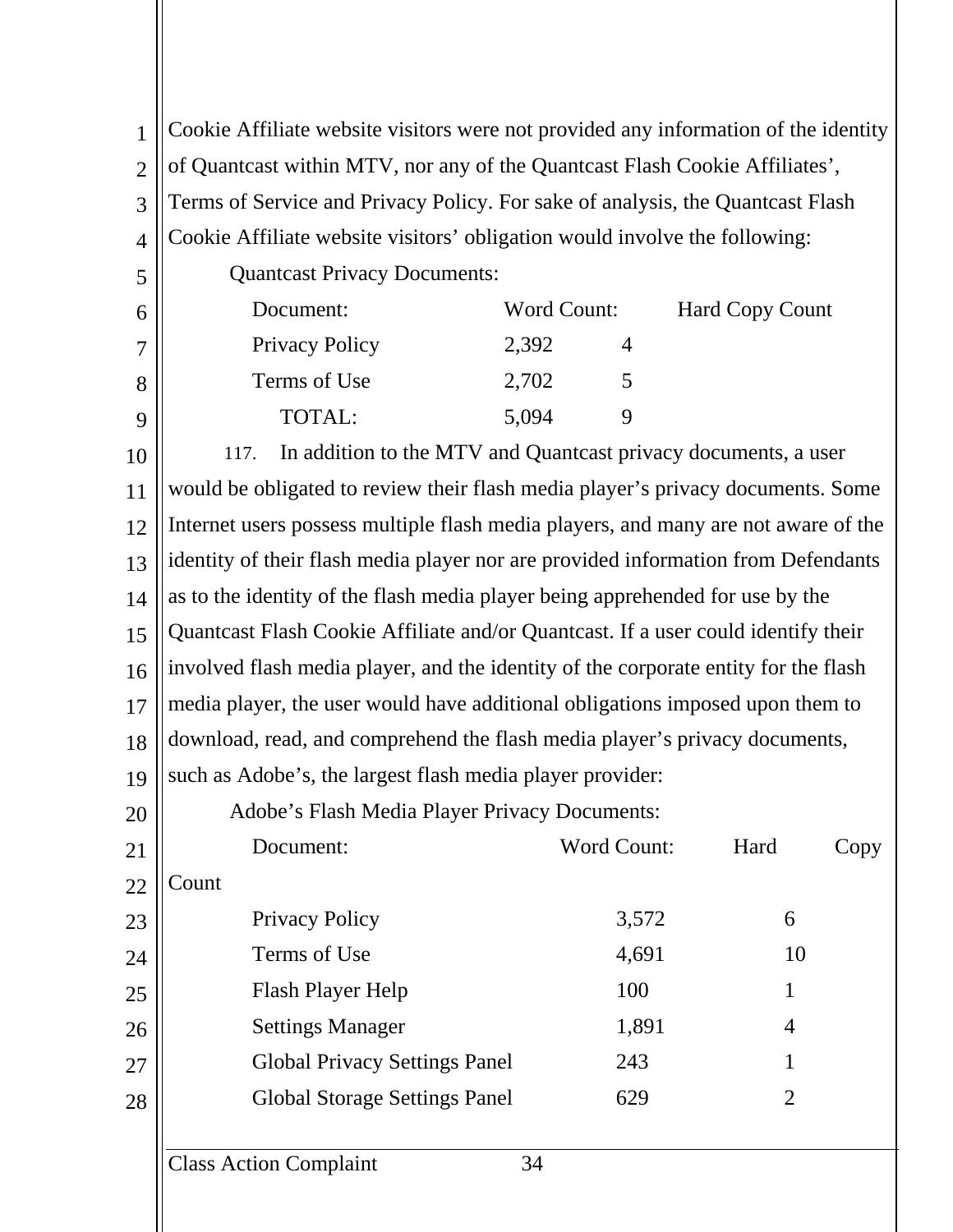| 1              | Cookie Affiliate website visitors were not provided any information of the identity |             |                    |                        |      |
|----------------|-------------------------------------------------------------------------------------|-------------|--------------------|------------------------|------|
| $\overline{2}$ | of Quantcast within MTV, nor any of the Quantcast Flash Cookie Affiliates',         |             |                    |                        |      |
| 3              | Terms of Service and Privacy Policy. For sake of analysis, the Quantcast Flash      |             |                    |                        |      |
| $\overline{4}$ | Cookie Affiliate website visitors' obligation would involve the following:          |             |                    |                        |      |
| 5              | <b>Quantcast Privacy Documents:</b>                                                 |             |                    |                        |      |
| 6              | Document:                                                                           | Word Count: |                    | <b>Hard Copy Count</b> |      |
| 7              | Privacy Policy                                                                      | 2,392       | $\overline{4}$     |                        |      |
| 8              | Terms of Use                                                                        | 2,702       | 5                  |                        |      |
| 9              | TOTAL:                                                                              | 5,094       | 9                  |                        |      |
| 10             | In addition to the MTV and Quantcast privacy documents, a user<br>117.              |             |                    |                        |      |
| 11             | would be obligated to review their flash media player's privacy documents. Some     |             |                    |                        |      |
| 12             | Internet users possess multiple flash media players, and many are not aware of the  |             |                    |                        |      |
| 13             | identity of their flash media player nor are provided information from Defendants   |             |                    |                        |      |
| 14             | as to the identity of the flash media player being apprehended for use by the       |             |                    |                        |      |
| 15             | Quantcast Flash Cookie Affiliate and/or Quantcast. If a user could identify their   |             |                    |                        |      |
| 16             | involved flash media player, and the identity of the corporate entity for the flash |             |                    |                        |      |
| 17             | media player, the user would have additional obligations imposed upon them to       |             |                    |                        |      |
| 18             | download, read, and comprehend the flash media player's privacy documents,          |             |                    |                        |      |
| 19             | such as Adobe's, the largest flash media player provider:                           |             |                    |                        |      |
| 20             | Adobe's Flash Media Player Privacy Documents:                                       |             |                    |                        |      |
| 21             | Document:                                                                           |             | <b>Word Count:</b> | Hard                   | Copy |
| 22             | Count                                                                               |             |                    |                        |      |
| 23             | Privacy Policy                                                                      |             | 3,572              | 6                      |      |
| 24             | Terms of Use                                                                        |             | 4,691              | 10                     |      |
| 25             | Flash Player Help                                                                   |             | 100                | 1                      |      |
| 26             | <b>Settings Manager</b>                                                             |             | 1,891              | $\overline{4}$         |      |
| 27             | <b>Global Privacy Settings Panel</b>                                                |             | 243                | 1                      |      |
| 28             | <b>Global Storage Settings Panel</b>                                                |             | 629                | $\overline{2}$         |      |
|                |                                                                                     |             |                    |                        |      |
|                | <b>Class Action Complaint</b>                                                       | 34          |                    |                        |      |
|                |                                                                                     |             |                    |                        |      |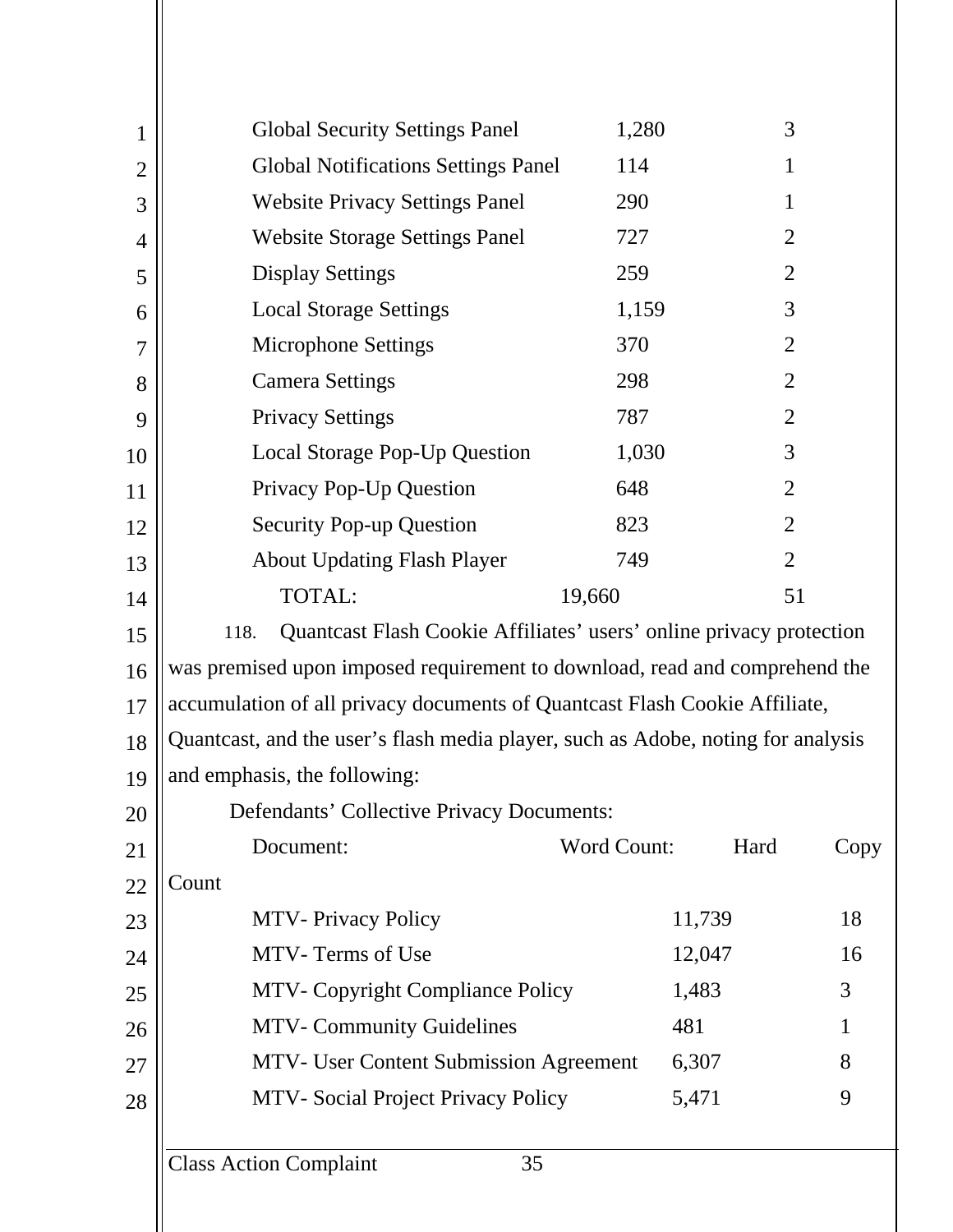| 1              | <b>Global Security Settings Panel</b>                                            | 1,280              | 3              |      |
|----------------|----------------------------------------------------------------------------------|--------------------|----------------|------|
| $\overline{2}$ | <b>Global Notifications Settings Panel</b>                                       | 114                | 1              |      |
| 3              | <b>Website Privacy Settings Panel</b>                                            | 290                | 1              |      |
| 4              | <b>Website Storage Settings Panel</b>                                            | 727                | $\overline{2}$ |      |
| 5              | <b>Display Settings</b>                                                          | 259                | $\overline{2}$ |      |
| 6              | <b>Local Storage Settings</b>                                                    | 1,159              | 3              |      |
| 7              | <b>Microphone Settings</b>                                                       | 370                | $\overline{2}$ |      |
| 8              | <b>Camera Settings</b>                                                           | 298                | $\overline{2}$ |      |
| 9              | <b>Privacy Settings</b>                                                          | 787                | $\overline{2}$ |      |
| 10             | Local Storage Pop-Up Question                                                    | 1,030              | 3              |      |
| 11             | Privacy Pop-Up Question                                                          | 648                | $\overline{2}$ |      |
| 12             | <b>Security Pop-up Question</b>                                                  | 823                | $\overline{2}$ |      |
| 13             | <b>About Updating Flash Player</b>                                               | 749                | $\overline{2}$ |      |
| 14             | TOTAL:                                                                           | 19,660             | 51             |      |
| 15             | Quantcast Flash Cookie Affiliates' users' online privacy protection<br>118.      |                    |                |      |
| 16             | was premised upon imposed requirement to download, read and comprehend the       |                    |                |      |
| 17             | accumulation of all privacy documents of Quantcast Flash Cookie Affiliate,       |                    |                |      |
| 18             | Quantcast, and the user's flash media player, such as Adobe, noting for analysis |                    |                |      |
| 19             | and emphasis, the following:                                                     |                    |                |      |
| 20             | Defendants' Collective Privacy Documents:                                        |                    |                |      |
| 21             | Document:                                                                        | <b>Word Count:</b> | Hard           | Copy |
| 22             | Count                                                                            |                    |                |      |
| 23             | MTV- Privacy Policy                                                              |                    | 11,739         | 18   |
| 24             | MTV-Terms of Use                                                                 |                    | 12,047         | 16   |
| 25             | MTV- Copyright Compliance Policy                                                 |                    | 1,483          | 3    |
| 26             | <b>MTV- Community Guidelines</b>                                                 | 481                |                | 1    |
| 27             | <b>MTV- User Content Submission Agreement</b>                                    |                    | 6,307          | 8    |
| 28             | MTV- Social Project Privacy Policy                                               |                    | 5,471          | 9    |
|                | <b>Class Action Complaint</b><br>35                                              |                    |                |      |
|                |                                                                                  |                    |                |      |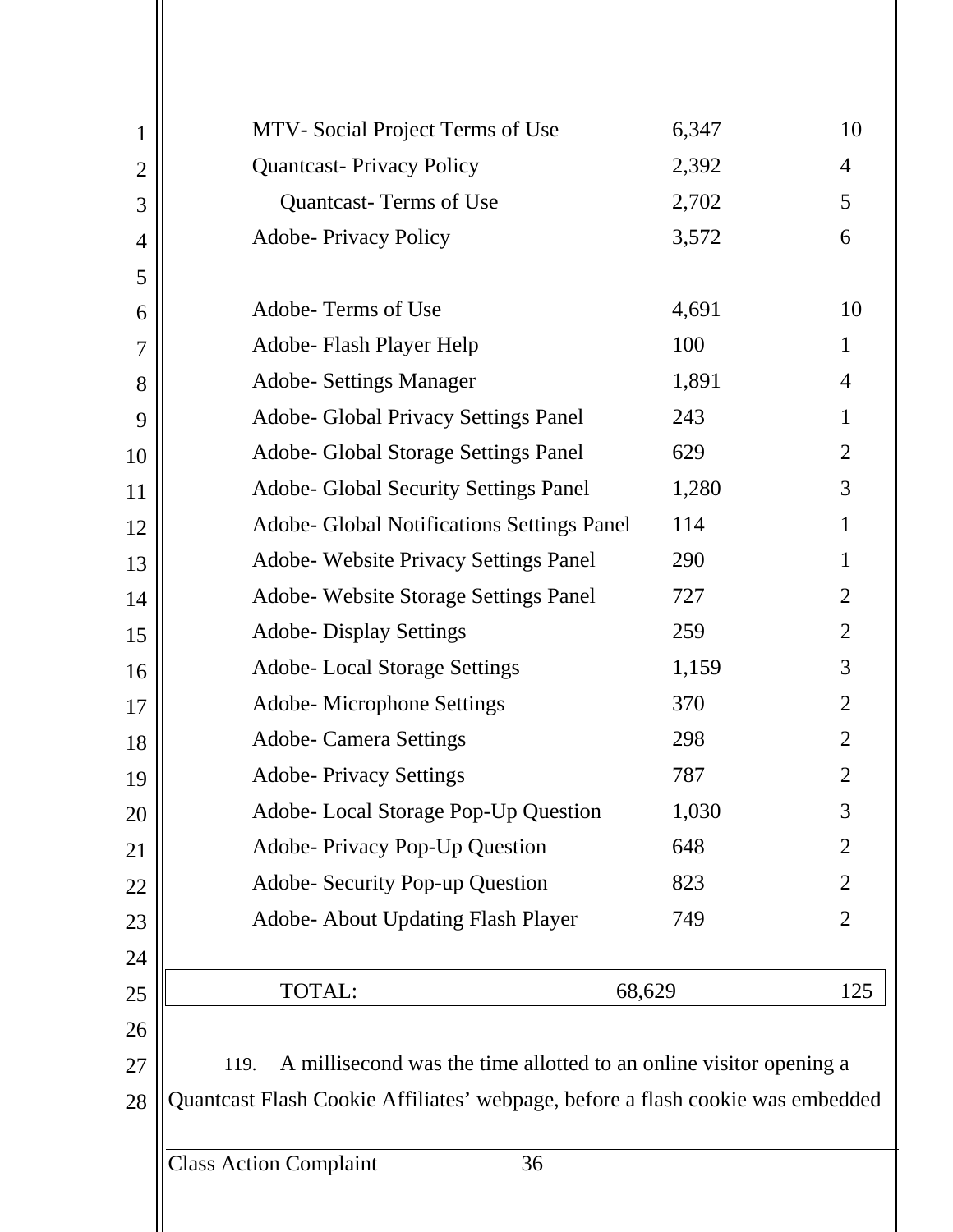| 1              | MTV-Social Project Terms of Use                                                | 6,347 | 10             |
|----------------|--------------------------------------------------------------------------------|-------|----------------|
| $\overline{2}$ | <b>Quantcast-Privacy Policy</b>                                                | 2,392 | $\overline{4}$ |
| 3              | <b>Quantcast-Terms of Use</b>                                                  | 2,702 | 5              |
| 4              | <b>Adobe-Privacy Policy</b>                                                    | 3,572 | 6              |
| 5              |                                                                                |       |                |
| 6              | Adobe-Terms of Use                                                             | 4,691 | 10             |
| 7              | Adobe- Flash Player Help                                                       | 100   | $\mathbf{1}$   |
| 8              | <b>Adobe- Settings Manager</b>                                                 | 1,891 | $\overline{4}$ |
| 9              | <b>Adobe- Global Privacy Settings Panel</b>                                    | 243   | $\mathbf{1}$   |
| 10             | Adobe- Global Storage Settings Panel                                           | 629   | $\overline{2}$ |
| 11             | <b>Adobe- Global Security Settings Panel</b>                                   | 1,280 | 3              |
| 12             | Adobe- Global Notifications Settings Panel                                     | 114   | $\mathbf{1}$   |
| 13             | <b>Adobe- Website Privacy Settings Panel</b>                                   | 290   | $\mathbf{1}$   |
| 14             | Adobe- Website Storage Settings Panel                                          | 727   | $\overline{2}$ |
| 15             | <b>Adobe- Display Settings</b>                                                 | 259   | $\overline{2}$ |
| 16             | <b>Adobe-Local Storage Settings</b>                                            | 1,159 | 3              |
| 17             | <b>Adobe-Microphone Settings</b>                                               | 370   | $\overline{2}$ |
| 18             | <b>Adobe- Camera Settings</b>                                                  | 298   | $\overline{2}$ |
| 19             | <b>Adobe-Privacy Settings</b>                                                  | 787   | $\overline{2}$ |
| 20             | Adobe-Local Storage Pop-Up Question                                            | 1,030 | 3              |
| 21             | <b>Adobe-Privacy Pop-Up Question</b>                                           | 648   | 2              |
| 22             | <b>Adobe- Security Pop-up Question</b>                                         | 823   | $\overline{2}$ |
| 23             | <b>Adobe- About Updating Flash Player</b>                                      | 749   | $\overline{2}$ |
| 24             |                                                                                |       |                |
| 25             | TOTAL:<br>68,629                                                               |       | 125            |
| 26             |                                                                                |       |                |
| 27             | A millisecond was the time allotted to an online visitor opening a<br>119.     |       |                |
| 28             | Quantcast Flash Cookie Affiliates' webpage, before a flash cookie was embedded |       |                |
|                |                                                                                |       |                |
|                | 36<br><b>Class Action Complaint</b>                                            |       |                |
|                |                                                                                |       |                |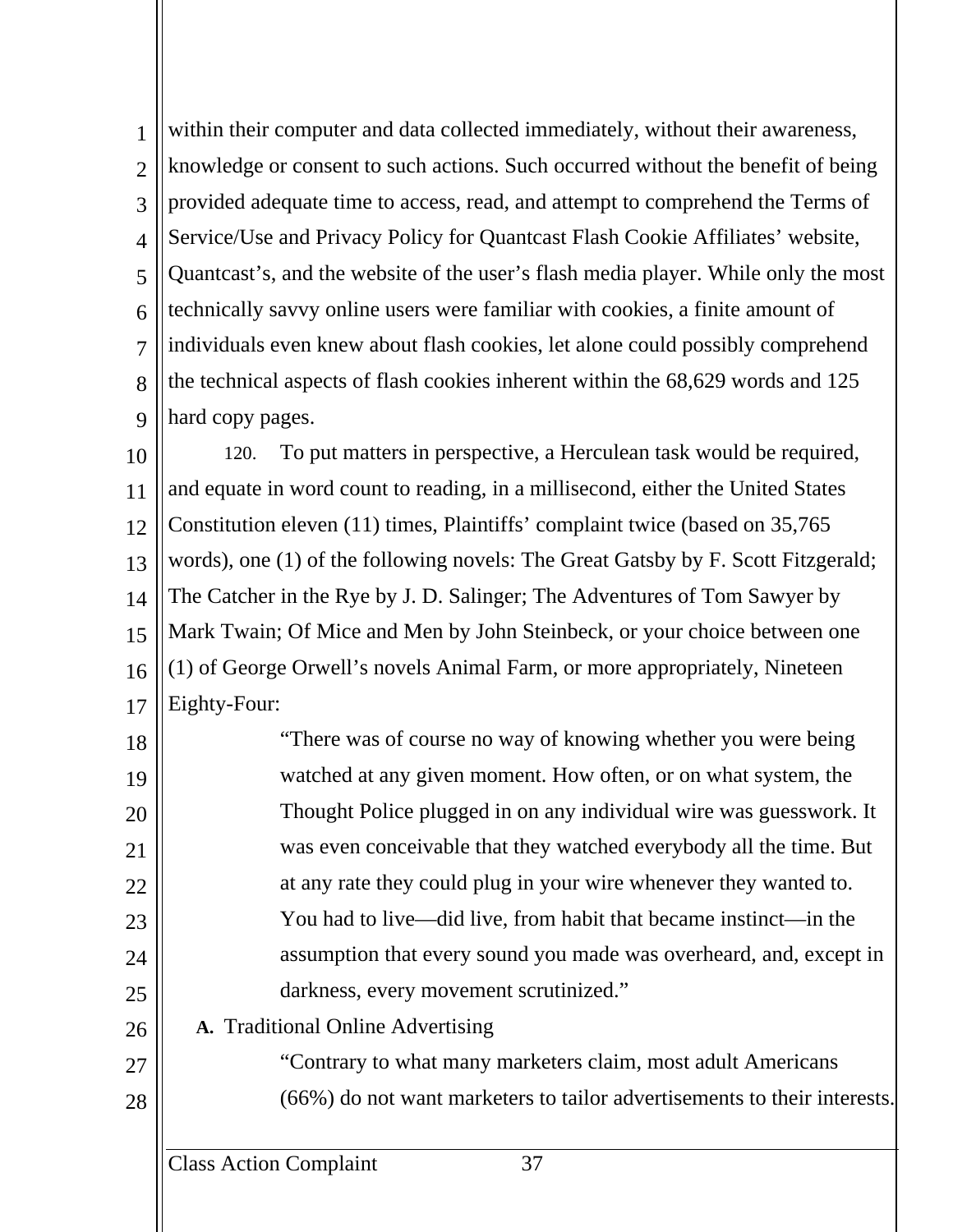1  $\mathcal{D}$ 3 4 5 6 7 8  $\mathbf Q$ within their computer and data collected immediately, without their awareness, knowledge or consent to such actions. Such occurred without the benefit of being provided adequate time to access, read, and attempt to comprehend the Terms of Service/Use and Privacy Policy for Quantcast Flash Cookie Affiliates' website, Quantcast's, and the website of the user's flash media player. While only the most technically savvy online users were familiar with cookies, a finite amount of individuals even knew about flash cookies, let alone could possibly comprehend the technical aspects of flash cookies inherent within the 68,629 words and 125 hard copy pages.

10 11 12 13 14 15 16 17 120. To put matters in perspective, a Herculean task would be required, and equate in word count to reading, in a millisecond, either the United States Constitution eleven (11) times, Plaintiffs' complaint twice (based on 35,765 words), one (1) of the following novels: The Great Gatsby by F. Scott Fitzgerald; The Catcher in the Rye by J. D. Salinger; The Adventures of Tom Sawyer by Mark Twain; Of Mice and Men by John Steinbeck, or your choice between one (1) of George Orwell's novels Animal Farm, or more appropriately, Nineteen Eighty-Four:

18 19 20 21 22 23 24 25 "There was of course no way of knowing whether you were being watched at any given moment. How often, or on what system, the Thought Police plugged in on any individual wire was guesswork. It was even conceivable that they watched everybody all the time. But at any rate they could plug in your wire whenever they wanted to. You had to live—did live, from habit that became instinct—in the assumption that every sound you made was overheard, and, except in darkness, every movement scrutinized."

26 **A.** Traditional Online Advertising

> "Contrary to what many marketers claim, most adult Americans (66%) do not want marketers to tailor advertisements to their interests.

27

28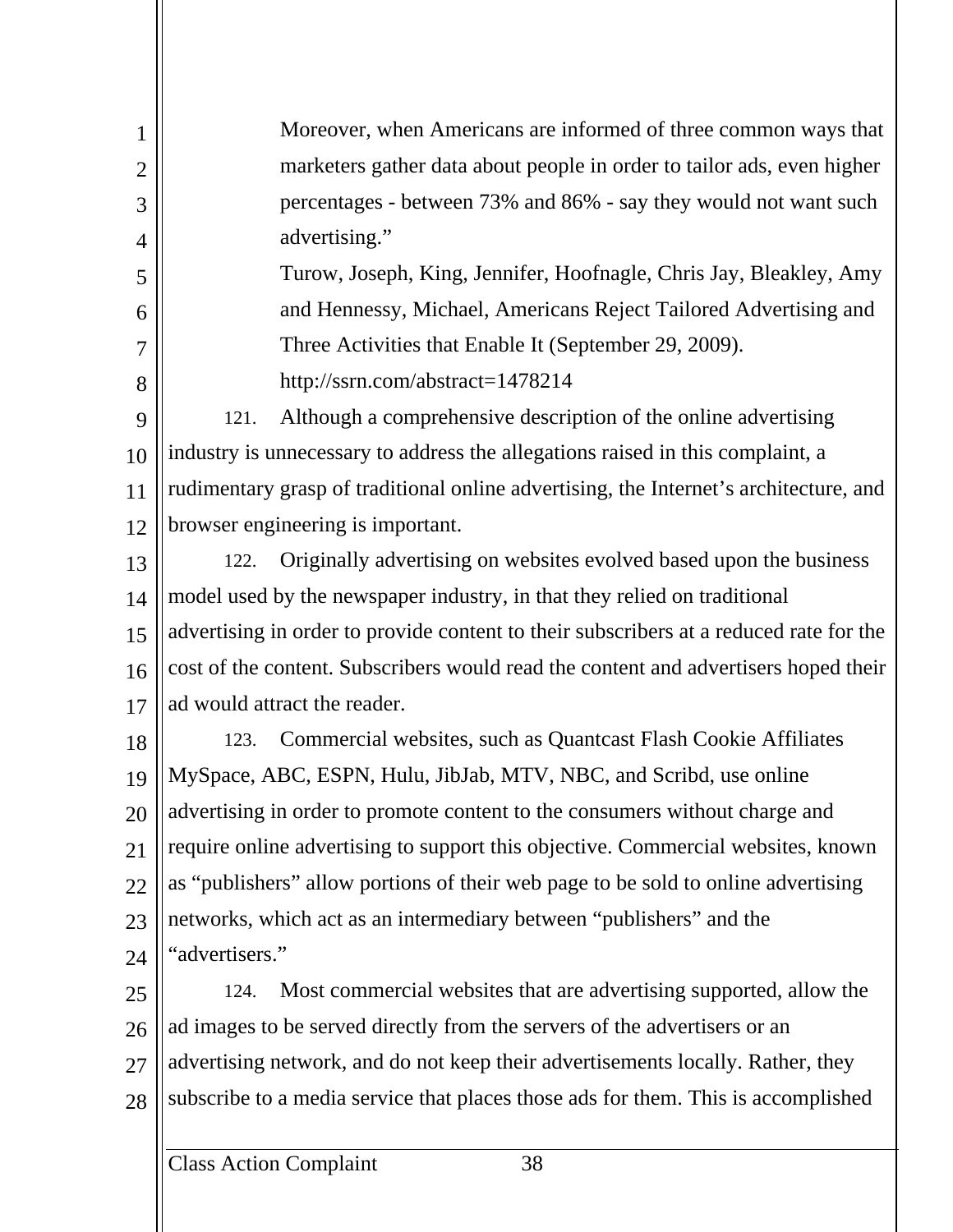| $\mathbf{1}$   | Moreover, when Americans are informed of three common ways that                        |
|----------------|----------------------------------------------------------------------------------------|
| $\overline{2}$ | marketers gather data about people in order to tailor ads, even higher                 |
| 3              | percentages - between 73% and 86% - say they would not want such                       |
| $\overline{4}$ | advertising."                                                                          |
| 5              | Turow, Joseph, King, Jennifer, Hoofnagle, Chris Jay, Bleakley, Amy                     |
| 6              | and Hennessy, Michael, Americans Reject Tailored Advertising and                       |
| 7              | Three Activities that Enable It (September 29, 2009).                                  |
| 8              | http://ssrn.com/abstract=1478214                                                       |
| 9              | Although a comprehensive description of the online advertising<br>121.                 |
| 10             | industry is unnecessary to address the allegations raised in this complaint, a         |
| 11             | rudimentary grasp of traditional online advertising, the Internet's architecture, and  |
| 12             | browser engineering is important.                                                      |
| 13             | Originally advertising on websites evolved based upon the business<br>122.             |
| 14             | model used by the newspaper industry, in that they relied on traditional               |
| 15             | advertising in order to provide content to their subscribers at a reduced rate for the |
| 16             | cost of the content. Subscribers would read the content and advertisers hoped their    |
| 17             | ad would attract the reader.                                                           |
| 18             | Commercial websites, such as Quantcast Flash Cookie Affiliates<br>123.                 |
| 19             | MySpace, ABC, ESPN, Hulu, JibJab, MTV, NBC, and Scribd, use online                     |
| 20             | advertising in order to promote content to the consumers without charge and            |
| 21             | require online advertising to support this objective. Commercial websites, known       |
| 22             | as "publishers" allow portions of their web page to be sold to online advertising      |
| 23             | networks, which act as an intermediary between "publishers" and the                    |
| 24             | "advertisers."                                                                         |
| 25             | Most commercial websites that are advertising supported, allow the<br>124.             |
| 26             | ad images to be served directly from the servers of the advertisers or an              |
| 27             | advertising network, and do not keep their advertisements locally. Rather, they        |
| 28             | subscribe to a media service that places those ads for them. This is accomplished      |
|                |                                                                                        |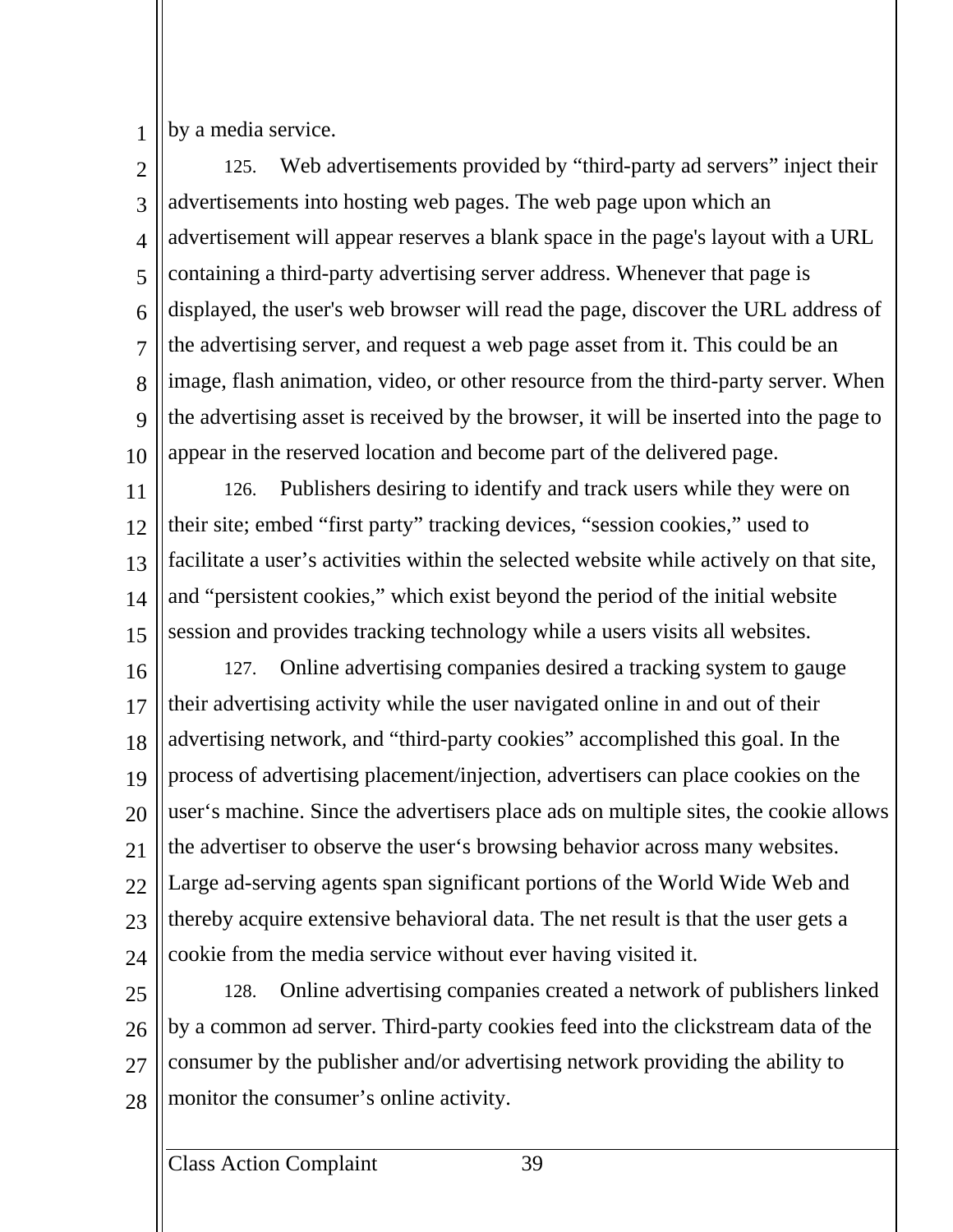1 by a media service.

 $\mathcal{L}$ 3 4 5 6 7 8  $\mathbf Q$ 10 125. Web advertisements provided by "third-party ad servers" inject their advertisements into hosting web pages. The web page upon which an advertisement will appear reserves a blank space in the page's layout with a URL containing a third-party advertising server address. Whenever that page is displayed, the user's web browser will read the page, discover the URL address of the advertising server, and request a web page asset from it. This could be an image, flash animation, video, or other resource from the third-party server. When the advertising asset is received by the browser, it will be inserted into the page to appear in the reserved location and become part of the delivered page.

11 12 13 14 15 126. Publishers desiring to identify and track users while they were on their site; embed "first party" tracking devices, "session cookies," used to facilitate a user's activities within the selected website while actively on that site, and "persistent cookies," which exist beyond the period of the initial website session and provides tracking technology while a users visits all websites.

16 17 18 19 20 21 22 23 24 127. Online advertising companies desired a tracking system to gauge their advertising activity while the user navigated online in and out of their advertising network, and "third-party cookies" accomplished this goal. In the process of advertising placement/injection, advertisers can place cookies on the user's machine. Since the advertisers place ads on multiple sites, the cookie allows the advertiser to observe the user's browsing behavior across many websites. Large ad-serving agents span significant portions of the World Wide Web and thereby acquire extensive behavioral data. The net result is that the user gets a cookie from the media service without ever having visited it.

25 26 27 28 128. Online advertising companies created a network of publishers linked by a common ad server. Third-party cookies feed into the clickstream data of the consumer by the publisher and/or advertising network providing the ability to monitor the consumer's online activity.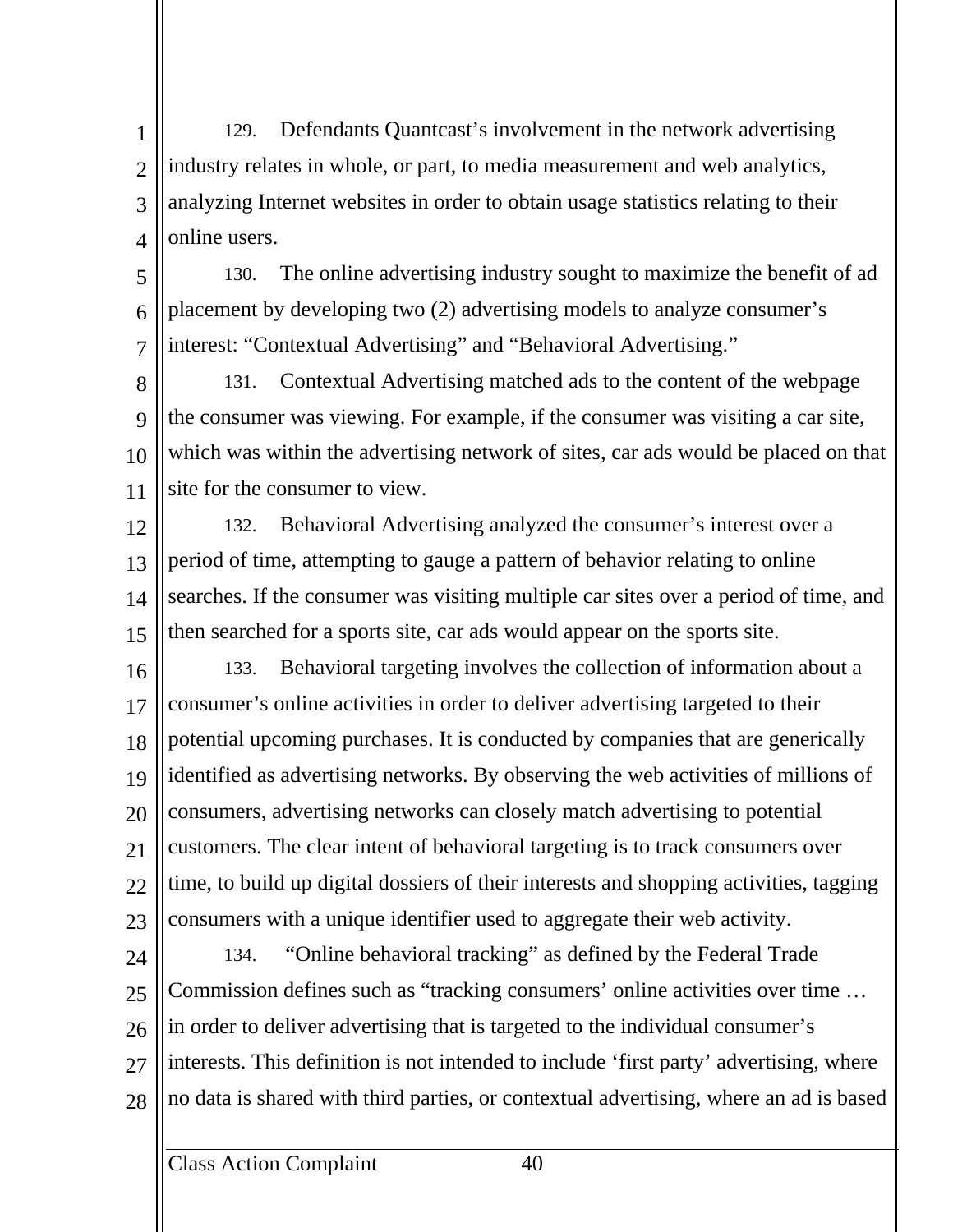1  $\overline{2}$ 3 4 129. Defendants Quantcast's involvement in the network advertising industry relates in whole, or part, to media measurement and web analytics, analyzing Internet websites in order to obtain usage statistics relating to their online users.

5 6 7 130. The online advertising industry sought to maximize the benefit of ad placement by developing two (2) advertising models to analyze consumer's interest: "Contextual Advertising" and "Behavioral Advertising."

8  $\mathbf Q$ 10 11 131. Contextual Advertising matched ads to the content of the webpage the consumer was viewing. For example, if the consumer was visiting a car site, which was within the advertising network of sites, car ads would be placed on that site for the consumer to view.

12 13 14 15 132. Behavioral Advertising analyzed the consumer's interest over a period of time, attempting to gauge a pattern of behavior relating to online searches. If the consumer was visiting multiple car sites over a period of time, and then searched for a sports site, car ads would appear on the sports site.

16 17 18 19 20 21 22 23 133. Behavioral targeting involves the collection of information about a consumer's online activities in order to deliver advertising targeted to their potential upcoming purchases. It is conducted by companies that are generically identified as advertising networks. By observing the web activities of millions of consumers, advertising networks can closely match advertising to potential customers. The clear intent of behavioral targeting is to track consumers over time, to build up digital dossiers of their interests and shopping activities, tagging consumers with a unique identifier used to aggregate their web activity.

24 25 26 27 28 134. "Online behavioral tracking" as defined by the Federal Trade Commission defines such as "tracking consumers' online activities over time … in order to deliver advertising that is targeted to the individual consumer's interests. This definition is not intended to include 'first party' advertising, where no data is shared with third parties, or contextual advertising, where an ad is based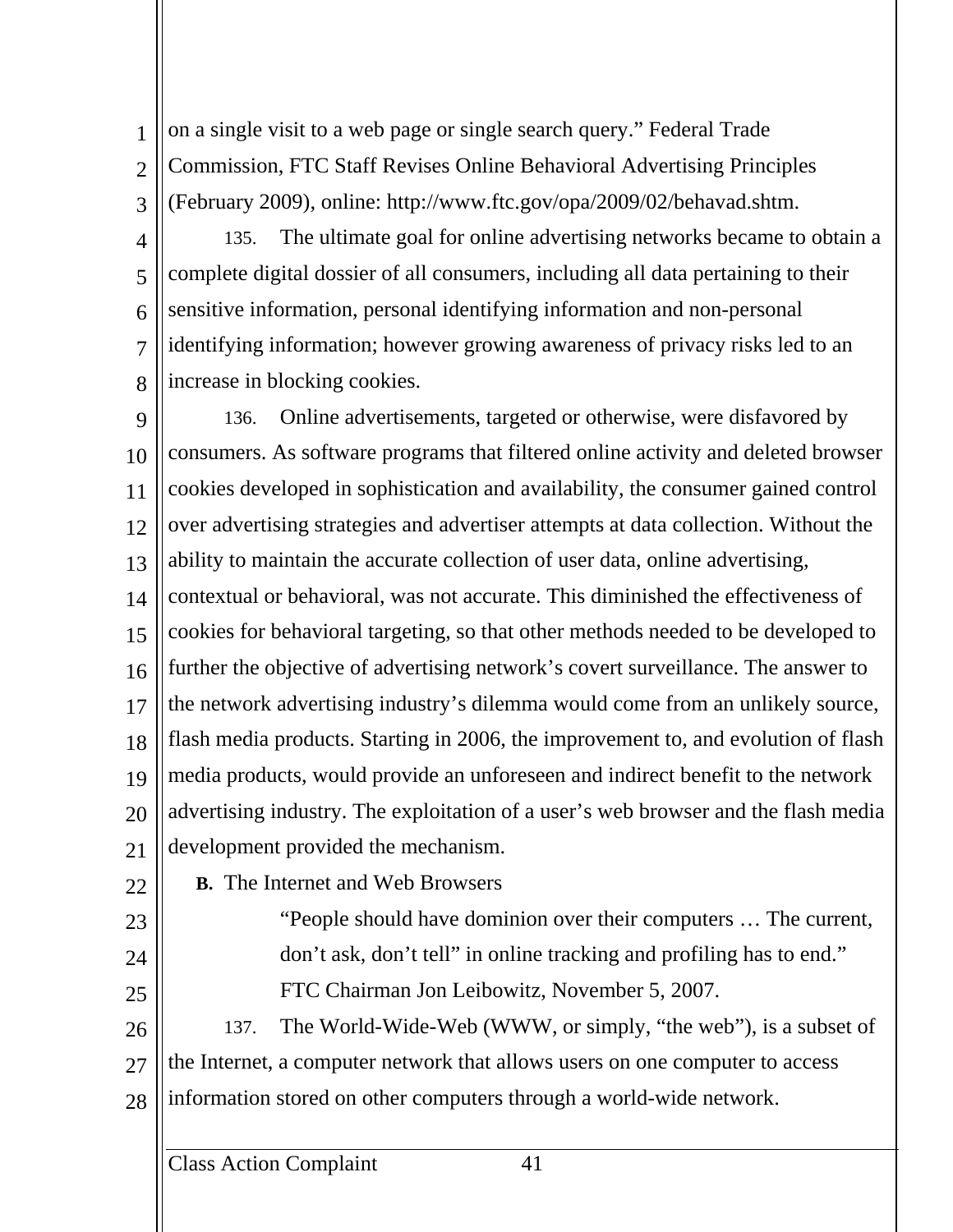1  $\mathcal{D}$ 3 on a single visit to a web page or single search query." Federal Trade Commission, FTC Staff Revises Online Behavioral Advertising Principles (February 2009), online: http://www.ftc.gov/opa/2009/02/behavad.shtm.

4

5

6

7

8

135. The ultimate goal for online advertising networks became to obtain a complete digital dossier of all consumers, including all data pertaining to their sensitive information, personal identifying information and non-personal identifying information; however growing awareness of privacy risks led to an increase in blocking cookies.

 $\mathbf Q$ 10 11 12 13 14 15 16 17 18 19 20 21 136. Online advertisements, targeted or otherwise, were disfavored by consumers. As software programs that filtered online activity and deleted browser cookies developed in sophistication and availability, the consumer gained control over advertising strategies and advertiser attempts at data collection. Without the ability to maintain the accurate collection of user data, online advertising, contextual or behavioral, was not accurate. This diminished the effectiveness of cookies for behavioral targeting, so that other methods needed to be developed to further the objective of advertising network's covert surveillance. The answer to the network advertising industry's dilemma would come from an unlikely source, flash media products. Starting in 2006, the improvement to, and evolution of flash media products, would provide an unforeseen and indirect benefit to the network advertising industry. The exploitation of a user's web browser and the flash media development provided the mechanism.

22

- 23
- 24

25

**B.** The Internet and Web Browsers

"People should have dominion over their computers … The current,

don't ask, don't tell" in online tracking and profiling has to end."

FTC Chairman Jon Leibowitz, November 5, 2007.

26 27 28 137. The World-Wide-Web (WWW, or simply, "the web"), is a subset of the Internet, a computer network that allows users on one computer to access information stored on other computers through a world-wide network.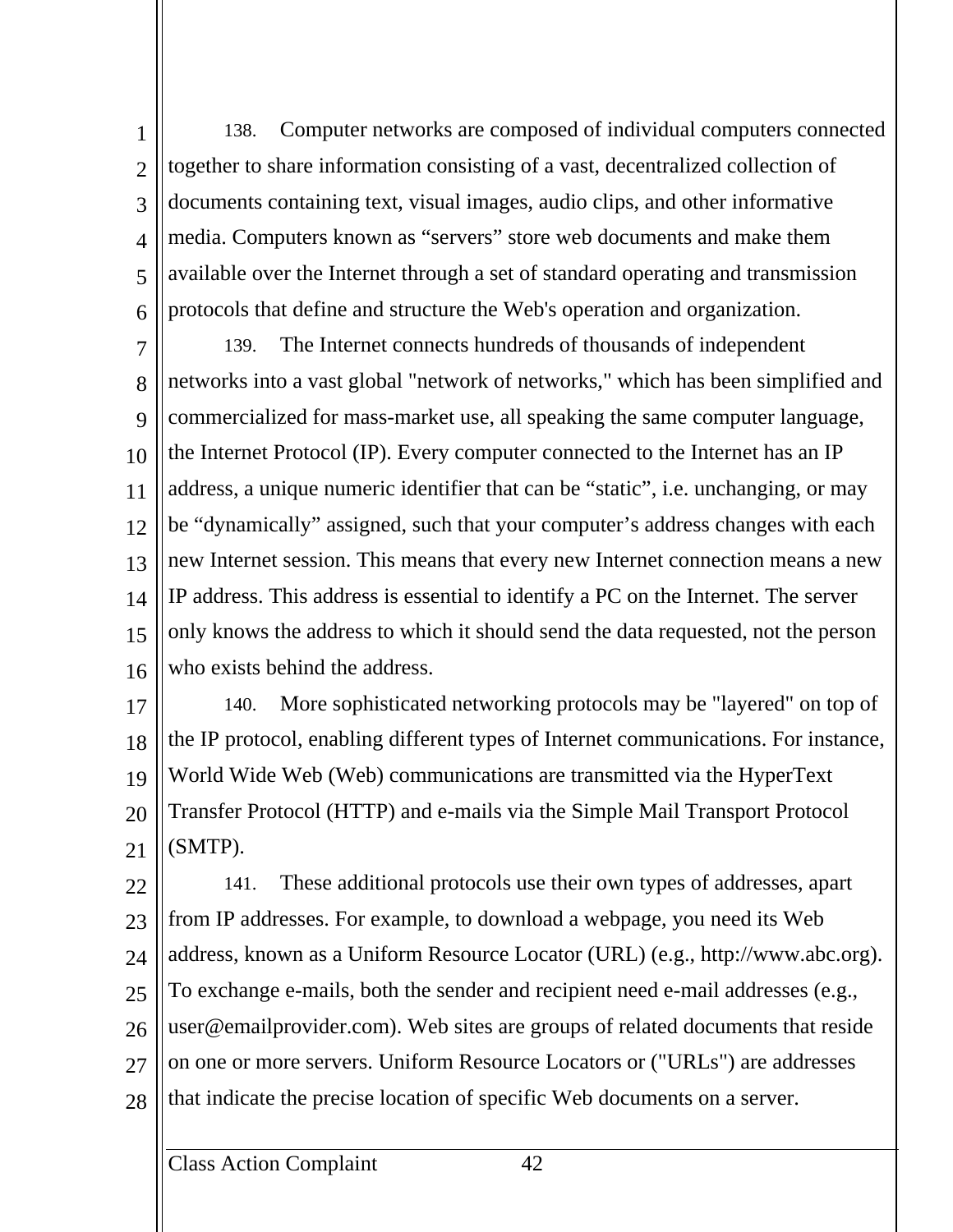1  $\mathcal{D}$ 3 4 5 6 138. Computer networks are composed of individual computers connected together to share information consisting of a vast, decentralized collection of documents containing text, visual images, audio clips, and other informative media. Computers known as "servers" store web documents and make them available over the Internet through a set of standard operating and transmission protocols that define and structure the Web's operation and organization.

7 8  $\mathbf Q$ 10 11 12 13 14 15 16 139. The Internet connects hundreds of thousands of independent networks into a vast global "network of networks," which has been simplified and commercialized for mass-market use, all speaking the same computer language, the Internet Protocol (IP). Every computer connected to the Internet has an IP address, a unique numeric identifier that can be "static", i.e. unchanging, or may be "dynamically" assigned, such that your computer's address changes with each new Internet session. This means that every new Internet connection means a new IP address. This address is essential to identify a PC on the Internet. The server only knows the address to which it should send the data requested, not the person who exists behind the address.

17 18 19 20 21 140. More sophisticated networking protocols may be "layered" on top of the IP protocol, enabling different types of Internet communications. For instance, World Wide Web (Web) communications are transmitted via the HyperText Transfer Protocol (HTTP) and e-mails via the Simple Mail Transport Protocol (SMTP).

22 23 24 25 26 27 28 141. These additional protocols use their own types of addresses, apart from IP addresses. For example, to download a webpage, you need its Web address, known as a Uniform Resource Locator (URL) (e.g., http://www.abc.org). To exchange e-mails, both the sender and recipient need e-mail addresses (e.g., user@emailprovider.com). Web sites are groups of related documents that reside on one or more servers. Uniform Resource Locators or ("URLs") are addresses that indicate the precise location of specific Web documents on a server.

Class Action Complaint 42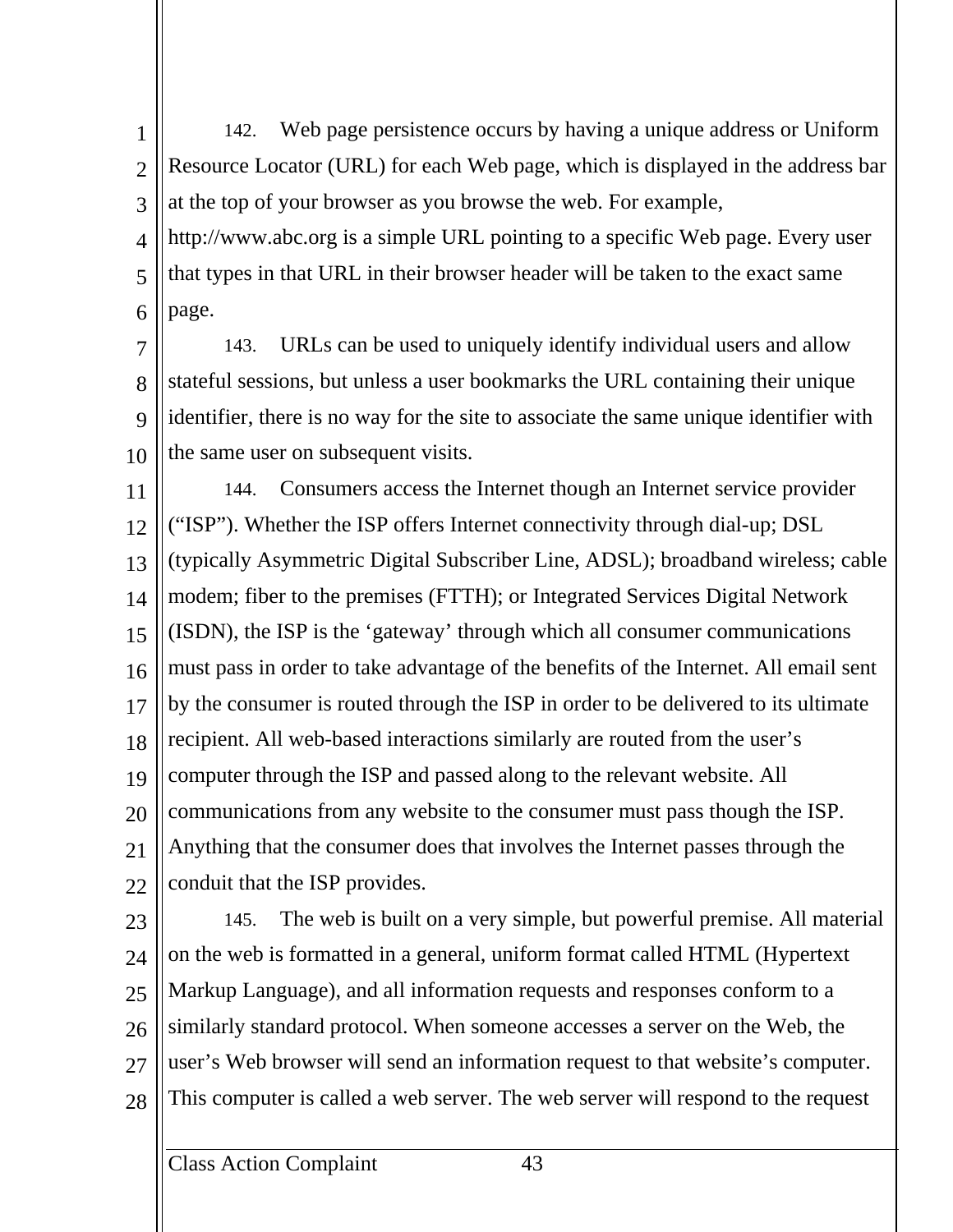1  $\mathcal{D}$ 3 4 5 142. Web page persistence occurs by having a unique address or Uniform Resource Locator (URL) for each Web page, which is displayed in the address bar at the top of your browser as you browse the web. For example, http://www.abc.org is a simple URL pointing to a specific Web page. Every user that types in that URL in their browser header will be taken to the exact same

6

page.

7 8  $\mathbf Q$ 10 143. URLs can be used to uniquely identify individual users and allow stateful sessions, but unless a user bookmarks the URL containing their unique identifier, there is no way for the site to associate the same unique identifier with the same user on subsequent visits.

11 12 13 14 15 16 17 18 19 20 21 22 144. Consumers access the Internet though an Internet service provider ("ISP"). Whether the ISP offers Internet connectivity through dial-up; DSL (typically Asymmetric Digital Subscriber Line, ADSL); broadband wireless; cable modem; fiber to the premises (FTTH); or Integrated Services Digital Network (ISDN), the ISP is the 'gateway' through which all consumer communications must pass in order to take advantage of the benefits of the Internet. All email sent by the consumer is routed through the ISP in order to be delivered to its ultimate recipient. All web-based interactions similarly are routed from the user's computer through the ISP and passed along to the relevant website. All communications from any website to the consumer must pass though the ISP. Anything that the consumer does that involves the Internet passes through the conduit that the ISP provides.

23 24 25 26 27 28 145. The web is built on a very simple, but powerful premise. All material on the web is formatted in a general, uniform format called HTML (Hypertext Markup Language), and all information requests and responses conform to a similarly standard protocol. When someone accesses a server on the Web, the user's Web browser will send an information request to that website's computer. This computer is called a web server. The web server will respond to the request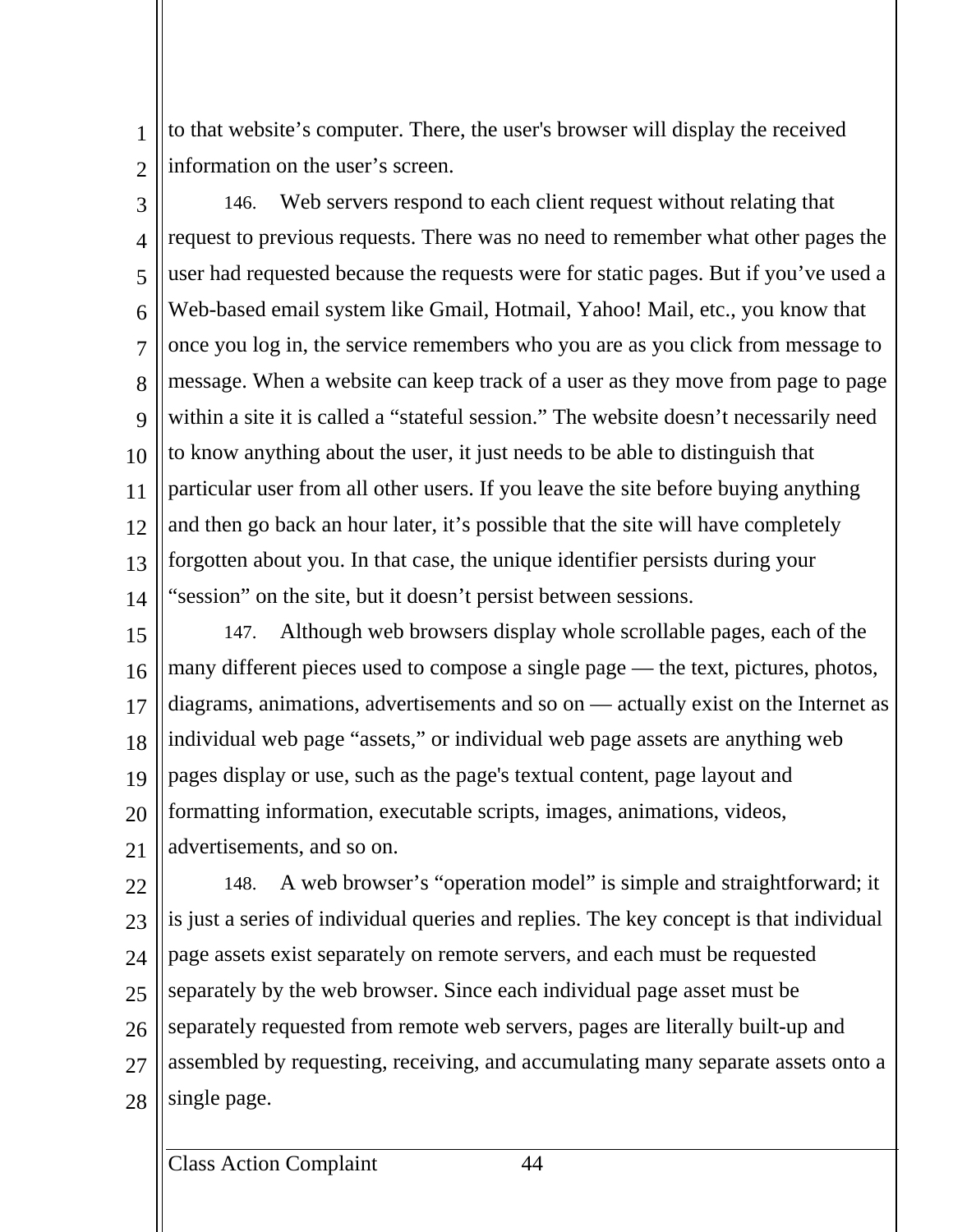1  $\mathcal{D}$ to that website's computer. There, the user's browser will display the received information on the user's screen.

3 4 5 6 7 8  $\mathbf Q$ 10 11 12 13 14 146. Web servers respond to each client request without relating that request to previous requests. There was no need to remember what other pages the user had requested because the requests were for static pages. But if you've used a Web-based email system like Gmail, Hotmail, Yahoo! Mail, etc., you know that once you log in, the service remembers who you are as you click from message to message. When a website can keep track of a user as they move from page to page within a site it is called a "stateful session." The website doesn't necessarily need to know anything about the user, it just needs to be able to distinguish that particular user from all other users. If you leave the site before buying anything and then go back an hour later, it's possible that the site will have completely forgotten about you. In that case, the unique identifier persists during your "session" on the site, but it doesn't persist between sessions.

15 16 17 18 19 20 21 147. Although web browsers display whole scrollable pages, each of the many different pieces used to compose a single page — the text, pictures, photos, diagrams, animations, advertisements and so on — actually exist on the Internet as individual web page "assets," or individual web page assets are anything web pages display or use, such as the page's textual content, page layout and formatting information, executable scripts, images, animations, videos, advertisements, and so on.

22 23 24 25 26 27 28 148. A web browser's "operation model" is simple and straightforward; it is just a series of individual queries and replies. The key concept is that individual page assets exist separately on remote servers, and each must be requested separately by the web browser. Since each individual page asset must be separately requested from remote web servers, pages are literally built-up and assembled by requesting, receiving, and accumulating many separate assets onto a single page.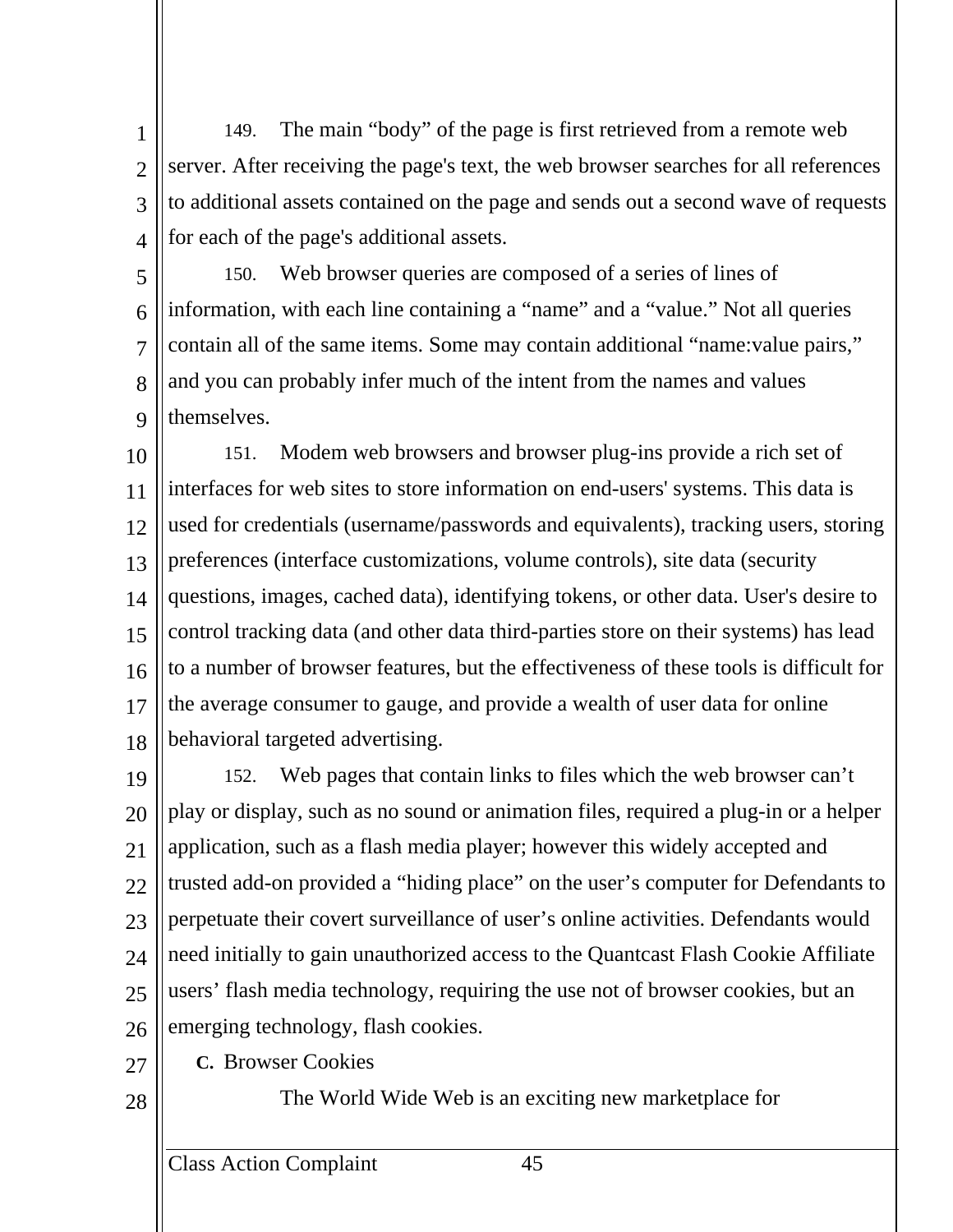1  $\overline{2}$ 3 4 149. The main "body" of the page is first retrieved from a remote web server. After receiving the page's text, the web browser searches for all references to additional assets contained on the page and sends out a second wave of requests for each of the page's additional assets.

5 6 7 8  $\mathbf Q$ 150. Web browser queries are composed of a series of lines of information, with each line containing a "name" and a "value." Not all queries contain all of the same items. Some may contain additional "name:value pairs," and you can probably infer much of the intent from the names and values themselves.

10 11 12 13 14 15 16 17 18 151. Modem web browsers and browser plug-ins provide a rich set of interfaces for web sites to store information on end-users' systems. This data is used for credentials (username/passwords and equivalents), tracking users, storing preferences (interface customizations, volume controls), site data (security questions, images, cached data), identifying tokens, or other data. User's desire to control tracking data (and other data third-parties store on their systems) has lead to a number of browser features, but the effectiveness of these tools is difficult for the average consumer to gauge, and provide a wealth of user data for online behavioral targeted advertising.

19 20 21 22 23 24 25 26 152. Web pages that contain links to files which the web browser can't play or display, such as no sound or animation files, required a plug-in or a helper application, such as a flash media player; however this widely accepted and trusted add-on provided a "hiding place" on the user's computer for Defendants to perpetuate their covert surveillance of user's online activities. Defendants would need initially to gain unauthorized access to the Quantcast Flash Cookie Affiliate users' flash media technology, requiring the use not of browser cookies, but an emerging technology, flash cookies.

27 **C.** Browser Cookies

28

The World Wide Web is an exciting new marketplace for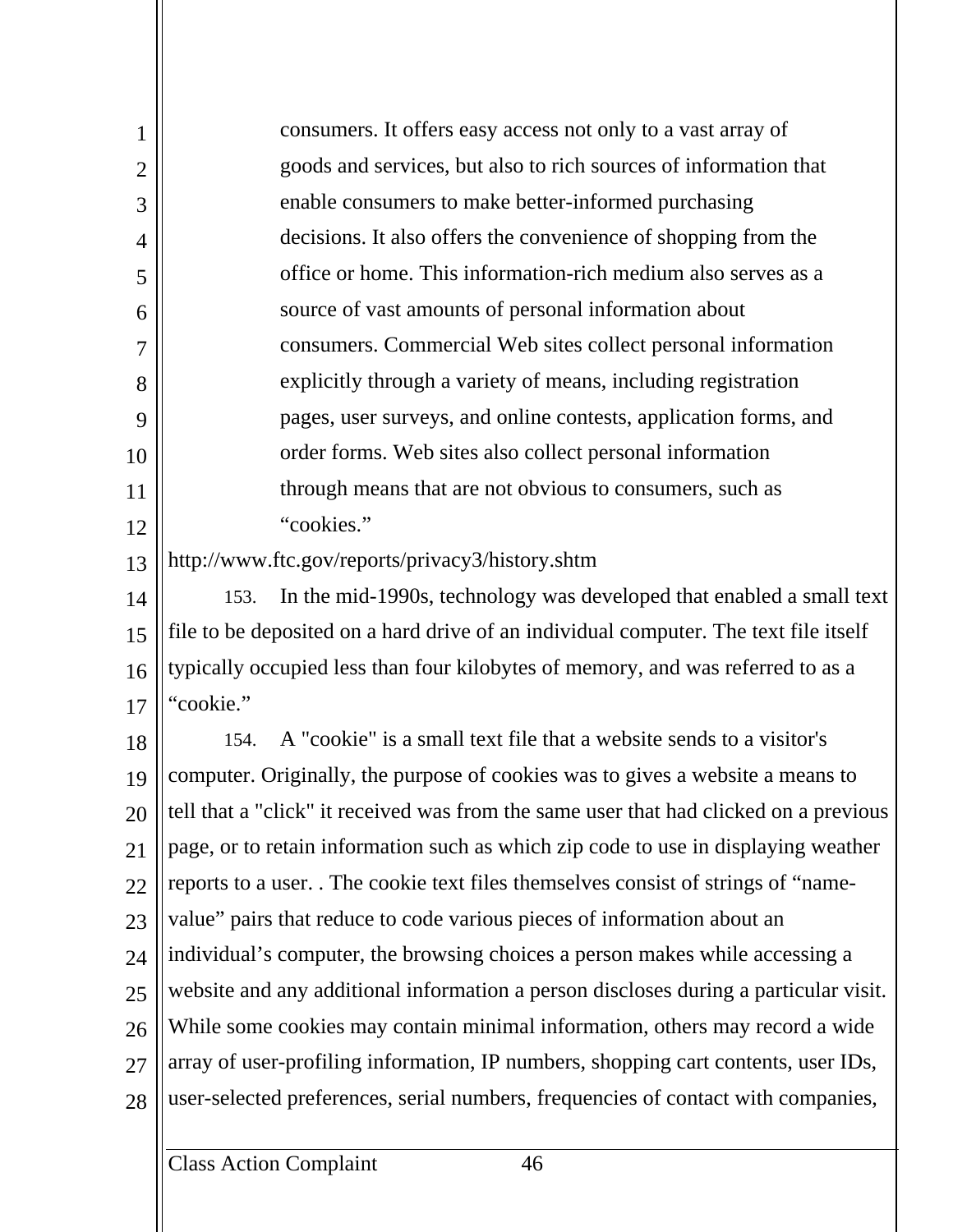| $\mathbf{1}$   | consumers. It offers easy access not only to a vast array of                          |
|----------------|---------------------------------------------------------------------------------------|
| $\overline{2}$ | goods and services, but also to rich sources of information that                      |
| 3              | enable consumers to make better-informed purchasing                                   |
| $\overline{4}$ | decisions. It also offers the convenience of shopping from the                        |
| 5              | office or home. This information-rich medium also serves as a                         |
| 6              | source of vast amounts of personal information about                                  |
| $\overline{7}$ | consumers. Commercial Web sites collect personal information                          |
| 8              | explicitly through a variety of means, including registration                         |
| 9              | pages, user surveys, and online contests, application forms, and                      |
| 10             | order forms. Web sites also collect personal information                              |
| 11             | through means that are not obvious to consumers, such as                              |
| 12             | "cookies."                                                                            |
| 13             | http://www.ftc.gov/reports/privacy3/history.shtm                                      |
| 14             | In the mid-1990s, technology was developed that enabled a small text<br>153.          |
| 15             | file to be deposited on a hard drive of an individual computer. The text file itself  |
| 16             | typically occupied less than four kilobytes of memory, and was referred to as a       |
| 17             | "cookie."                                                                             |
| 18             | A "cookie" is a small text file that a website sends to a visitor's<br>154.           |
| 19             | computer. Originally, the purpose of cookies was to gives a website a means to        |
| 20             | tell that a "click" it received was from the same user that had clicked on a previous |
| 21             | page, or to retain information such as which zip code to use in displaying weather    |
| 22             | reports to a user. The cookie text files themselves consist of strings of "name-      |
| 23             | value" pairs that reduce to code various pieces of information about an               |
| 24             | individual's computer, the browsing choices a person makes while accessing a          |
| 25             | website and any additional information a person discloses during a particular visit.  |
| 26             | While some cookies may contain minimal information, others may record a wide          |
| 27             | array of user-profiling information, IP numbers, shopping cart contents, user IDs,    |
| 28             | user-selected preferences, serial numbers, frequencies of contact with companies,     |
|                |                                                                                       |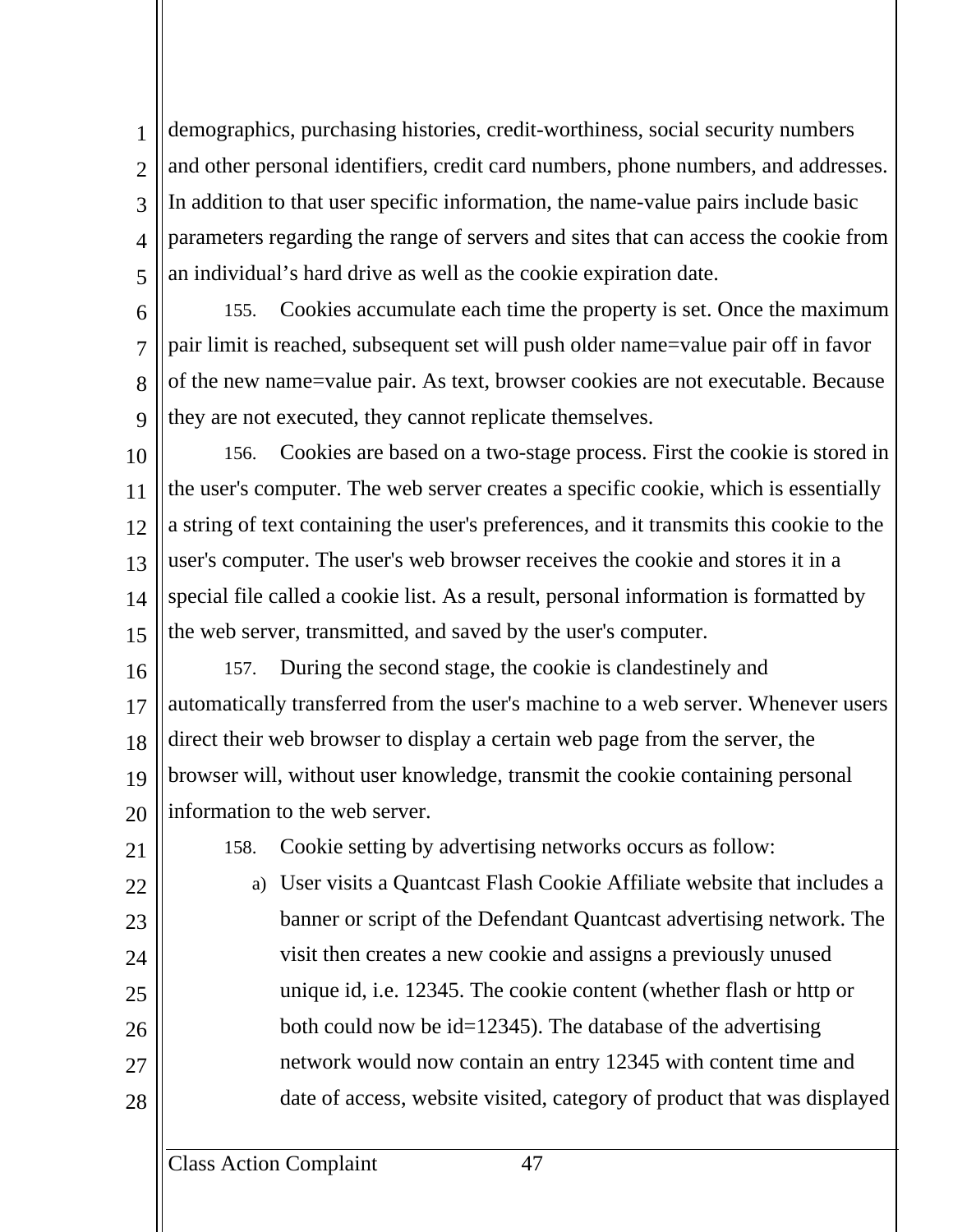1  $\mathcal{D}$ 3 4 5 demographics, purchasing histories, credit-worthiness, social security numbers and other personal identifiers, credit card numbers, phone numbers, and addresses. In addition to that user specific information, the name-value pairs include basic parameters regarding the range of servers and sites that can access the cookie from an individual's hard drive as well as the cookie expiration date.

6

7

8

 $\mathbf Q$ 

21

22

23

24

25

26

27

28

155. Cookies accumulate each time the property is set. Once the maximum pair limit is reached, subsequent set will push older name=value pair off in favor of the new name=value pair. As text, browser cookies are not executable. Because they are not executed, they cannot replicate themselves.

10 11 12 13 14 15 156. Cookies are based on a two-stage process. First the cookie is stored in the user's computer. The web server creates a specific cookie, which is essentially a string of text containing the user's preferences, and it transmits this cookie to the user's computer. The user's web browser receives the cookie and stores it in a special file called a cookie list. As a result, personal information is formatted by the web server, transmitted, and saved by the user's computer.

16 17 18 19 20 157. During the second stage, the cookie is clandestinely and automatically transferred from the user's machine to a web server. Whenever users direct their web browser to display a certain web page from the server, the browser will, without user knowledge, transmit the cookie containing personal information to the web server.

158. Cookie setting by advertising networks occurs as follow:

a) User visits a Quantcast Flash Cookie Affiliate website that includes a banner or script of the Defendant Quantcast advertising network. The visit then creates a new cookie and assigns a previously unused unique id, i.e. 12345. The cookie content (whether flash or http or both could now be id=12345). The database of the advertising network would now contain an entry 12345 with content time and date of access, website visited, category of product that was displayed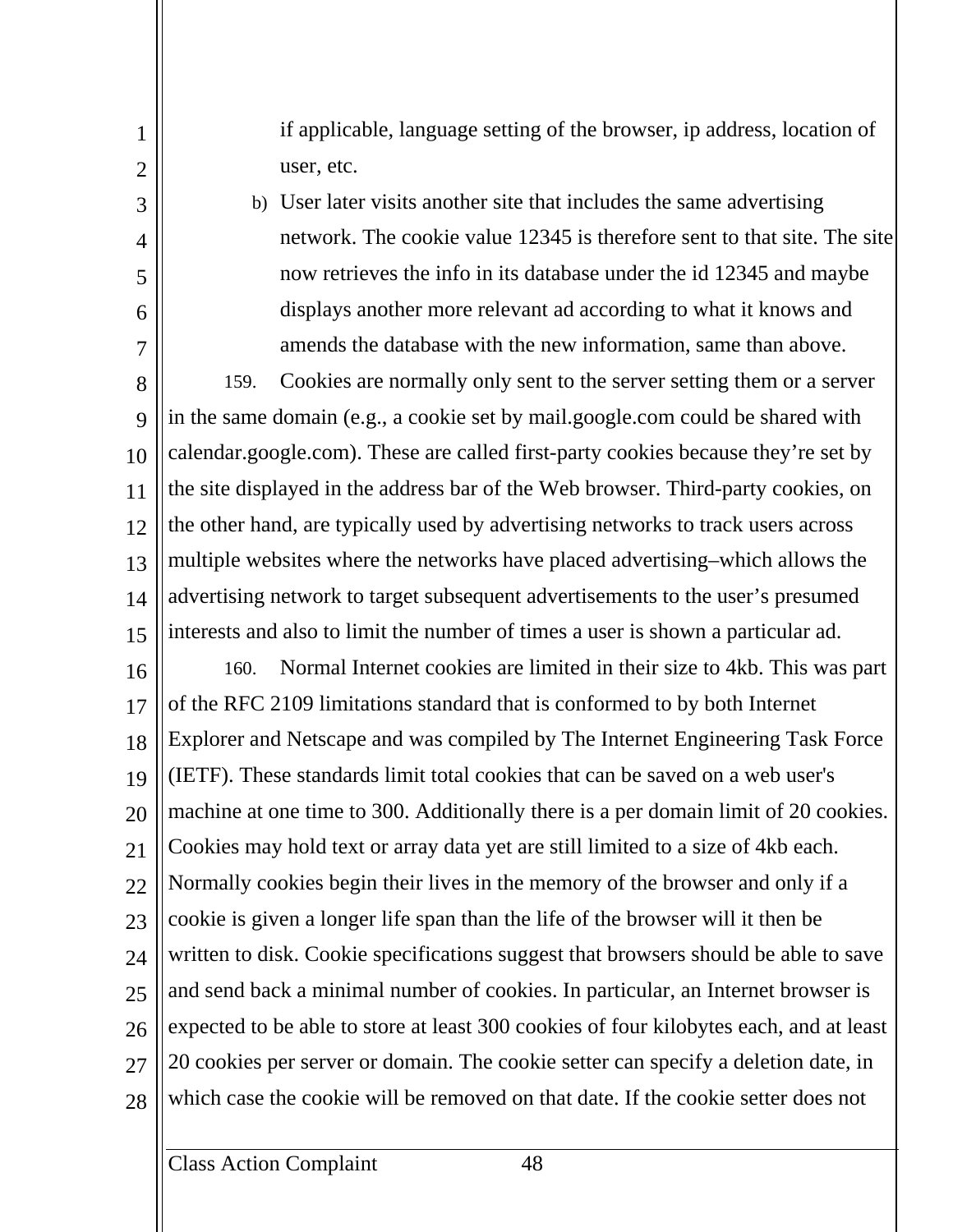| $\mathbf{1}$   | if applicable, language setting of the browser, ip address, location of                |  |
|----------------|----------------------------------------------------------------------------------------|--|
| $\mathfrak{2}$ | user, etc.                                                                             |  |
| 3              | b) User later visits another site that includes the same advertising                   |  |
| $\overline{4}$ | network. The cookie value 12345 is therefore sent to that site. The site               |  |
| 5              | now retrieves the info in its database under the id 12345 and maybe                    |  |
| 6              | displays another more relevant ad according to what it knows and                       |  |
| $\overline{7}$ | amends the database with the new information, same than above.                         |  |
| 8              | Cookies are normally only sent to the server setting them or a server<br>159.          |  |
| 9              | in the same domain (e.g., a cookie set by mail.google.com could be shared with         |  |
| 10             | calendar.google.com). These are called first-party cookies because they're set by      |  |
| 11             | the site displayed in the address bar of the Web browser. Third-party cookies, on      |  |
| 12             | the other hand, are typically used by advertising networks to track users across       |  |
| 13             | multiple websites where the networks have placed advertising–which allows the          |  |
| 14             | advertising network to target subsequent advertisements to the user's presumed         |  |
| 15             | interests and also to limit the number of times a user is shown a particular ad.       |  |
| 16             | Normal Internet cookies are limited in their size to 4kb. This was part<br>160.        |  |
| 17             | of the RFC 2109 limitations standard that is conformed to by both Internet             |  |
| 18             | Explorer and Netscape and was compiled by The Internet Engineering Task Force          |  |
| 19             | (IETF). These standards limit total cookies that can be saved on a web user's          |  |
| 20             | machine at one time to 300. Additionally there is a per domain limit of 20 cookies.    |  |
| 21             | Cookies may hold text or array data yet are still limited to a size of 4kb each.       |  |
| 22             | Normally cookies begin their lives in the memory of the browser and only if a          |  |
| 23             | cookie is given a longer life span than the life of the browser will it then be        |  |
| 24             | written to disk. Cookie specifications suggest that browsers should be able to save    |  |
| 25             | and send back a minimal number of cookies. In particular, an Internet browser is       |  |
| 26             | expected to be able to store at least 300 cookies of four kilobytes each, and at least |  |
| 27             | 20 cookies per server or domain. The cookie setter can specify a deletion date, in     |  |
| 28             | which case the cookie will be removed on that date. If the cookie setter does not      |  |
|                |                                                                                        |  |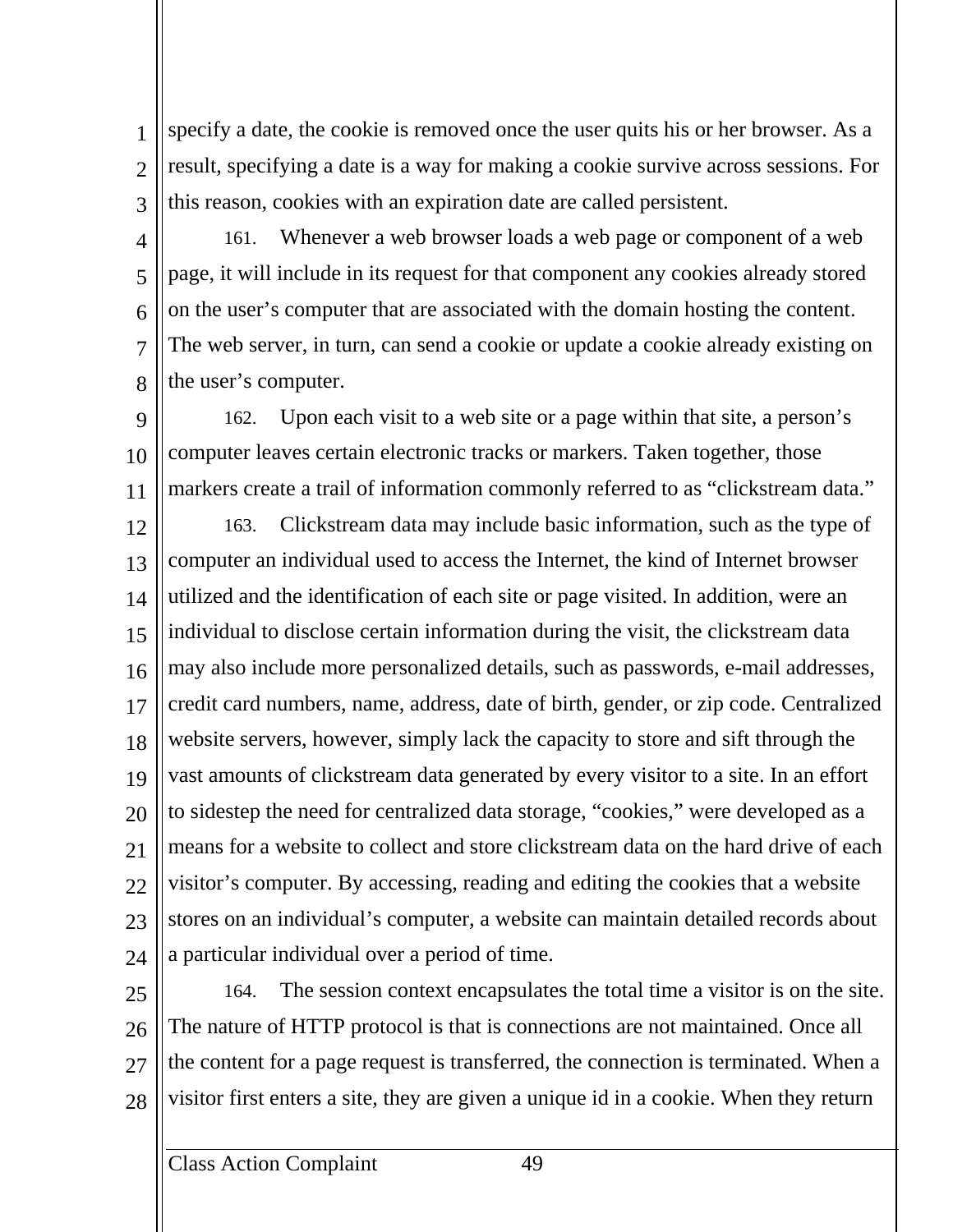1  $\mathcal{D}$ 3 specify a date, the cookie is removed once the user quits his or her browser. As a result, specifying a date is a way for making a cookie survive across sessions. For this reason, cookies with an expiration date are called persistent.

4

5 6 7 8 161. Whenever a web browser loads a web page or component of a web page, it will include in its request for that component any cookies already stored on the user's computer that are associated with the domain hosting the content. The web server, in turn, can send a cookie or update a cookie already existing on the user's computer.

 $\mathbf Q$ 10 11 162. Upon each visit to a web site or a page within that site, a person's computer leaves certain electronic tracks or markers. Taken together, those markers create a trail of information commonly referred to as "clickstream data."

12 13 14 15 16 17 18 19 20 21 22 23 24 163. Clickstream data may include basic information, such as the type of computer an individual used to access the Internet, the kind of Internet browser utilized and the identification of each site or page visited. In addition, were an individual to disclose certain information during the visit, the clickstream data may also include more personalized details, such as passwords, e-mail addresses, credit card numbers, name, address, date of birth, gender, or zip code. Centralized website servers, however, simply lack the capacity to store and sift through the vast amounts of clickstream data generated by every visitor to a site. In an effort to sidestep the need for centralized data storage, "cookies," were developed as a means for a website to collect and store clickstream data on the hard drive of each visitor's computer. By accessing, reading and editing the cookies that a website stores on an individual's computer, a website can maintain detailed records about a particular individual over a period of time.

25

26

27

28

164. The session context encapsulates the total time a visitor is on the site. The nature of HTTP protocol is that is connections are not maintained. Once all the content for a page request is transferred, the connection is terminated. When a visitor first enters a site, they are given a unique id in a cookie. When they return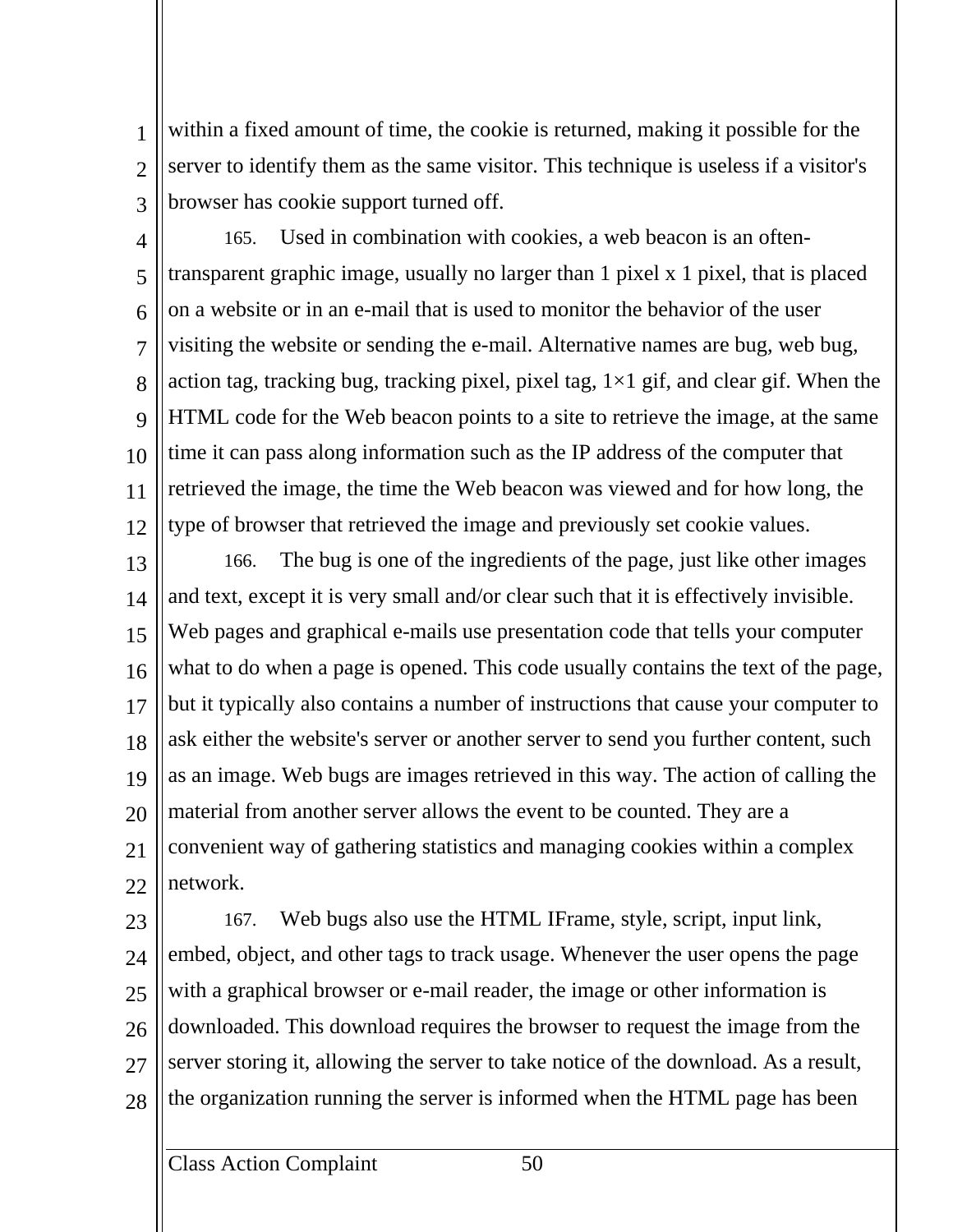1  $\mathcal{D}$ within a fixed amount of time, the cookie is returned, making it possible for the server to identify them as the same visitor. This technique is useless if a visitor's browser has cookie support turned off.

3

4 5 6 7 8  $\mathbf Q$ 10 11 12 165. Used in combination with cookies, a web beacon is an oftentransparent graphic image, usually no larger than 1 pixel x 1 pixel, that is placed on a website or in an e-mail that is used to monitor the behavior of the user visiting the website or sending the e-mail. Alternative names are bug, web bug, action tag, tracking bug, tracking pixel, pixel tag,  $1\times1$  gif, and clear gif. When the HTML code for the Web beacon points to a site to retrieve the image, at the same time it can pass along information such as the IP address of the computer that retrieved the image, the time the Web beacon was viewed and for how long, the type of browser that retrieved the image and previously set cookie values.

13 14 15 16 17 18 19 20 21 22 166. The bug is one of the ingredients of the page, just like other images and text, except it is very small and/or clear such that it is effectively invisible. Web pages and graphical e-mails use presentation code that tells your computer what to do when a page is opened. This code usually contains the text of the page, but it typically also contains a number of instructions that cause your computer to ask either the website's server or another server to send you further content, such as an image. Web bugs are images retrieved in this way. The action of calling the material from another server allows the event to be counted. They are a convenient way of gathering statistics and managing cookies within a complex network.

23 24 25 26 27 28 167. Web bugs also use the HTML IFrame, style, script, input link, embed, object, and other tags to track usage. Whenever the user opens the page with a graphical browser or e-mail reader, the image or other information is downloaded. This download requires the browser to request the image from the server storing it, allowing the server to take notice of the download. As a result, the organization running the server is informed when the HTML page has been

Class Action Complaint 50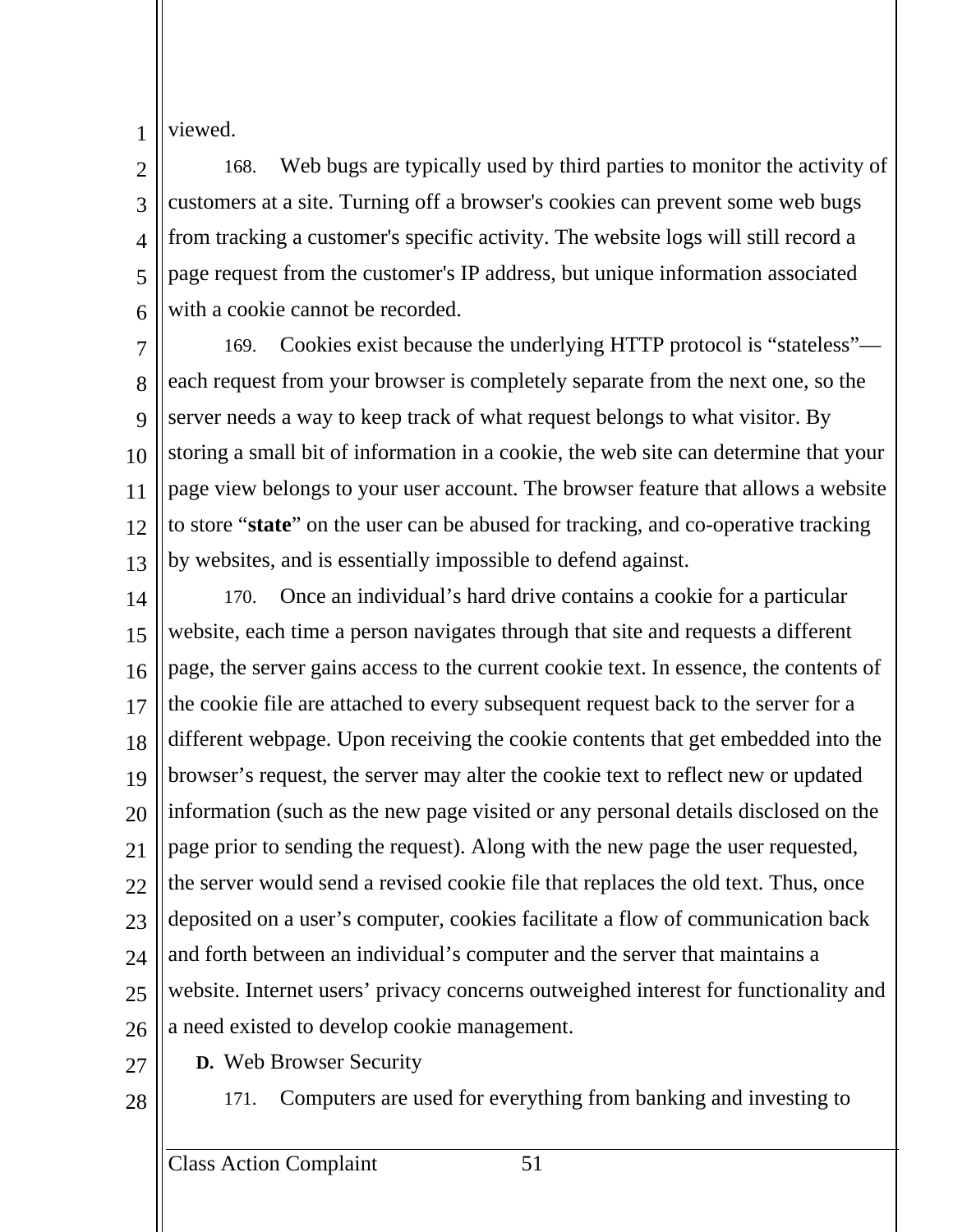1 viewed.

 $\mathcal{L}$ 3 4 5 6 168. Web bugs are typically used by third parties to monitor the activity of customers at a site. Turning off a browser's cookies can prevent some web bugs from tracking a customer's specific activity. The website logs will still record a page request from the customer's IP address, but unique information associated with a cookie cannot be recorded.

7 8  $\mathbf Q$ 10 11 12 13 169. Cookies exist because the underlying HTTP protocol is "stateless" each request from your browser is completely separate from the next one, so the server needs a way to keep track of what request belongs to what visitor. By storing a small bit of information in a cookie, the web site can determine that your page view belongs to your user account. The browser feature that allows a website to store "**state**" on the user can be abused for tracking, and co-operative tracking by websites, and is essentially impossible to defend against.

14 15 16 17 18 19 20 21 22 23 24 25 26 170. Once an individual's hard drive contains a cookie for a particular website, each time a person navigates through that site and requests a different page, the server gains access to the current cookie text. In essence, the contents of the cookie file are attached to every subsequent request back to the server for a different webpage. Upon receiving the cookie contents that get embedded into the browser's request, the server may alter the cookie text to reflect new or updated information (such as the new page visited or any personal details disclosed on the page prior to sending the request). Along with the new page the user requested, the server would send a revised cookie file that replaces the old text. Thus, once deposited on a user's computer, cookies facilitate a flow of communication back and forth between an individual's computer and the server that maintains a website. Internet users' privacy concerns outweighed interest for functionality and a need existed to develop cookie management.

27 **D.** Web Browser Security

28

171. Computers are used for everything from banking and investing to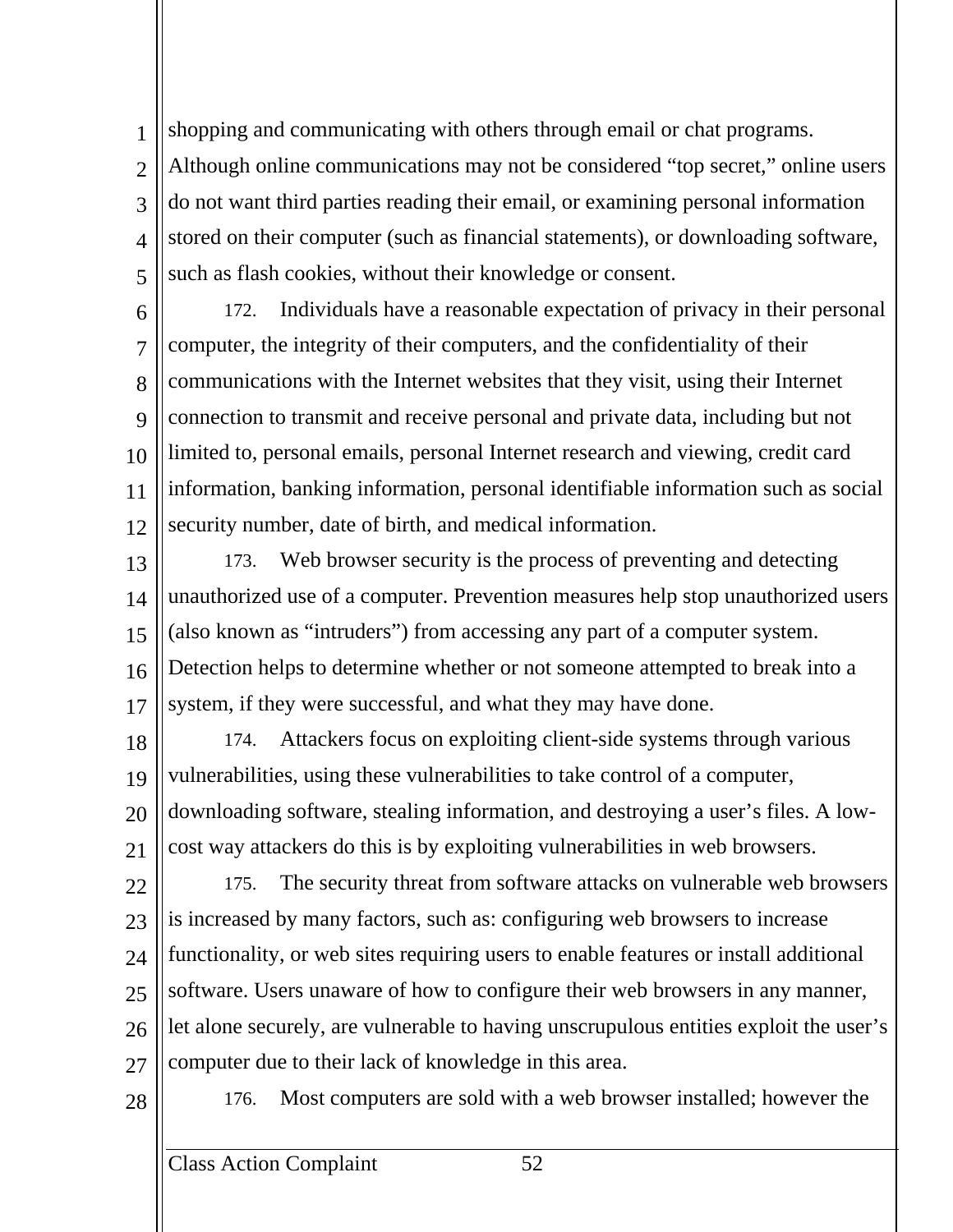1 shopping and communicating with others through email or chat programs.

 $\mathcal{D}$ 3 4 5 Although online communications may not be considered "top secret," online users do not want third parties reading their email, or examining personal information stored on their computer (such as financial statements), or downloading software, such as flash cookies, without their knowledge or consent.

6 7 8  $\mathbf Q$ 10 11 12 172. Individuals have a reasonable expectation of privacy in their personal computer, the integrity of their computers, and the confidentiality of their communications with the Internet websites that they visit, using their Internet connection to transmit and receive personal and private data, including but not limited to, personal emails, personal Internet research and viewing, credit card information, banking information, personal identifiable information such as social security number, date of birth, and medical information.

13 14 15 16 17 173. Web browser security is the process of preventing and detecting unauthorized use of a computer. Prevention measures help stop unauthorized users (also known as "intruders") from accessing any part of a computer system. Detection helps to determine whether or not someone attempted to break into a system, if they were successful, and what they may have done.

- 18 19 20 21 174. Attackers focus on exploiting client-side systems through various vulnerabilities, using these vulnerabilities to take control of a computer, downloading software, stealing information, and destroying a user's files. A lowcost way attackers do this is by exploiting vulnerabilities in web browsers.
- 22 23 24 25 26 27 175. The security threat from software attacks on vulnerable web browsers is increased by many factors, such as: configuring web browsers to increase functionality, or web sites requiring users to enable features or install additional software. Users unaware of how to configure their web browsers in any manner, let alone securely, are vulnerable to having unscrupulous entities exploit the user's computer due to their lack of knowledge in this area.
- 28

176. Most computers are sold with a web browser installed; however the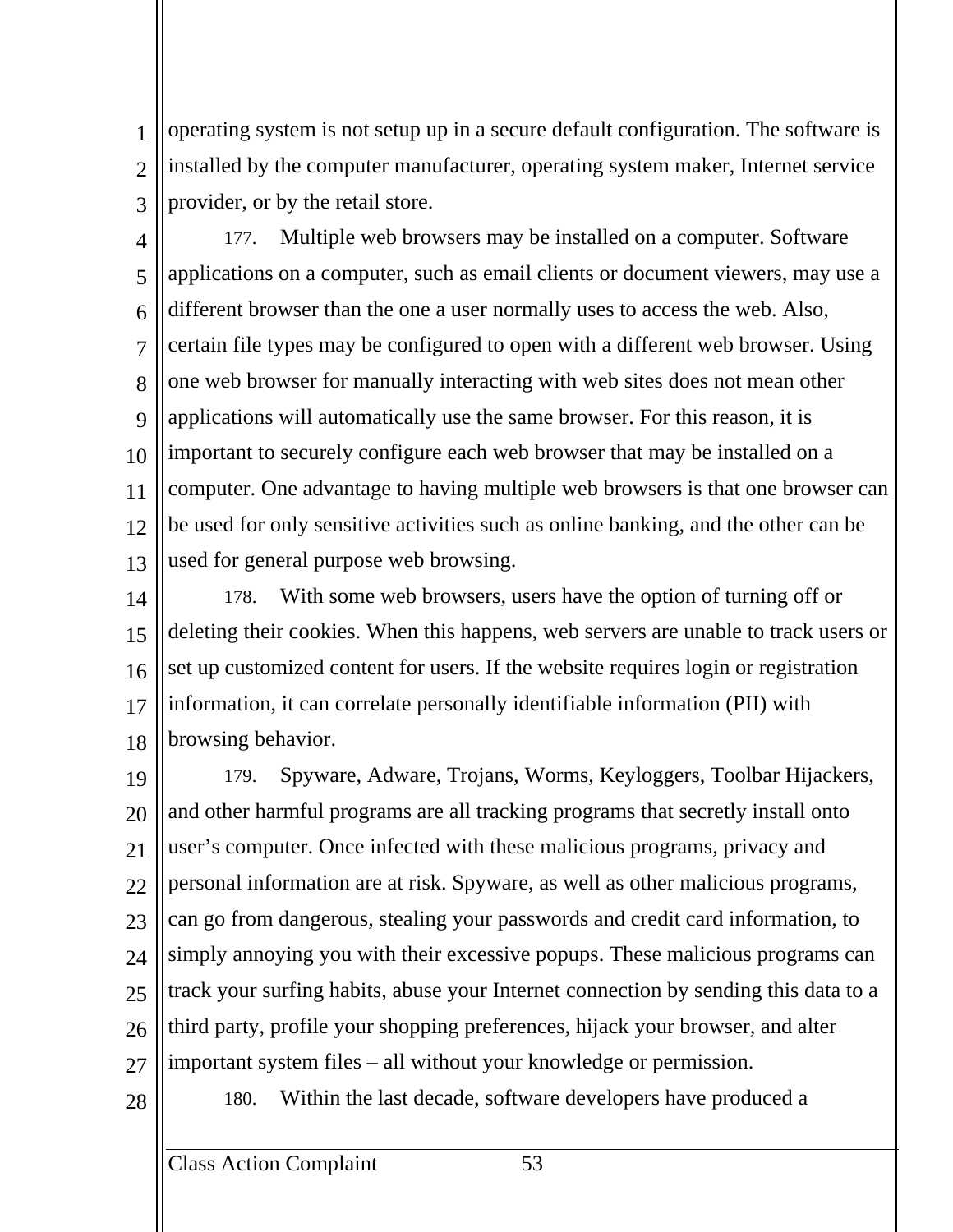1  $\mathcal{D}$ 3 operating system is not setup up in a secure default configuration. The software is installed by the computer manufacturer, operating system maker, Internet service provider, or by the retail store.

4 5 6 7 8  $\mathbf Q$ 10 11 12 13 177. Multiple web browsers may be installed on a computer. Software applications on a computer, such as email clients or document viewers, may use a different browser than the one a user normally uses to access the web. Also, certain file types may be configured to open with a different web browser. Using one web browser for manually interacting with web sites does not mean other applications will automatically use the same browser. For this reason, it is important to securely configure each web browser that may be installed on a computer. One advantage to having multiple web browsers is that one browser can be used for only sensitive activities such as online banking, and the other can be used for general purpose web browsing.

14 15 16 17 18 178. With some web browsers, users have the option of turning off or deleting their cookies. When this happens, web servers are unable to track users or set up customized content for users. If the website requires login or registration information, it can correlate personally identifiable information (PII) with browsing behavior.

19 20 21 22 23 24 25 26 27 179. Spyware, Adware, Trojans, Worms, Keyloggers, Toolbar Hijackers, and other harmful programs are all tracking programs that secretly install onto user's computer. Once infected with these malicious programs, privacy and personal information are at risk. Spyware, as well as other malicious programs, can go from dangerous, stealing your passwords and credit card information, to simply annoying you with their excessive popups. These malicious programs can track your surfing habits, abuse your Internet connection by sending this data to a third party, profile your shopping preferences, hijack your browser, and alter important system files – all without your knowledge or permission.

28

180. Within the last decade, software developers have produced a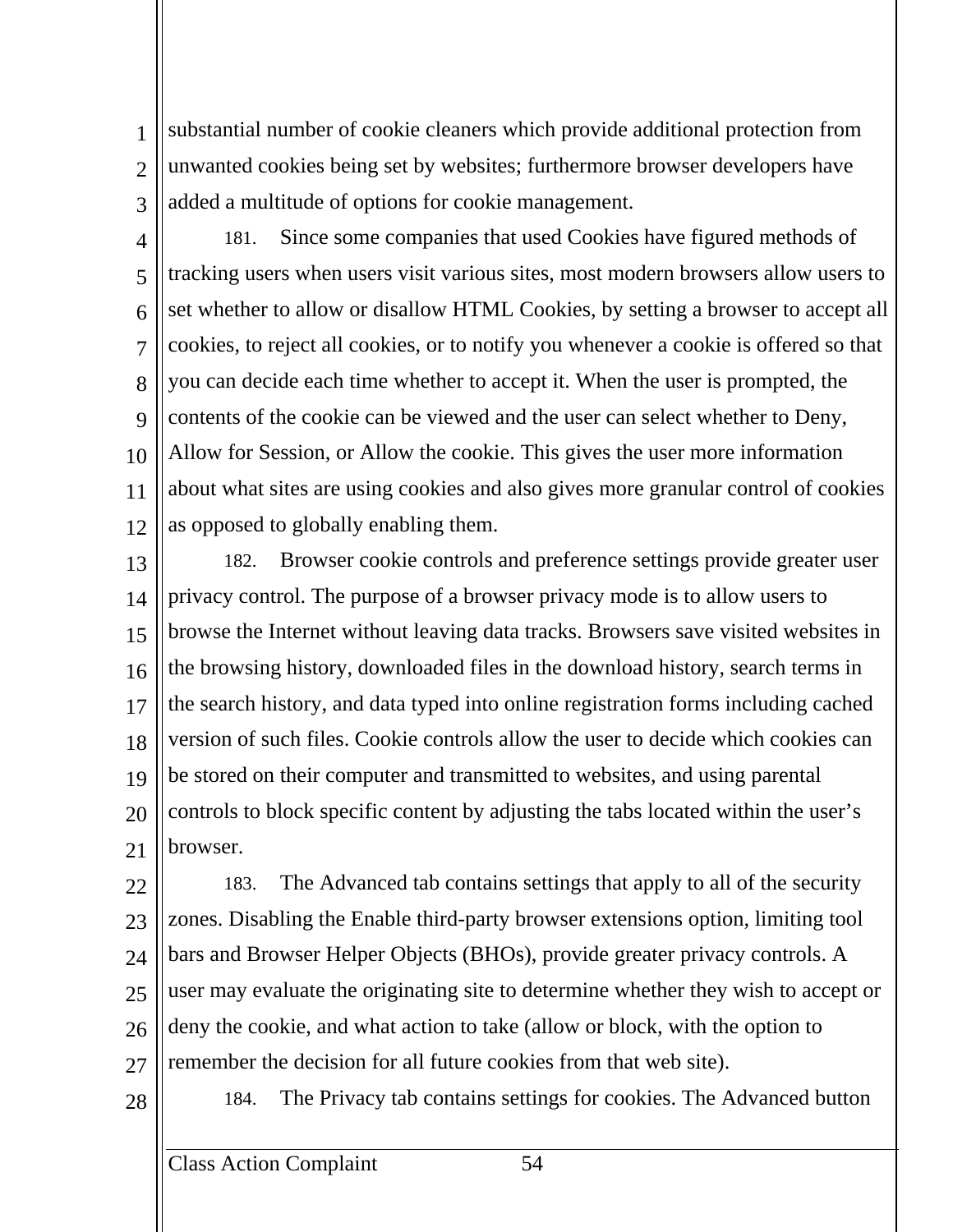1  $\mathcal{D}$ 3 substantial number of cookie cleaners which provide additional protection from unwanted cookies being set by websites; furthermore browser developers have added a multitude of options for cookie management.

4 5 6 7 8  $\mathbf Q$ 10 11 12 181. Since some companies that used Cookies have figured methods of tracking users when users visit various sites, most modern browsers allow users to set whether to allow or disallow HTML Cookies, by setting a browser to accept all cookies, to reject all cookies, or to notify you whenever a cookie is offered so that you can decide each time whether to accept it. When the user is prompted, the contents of the cookie can be viewed and the user can select whether to Deny, Allow for Session, or Allow the cookie. This gives the user more information about what sites are using cookies and also gives more granular control of cookies as opposed to globally enabling them.

13 14 15 16 17 18 19 20 21 182. Browser cookie controls and preference settings provide greater user privacy control. The purpose of a browser privacy mode is to allow users to browse the Internet without leaving data tracks. Browsers save visited websites in the browsing history, downloaded files in the download history, search terms in the search history, and data typed into online registration forms including cached version of such files. Cookie controls allow the user to decide which cookies can be stored on their computer and transmitted to websites, and using parental controls to block specific content by adjusting the tabs located within the user's browser.

22 23 24

183. The Advanced tab contains settings that apply to all of the security zones. Disabling the Enable third-party browser extensions option, limiting tool bars and Browser Helper Objects (BHOs), provide greater privacy controls. A user may evaluate the originating site to determine whether they wish to accept or deny the cookie, and what action to take (allow or block, with the option to remember the decision for all future cookies from that web site).

28

27

25

26

184. The Privacy tab contains settings for cookies. The Advanced button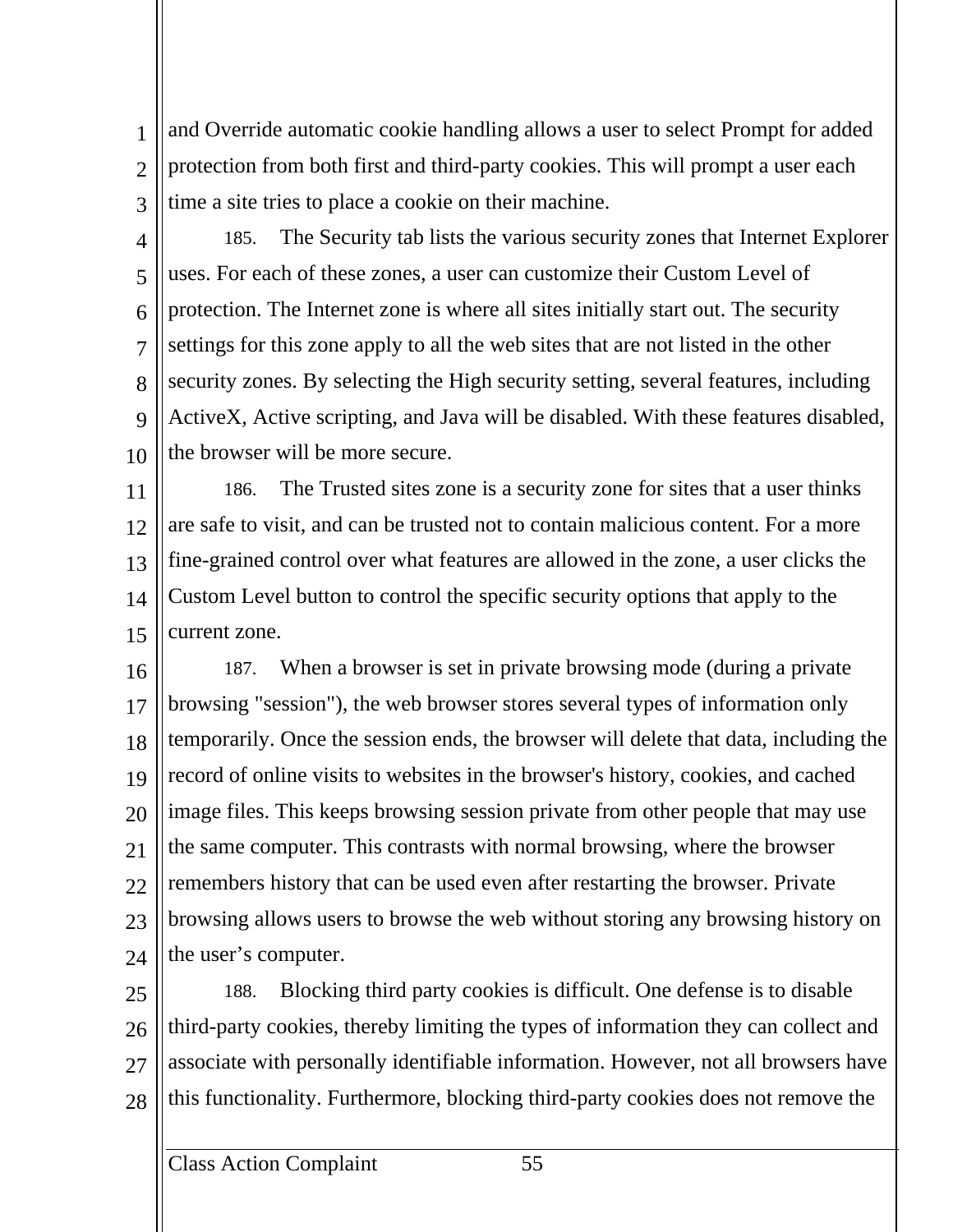1  $\overline{2}$ 3 and Override automatic cookie handling allows a user to select Prompt for added protection from both first and third-party cookies. This will prompt a user each time a site tries to place a cookie on their machine.

4 5 6 7 8  $\mathbf Q$ 10 185. The Security tab lists the various security zones that Internet Explorer uses. For each of these zones, a user can customize their Custom Level of protection. The Internet zone is where all sites initially start out. The security settings for this zone apply to all the web sites that are not listed in the other security zones. By selecting the High security setting, several features, including ActiveX, Active scripting, and Java will be disabled. With these features disabled, the browser will be more secure.

11 12 13 14 15 186. The Trusted sites zone is a security zone for sites that a user thinks are safe to visit, and can be trusted not to contain malicious content. For a more fine-grained control over what features are allowed in the zone, a user clicks the Custom Level button to control the specific security options that apply to the current zone.

16 17 18 19 20 21 22 23 24 187. When a browser is set in private browsing mode (during a private browsing "session"), the web browser stores several types of information only temporarily. Once the session ends, the browser will delete that data, including the record of online visits to websites in the browser's history, cookies, and cached image files. This keeps browsing session private from other people that may use the same computer. This contrasts with normal browsing, where the browser remembers history that can be used even after restarting the browser. Private browsing allows users to browse the web without storing any browsing history on the user's computer.

25 26 27 28 188. Blocking third party cookies is difficult. One defense is to disable third-party cookies, thereby limiting the types of information they can collect and associate with personally identifiable information. However, not all browsers have this functionality. Furthermore, blocking third-party cookies does not remove the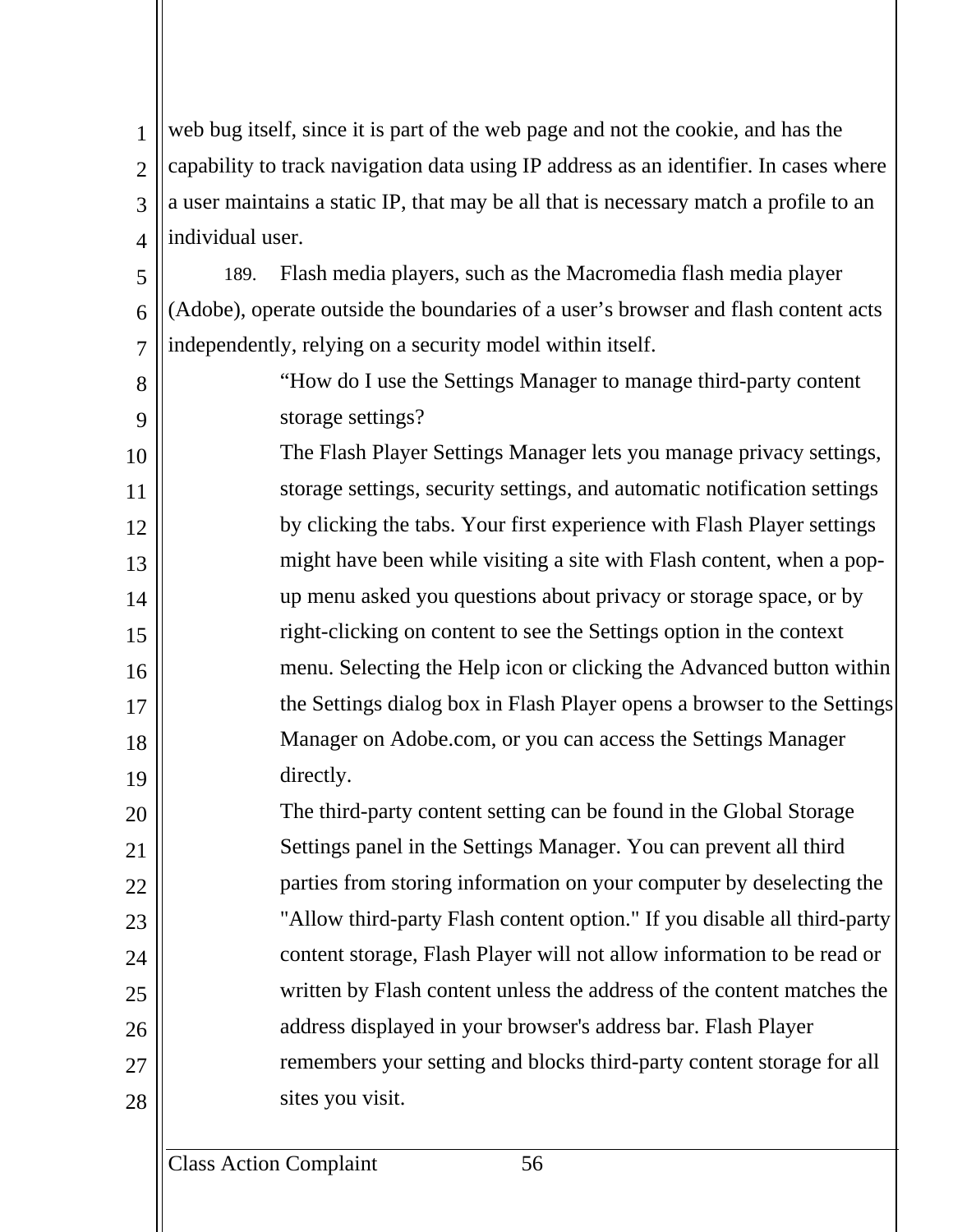1  $\mathcal{D}_{\alpha}$ 3 4 web bug itself, since it is part of the web page and not the cookie, and has the capability to track navigation data using IP address as an identifier. In cases where a user maintains a static IP, that may be all that is necessary match a profile to an individual user.

- 5 6 7 189. Flash media players, such as the Macromedia flash media player (Adobe), operate outside the boundaries of a user's browser and flash content acts independently, relying on a security model within itself.
	- "How do I use the Settings Manager to manage third-party content storage settings?

10 11 12 13 14 15 16 17 18 19 The Flash Player Settings Manager lets you manage privacy settings, storage settings, security settings, and automatic notification settings by clicking the tabs. Your first experience with Flash Player settings might have been while visiting a site with Flash content, when a popup menu asked you questions about privacy or storage space, or by right-clicking on content to see the Settings option in the context menu. Selecting the Help icon or clicking the Advanced button within the Settings dialog box in Flash Player opens a browser to the Settings Manager on Adobe.com, or you can access the Settings Manager directly.

20 21 22 23 24 25 26 27 28 The third-party content setting can be found in the Global Storage Settings panel in the Settings Manager. You can prevent all third parties from storing information on your computer by deselecting the "Allow third-party Flash content option." If you disable all third-party content storage, Flash Player will not allow information to be read or written by Flash content unless the address of the content matches the address displayed in your browser's address bar. Flash Player remembers your setting and blocks third-party content storage for all sites you visit.

8

9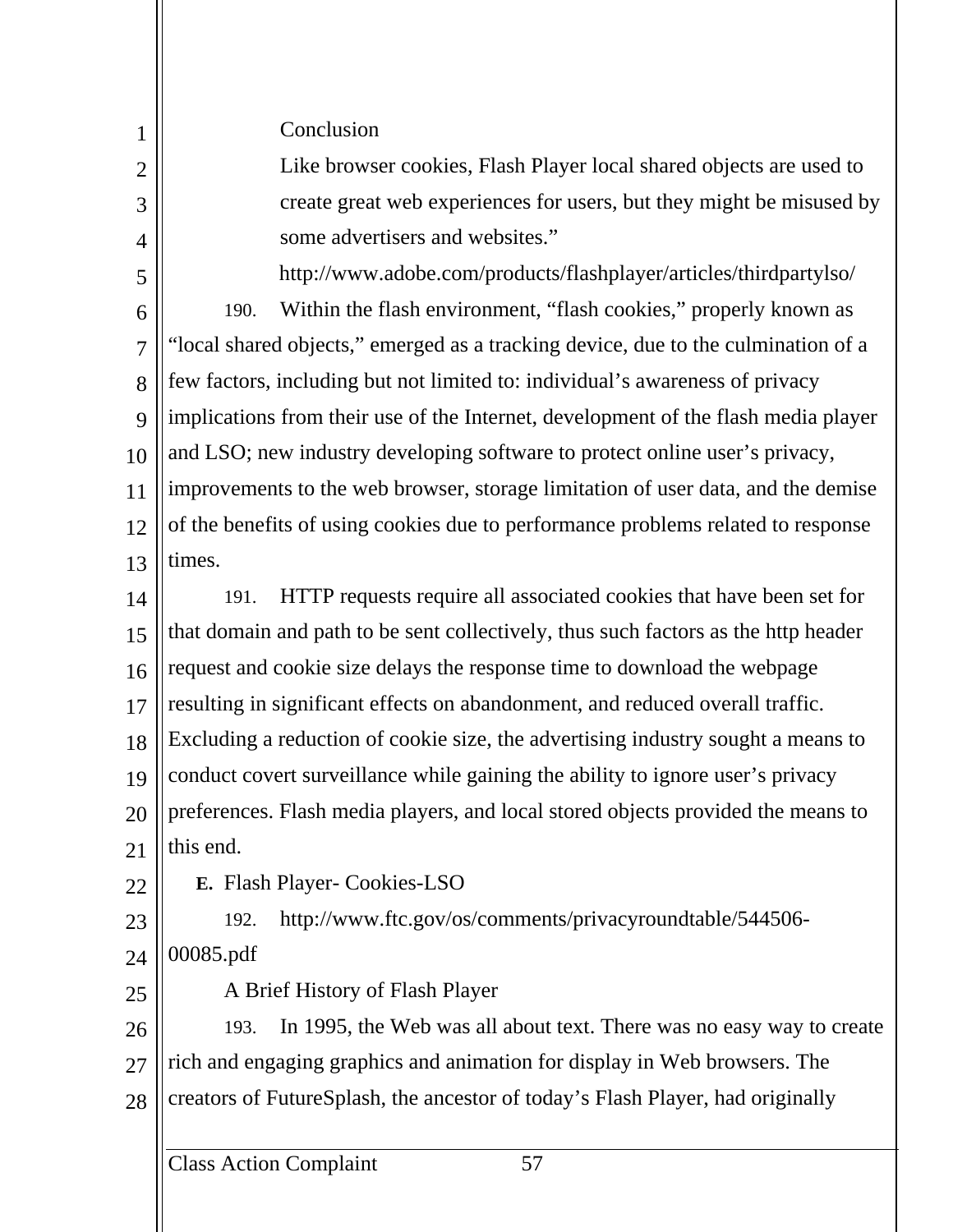Conclusion

| $\mathbf{1}$   | Conclusion                                                                         |
|----------------|------------------------------------------------------------------------------------|
| $\mathfrak{2}$ | Like browser cookies, Flash Player local shared objects are used to                |
| 3              | create great web experiences for users, but they might be misused by               |
| $\overline{4}$ | some advertisers and websites."                                                    |
| 5              | http://www.adobe.com/products/flashplayer/articles/thirdpartylso/                  |
| 6              | Within the flash environment, "flash cookies," properly known as<br>190.           |
| $\overline{7}$ | "local shared objects," emerged as a tracking device, due to the culmination of a  |
| 8              | few factors, including but not limited to: individual's awareness of privacy       |
| 9              | implications from their use of the Internet, development of the flash media player |
| 10             | and LSO; new industry developing software to protect online user's privacy,        |
| 11             | improvements to the web browser, storage limitation of user data, and the demise   |
| 12             | of the benefits of using cookies due to performance problems related to response   |
| 13             | times.                                                                             |
| 14             | HTTP requests require all associated cookies that have been set for<br>191.        |
| 15             | that domain and path to be sent collectively, thus such factors as the http header |
| 16             | request and cookie size delays the response time to download the webpage           |
| 17             | resulting in significant effects on abandonment, and reduced overall traffic.      |
| 18             | Excluding a reduction of cookie size, the advertising industry sought a means to   |
| 19             | conduct covert surveillance while gaining the ability to ignore user's privacy     |
| 20             | preferences. Flash media players, and local stored objects provided the means to   |
| 21             | this end.                                                                          |
| 22             | E. Flash Player- Cookies-LSO                                                       |
| 23             | http://www.ftc.gov/os/comments/privacyroundtable/544506-<br>192.                   |
| 24             | 00085.pdf                                                                          |
| 25             | A Brief History of Flash Player                                                    |
| 26             | In 1995, the Web was all about text. There was no easy way to create<br>193.       |
| 27             | rich and engaging graphics and animation for display in Web browsers. The          |
| 28             | creators of FutureSplash, the ancestor of today's Flash Player, had originally     |
|                |                                                                                    |
|                | <b>Class Action Complaint</b><br>57                                                |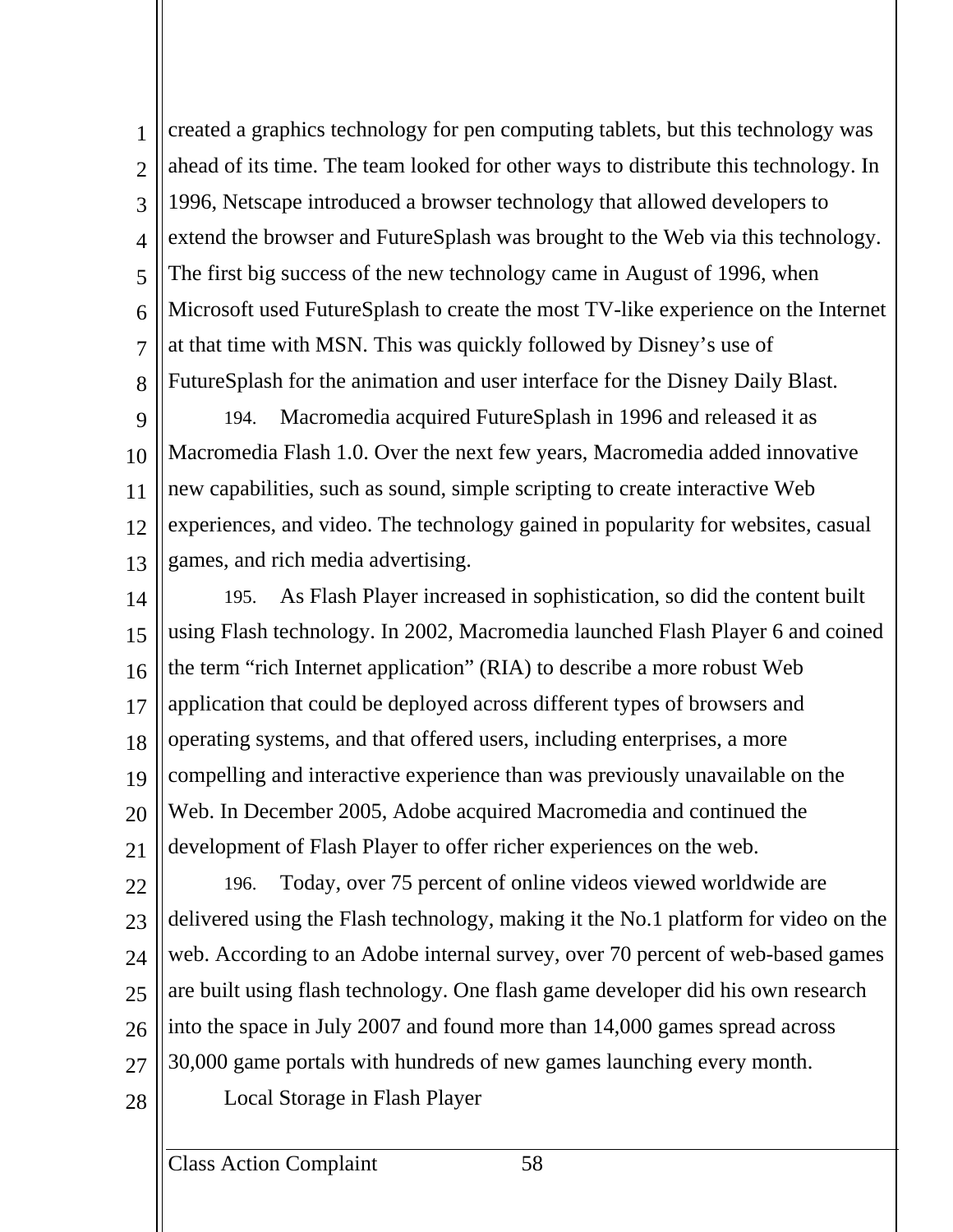1  $\mathcal{D}$ 3 4 5 6 7 8 created a graphics technology for pen computing tablets, but this technology was ahead of its time. The team looked for other ways to distribute this technology. In 1996, Netscape introduced a browser technology that allowed developers to extend the browser and FutureSplash was brought to the Web via this technology. The first big success of the new technology came in August of 1996, when Microsoft used FutureSplash to create the most TV-like experience on the Internet at that time with MSN. This was quickly followed by Disney's use of FutureSplash for the animation and user interface for the Disney Daily Blast.

 $\mathbf Q$ 10 11 12 13 194. Macromedia acquired FutureSplash in 1996 and released it as Macromedia Flash 1.0. Over the next few years, Macromedia added innovative new capabilities, such as sound, simple scripting to create interactive Web experiences, and video. The technology gained in popularity for websites, casual games, and rich media advertising.

14 15 16 17 18 19 20 21 195. As Flash Player increased in sophistication, so did the content built using Flash technology. In 2002, Macromedia launched Flash Player 6 and coined the term "rich Internet application" (RIA) to describe a more robust Web application that could be deployed across different types of browsers and operating systems, and that offered users, including enterprises, a more compelling and interactive experience than was previously unavailable on the Web. In December 2005, Adobe acquired Macromedia and continued the development of Flash Player to offer richer experiences on the web.

- 22 23 24 25 26 27 28 196. Today, over 75 percent of online videos viewed worldwide are delivered using the Flash technology, making it the No.1 platform for video on the web. According to an Adobe internal survey, over 70 percent of web-based games are built using flash technology. One flash game developer did his own research into the space in July 2007 and found more than 14,000 games spread across 30,000 game portals with hundreds of new games launching every month. Local Storage in Flash Player
	- Class Action Complaint 58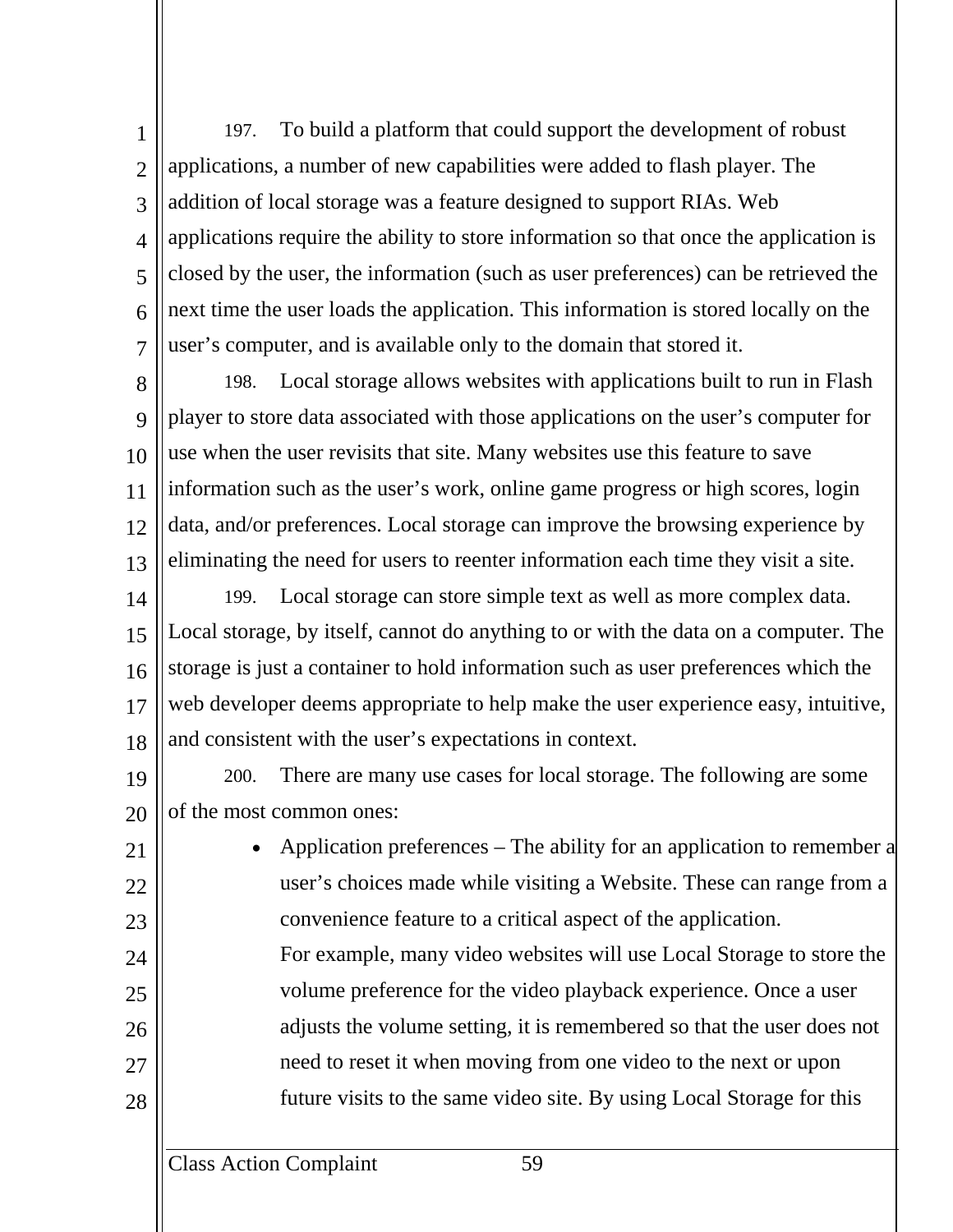1  $\mathcal{D}$ 3 4 5 6 7 197. To build a platform that could support the development of robust applications, a number of new capabilities were added to flash player. The addition of local storage was a feature designed to support RIAs. Web applications require the ability to store information so that once the application is closed by the user, the information (such as user preferences) can be retrieved the next time the user loads the application. This information is stored locally on the user's computer, and is available only to the domain that stored it.

8  $\mathbf Q$ 10 11 12 13 198. Local storage allows websites with applications built to run in Flash player to store data associated with those applications on the user's computer for use when the user revisits that site. Many websites use this feature to save information such as the user's work, online game progress or high scores, login data, and/or preferences. Local storage can improve the browsing experience by eliminating the need for users to reenter information each time they visit a site.

14 15 16 17 18 199. Local storage can store simple text as well as more complex data. Local storage, by itself, cannot do anything to or with the data on a computer. The storage is just a container to hold information such as user preferences which the web developer deems appropriate to help make the user experience easy, intuitive, and consistent with the user's expectations in context.

19 20 200. There are many use cases for local storage. The following are some of the most common ones:

> Application preferences – The ability for an application to remember a user's choices made while visiting a Website. These can range from a convenience feature to a critical aspect of the application. For example, many video websites will use Local Storage to store the volume preference for the video playback experience. Once a user

adjusts the volume setting, it is remembered so that the user does not need to reset it when moving from one video to the next or upon future visits to the same video site. By using Local Storage for this

21

22

23

24

25

26

27

28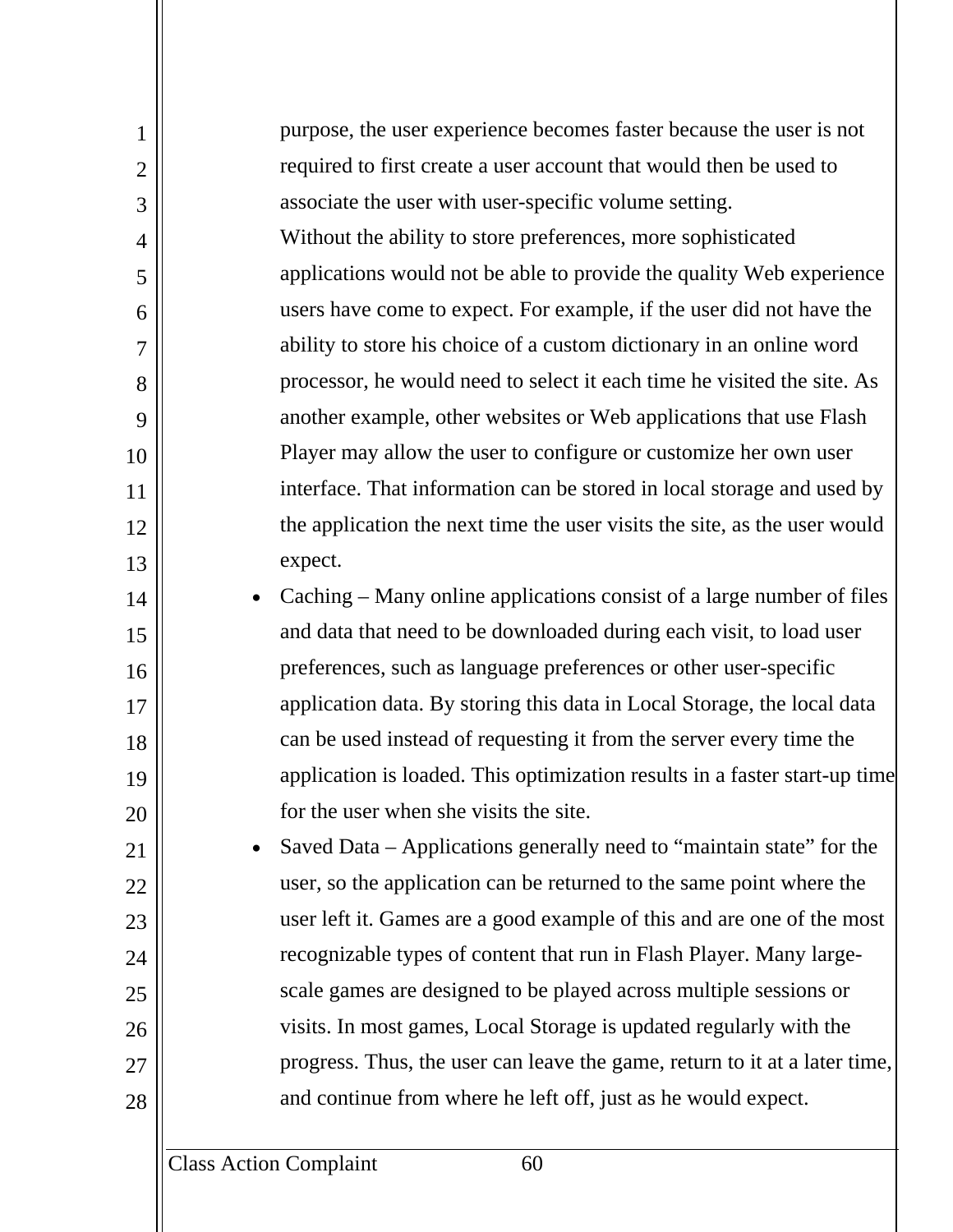| 1              | purpose, the user experience becomes faster because the user is not                |
|----------------|------------------------------------------------------------------------------------|
| $\overline{2}$ | required to first create a user account that would then be used to                 |
| 3              | associate the user with user-specific volume setting.                              |
| $\overline{4}$ | Without the ability to store preferences, more sophisticated                       |
| 5              | applications would not be able to provide the quality Web experience               |
| 6              | users have come to expect. For example, if the user did not have the               |
| $\overline{7}$ | ability to store his choice of a custom dictionary in an online word               |
| 8              | processor, he would need to select it each time he visited the site. As            |
| 9              | another example, other websites or Web applications that use Flash                 |
| 10             | Player may allow the user to configure or customize her own user                   |
| 11             | interface. That information can be stored in local storage and used by             |
| 12             | the application the next time the user visits the site, as the user would          |
| 13             | expect.                                                                            |
| 14             | Caching - Many online applications consist of a large number of files<br>$\bullet$ |
| 15             | and data that need to be downloaded during each visit, to load user                |
| 16             | preferences, such as language preferences or other user-specific                   |
| 17             | application data. By storing this data in Local Storage, the local data            |
| 18             | can be used instead of requesting it from the server every time the                |
| 19             | application is loaded. This optimization results in a faster start-up time         |
| 20             | for the user when she visits the site.                                             |
| 21             | Saved Data – Applications generally need to "maintain state" for the<br>$\bullet$  |
| 22             | user, so the application can be returned to the same point where the               |
| 23             | user left it. Games are a good example of this and are one of the most             |
| 24             | recognizable types of content that run in Flash Player. Many large-                |
| 25             | scale games are designed to be played across multiple sessions or                  |
| 26             | visits. In most games, Local Storage is updated regularly with the                 |
| 27             | progress. Thus, the user can leave the game, return to it at a later time,         |
| 28             | and continue from where he left off, just as he would expect.                      |
|                |                                                                                    |
|                | <b>Class Action Complaint</b><br>60                                                |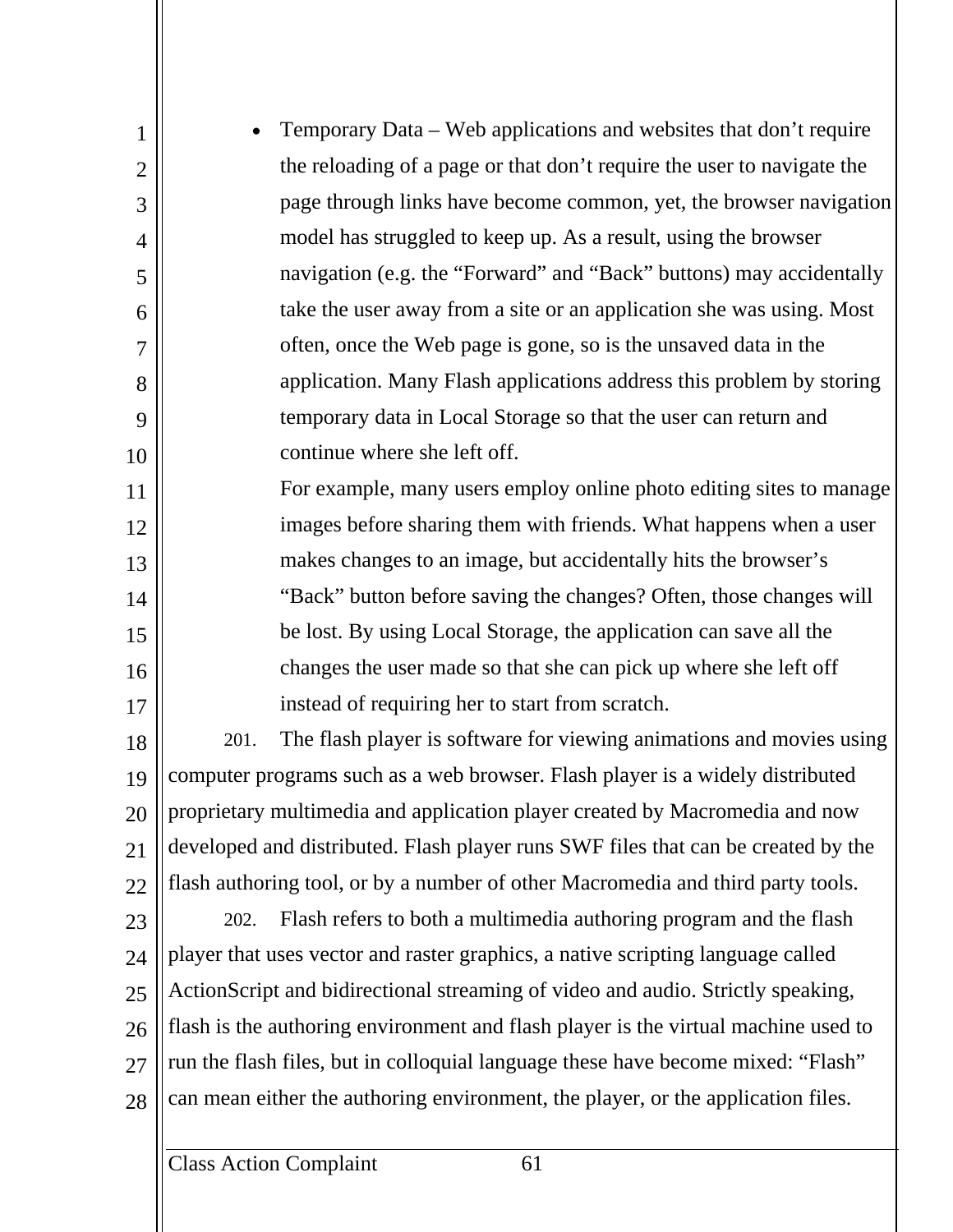| 1              | Temporary Data – Web applications and websites that don't require                  |
|----------------|------------------------------------------------------------------------------------|
| $\overline{2}$ | the reloading of a page or that don't require the user to navigate the             |
| 3              | page through links have become common, yet, the browser navigation                 |
| 4              | model has struggled to keep up. As a result, using the browser                     |
| 5              | navigation (e.g. the "Forward" and "Back" buttons) may accidentally                |
| 6              | take the user away from a site or an application she was using. Most               |
| $\overline{7}$ | often, once the Web page is gone, so is the unsaved data in the                    |
| 8              | application. Many Flash applications address this problem by storing               |
| 9              | temporary data in Local Storage so that the user can return and                    |
| 10             | continue where she left off.                                                       |
| 11             | For example, many users employ online photo editing sites to manage                |
| 12             | images before sharing them with friends. What happens when a user                  |
| 13             | makes changes to an image, but accidentally hits the browser's                     |
| 14             | "Back" button before saving the changes? Often, those changes will                 |
| 15             | be lost. By using Local Storage, the application can save all the                  |
| 16             | changes the user made so that she can pick up where she left off                   |
| 17             | instead of requiring her to start from scratch.                                    |
| 18             | The flash player is software for viewing animations and movies using<br>201.       |
| 19             | computer programs such as a web browser. Flash player is a widely distributed      |
| 20             | proprietary multimedia and application player created by Macromedia and now        |
| 21             | developed and distributed. Flash player runs SWF files that can be created by the  |
| 22             | flash authoring tool, or by a number of other Macromedia and third party tools.    |
| 23             | Flash refers to both a multimedia authoring program and the flash<br>202.          |
| 24             | player that uses vector and raster graphics, a native scripting language called    |
| 25             | ActionScript and bidirectional streaming of video and audio. Strictly speaking,    |
| 26             | flash is the authoring environment and flash player is the virtual machine used to |
| 27             | run the flash files, but in colloquial language these have become mixed: "Flash"   |
| 28             | can mean either the authoring environment, the player, or the application files.   |
|                |                                                                                    |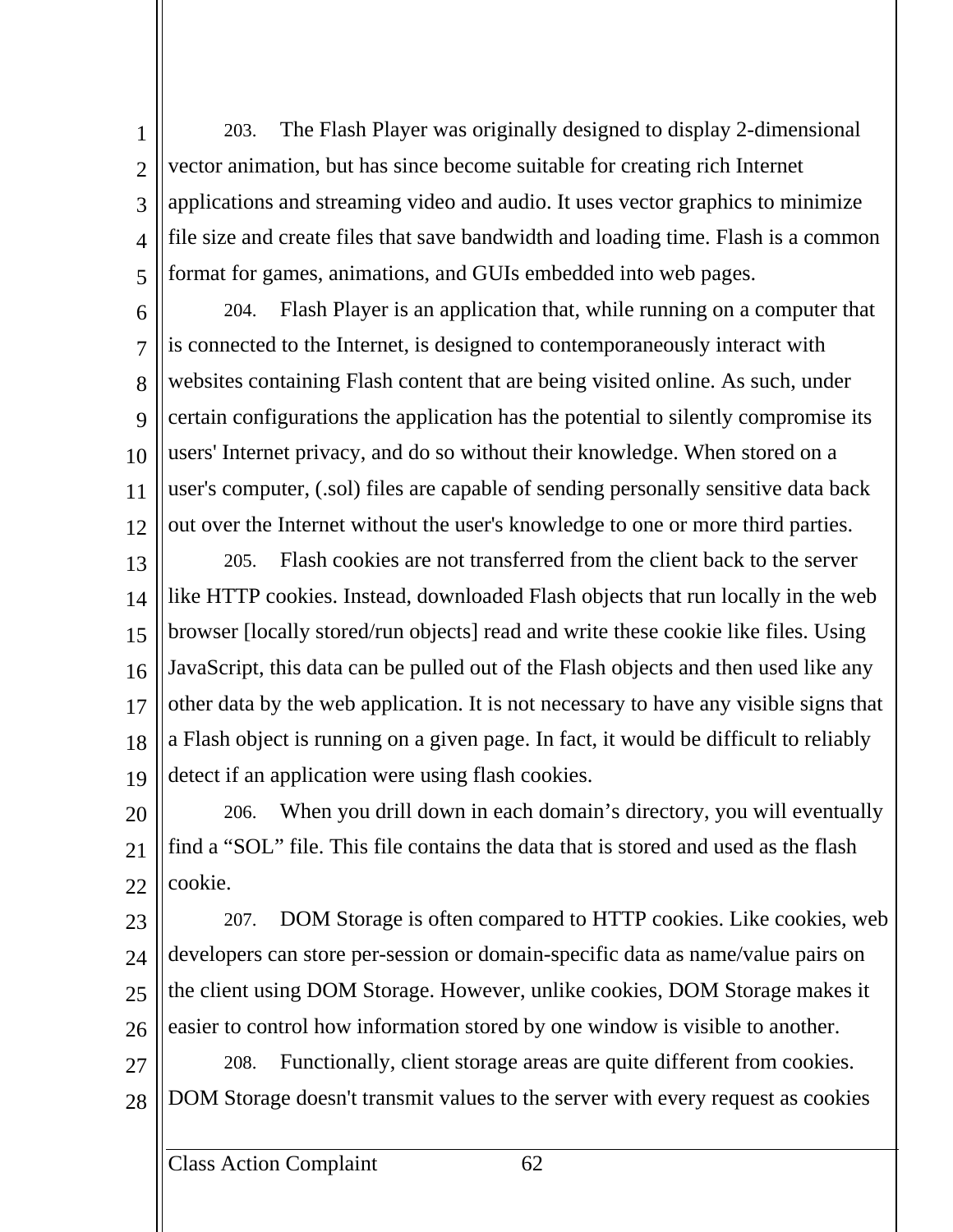1  $\mathcal{D}$ 3 4 5 203. The Flash Player was originally designed to display 2-dimensional vector animation, but has since become suitable for creating rich Internet applications and streaming video and audio. It uses vector graphics to minimize file size and create files that save bandwidth and loading time. Flash is a common format for games, animations, and GUIs embedded into web pages.

6 7 8  $\mathbf Q$ 10 11 12 204. Flash Player is an application that, while running on a computer that is connected to the Internet, is designed to contemporaneously interact with websites containing Flash content that are being visited online. As such, under certain configurations the application has the potential to silently compromise its users' Internet privacy, and do so without their knowledge. When stored on a user's computer, (.sol) files are capable of sending personally sensitive data back out over the Internet without the user's knowledge to one or more third parties.

13 14 15 16 17 18 19 205. Flash cookies are not transferred from the client back to the server like HTTP cookies. Instead, downloaded Flash objects that run locally in the web browser [locally stored/run objects] read and write these cookie like files. Using JavaScript, this data can be pulled out of the Flash objects and then used like any other data by the web application. It is not necessary to have any visible signs that a Flash object is running on a given page. In fact, it would be difficult to reliably detect if an application were using flash cookies.

20 21 22 206. When you drill down in each domain's directory, you will eventually find a "SOL" file. This file contains the data that is stored and used as the flash cookie.

23 24 25 26 207. DOM Storage is often compared to HTTP cookies. Like cookies, web developers can store per-session or domain-specific data as name/value pairs on the client using DOM Storage. However, unlike cookies, DOM Storage makes it easier to control how information stored by one window is visible to another.

27 28 208. Functionally, client storage areas are quite different from cookies. DOM Storage doesn't transmit values to the server with every request as cookies

Class Action Complaint 62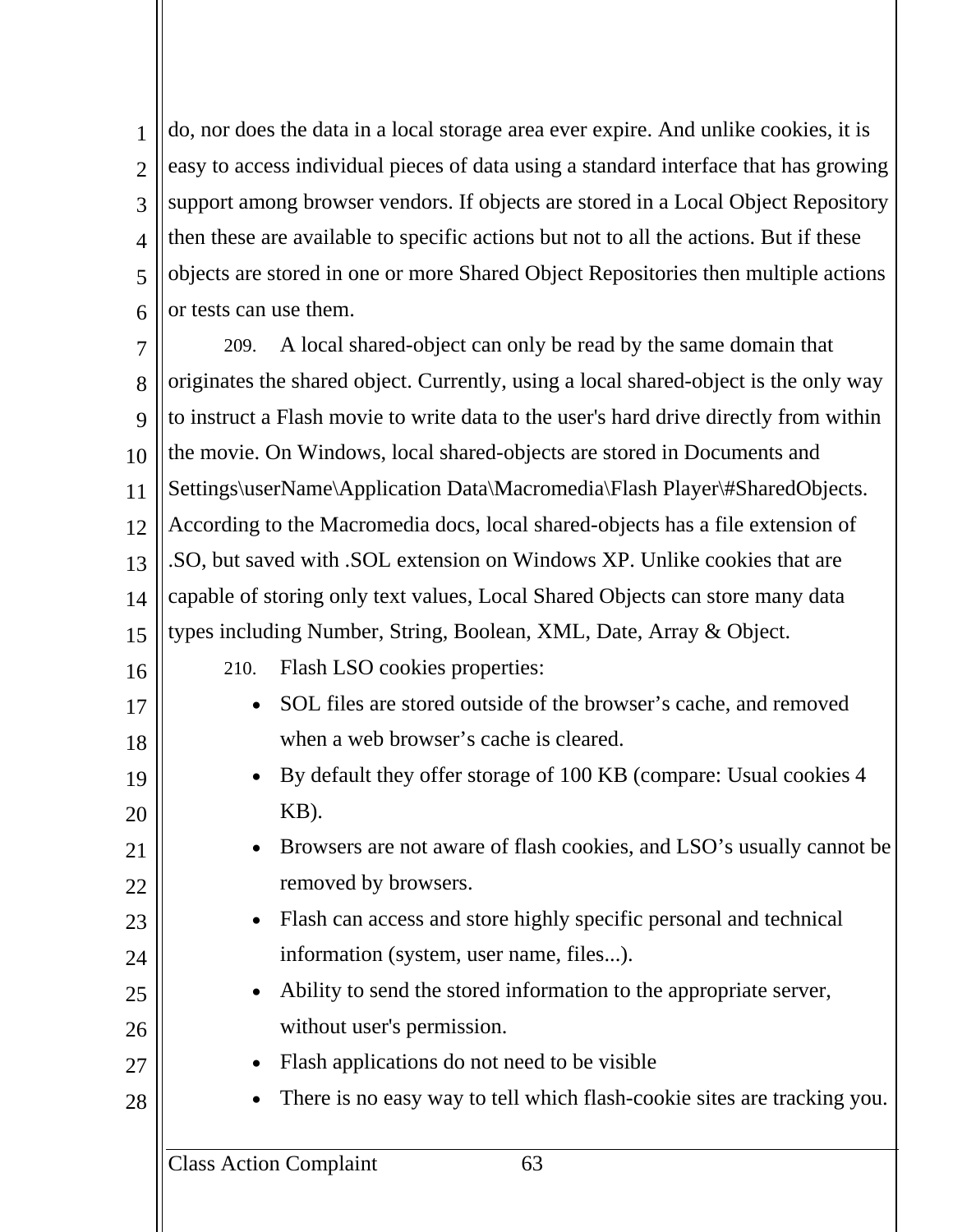1  $\mathcal{D}$ 3 4 5 6 do, nor does the data in a local storage area ever expire. And unlike cookies, it is easy to access individual pieces of data using a standard interface that has growing support among browser vendors. If objects are stored in a Local Object Repository then these are available to specific actions but not to all the actions. But if these objects are stored in one or more Shared Object Repositories then multiple actions or tests can use them.

7 8  $\mathbf Q$ 10 11 12 13 14 15 16 17 18 19 20 21 22 23 209. A local shared-object can only be read by the same domain that originates the shared object. Currently, using a local shared-object is the only way to instruct a Flash movie to write data to the user's hard drive directly from within the movie. On Windows, local shared-objects are stored in Documents and Settings\userName\Application Data\Macromedia\Flash Player\#SharedObjects. According to the Macromedia docs, local shared-objects has a file extension of .SO, but saved with .SOL extension on Windows XP. Unlike cookies that are capable of storing only text values, Local Shared Objects can store many data types including Number, String, Boolean, XML, Date, Array & Object. 210. Flash LSO cookies properties: • SOL files are stored outside of the browser's cache, and removed when a web browser's cache is cleared. By default they offer storage of 100 KB (compare: Usual cookies 4 KB). Browsers are not aware of flash cookies, and LSO's usually cannot be removed by browsers. Flash can access and store highly specific personal and technical

- information (system, user name, files...). Ability to send the stored information to the appropriate server,
- without user's permission.
	- Flash applications do not need to be visible
	- There is no easy way to tell which flash-cookie sites are tracking you.

24

25

26

27

28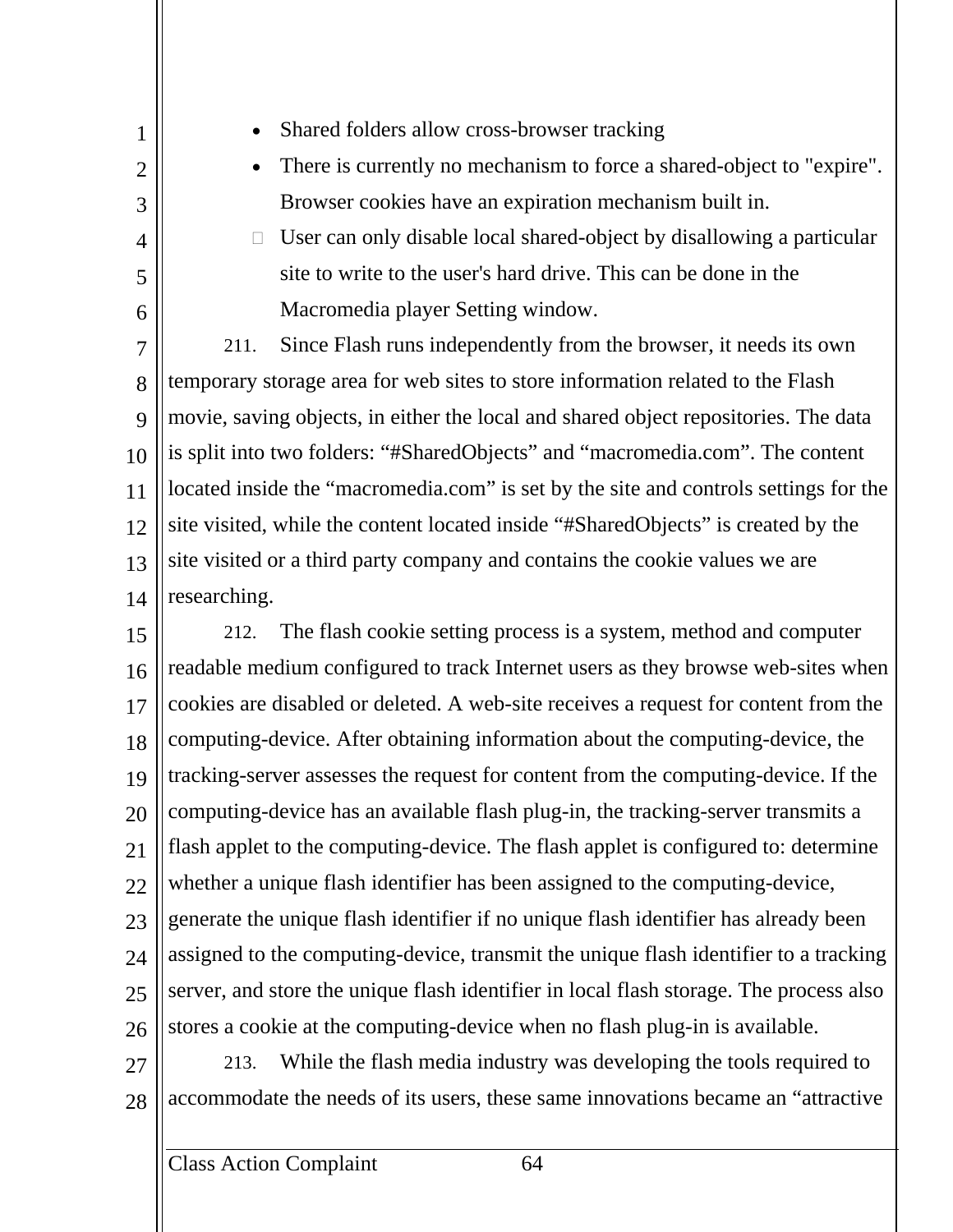1 2

3

4

5

6

- Shared folders allow cross-browser tracking
- There is currently no mechanism to force a shared-object to "expire". Browser cookies have an expiration mechanism built in.

 $\Box$  User can only disable local shared-object by disallowing a particular site to write to the user's hard drive. This can be done in the Macromedia player Setting window.

7 8  $\mathbf Q$ 10 11 12 13 14 211. Since Flash runs independently from the browser, it needs its own temporary storage area for web sites to store information related to the Flash movie, saving objects, in either the local and shared object repositories. The data is split into two folders: "#SharedObjects" and "macromedia.com". The content located inside the "macromedia.com" is set by the site and controls settings for the site visited, while the content located inside "#SharedObjects" is created by the site visited or a third party company and contains the cookie values we are researching.

15 16 17 18 19 20 21 22 23 24 25 26 212. The flash cookie setting process is a system, method and computer readable medium configured to track Internet users as they browse web-sites when cookies are disabled or deleted. A web-site receives a request for content from the computing-device. After obtaining information about the computing-device, the tracking-server assesses the request for content from the computing-device. If the computing-device has an available flash plug-in, the tracking-server transmits a flash applet to the computing-device. The flash applet is configured to: determine whether a unique flash identifier has been assigned to the computing-device, generate the unique flash identifier if no unique flash identifier has already been assigned to the computing-device, transmit the unique flash identifier to a tracking server, and store the unique flash identifier in local flash storage. The process also stores a cookie at the computing-device when no flash plug-in is available.

27 28 213. While the flash media industry was developing the tools required to accommodate the needs of its users, these same innovations became an "attractive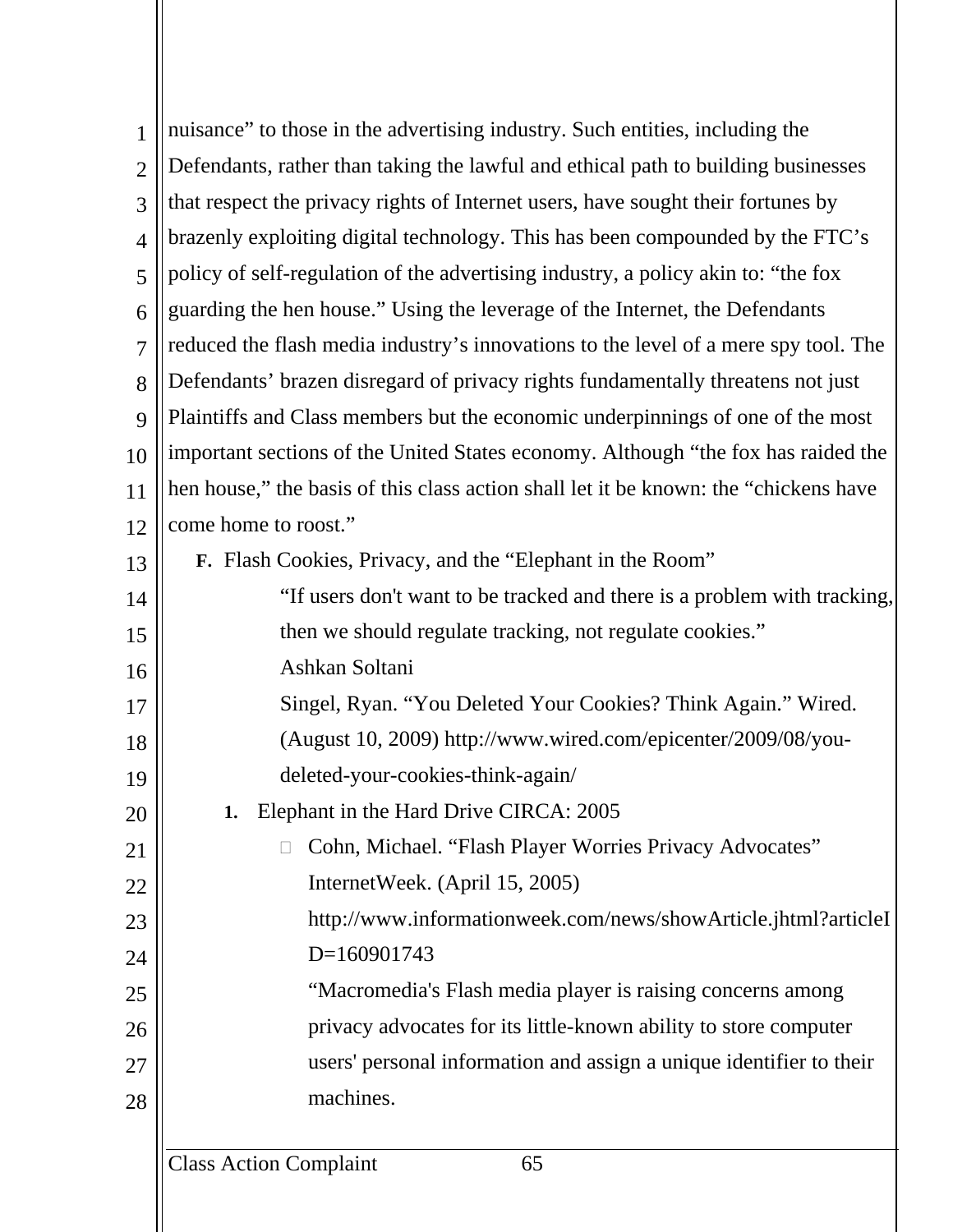| $\mathbf{1}$   | nuisance" to those in the advertising industry. Such entities, including the         |
|----------------|--------------------------------------------------------------------------------------|
| $\overline{2}$ | Defendants, rather than taking the lawful and ethical path to building businesses    |
| 3              | that respect the privacy rights of Internet users, have sought their fortunes by     |
| $\overline{4}$ | brazenly exploiting digital technology. This has been compounded by the FTC's        |
| 5              | policy of self-regulation of the advertising industry, a policy akin to: "the fox    |
| 6              | guarding the hen house." Using the leverage of the Internet, the Defendants          |
| $\overline{7}$ | reduced the flash media industry's innovations to the level of a mere spy tool. The  |
| 8              | Defendants' brazen disregard of privacy rights fundamentally threatens not just      |
| 9              | Plaintiffs and Class members but the economic underpinnings of one of the most       |
| 10             | important sections of the United States economy. Although "the fox has raided the    |
| 11             | hen house," the basis of this class action shall let it be known: the "chickens have |
| 12             | come home to roost."                                                                 |
| 13             | F. Flash Cookies, Privacy, and the "Elephant in the Room"                            |
| 14             | "If users don't want to be tracked and there is a problem with tracking,             |
| 15             | then we should regulate tracking, not regulate cookies."                             |
| 16             | Ashkan Soltani                                                                       |
| 17             | Singel, Ryan. "You Deleted Your Cookies? Think Again." Wired.                        |
| 18             | (August 10, 2009) http://www.wired.com/epicenter/2009/08/you-                        |
| 19             | deleted-your-cookies-think-again/                                                    |
| 20             | Elephant in the Hard Drive CIRCA: 2005                                               |
| 21             | Cohn, Michael. "Flash Player Worries Privacy Advocates"<br>$\Box$                    |
| 22             | InternetWeek. (April 15, 2005)                                                       |
| 23             | http://www.informationweek.com/news/showArticle.jhtml?articleI                       |
| 24             | $D=160901743$                                                                        |
| 25             | "Macromedia's Flash media player is raising concerns among                           |
| 26             | privacy advocates for its little-known ability to store computer                     |
| 27             | users' personal information and assign a unique identifier to their                  |
| 28             | machines.                                                                            |
|                |                                                                                      |
|                | <b>Class Action Complaint</b><br>65                                                  |
|                |                                                                                      |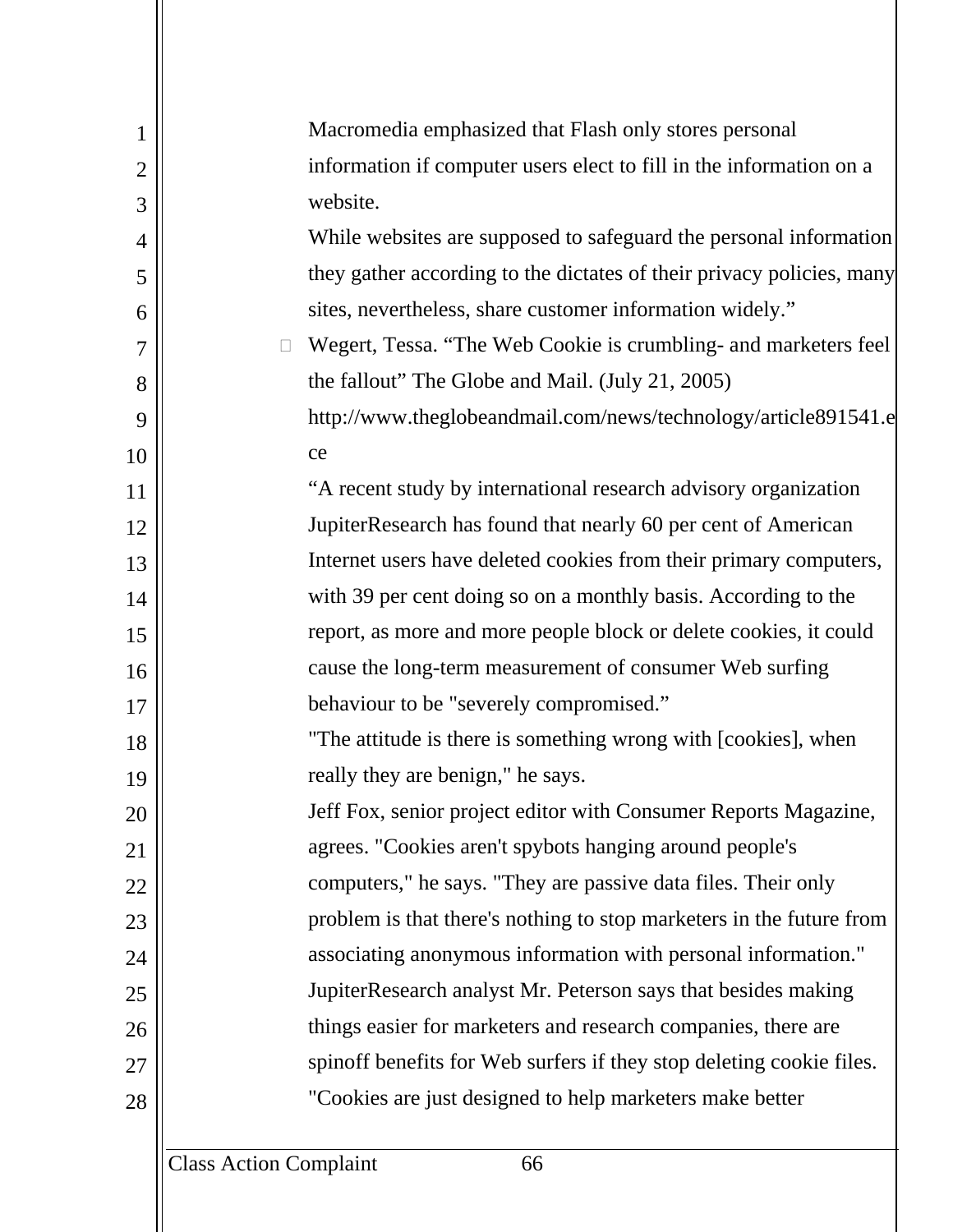| $\mathbf{1}$   |                               | Macromedia emphasized that Flash only stores personal                 |
|----------------|-------------------------------|-----------------------------------------------------------------------|
| $\overline{2}$ |                               | information if computer users elect to fill in the information on a   |
| 3              |                               | website.                                                              |
| $\overline{4}$ |                               | While websites are supposed to safeguard the personal information     |
| 5              |                               | they gather according to the dictates of their privacy policies, many |
| 6              |                               | sites, nevertheless, share customer information widely."              |
| $\overline{7}$ |                               | Wegert, Tessa. "The Web Cookie is crumbling- and marketers feel       |
| 8              |                               | the fallout" The Globe and Mail. (July 21, 2005)                      |
| 9              |                               | http://www.theglobeandmail.com/news/technology/article891541.e        |
| 10             |                               | ce                                                                    |
| 11             |                               | "A recent study by international research advisory organization       |
| 12             |                               | JupiterResearch has found that nearly 60 per cent of American         |
| 13             |                               | Internet users have deleted cookies from their primary computers,     |
| 14             |                               | with 39 per cent doing so on a monthly basis. According to the        |
| 15             |                               | report, as more and more people block or delete cookies, it could     |
| 16             |                               | cause the long-term measurement of consumer Web surfing               |
| 17             |                               | behaviour to be "severely compromised."                               |
| 18             |                               | "The attitude is there is something wrong with [cookies], when        |
| 19             |                               | really they are benign," he says.                                     |
| 20             |                               | Jeff Fox, senior project editor with Consumer Reports Magazine,       |
| 21             |                               | agrees. "Cookies aren't spybots hanging around people's               |
| 22             |                               | computers," he says. "They are passive data files. Their only         |
| 23             |                               | problem is that there's nothing to stop marketers in the future from  |
| 24             |                               | associating anonymous information with personal information."         |
| 25             |                               | JupiterResearch analyst Mr. Peterson says that besides making         |
| 26             |                               | things easier for marketers and research companies, there are         |
| 27             |                               | spin of benefits for Web surfers if they stop deleting cookie files.  |
| 28             |                               | "Cookies are just designed to help marketers make better              |
|                |                               |                                                                       |
|                | <b>Class Action Complaint</b> | 66                                                                    |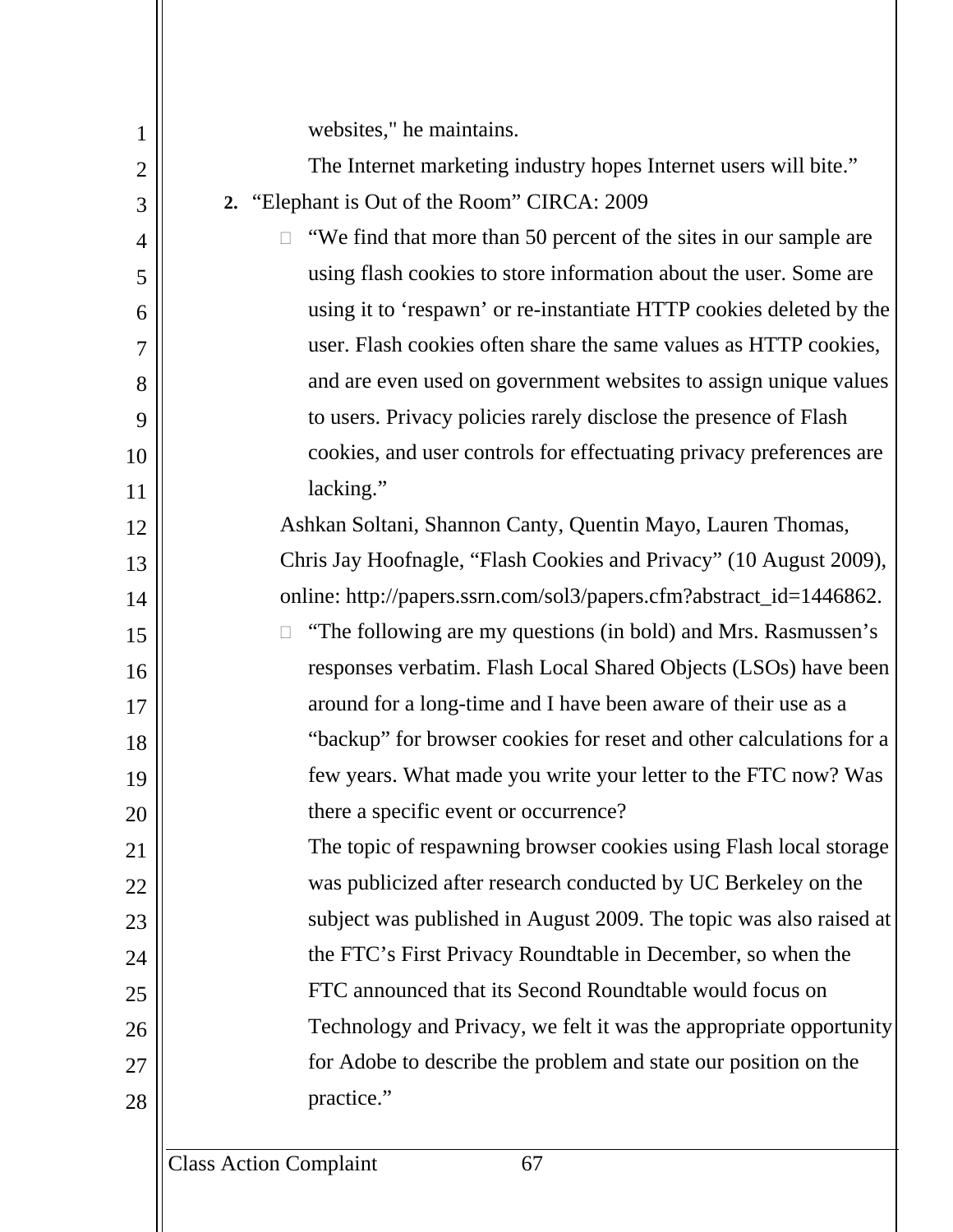websites," he maintains.

| $\mathbf{1}$   | websites," he maintains.                                                    |
|----------------|-----------------------------------------------------------------------------|
| $\overline{2}$ | The Internet marketing industry hopes Internet users will bite."            |
| 3              | 2. "Elephant is Out of the Room" CIRCA: 2009                                |
| $\overline{4}$ | "We find that more than 50 percent of the sites in our sample are<br>$\Box$ |
| 5              | using flash cookies to store information about the user. Some are           |
| 6              | using it to 'respawn' or re-instantiate HTTP cookies deleted by the         |
| 7              | user. Flash cookies often share the same values as HTTP cookies,            |
| 8              | and are even used on government websites to assign unique values            |
| 9              | to users. Privacy policies rarely disclose the presence of Flash            |
| 10             | cookies, and user controls for effectuating privacy preferences are         |
| 11             | lacking."                                                                   |
| 12             | Ashkan Soltani, Shannon Canty, Quentin Mayo, Lauren Thomas,                 |
| 13             | Chris Jay Hoofnagle, "Flash Cookies and Privacy" (10 August 2009),          |
| 14             | online: http://papers.ssrn.com/sol3/papers.cfm?abstract_id=1446862.         |
| 15             | "The following are my questions (in bold) and Mrs. Rasmussen's              |
| 16             | responses verbatim. Flash Local Shared Objects (LSOs) have been             |
| 17             | around for a long-time and I have been aware of their use as a              |
| 18             | "backup" for browser cookies for reset and other calculations for a         |
| 19             | few years. What made you write your letter to the FTC now? Was              |
| 20             | there a specific event or occurrence?                                       |
| 21             | The topic of respawning browser cookies using Flash local storage           |
| 22             | was publicized after research conducted by UC Berkeley on the               |
| 23             | subject was published in August 2009. The topic was also raised at          |
| 24             | the FTC's First Privacy Roundtable in December, so when the                 |
| 25             | FTC announced that its Second Roundtable would focus on                     |
| 26             | Technology and Privacy, we felt it was the appropriate opportunity          |
| 27             | for Adobe to describe the problem and state our position on the             |
| 28             | practice."                                                                  |
|                |                                                                             |
|                | <b>Class Action Complaint</b><br>67                                         |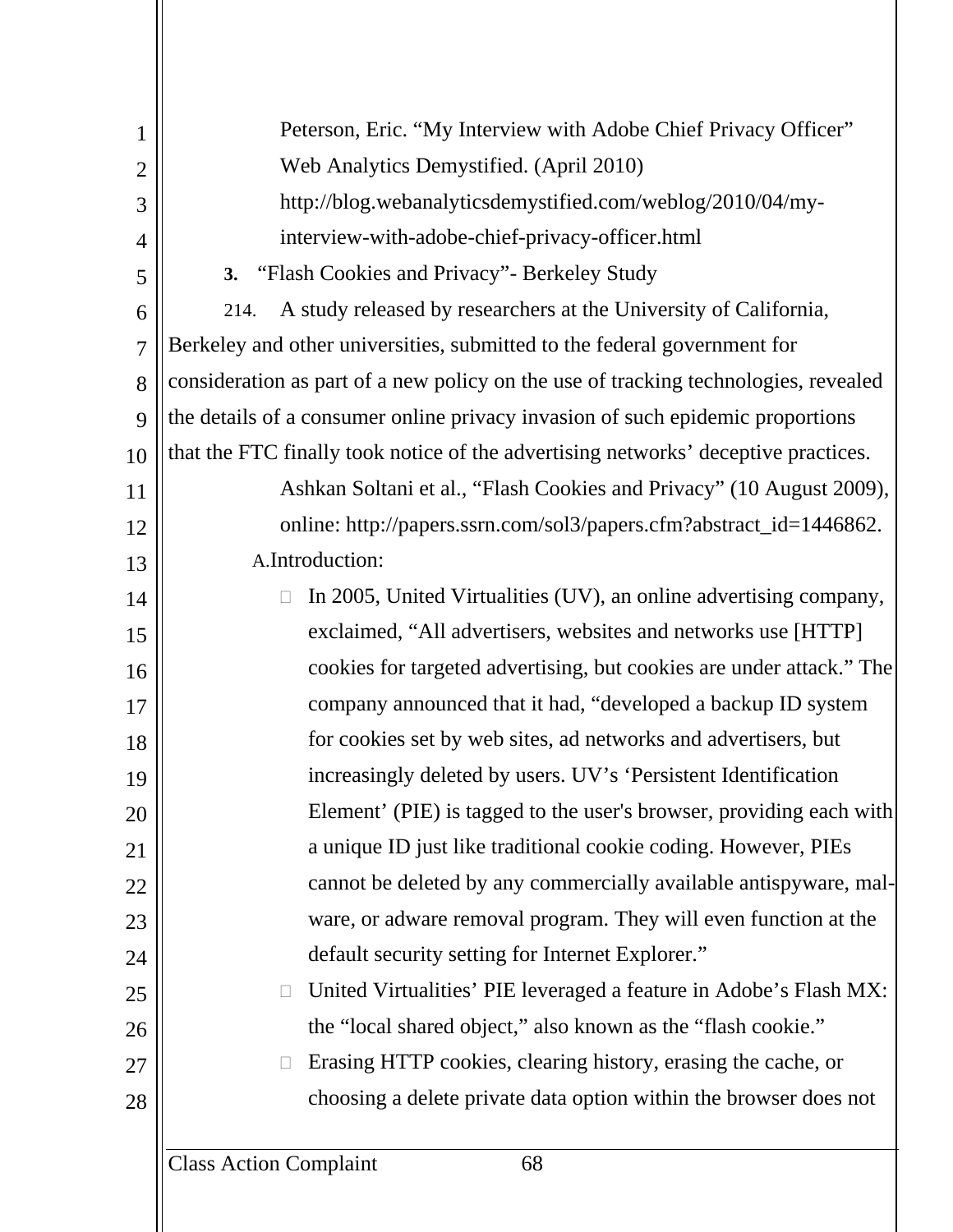| 1              | Peterson, Eric. "My Interview with Adobe Chief Privacy Officer"                     |
|----------------|-------------------------------------------------------------------------------------|
| $\overline{2}$ | Web Analytics Demystified. (April 2010)                                             |
| 3              | http://blog.webanalyticsdemystified.com/weblog/2010/04/my-                          |
| 4              | interview-with-adobe-chief-privacy-officer.html                                     |
| 5              | "Flash Cookies and Privacy" - Berkeley Study<br>3.                                  |
| 6              | A study released by researchers at the University of California,<br>214.            |
| $\overline{7}$ | Berkeley and other universities, submitted to the federal government for            |
| 8              | consideration as part of a new policy on the use of tracking technologies, revealed |
| 9              | the details of a consumer online privacy invasion of such epidemic proportions      |
| 10             | that the FTC finally took notice of the advertising networks' deceptive practices.  |
| 11             | Ashkan Soltani et al., "Flash Cookies and Privacy" (10 August 2009),                |
| 12             | online: http://papers.ssrn.com/sol3/papers.cfm?abstract_id=1446862.                 |
| 13             | A.Introduction:                                                                     |
| 14             | In 2005, United Virtualities (UV), an online advertising company,<br>$\Box$         |
| 15             | exclaimed, "All advertisers, websites and networks use [HTTP]                       |
| 16             | cookies for targeted advertising, but cookies are under attack." The                |
| 17             | company announced that it had, "developed a backup ID system                        |
| 18             | for cookies set by web sites, ad networks and advertisers, but                      |
| 19             | increasingly deleted by users. UV's 'Persistent Identification                      |
| 20             | Element' (PIE) is tagged to the user's browser, providing each with                 |
| 21             | a unique ID just like traditional cookie coding. However, PIEs                      |
| 22             | cannot be deleted by any commercially available antispyware, mal-                   |
| 23             | ware, or adware removal program. They will even function at the                     |
| 24             | default security setting for Internet Explorer."                                    |
| 25             | United Virtualities' PIE leveraged a feature in Adobe's Flash MX:                   |
| 26             | the "local shared object," also known as the "flash cookie."                        |
| 27             | Erasing HTTP cookies, clearing history, erasing the cache, or<br>$\Box$             |
| 28             | choosing a delete private data option within the browser does not                   |
|                |                                                                                     |
|                | <b>Class Action Complaint</b><br>68                                                 |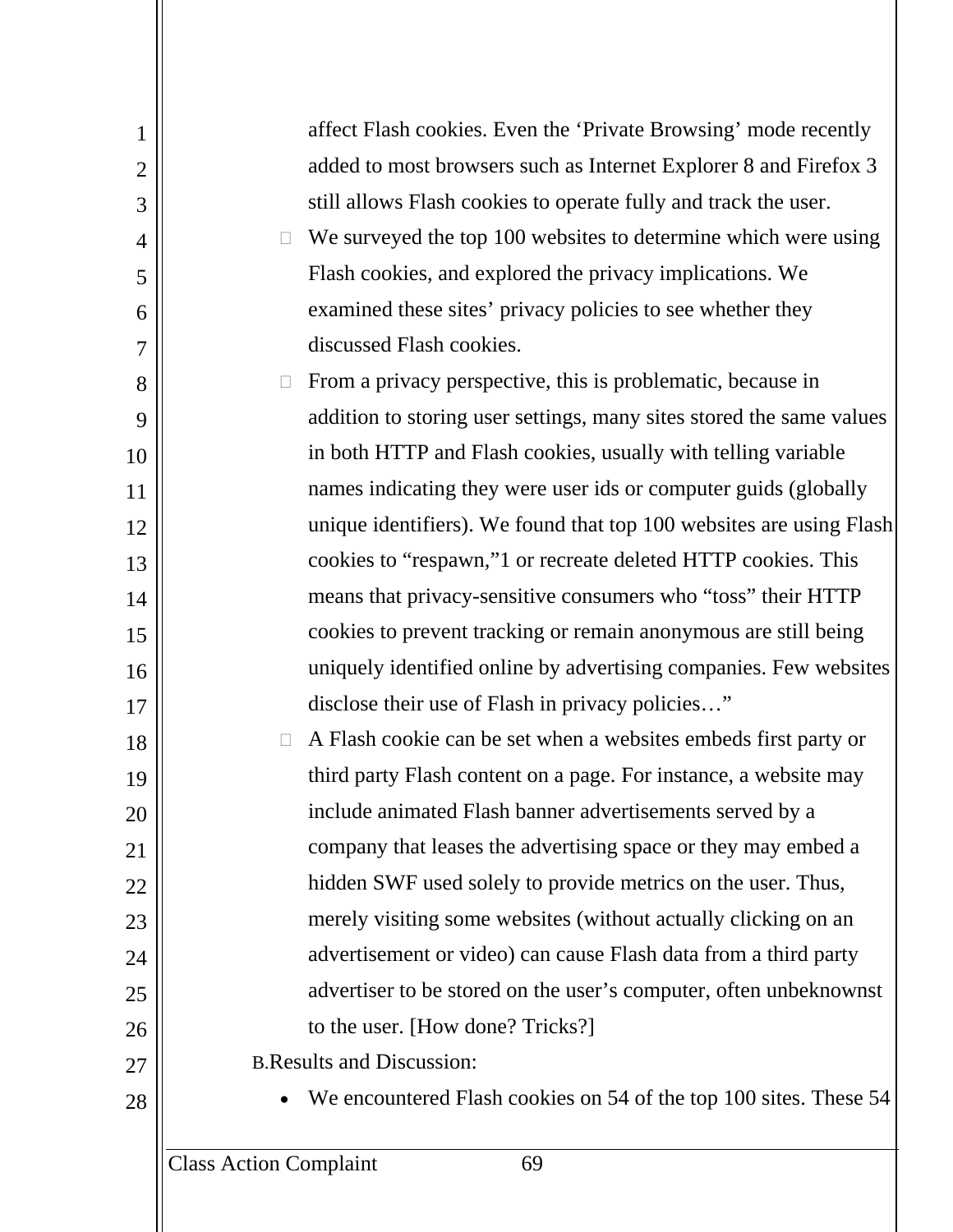| 1              | affect Flash cookies. Even the 'Private Browsing' mode recently           |
|----------------|---------------------------------------------------------------------------|
| $\overline{2}$ | added to most browsers such as Internet Explorer 8 and Firefox 3          |
| 3              | still allows Flash cookies to operate fully and track the user.           |
| $\overline{4}$ | $\Box$ We surveyed the top 100 websites to determine which were using     |
| 5              | Flash cookies, and explored the privacy implications. We                  |
| 6              | examined these sites' privacy policies to see whether they                |
| $\overline{7}$ | discussed Flash cookies.                                                  |
| 8              | From a privacy perspective, this is problematic, because in               |
| 9              | addition to storing user settings, many sites stored the same values      |
| 10             | in both HTTP and Flash cookies, usually with telling variable             |
| 11             | names indicating they were user ids or computer guids (globally           |
| 12             | unique identifiers). We found that top 100 websites are using Flash       |
| 13             | cookies to "respawn,"1 or recreate deleted HTTP cookies. This             |
| 14             | means that privacy-sensitive consumers who "toss" their HTTP              |
| 15             | cookies to prevent tracking or remain anonymous are still being           |
| 16             | uniquely identified online by advertising companies. Few websites         |
| 17             | disclose their use of Flash in privacy policies"                          |
| 18             | A Flash cookie can be set when a websites embeds first party or<br>$\Box$ |
| 19             | third party Flash content on a page. For instance, a website may          |
| 20             | include animated Flash banner advertisements served by a                  |
| 21             | company that leases the advertising space or they may embed a             |
| <u>22</u>      | hidden SWF used solely to provide metrics on the user. Thus,              |
| 23             | merely visiting some websites (without actually clicking on an            |
| 24             | advertisement or video) can cause Flash data from a third party           |
| 25             | advertiser to be stored on the user's computer, often unbeknownst         |
| 26             | to the user. [How done? Tricks?]                                          |
| 27             | <b>B.Results and Discussion:</b>                                          |
| 28             | We encountered Flash cookies on 54 of the top 100 sites. These 54         |
|                | <b>Class Action Complaint</b><br>69                                       |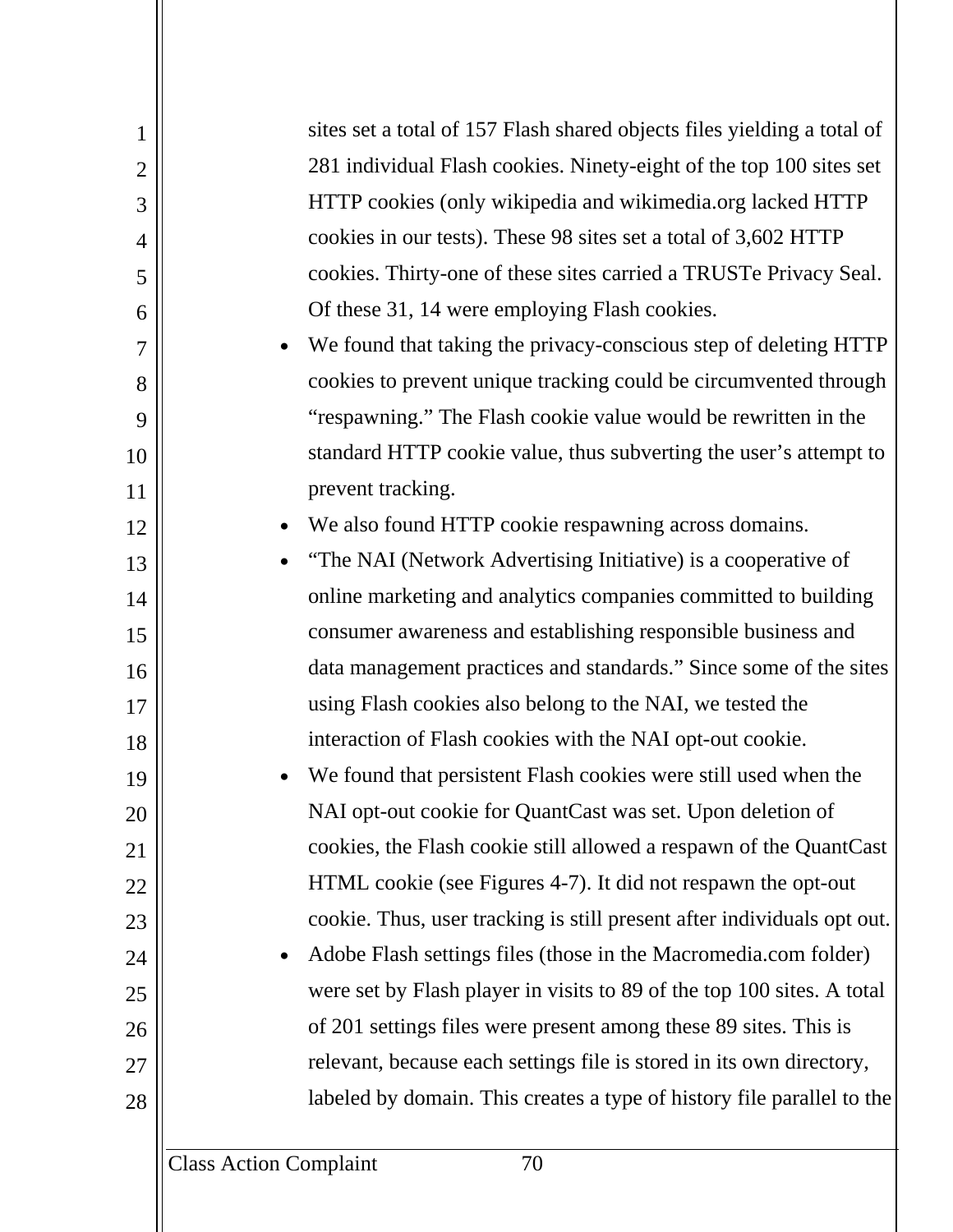| 1              | sites set a total of 157 Flash shared objects files yielding a total of |
|----------------|-------------------------------------------------------------------------|
| $\overline{2}$ | 281 individual Flash cookies. Ninety-eight of the top 100 sites set     |
| 3              | HTTP cookies (only wikipedia and wikimedia.org lacked HTTP              |
| $\overline{4}$ | cookies in our tests). These 98 sites set a total of 3,602 HTTP         |
| 5              | cookies. Thirty-one of these sites carried a TRUSTe Privacy Seal.       |
| 6              | Of these 31, 14 were employing Flash cookies.                           |
| $\overline{7}$ | • We found that taking the privacy-conscious step of deleting HTTP      |
| 8              | cookies to prevent unique tracking could be circumvented through        |
| 9              | "respawning." The Flash cookie value would be rewritten in the          |
| 10             | standard HTTP cookie value, thus subverting the user's attempt to       |
| 11             | prevent tracking.                                                       |
| 12             | We also found HTTP cookie respawning across domains.                    |
| 13             | "The NAI (Network Advertising Initiative) is a cooperative of           |
| 14             | online marketing and analytics companies committed to building          |
| 15             | consumer awareness and establishing responsible business and            |
| 16             | data management practices and standards." Since some of the sites       |
| 17             | using Flash cookies also belong to the NAI, we tested the               |
| 18             | interaction of Flash cookies with the NAI opt-out cookie.               |
| 19             | We found that persistent Flash cookies were still used when the         |
| 20             | NAI opt-out cookie for QuantCast was set. Upon deletion of              |
| 21             | cookies, the Flash cookie still allowed a respawn of the QuantCast      |
| 22             | HTML cookie (see Figures 4-7). It did not respawn the opt-out           |
| 23             | cookie. Thus, user tracking is still present after individuals opt out. |
| 24             | Adobe Flash settings files (those in the Macromedia.com folder)         |
| 25             | were set by Flash player in visits to 89 of the top 100 sites. A total  |
| 26             | of 201 settings files were present among these 89 sites. This is        |
| 27             | relevant, because each settings file is stored in its own directory,    |
| 28             | labeled by domain. This creates a type of history file parallel to the  |
|                |                                                                         |
|                | <b>Class Action Complaint</b><br>70                                     |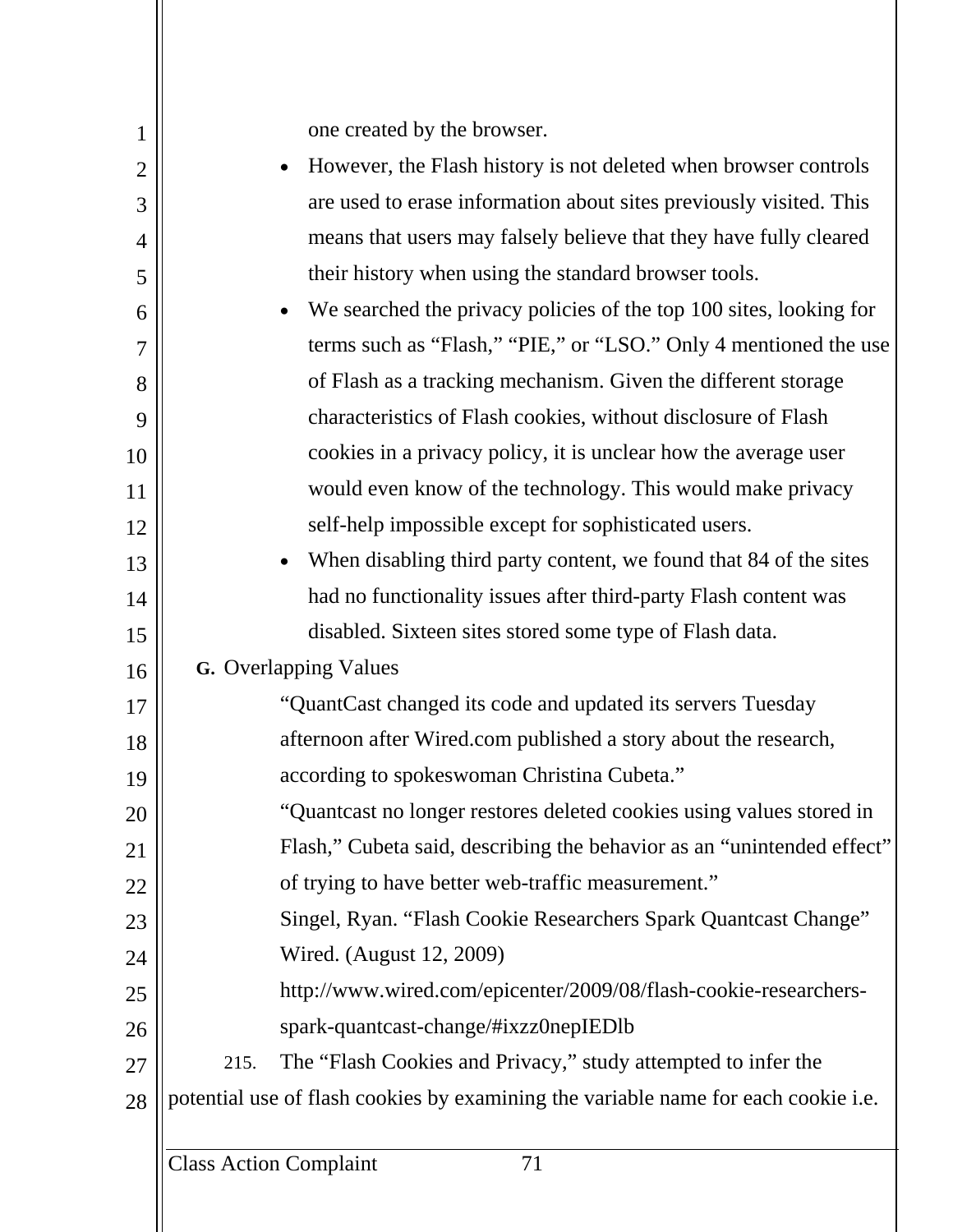| $\mathbf{1}$   | one created by the browser.                                                        |
|----------------|------------------------------------------------------------------------------------|
| $\overline{2}$ | However, the Flash history is not deleted when browser controls                    |
| 3              | are used to erase information about sites previously visited. This                 |
| $\overline{4}$ | means that users may falsely believe that they have fully cleared                  |
| 5              | their history when using the standard browser tools.                               |
| 6              | We searched the privacy policies of the top 100 sites, looking for                 |
| 7              | terms such as "Flash," "PIE," or "LSO." Only 4 mentioned the use                   |
| 8              | of Flash as a tracking mechanism. Given the different storage                      |
| 9              | characteristics of Flash cookies, without disclosure of Flash                      |
| 10             | cookies in a privacy policy, it is unclear how the average user                    |
| 11             | would even know of the technology. This would make privacy                         |
| 12             | self-help impossible except for sophisticated users.                               |
| 13             | When disabling third party content, we found that 84 of the sites                  |
| 14             | had no functionality issues after third-party Flash content was                    |
| 15             | disabled. Sixteen sites stored some type of Flash data.                            |
| 16             | G. Overlapping Values                                                              |
| 17             | "QuantCast changed its code and updated its servers Tuesday                        |
| 18             | afternoon after Wired.com published a story about the research,                    |
| 19             | according to spokeswoman Christina Cubeta."                                        |
| 20             | "Quantcast no longer restores deleted cookies using values stored in               |
| 21             | Flash," Cubeta said, describing the behavior as an "unintended effect"             |
| 22             | of trying to have better web-traffic measurement."                                 |
| 23             | Singel, Ryan. "Flash Cookie Researchers Spark Quantcast Change"                    |
| 24             | Wired. (August 12, 2009)                                                           |
| 25             | http://www.wired.com/epicenter/2009/08/flash-cookie-researchers-                   |
| 26             | spark-quantcast-change/#ixzz0nepIEDlb                                              |
| 27             | The "Flash Cookies and Privacy," study attempted to infer the<br>215.              |
| 28             | potential use of flash cookies by examining the variable name for each cookie i.e. |
|                |                                                                                    |
|                | <b>Class Action Complaint</b><br>71                                                |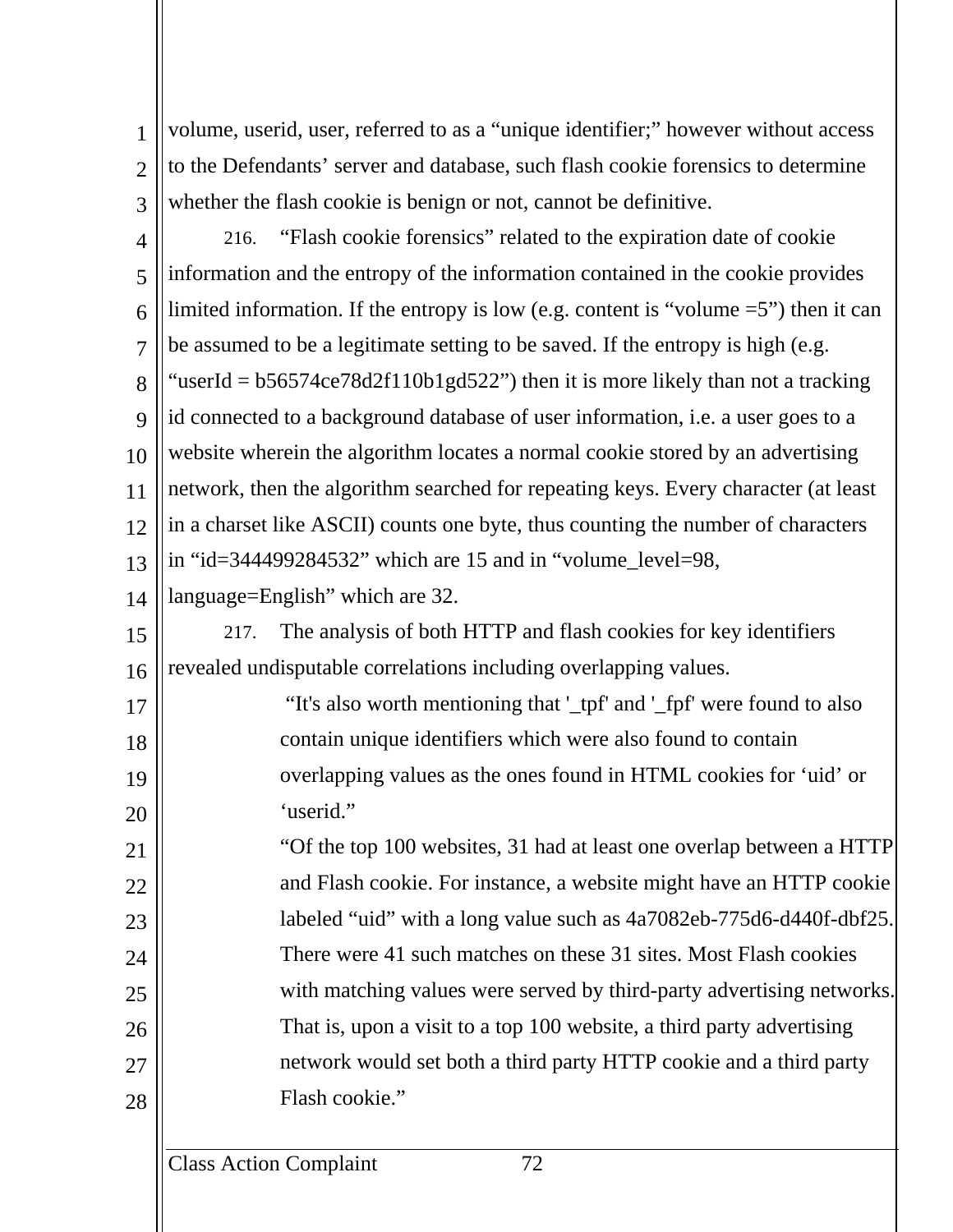1 2 3 volume, userid, user, referred to as a "unique identifier;" however without access to the Defendants' server and database, such flash cookie forensics to determine whether the flash cookie is benign or not, cannot be definitive.

| $\overline{4}$ | "Flash cookie forensics" related to the expiration date of cookie<br>216.               |
|----------------|-----------------------------------------------------------------------------------------|
| 5              | information and the entropy of the information contained in the cookie provides         |
| 6              | limited information. If the entropy is low (e.g. content is "volume $=5$ ") then it can |
| $\overline{7}$ | be assumed to be a legitimate setting to be saved. If the entropy is high (e.g.         |
| 8              | "userId = $b56574ce78d2f110b1gd522"$ ) then it is more likely than not a tracking       |
| 9              | id connected to a background database of user information, i.e. a user goes to a        |
| 10             | website wherein the algorithm locates a normal cookie stored by an advertising          |
| 11             | network, then the algorithm searched for repeating keys. Every character (at least      |
| 12             | in a charset like ASCII) counts one byte, thus counting the number of characters        |
| 13             | in "id=344499284532" which are 15 and in "volume_level=98,                              |
| 14             | language=English" which are 32.                                                         |
| 15             | The analysis of both HTTP and flash cookies for key identifiers<br>217.                 |
| 16             | revealed undisputable correlations including overlapping values.                        |
| 17             | "It's also worth mentioning that '_tpf' and '_fpf' were found to also                   |
| 18             | contain unique identifiers which were also found to contain                             |
| 19             | overlapping values as the ones found in HTML cookies for 'uid' or                       |
| 20             | 'userid."                                                                               |
| 21             | "Of the top 100 websites, 31 had at least one overlap between a HTTP                    |
| 22             | and Flash cookie. For instance, a website might have an HTTP cookie                     |
| 23             | labeled "uid" with a long value such as 4a7082eb-775d6-d440f-dbf25.                     |
| 24             | There were 41 such matches on these 31 sites. Most Flash cookies                        |
| 25             | with matching values were served by third-party advertising networks.                   |
| 26             | That is, upon a visit to a top 100 website, a third party advertising                   |
| 27             | network would set both a third party HTTP cookie and a third party                      |
| 28             | Flash cookie."                                                                          |
|                |                                                                                         |
|                | Tass Action Complaint<br>72                                                             |

 $\text{Class } \text{Action } \text{Complant}$  /2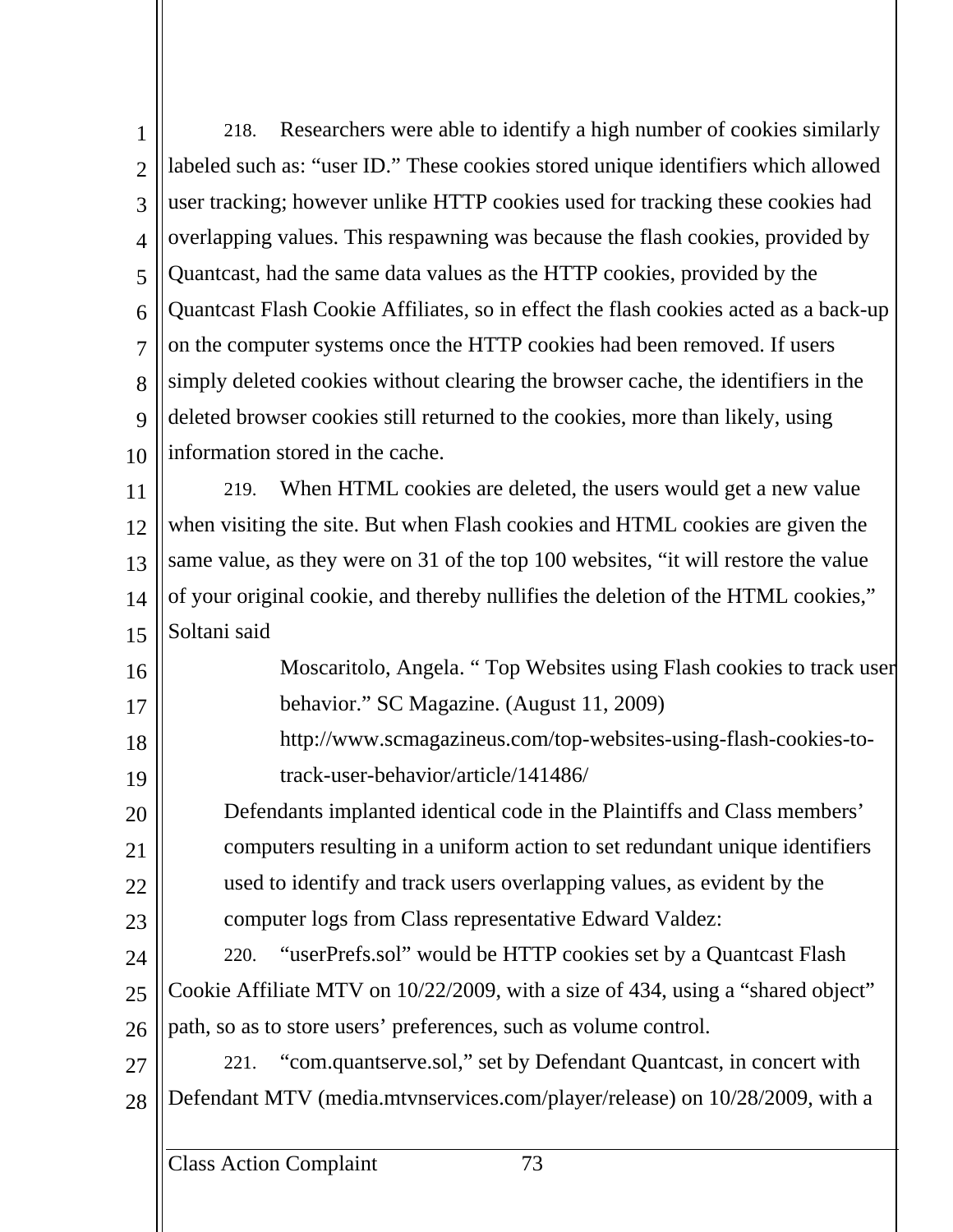| $\mathbf{1}$   | Researchers were able to identify a high number of cookies similarly<br>218.         |
|----------------|--------------------------------------------------------------------------------------|
| $\overline{2}$ | labeled such as: "user ID." These cookies stored unique identifiers which allowed    |
| 3              | user tracking; however unlike HTTP cookies used for tracking these cookies had       |
| $\overline{4}$ | overlapping values. This respawning was because the flash cookies, provided by       |
| 5              | Quantcast, had the same data values as the HTTP cookies, provided by the             |
| 6              | Quantcast Flash Cookie Affiliates, so in effect the flash cookies acted as a back-up |
| $\overline{7}$ | on the computer systems once the HTTP cookies had been removed. If users             |
| 8              | simply deleted cookies without clearing the browser cache, the identifiers in the    |
| 9              | deleted browser cookies still returned to the cookies, more than likely, using       |
| 10             | information stored in the cache.                                                     |
| 11             | When HTML cookies are deleted, the users would get a new value<br>219.               |
| 12             | when visiting the site. But when Flash cookies and HTML cookies are given the        |
| 13             | same value, as they were on 31 of the top 100 websites, "it will restore the value   |
| 14             | of your original cookie, and thereby nullifies the deletion of the HTML cookies,"    |
| 15             | Soltani said                                                                         |
| 16             | Moscaritolo, Angela. "Top Websites using Flash cookies to track user                 |
| 17             | behavior." SC Magazine. (August 11, 2009)                                            |
| 18             | http://www.scmagazineus.com/top-websites-using-flash-cookies-to-                     |
| 19             | track-user-behavior/article/141486/                                                  |
| 20             | Defendants implanted identical code in the Plaintiffs and Class members'             |
| 21             | computers resulting in a uniform action to set redundant unique identifiers          |
| 22             | used to identify and track users overlapping values, as evident by the               |
| 23             | computer logs from Class representative Edward Valdez:                               |
| 24             | "userPrefs.sol" would be HTTP cookies set by a Quantcast Flash<br>220.               |
| 25             | Cookie Affiliate MTV on 10/22/2009, with a size of 434, using a "shared object"      |
| 26             | path, so as to store users' preferences, such as volume control.                     |
| 27             | "com.quantserve.sol," set by Defendant Quantcast, in concert with<br>221.            |
| 28             | Defendant MTV (media.mtvnservices.com/player/release) on 10/28/2009, with a          |
|                |                                                                                      |
|                | <b>Class Action Complaint</b><br>73                                                  |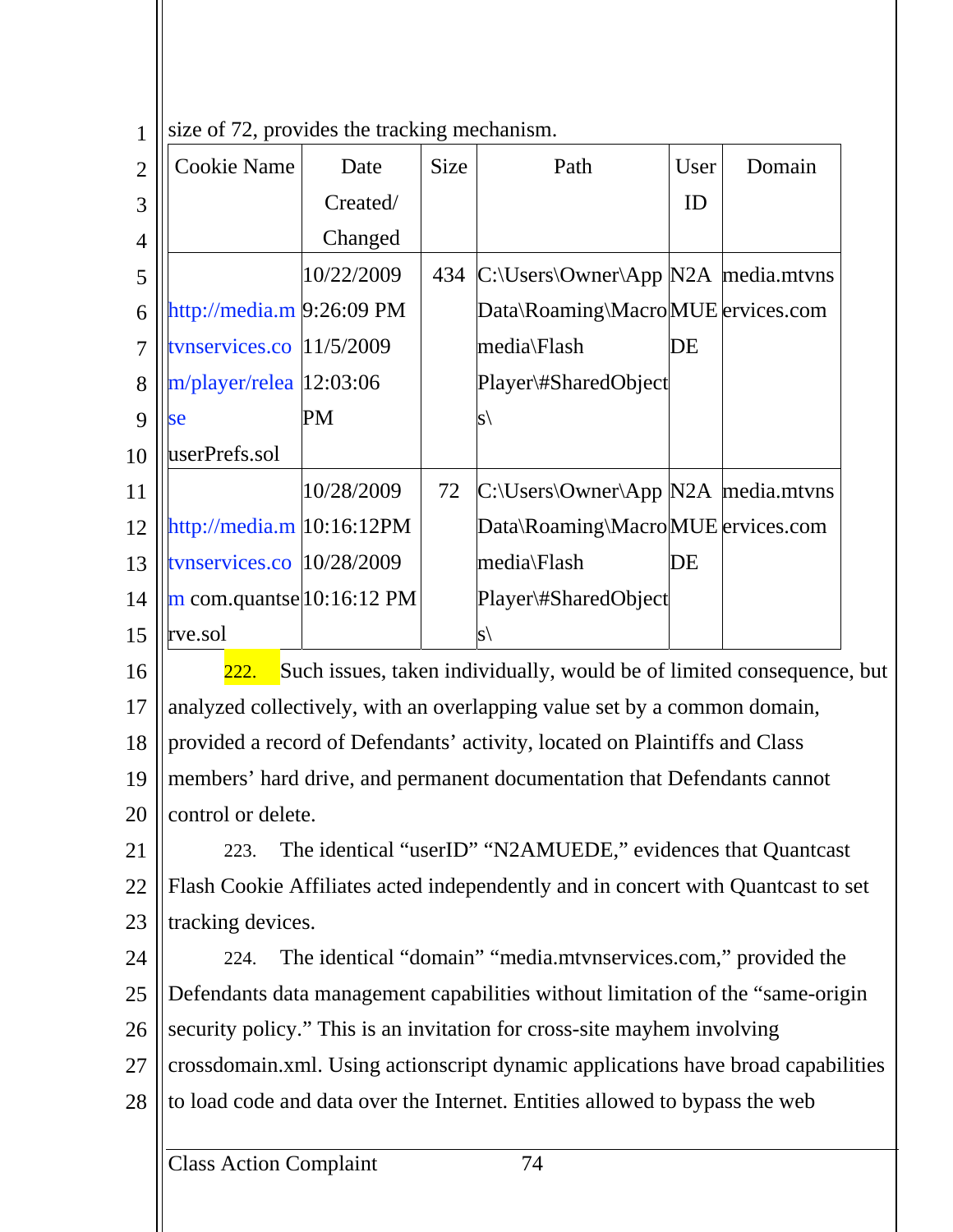|  | $\frac{1}{2}$ size of 72, provides the tracking mechanism. |  |
|--|------------------------------------------------------------|--|
|--|------------------------------------------------------------|--|

| $\overline{2}$ | Cookie Name                                                                | Date       | <b>Size</b> | Path                                                                             | User | Domain |  |
|----------------|----------------------------------------------------------------------------|------------|-------------|----------------------------------------------------------------------------------|------|--------|--|
| 3              |                                                                            | Created/   |             |                                                                                  | ID   |        |  |
| $\overline{4}$ |                                                                            | Changed    |             |                                                                                  |      |        |  |
| 5              |                                                                            | 10/22/2009 | 434         | C:\Users\Owner\App N2A   media.mtvns                                             |      |        |  |
| 6              | http://media.m $9:26:09 \text{ PM}$                                        |            |             | Data\Roaming\MacroMUE ervices.com                                                |      |        |  |
| 7              | tynservices.co  11/5/2009                                                  |            |             | media\Flash                                                                      | DE   |        |  |
| 8              | m/player/relea  12:03:06                                                   |            |             | Player\#SharedObject                                                             |      |        |  |
| 9              | se                                                                         | PM         |             | $S\setminus$                                                                     |      |        |  |
| 10             | userPrefs.sol                                                              |            |             |                                                                                  |      |        |  |
| 11             |                                                                            | 10/28/2009 | 72          | $C:\Upsilon\to\Omega$ media.mtvns                                                |      |        |  |
| 12             | http://media.m $ 10:16:12$ PM                                              |            |             | Data\Roaming\MacroMUE ervices.com                                                |      |        |  |
| 13             | tynservices.co  10/28/2009                                                 |            |             | media\Flash                                                                      | DE   |        |  |
| 14             | $m$ com.quantse 10:16:12 PM                                                |            |             | Player\#SharedObject                                                             |      |        |  |
| 15             | rve.sol                                                                    |            |             |                                                                                  |      |        |  |
| 16             | 222.                                                                       |            |             | Such issues, taken individually, would be of limited consequence, but            |      |        |  |
| 17             |                                                                            |            |             | analyzed collectively, with an overlapping value set by a common domain,         |      |        |  |
| 18             | provided a record of Defendants' activity, located on Plaintiffs and Class |            |             |                                                                                  |      |        |  |
| 19             |                                                                            |            |             | members' hard drive, and permanent documentation that Defendants cannot          |      |        |  |
| 20             | control or delete.                                                         |            |             |                                                                                  |      |        |  |
| 21             | 223.                                                                       |            |             | The identical "userID" "N2AMUEDE," evidences that Quantcast                      |      |        |  |
| 22             |                                                                            |            |             | Flash Cookie Affiliates acted independently and in concert with Quantcast to set |      |        |  |
| 23             | tracking devices.                                                          |            |             |                                                                                  |      |        |  |
| 24             | 224.                                                                       |            |             | The identical "domain" "media.mtvnservices.com," provided the                    |      |        |  |
| 25             |                                                                            |            |             | Defendants data management capabilities without limitation of the "same-origin   |      |        |  |
| 26             |                                                                            |            |             | security policy." This is an invitation for cross-site mayhem involving          |      |        |  |
| 27             |                                                                            |            |             | crossdomain.xml. Using actionscript dynamic applications have broad capabilities |      |        |  |
| 28             |                                                                            |            |             | to load code and data over the Internet. Entities allowed to bypass the web      |      |        |  |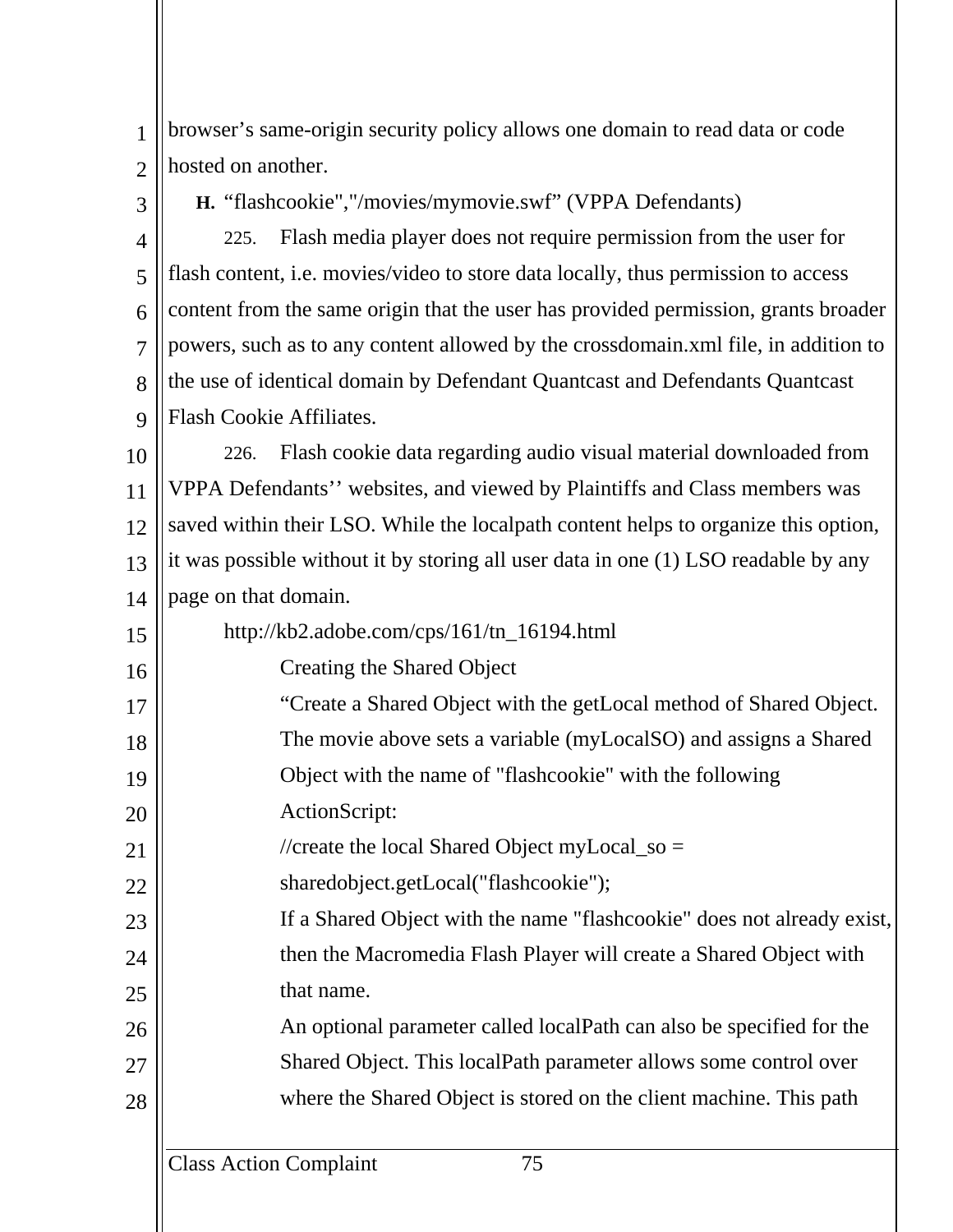1  $\mathcal{L}$ browser's same-origin security policy allows one domain to read data or code hosted on another.

3

**H.** "flashcookie","/movies/mymovie.swf" (VPPA Defendants)

4 5 6 7 8 9 225. Flash media player does not require permission from the user for flash content, i.e. movies/video to store data locally, thus permission to access content from the same origin that the user has provided permission, grants broader powers, such as to any content allowed by the crossdomain.xml file, in addition to the use of identical domain by Defendant Quantcast and Defendants Quantcast Flash Cookie Affiliates.

10 11 12 13 1 $\Lambda$ 226. Flash cookie data regarding audio visual material downloaded from VPPA Defendants'' websites, and viewed by Plaintiffs and Class members was saved within their LSO. While the localpath content helps to organize this option, it was possible without it by storing all user data in one (1) LSO readable by any page on that domain.

| $1 +$ | $\mu$ a $\sim$ on that going $\mu$ .                                   |
|-------|------------------------------------------------------------------------|
| 15    | http://kb2.adobe.com/cps/161/tn_16194.html                             |
| 16    | Creating the Shared Object                                             |
| 17    | "Create a Shared Object with the getLocal method of Shared Object.     |
| 18    | The movie above sets a variable (myLocalSO) and assigns a Shared       |
| 19    | Object with the name of "flashcookie" with the following               |
| 20    | ActionScript:                                                          |
| 21    | //create the local Shared Object myLocal_so =                          |
| 22    | sharedobject.getLocal("flashcookie");                                  |
| 23    | If a Shared Object with the name "flashcookie" does not already exist, |
| 24    | then the Macromedia Flash Player will create a Shared Object with      |
| 25    | that name.                                                             |
| 26    | An optional parameter called local Path can also be specified for the  |
| 27    | Shared Object. This local Path parameter allows some control over      |
| 28    | where the Shared Object is stored on the client machine. This path     |
|       |                                                                        |
|       | <b>Class Action Complaint</b><br>75                                    |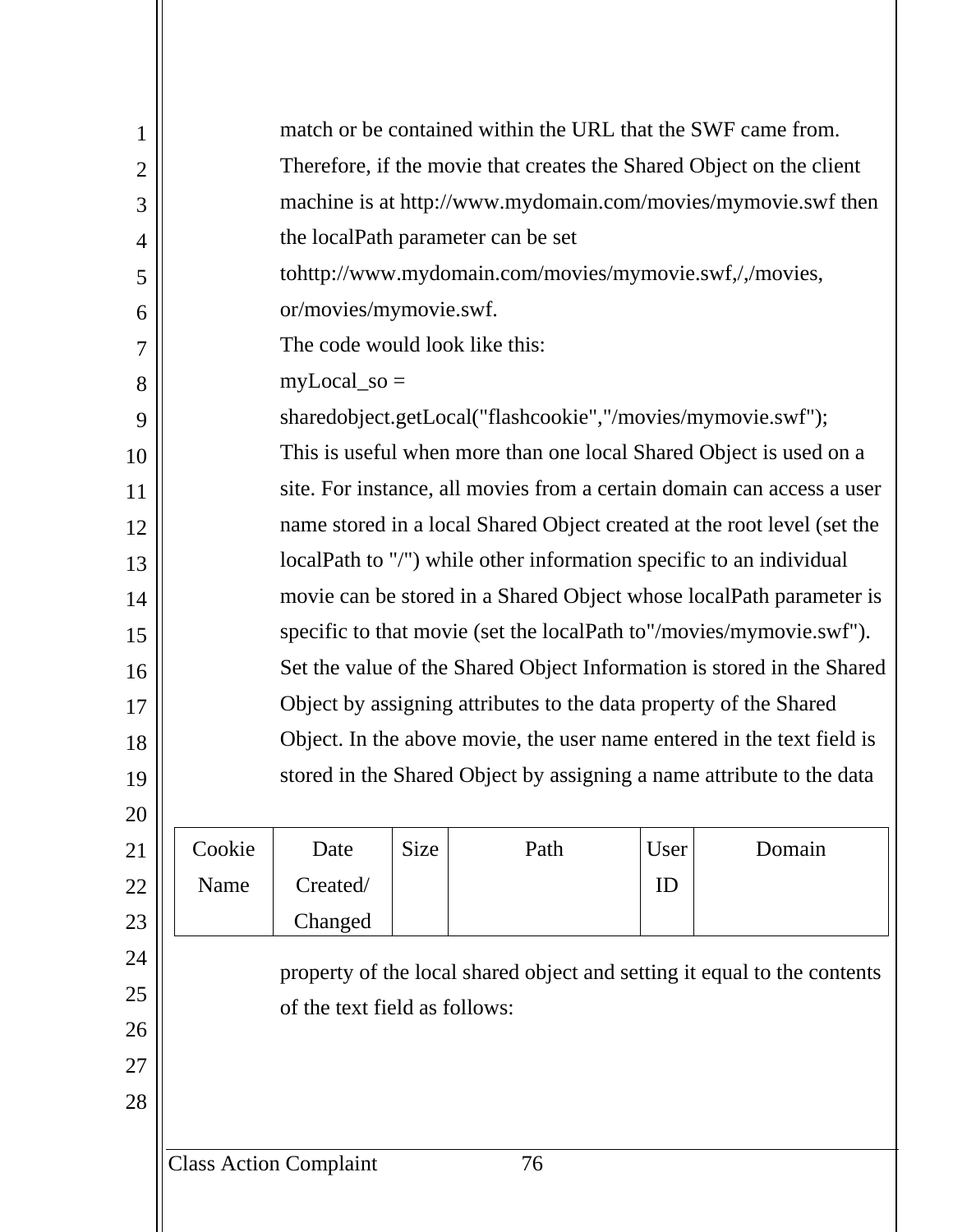|                                                                                                               |                               |      | match or be contained within the URL that the SWF came from. |                               |                                                                                                                                                                                                                                                                                                                                                                                                                                                                                                                                                                                                                                                                                                                                                                                                                                                                                           |  |  |  |
|---------------------------------------------------------------------------------------------------------------|-------------------------------|------|--------------------------------------------------------------|-------------------------------|-------------------------------------------------------------------------------------------------------------------------------------------------------------------------------------------------------------------------------------------------------------------------------------------------------------------------------------------------------------------------------------------------------------------------------------------------------------------------------------------------------------------------------------------------------------------------------------------------------------------------------------------------------------------------------------------------------------------------------------------------------------------------------------------------------------------------------------------------------------------------------------------|--|--|--|
|                                                                                                               |                               |      |                                                              |                               |                                                                                                                                                                                                                                                                                                                                                                                                                                                                                                                                                                                                                                                                                                                                                                                                                                                                                           |  |  |  |
| Therefore, if the movie that creates the Shared Object on the client                                          |                               |      |                                                              |                               |                                                                                                                                                                                                                                                                                                                                                                                                                                                                                                                                                                                                                                                                                                                                                                                                                                                                                           |  |  |  |
| machine is at http://www.mydomain.com/movies/mymovie.swf then                                                 |                               |      |                                                              |                               |                                                                                                                                                                                                                                                                                                                                                                                                                                                                                                                                                                                                                                                                                                                                                                                                                                                                                           |  |  |  |
| the localPath parameter can be set                                                                            |                               |      |                                                              |                               |                                                                                                                                                                                                                                                                                                                                                                                                                                                                                                                                                                                                                                                                                                                                                                                                                                                                                           |  |  |  |
| $\overline{4}$<br>tohttp://www.mydomain.com/movies/mymovie.swf,/,/movies,<br>5<br>or/movies/mymovie.swf.<br>6 |                               |      |                                                              |                               |                                                                                                                                                                                                                                                                                                                                                                                                                                                                                                                                                                                                                                                                                                                                                                                                                                                                                           |  |  |  |
|                                                                                                               |                               |      |                                                              |                               |                                                                                                                                                                                                                                                                                                                                                                                                                                                                                                                                                                                                                                                                                                                                                                                                                                                                                           |  |  |  |
| $myLocal_s$ =                                                                                                 |                               |      |                                                              |                               |                                                                                                                                                                                                                                                                                                                                                                                                                                                                                                                                                                                                                                                                                                                                                                                                                                                                                           |  |  |  |
|                                                                                                               |                               |      |                                                              |                               |                                                                                                                                                                                                                                                                                                                                                                                                                                                                                                                                                                                                                                                                                                                                                                                                                                                                                           |  |  |  |
|                                                                                                               |                               |      |                                                              |                               |                                                                                                                                                                                                                                                                                                                                                                                                                                                                                                                                                                                                                                                                                                                                                                                                                                                                                           |  |  |  |
|                                                                                                               |                               |      |                                                              |                               |                                                                                                                                                                                                                                                                                                                                                                                                                                                                                                                                                                                                                                                                                                                                                                                                                                                                                           |  |  |  |
|                                                                                                               |                               |      |                                                              |                               |                                                                                                                                                                                                                                                                                                                                                                                                                                                                                                                                                                                                                                                                                                                                                                                                                                                                                           |  |  |  |
|                                                                                                               |                               |      |                                                              |                               |                                                                                                                                                                                                                                                                                                                                                                                                                                                                                                                                                                                                                                                                                                                                                                                                                                                                                           |  |  |  |
|                                                                                                               |                               |      |                                                              |                               |                                                                                                                                                                                                                                                                                                                                                                                                                                                                                                                                                                                                                                                                                                                                                                                                                                                                                           |  |  |  |
|                                                                                                               |                               |      |                                                              |                               |                                                                                                                                                                                                                                                                                                                                                                                                                                                                                                                                                                                                                                                                                                                                                                                                                                                                                           |  |  |  |
|                                                                                                               |                               |      |                                                              |                               |                                                                                                                                                                                                                                                                                                                                                                                                                                                                                                                                                                                                                                                                                                                                                                                                                                                                                           |  |  |  |
|                                                                                                               |                               |      |                                                              |                               |                                                                                                                                                                                                                                                                                                                                                                                                                                                                                                                                                                                                                                                                                                                                                                                                                                                                                           |  |  |  |
|                                                                                                               |                               |      |                                                              |                               |                                                                                                                                                                                                                                                                                                                                                                                                                                                                                                                                                                                                                                                                                                                                                                                                                                                                                           |  |  |  |
|                                                                                                               |                               |      |                                                              |                               |                                                                                                                                                                                                                                                                                                                                                                                                                                                                                                                                                                                                                                                                                                                                                                                                                                                                                           |  |  |  |
|                                                                                                               |                               |      |                                                              |                               |                                                                                                                                                                                                                                                                                                                                                                                                                                                                                                                                                                                                                                                                                                                                                                                                                                                                                           |  |  |  |
| Cookie                                                                                                        | Date                          | Size | Path                                                         | User                          | Domain                                                                                                                                                                                                                                                                                                                                                                                                                                                                                                                                                                                                                                                                                                                                                                                                                                                                                    |  |  |  |
| Name                                                                                                          | Created/                      |      |                                                              | ID                            |                                                                                                                                                                                                                                                                                                                                                                                                                                                                                                                                                                                                                                                                                                                                                                                                                                                                                           |  |  |  |
|                                                                                                               | Changed                       |      |                                                              |                               |                                                                                                                                                                                                                                                                                                                                                                                                                                                                                                                                                                                                                                                                                                                                                                                                                                                                                           |  |  |  |
|                                                                                                               |                               |      |                                                              |                               |                                                                                                                                                                                                                                                                                                                                                                                                                                                                                                                                                                                                                                                                                                                                                                                                                                                                                           |  |  |  |
|                                                                                                               |                               |      |                                                              |                               |                                                                                                                                                                                                                                                                                                                                                                                                                                                                                                                                                                                                                                                                                                                                                                                                                                                                                           |  |  |  |
|                                                                                                               |                               |      |                                                              |                               |                                                                                                                                                                                                                                                                                                                                                                                                                                                                                                                                                                                                                                                                                                                                                                                                                                                                                           |  |  |  |
|                                                                                                               |                               |      |                                                              |                               |                                                                                                                                                                                                                                                                                                                                                                                                                                                                                                                                                                                                                                                                                                                                                                                                                                                                                           |  |  |  |
|                                                                                                               |                               |      |                                                              |                               |                                                                                                                                                                                                                                                                                                                                                                                                                                                                                                                                                                                                                                                                                                                                                                                                                                                                                           |  |  |  |
|                                                                                                               |                               |      |                                                              |                               |                                                                                                                                                                                                                                                                                                                                                                                                                                                                                                                                                                                                                                                                                                                                                                                                                                                                                           |  |  |  |
|                                                                                                               |                               |      |                                                              |                               |                                                                                                                                                                                                                                                                                                                                                                                                                                                                                                                                                                                                                                                                                                                                                                                                                                                                                           |  |  |  |
|                                                                                                               | <b>Class Action Complaint</b> |      | 76                                                           |                               |                                                                                                                                                                                                                                                                                                                                                                                                                                                                                                                                                                                                                                                                                                                                                                                                                                                                                           |  |  |  |
|                                                                                                               |                               |      |                                                              | of the text field as follows: | sharedobject.getLocal("flashcookie","/movies/mymovie.swf");<br>This is useful when more than one local Shared Object is used on a<br>site. For instance, all movies from a certain domain can access a user<br>name stored in a local Shared Object created at the root level (set the<br>localPath to "/") while other information specific to an individual<br>movie can be stored in a Shared Object whose localPath parameter is<br>specific to that movie (set the localPath to"/movies/mymovie.swf").<br>Set the value of the Shared Object Information is stored in the Shared<br>Object by assigning attributes to the data property of the Shared<br>Object. In the above movie, the user name entered in the text field is<br>stored in the Shared Object by assigning a name attribute to the data<br>property of the local shared object and setting it equal to the contents |  |  |  |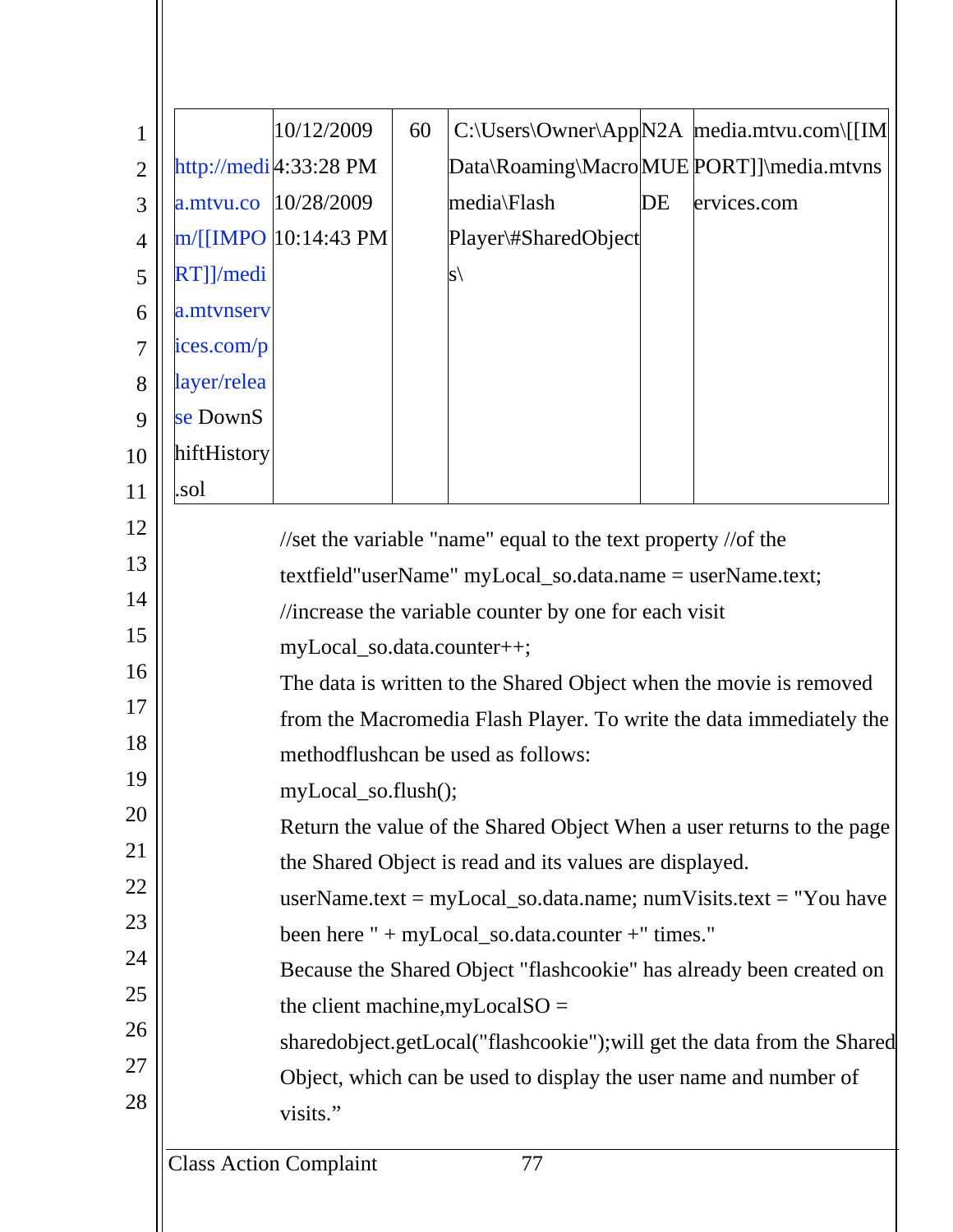| $\mathbf{1}$   |             | 10/12/2009                       | 60 |                                                                    |    | C:\Users\Owner\App N2A  media.mtvu.com\[[IM                             |
|----------------|-------------|----------------------------------|----|--------------------------------------------------------------------|----|-------------------------------------------------------------------------|
| $\overline{2}$ |             | http://medi $4:33:28 \text{ PM}$ |    | Data\Roaming\MacroMUEPORT]]\media.mtvns                            |    |                                                                         |
| 3              | a.mtvu.co   | 10/28/2009                       |    | media\Flash                                                        | DE | ervices.com                                                             |
| $\overline{4}$ |             | m/[[IMPO   10:14:43 PM           |    | Player\#SharedObject                                               |    |                                                                         |
| 5              | RT]]/medi   |                                  |    | $S\setminus$                                                       |    |                                                                         |
| 6              | a.mtvnserv  |                                  |    |                                                                    |    |                                                                         |
| $\overline{7}$ | ices.com/p  |                                  |    |                                                                    |    |                                                                         |
| 8              | layer/relea |                                  |    |                                                                    |    |                                                                         |
| 9              | se DownS    |                                  |    |                                                                    |    |                                                                         |
| 10             | hiftHistory |                                  |    |                                                                    |    |                                                                         |
| 11             | .sol        |                                  |    |                                                                    |    |                                                                         |
| 12             |             |                                  |    | //set the variable "name" equal to the text property //of the      |    |                                                                         |
| 13             |             |                                  |    | textfield"userName" myLocal_so.data.name = userName.text;          |    |                                                                         |
| 14             |             |                                  |    | //increase the variable counter by one for each visit              |    |                                                                         |
| 15             |             | myLocal_so.data.counter++;       |    |                                                                    |    |                                                                         |
| 16             |             |                                  |    | The data is written to the Shared Object when the movie is removed |    |                                                                         |
| 17             |             |                                  |    |                                                                    |    | from the Macromedia Flash Player. To write the data immediately the     |
| 18             |             |                                  |    | methodflushcan be used as follows:                                 |    |                                                                         |
| 19             |             | myLocal_so.flush();              |    |                                                                    |    |                                                                         |
| 20             |             |                                  |    |                                                                    |    | Return the value of the Shared Object When a user returns to the page   |
| 21             |             |                                  |    | the Shared Object is read and its values are displayed.            |    |                                                                         |
| 22             |             |                                  |    |                                                                    |    | userName.text = $myLocal\_so.data.name$ ; $numVisits.text = "You have$  |
| 23             |             |                                  |    | been here " + myLocal_so.data.counter + " times."                  |    |                                                                         |
| 24             |             |                                  |    |                                                                    |    | Because the Shared Object "flashcookie" has already been created on     |
| 25             |             |                                  |    | the client machine, myLocalSO =                                    |    |                                                                         |
| 26             |             |                                  |    |                                                                    |    | sharedobject.getLocal("flashcookie"); will get the data from the Shared |
| 27             |             |                                  |    | Object, which can be used to display the user name and number of   |    |                                                                         |
| 28             |             | visits."                         |    |                                                                    |    |                                                                         |
|                |             | <b>Class Action Complaint</b>    |    | 77                                                                 |    |                                                                         |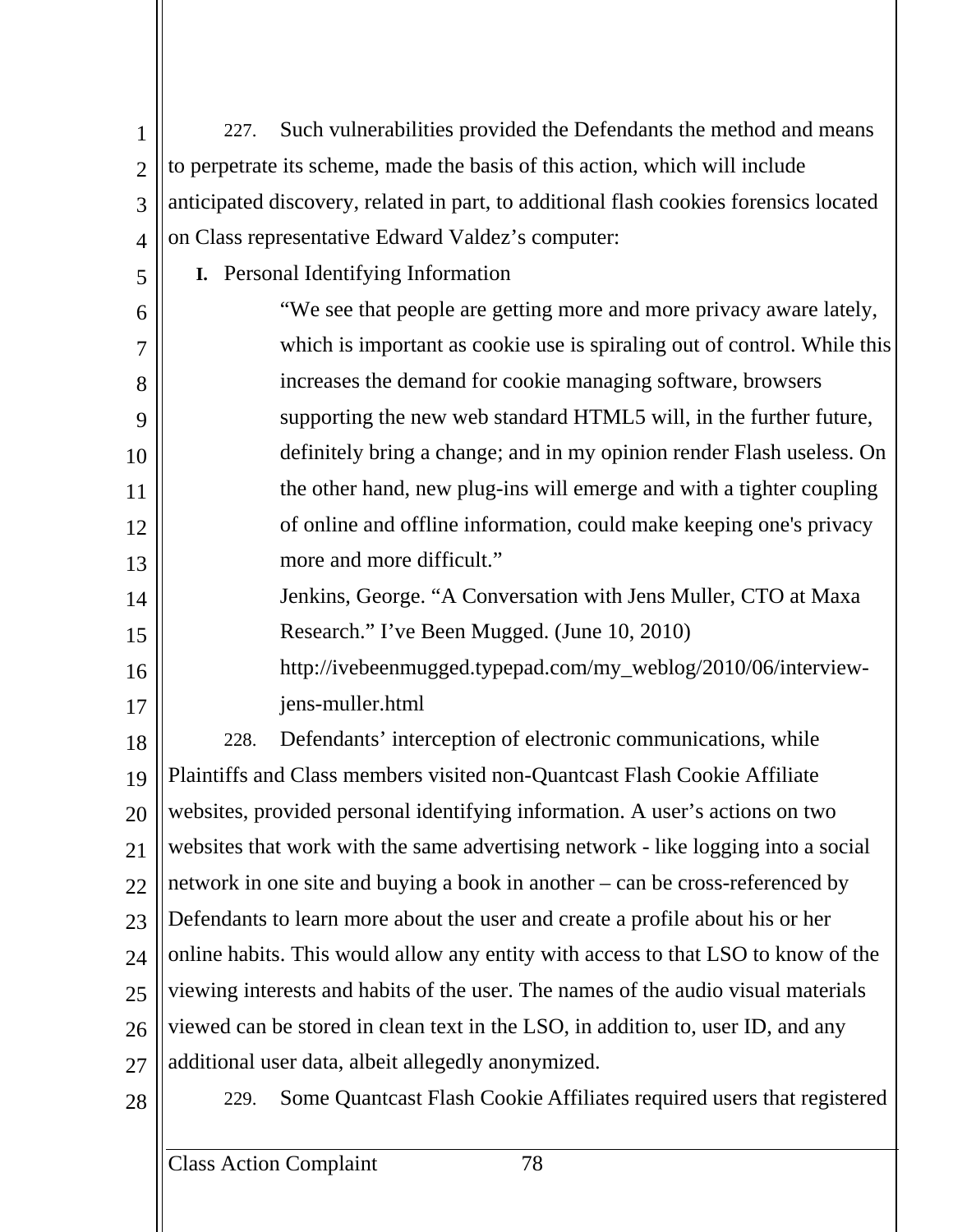| 1              | Such vulnerabilities provided the Defendants the method and means<br>227.             |
|----------------|---------------------------------------------------------------------------------------|
| $\overline{2}$ | to perpetrate its scheme, made the basis of this action, which will include           |
| 3              | anticipated discovery, related in part, to additional flash cookies forensics located |
| $\overline{4}$ | on Class representative Edward Valdez's computer:                                     |
| 5              | Personal Identifying Information<br>$\mathbf{I}$ .                                    |
| 6              | "We see that people are getting more and more privacy aware lately,                   |
| $\overline{7}$ | which is important as cookie use is spiraling out of control. While this              |
| 8              | increases the demand for cookie managing software, browsers                           |
| 9              | supporting the new web standard HTML5 will, in the further future,                    |
| 10             | definitely bring a change; and in my opinion render Flash useless. On                 |
| 11             | the other hand, new plug-ins will emerge and with a tighter coupling                  |
| 12             | of online and offline information, could make keeping one's privacy                   |
| 13             | more and more difficult."                                                             |
| 14             | Jenkins, George. "A Conversation with Jens Muller, CTO at Maxa                        |
| 15             | Research." I've Been Mugged. (June 10, 2010)                                          |
| 16             | http://ivebeenmugged.typepad.com/my_weblog/2010/06/interview-                         |
| 17             | jens-muller.html                                                                      |
| 18             | Defendants' interception of electronic communications, while<br>228.                  |
| 19             | Plaintiffs and Class members visited non-Quantcast Flash Cookie Affiliate             |
| 20             | websites, provided personal identifying information. A user's actions on two          |
| 21             | websites that work with the same advertising network - like logging into a social     |
| <u>22</u>      | network in one site and buying a book in another – can be cross-referenced by         |
| 23             | Defendants to learn more about the user and create a profile about his or her         |
| 24             | online habits. This would allow any entity with access to that LSO to know of the     |
| 25             | viewing interests and habits of the user. The names of the audio visual materials     |
| 26             | viewed can be stored in clean text in the LSO, in addition to, user ID, and any       |
| 27             | additional user data, albeit allegedly anonymized.                                    |
| 28             | Some Quantcast Flash Cookie Affiliates required users that registered<br>229.         |
|                |                                                                                       |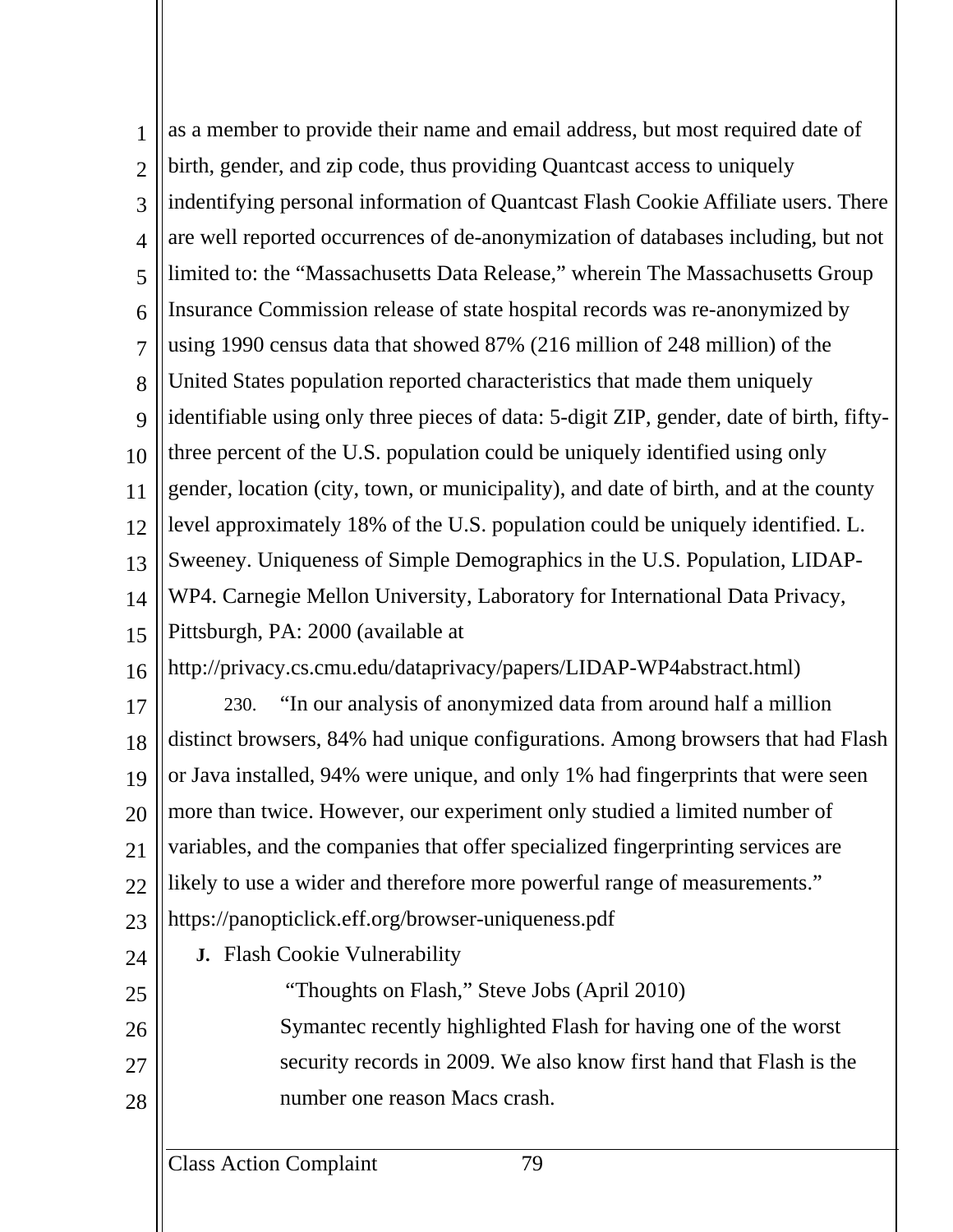1  $\mathcal{D}$ 3 4 5 6 7 8  $\mathbf Q$ 10 11 12 13 14 15 16 17 18 19 20 21 22 23 24 25 26 27 28 Class Action Complaint 79 as a member to provide their name and email address, but most required date of birth, gender, and zip code, thus providing Quantcast access to uniquely indentifying personal information of Quantcast Flash Cookie Affiliate users. There are well reported occurrences of de-anonymization of databases including, but not limited to: the "Massachusetts Data Release," wherein The Massachusetts Group Insurance Commission release of state hospital records was re-anonymized by using 1990 census data that showed 87% (216 million of 248 million) of the United States population reported characteristics that made them uniquely identifiable using only three pieces of data: 5-digit ZIP, gender, date of birth, fiftythree percent of the U.S. population could be uniquely identified using only gender, location (city, town, or municipality), and date of birth, and at the county level approximately 18% of the U.S. population could be uniquely identified. L. Sweeney. Uniqueness of Simple Demographics in the U.S. Population, LIDAP-WP4. Carnegie Mellon University, Laboratory for International Data Privacy, Pittsburgh, PA: 2000 (available at http://privacy.cs.cmu.edu/dataprivacy/papers/LIDAP-WP4abstract.html) 230. "In our analysis of anonymized data from around half a million distinct browsers, 84% had unique configurations. Among browsers that had Flash or Java installed, 94% were unique, and only 1% had fingerprints that were seen more than twice. However, our experiment only studied a limited number of variables, and the companies that offer specialized fingerprinting services are likely to use a wider and therefore more powerful range of measurements." https://panopticlick.eff.org/browser-uniqueness.pdf **J.** Flash Cookie Vulnerability "Thoughts on Flash," Steve Jobs (April 2010) Symantec recently highlighted Flash for having one of the worst security records in 2009. We also know first hand that Flash is the number one reason Macs crash.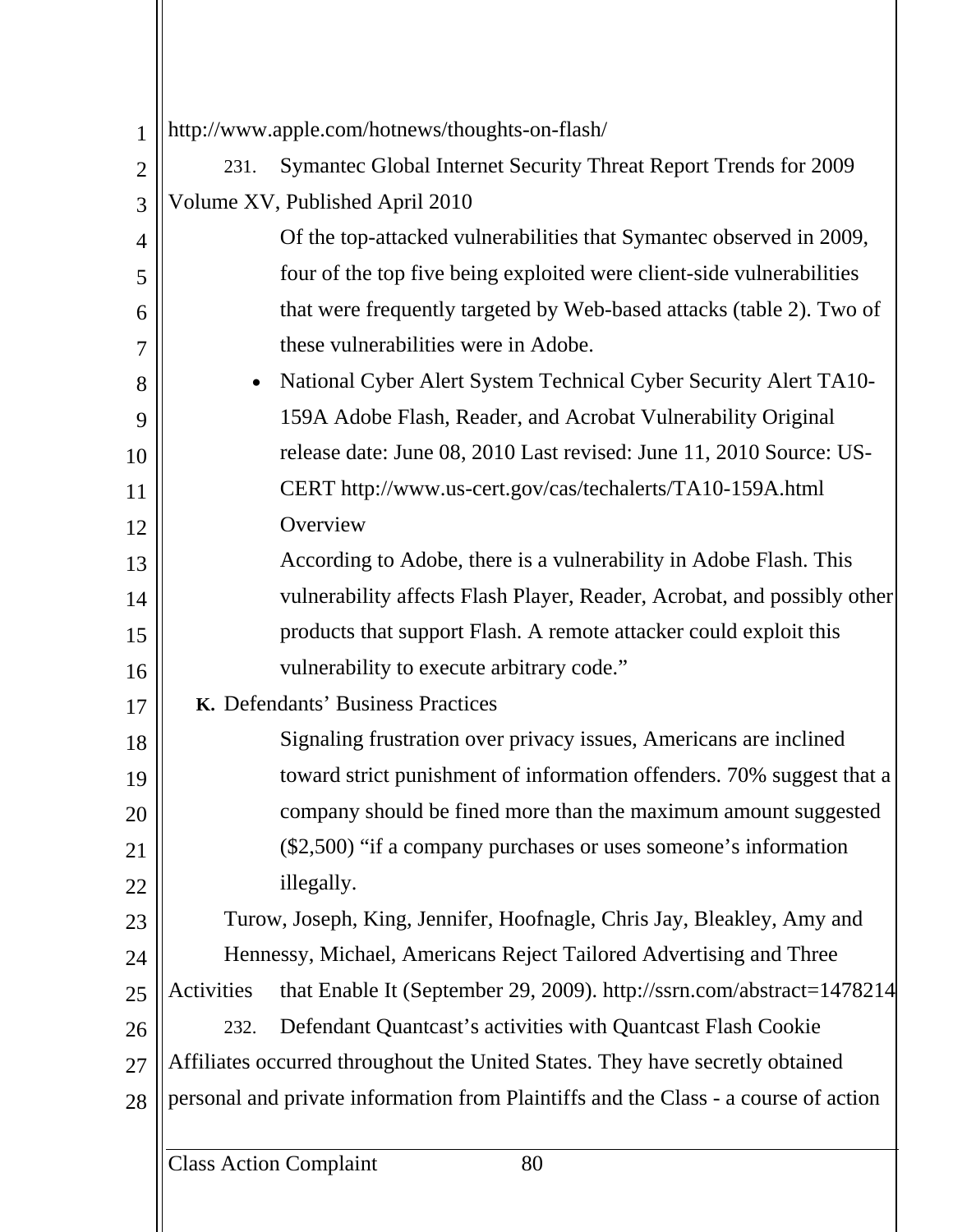| 1              | http://www.apple.com/hotnews/thoughts-on-flash/                                     |
|----------------|-------------------------------------------------------------------------------------|
| $\overline{2}$ | Symantec Global Internet Security Threat Report Trends for 2009<br>231.             |
| 3              | Volume XV, Published April 2010                                                     |
| 4              | Of the top-attacked vulnerabilities that Symantec observed in 2009,                 |
| 5              | four of the top five being exploited were client-side vulnerabilities               |
| 6              | that were frequently targeted by Web-based attacks (table 2). Two of                |
| $\overline{7}$ | these vulnerabilities were in Adobe.                                                |
| 8              | National Cyber Alert System Technical Cyber Security Alert TA10-<br>$\bullet$       |
| 9              | 159A Adobe Flash, Reader, and Acrobat Vulnerability Original                        |
| 10             | release date: June 08, 2010 Last revised: June 11, 2010 Source: US-                 |
| 11             | CERT http://www.us-cert.gov/cas/techalerts/TA10-159A.html                           |
| 12             | Overview                                                                            |
| 13             | According to Adobe, there is a vulnerability in Adobe Flash. This                   |
| 14             | vulnerability affects Flash Player, Reader, Acrobat, and possibly other             |
| 15             | products that support Flash. A remote attacker could exploit this                   |
| 16             | vulnerability to execute arbitrary code."                                           |
| 17             | K. Defendants' Business Practices                                                   |
| 18             | Signaling frustration over privacy issues, Americans are inclined                   |
| 19             | toward strict punishment of information offenders. 70% suggest that a               |
| 20             | company should be fined more than the maximum amount suggested                      |
| 21             | (\$2,500) "if a company purchases or uses someone's information                     |
| 22             | illegally.                                                                          |
| 23             | Turow, Joseph, King, Jennifer, Hoofnagle, Chris Jay, Bleakley, Amy and              |
| 24             | Hennessy, Michael, Americans Reject Tailored Advertising and Three                  |
| 25             | that Enable It (September 29, 2009). http://ssrn.com/abstract=1478214<br>Activities |
| 26             | Defendant Quantcast's activities with Quantcast Flash Cookie<br>232.                |
| 27             | Affiliates occurred throughout the United States. They have secretly obtained       |
| 28             | personal and private information from Plaintiffs and the Class - a course of action |
|                | <b>Class Action Complaint</b><br>80                                                 |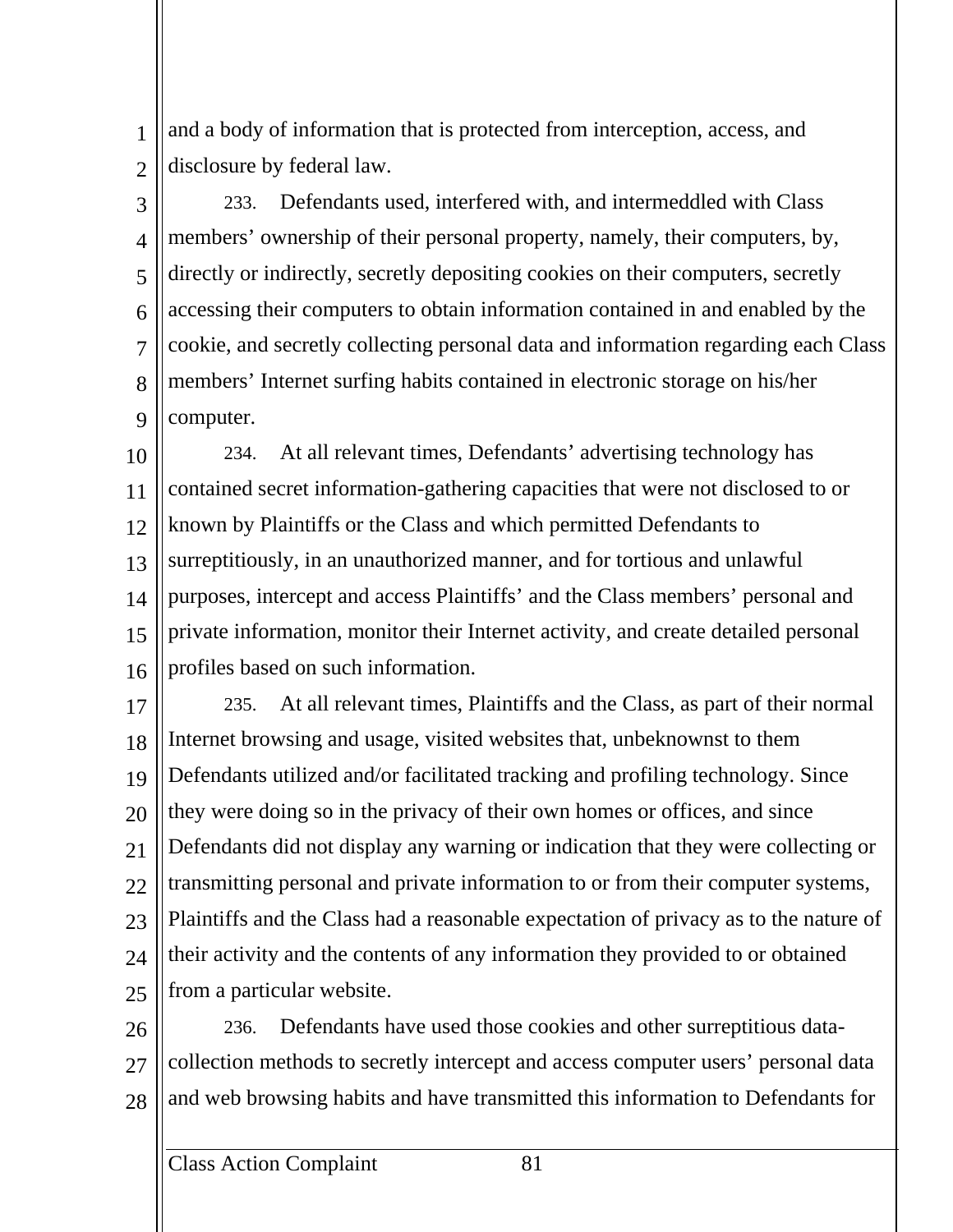1  $\overline{2}$ and a body of information that is protected from interception, access, and disclosure by federal law.

3 4 5 6 7 8  $\mathbf Q$ 233. Defendants used, interfered with, and intermeddled with Class members' ownership of their personal property, namely, their computers, by, directly or indirectly, secretly depositing cookies on their computers, secretly accessing their computers to obtain information contained in and enabled by the cookie, and secretly collecting personal data and information regarding each Class members' Internet surfing habits contained in electronic storage on his/her computer.

10 11 12 13 14 15 16 234. At all relevant times, Defendants' advertising technology has contained secret information-gathering capacities that were not disclosed to or known by Plaintiffs or the Class and which permitted Defendants to surreptitiously, in an unauthorized manner, and for tortious and unlawful purposes, intercept and access Plaintiffs' and the Class members' personal and private information, monitor their Internet activity, and create detailed personal profiles based on such information.

17 18 19 20 21 22 23 24 25 235. At all relevant times, Plaintiffs and the Class, as part of their normal Internet browsing and usage, visited websites that, unbeknownst to them Defendants utilized and/or facilitated tracking and profiling technology. Since they were doing so in the privacy of their own homes or offices, and since Defendants did not display any warning or indication that they were collecting or transmitting personal and private information to or from their computer systems, Plaintiffs and the Class had a reasonable expectation of privacy as to the nature of their activity and the contents of any information they provided to or obtained from a particular website.

26 27 28 236. Defendants have used those cookies and other surreptitious datacollection methods to secretly intercept and access computer users' personal data and web browsing habits and have transmitted this information to Defendants for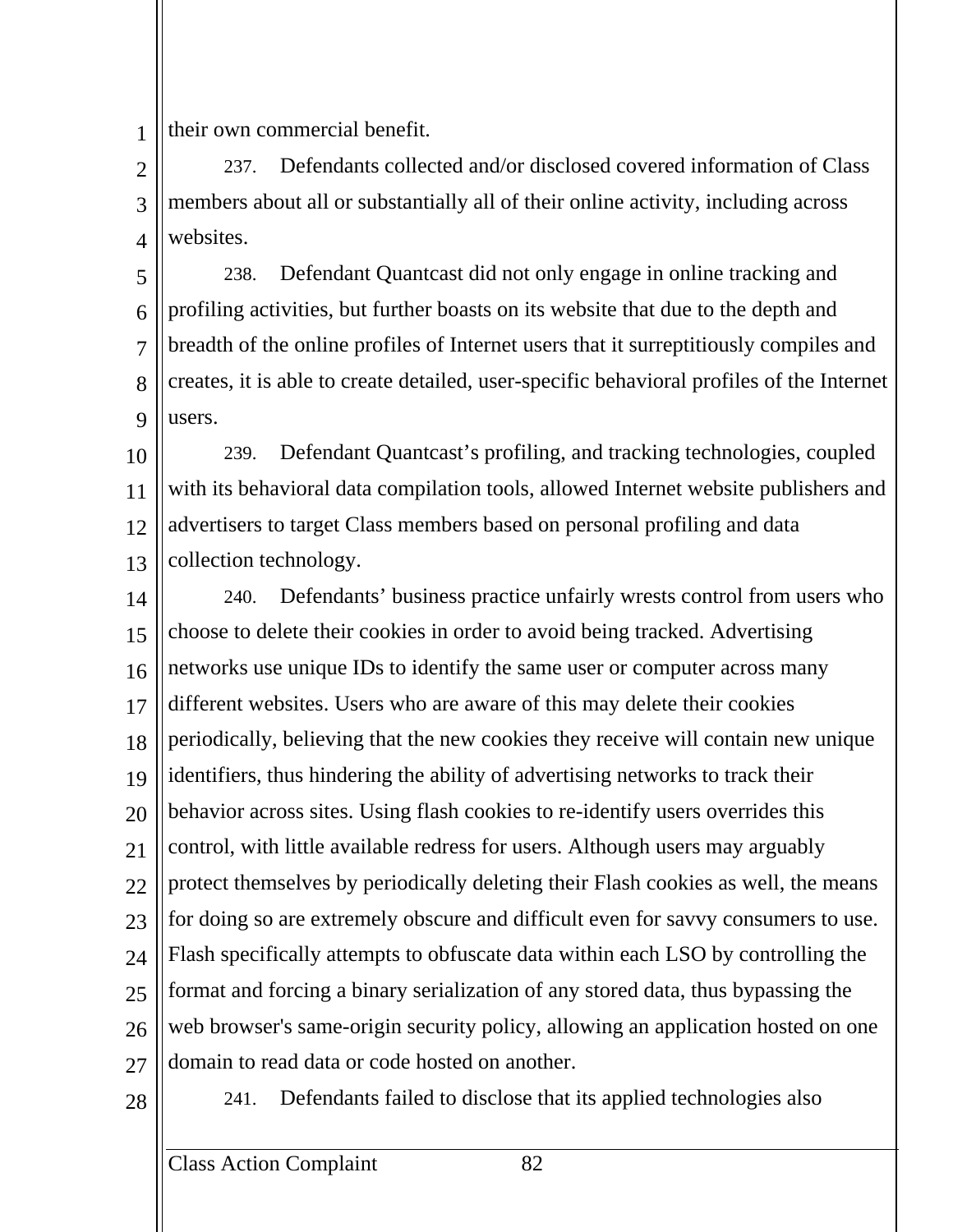1 their own commercial benefit.

 $\mathcal{L}$ 3 4 237. Defendants collected and/or disclosed covered information of Class members about all or substantially all of their online activity, including across websites.

5 6 7 8  $\mathbf Q$ 238. Defendant Quantcast did not only engage in online tracking and profiling activities, but further boasts on its website that due to the depth and breadth of the online profiles of Internet users that it surreptitiously compiles and creates, it is able to create detailed, user-specific behavioral profiles of the Internet users.

10 11 12 13 239. Defendant Quantcast's profiling, and tracking technologies, coupled with its behavioral data compilation tools, allowed Internet website publishers and advertisers to target Class members based on personal profiling and data collection technology.

14 15 16 17 18 19 20 21 22 23 24 25 26 27 240. Defendants' business practice unfairly wrests control from users who choose to delete their cookies in order to avoid being tracked. Advertising networks use unique IDs to identify the same user or computer across many different websites. Users who are aware of this may delete their cookies periodically, believing that the new cookies they receive will contain new unique identifiers, thus hindering the ability of advertising networks to track their behavior across sites. Using flash cookies to re-identify users overrides this control, with little available redress for users. Although users may arguably protect themselves by periodically deleting their Flash cookies as well, the means for doing so are extremely obscure and difficult even for savvy consumers to use. Flash specifically attempts to obfuscate data within each LSO by controlling the format and forcing a binary serialization of any stored data, thus bypassing the web browser's same-origin security policy, allowing an application hosted on one domain to read data or code hosted on another.

28

241. Defendants failed to disclose that its applied technologies also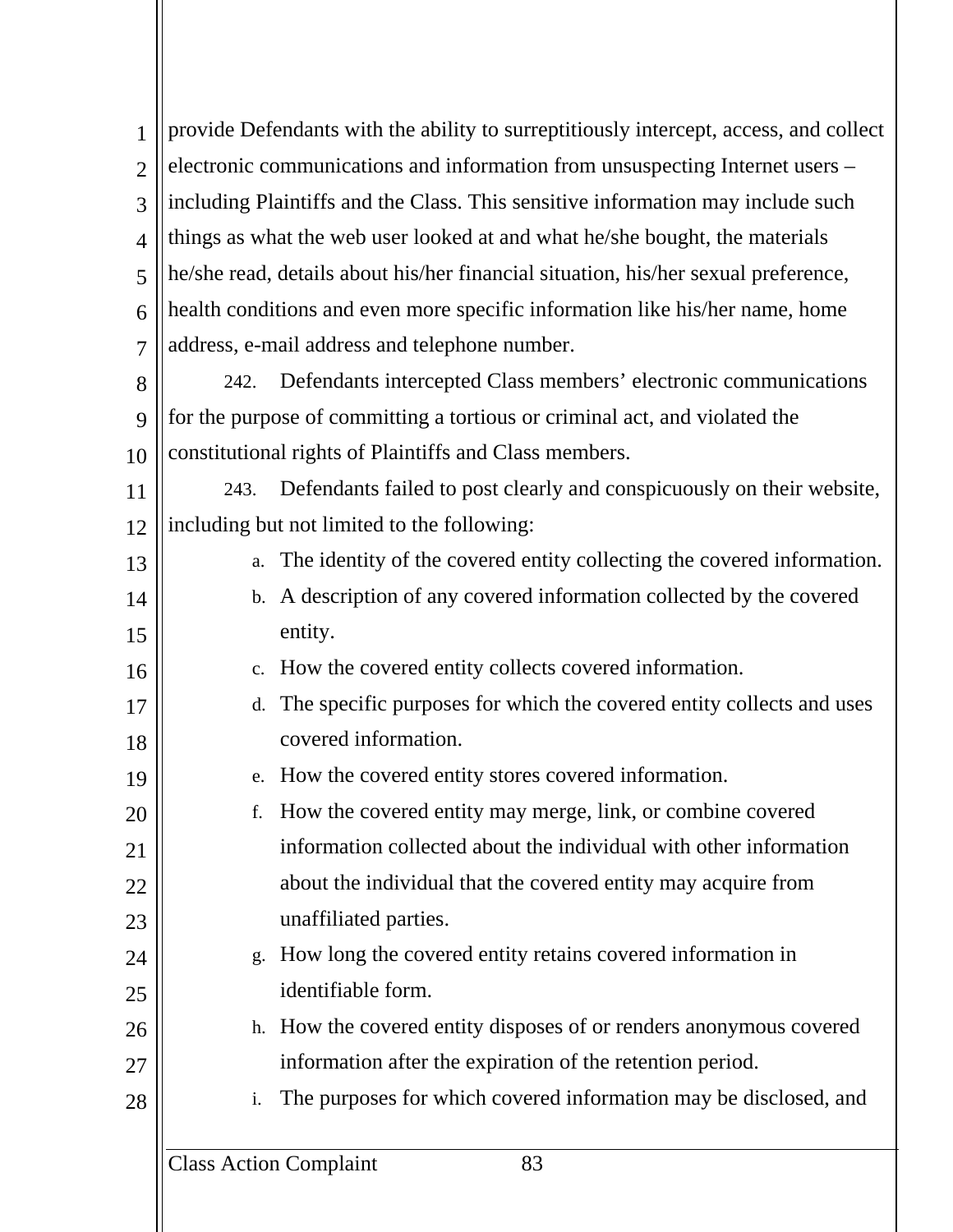| $\mathbf{1}$   | provide Defendants with the ability to surreptitiously intercept, access, and collect |  |  |  |  |
|----------------|---------------------------------------------------------------------------------------|--|--|--|--|
| $\overline{2}$ | electronic communications and information from unsuspecting Internet users –          |  |  |  |  |
| 3              | including Plaintiffs and the Class. This sensitive information may include such       |  |  |  |  |
| $\overline{4}$ | things as what the web user looked at and what he/she bought, the materials           |  |  |  |  |
| 5              | he/she read, details about his/her financial situation, his/her sexual preference,    |  |  |  |  |
| 6              | health conditions and even more specific information like his/her name, home          |  |  |  |  |
| $\overline{7}$ | address, e-mail address and telephone number.                                         |  |  |  |  |
| 8              | Defendants intercepted Class members' electronic communications<br>242.               |  |  |  |  |
| 9              | for the purpose of committing a tortious or criminal act, and violated the            |  |  |  |  |
| 10             | constitutional rights of Plaintiffs and Class members.                                |  |  |  |  |
| 11             | Defendants failed to post clearly and conspicuously on their website,<br>243.         |  |  |  |  |
| 12             | including but not limited to the following:                                           |  |  |  |  |
| 13             | The identity of the covered entity collecting the covered information.<br>a.          |  |  |  |  |
| 14             | b. A description of any covered information collected by the covered                  |  |  |  |  |
| 15             | entity.                                                                               |  |  |  |  |
| 16             | How the covered entity collects covered information.<br>c.                            |  |  |  |  |
| 17             | The specific purposes for which the covered entity collects and uses<br>d.            |  |  |  |  |
| 18             | covered information.                                                                  |  |  |  |  |
| 19             | e. How the covered entity stores covered information.                                 |  |  |  |  |
| 20             | How the covered entity may merge, link, or combine covered<br>f.                      |  |  |  |  |
| 21             | information collected about the individual with other information                     |  |  |  |  |
| 22             | about the individual that the covered entity may acquire from                         |  |  |  |  |
| 23             | unaffiliated parties.                                                                 |  |  |  |  |
| 24             | How long the covered entity retains covered information in<br>g.                      |  |  |  |  |
| 25             | identifiable form.                                                                    |  |  |  |  |
| 26             | h. How the covered entity disposes of or renders anonymous covered                    |  |  |  |  |
| 27             | information after the expiration of the retention period.                             |  |  |  |  |
| 28             | The purposes for which covered information may be disclosed, and<br>i.                |  |  |  |  |
|                |                                                                                       |  |  |  |  |
|                | <b>Class Action Complaint</b><br>83                                                   |  |  |  |  |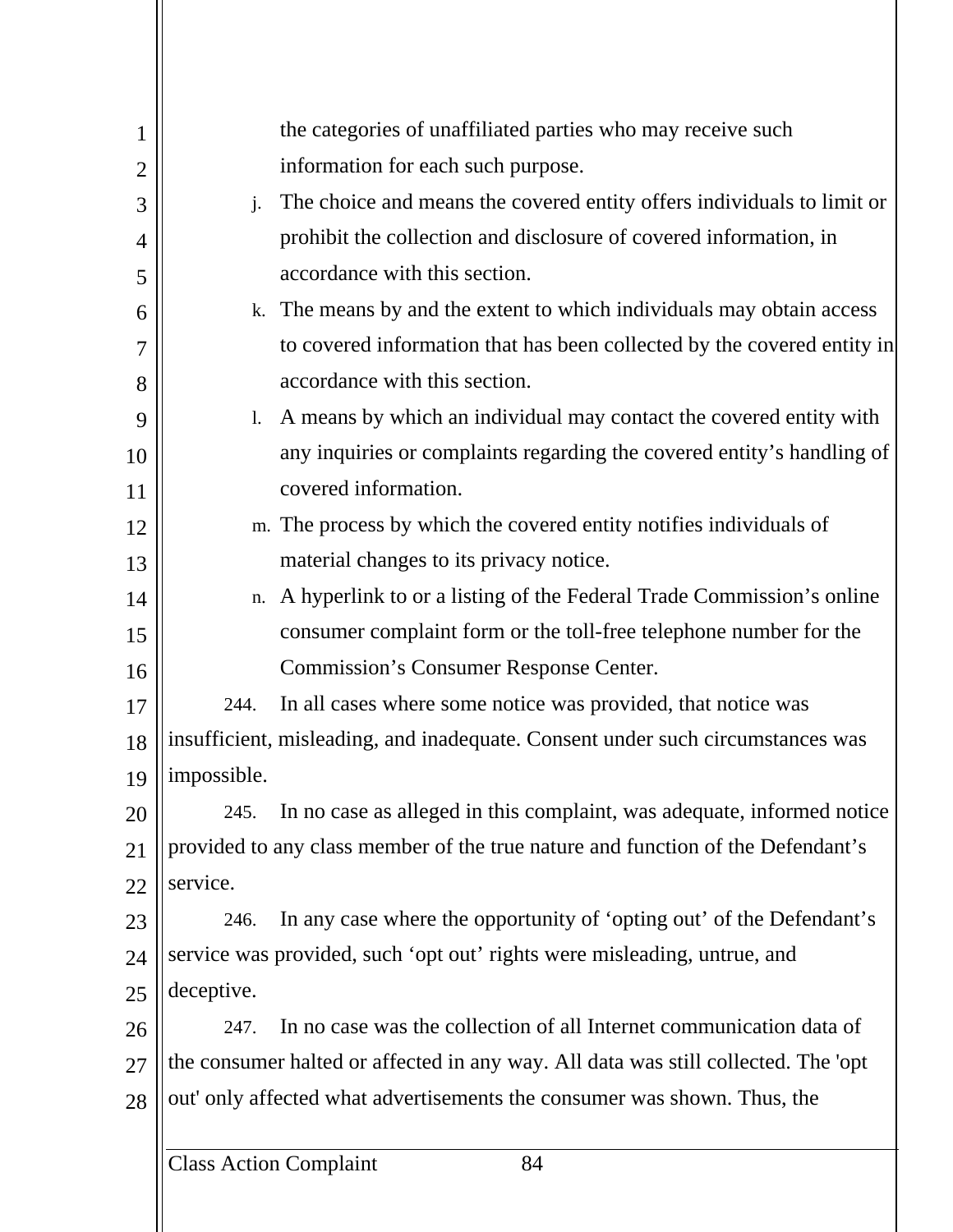| 1              |             | the categories of unaffiliated parties who may receive such                        |
|----------------|-------------|------------------------------------------------------------------------------------|
| $\overline{2}$ |             | information for each such purpose.                                                 |
| 3              | j.          | The choice and means the covered entity offers individuals to limit or             |
| $\overline{4}$ |             | prohibit the collection and disclosure of covered information, in                  |
| 5              |             | accordance with this section.                                                      |
| 6              |             | k. The means by and the extent to which individuals may obtain access              |
| $\overline{7}$ |             | to covered information that has been collected by the covered entity in            |
| 8              |             | accordance with this section.                                                      |
| 9              | 1.          | A means by which an individual may contact the covered entity with                 |
| 10             |             | any inquiries or complaints regarding the covered entity's handling of             |
| 11             |             | covered information.                                                               |
| 12             |             | m. The process by which the covered entity notifies individuals of                 |
| 13             |             | material changes to its privacy notice.                                            |
| 14             | n.          | A hyperlink to or a listing of the Federal Trade Commission's online               |
| 15             |             | consumer complaint form or the toll-free telephone number for the                  |
| 16             |             | <b>Commission's Consumer Response Center.</b>                                      |
| 17             | 244.        | In all cases where some notice was provided, that notice was                       |
| 18             |             | insufficient, misleading, and inadequate. Consent under such circumstances was     |
| 19             | impossible. |                                                                                    |
| 20             | 245.        | In no case as alleged in this complaint, was adequate, informed notice             |
| 21             |             | provided to any class member of the true nature and function of the Defendant's    |
| 22             | service.    |                                                                                    |
| 23             | 246.        | In any case where the opportunity of 'opting out' of the Defendant's               |
| 24             |             | service was provided, such 'opt out' rights were misleading, untrue, and           |
| 25             | deceptive.  |                                                                                    |
| 26             | 247.        | In no case was the collection of all Internet communication data of                |
| 27             |             | the consumer halted or affected in any way. All data was still collected. The 'opt |
| 28             |             | out' only affected what advertisements the consumer was shown. Thus, the           |
|                |             | <b>Class Action Complaint</b><br>84                                                |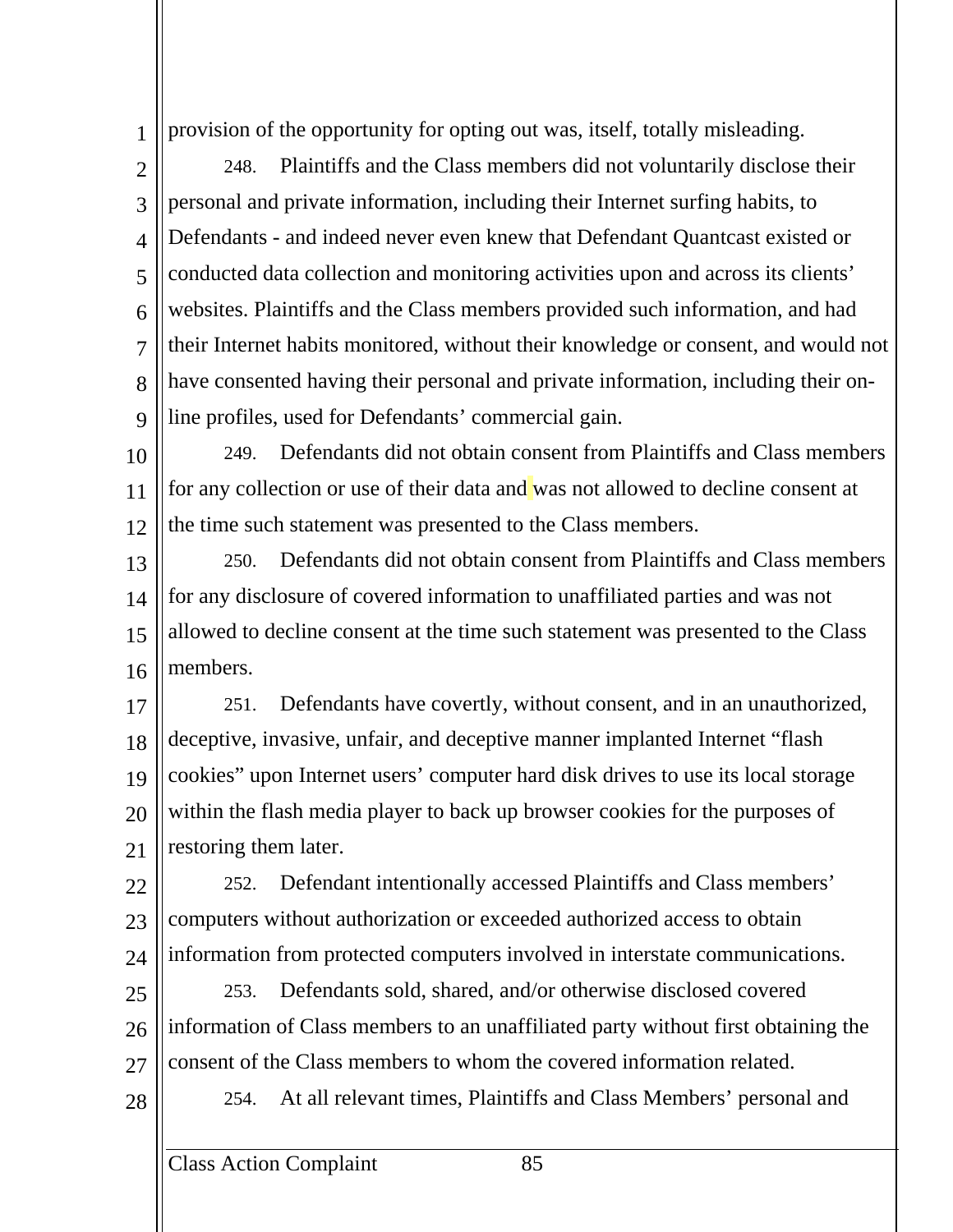1 provision of the opportunity for opting out was, itself, totally misleading.

 $\mathcal{L}$ 3 4 5 6 7 8 9 248. Plaintiffs and the Class members did not voluntarily disclose their personal and private information, including their Internet surfing habits, to Defendants - and indeed never even knew that Defendant Quantcast existed or conducted data collection and monitoring activities upon and across its clients' websites. Plaintiffs and the Class members provided such information, and had their Internet habits monitored, without their knowledge or consent, and would not have consented having their personal and private information, including their online profiles, used for Defendants' commercial gain.

10 11 12 249. Defendants did not obtain consent from Plaintiffs and Class members for any collection or use of their data and was not allowed to decline consent at the time such statement was presented to the Class members.

13 14 15 16 250. Defendants did not obtain consent from Plaintiffs and Class members for any disclosure of covered information to unaffiliated parties and was not allowed to decline consent at the time such statement was presented to the Class members.

17 18 19 20 21 251. Defendants have covertly, without consent, and in an unauthorized, deceptive, invasive, unfair, and deceptive manner implanted Internet "flash cookies" upon Internet users' computer hard disk drives to use its local storage within the flash media player to back up browser cookies for the purposes of restoring them later.

22 23 24 252. Defendant intentionally accessed Plaintiffs and Class members' computers without authorization or exceeded authorized access to obtain information from protected computers involved in interstate communications.

25 26 27 253. Defendants sold, shared, and/or otherwise disclosed covered information of Class members to an unaffiliated party without first obtaining the consent of the Class members to whom the covered information related.

254. At all relevant times, Plaintiffs and Class Members' personal and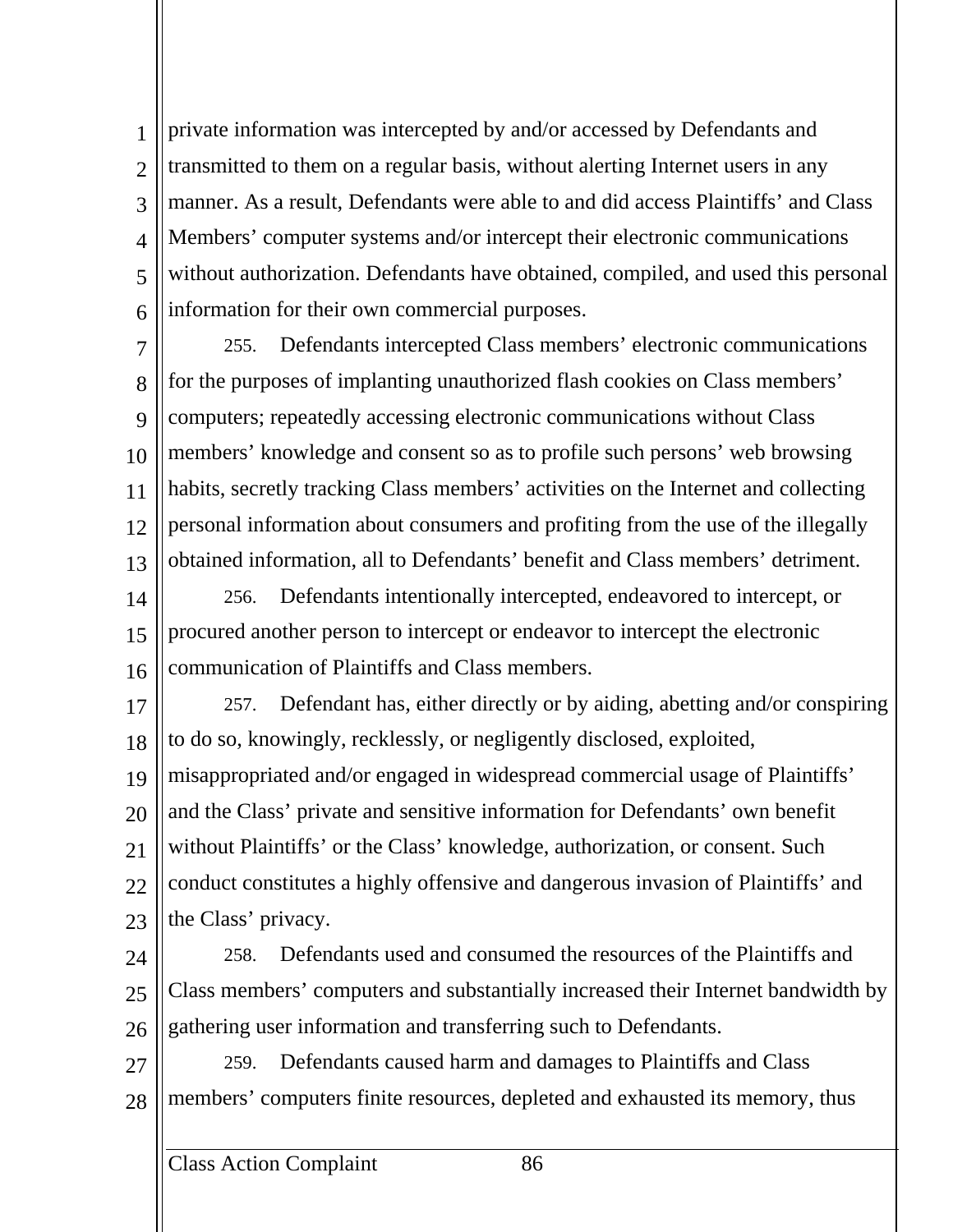1  $\mathcal{D}$ 3 4 5 6 private information was intercepted by and/or accessed by Defendants and transmitted to them on a regular basis, without alerting Internet users in any manner. As a result, Defendants were able to and did access Plaintiffs' and Class Members' computer systems and/or intercept their electronic communications without authorization. Defendants have obtained, compiled, and used this personal information for their own commercial purposes.

7 8  $\mathbf Q$ 10 11 12 13 14 255. Defendants intercepted Class members' electronic communications for the purposes of implanting unauthorized flash cookies on Class members' computers; repeatedly accessing electronic communications without Class members' knowledge and consent so as to profile such persons' web browsing habits, secretly tracking Class members' activities on the Internet and collecting personal information about consumers and profiting from the use of the illegally obtained information, all to Defendants' benefit and Class members' detriment. 256. Defendants intentionally intercepted, endeavored to intercept, or

15 16 procured another person to intercept or endeavor to intercept the electronic communication of Plaintiffs and Class members.

17 18 19 20 21 22 23 257. Defendant has, either directly or by aiding, abetting and/or conspiring to do so, knowingly, recklessly, or negligently disclosed, exploited, misappropriated and/or engaged in widespread commercial usage of Plaintiffs' and the Class' private and sensitive information for Defendants' own benefit without Plaintiffs' or the Class' knowledge, authorization, or consent. Such conduct constitutes a highly offensive and dangerous invasion of Plaintiffs' and the Class' privacy.

24 25 26 258. Defendants used and consumed the resources of the Plaintiffs and Class members' computers and substantially increased their Internet bandwidth by gathering user information and transferring such to Defendants.

27 28 259. Defendants caused harm and damages to Plaintiffs and Class members' computers finite resources, depleted and exhausted its memory, thus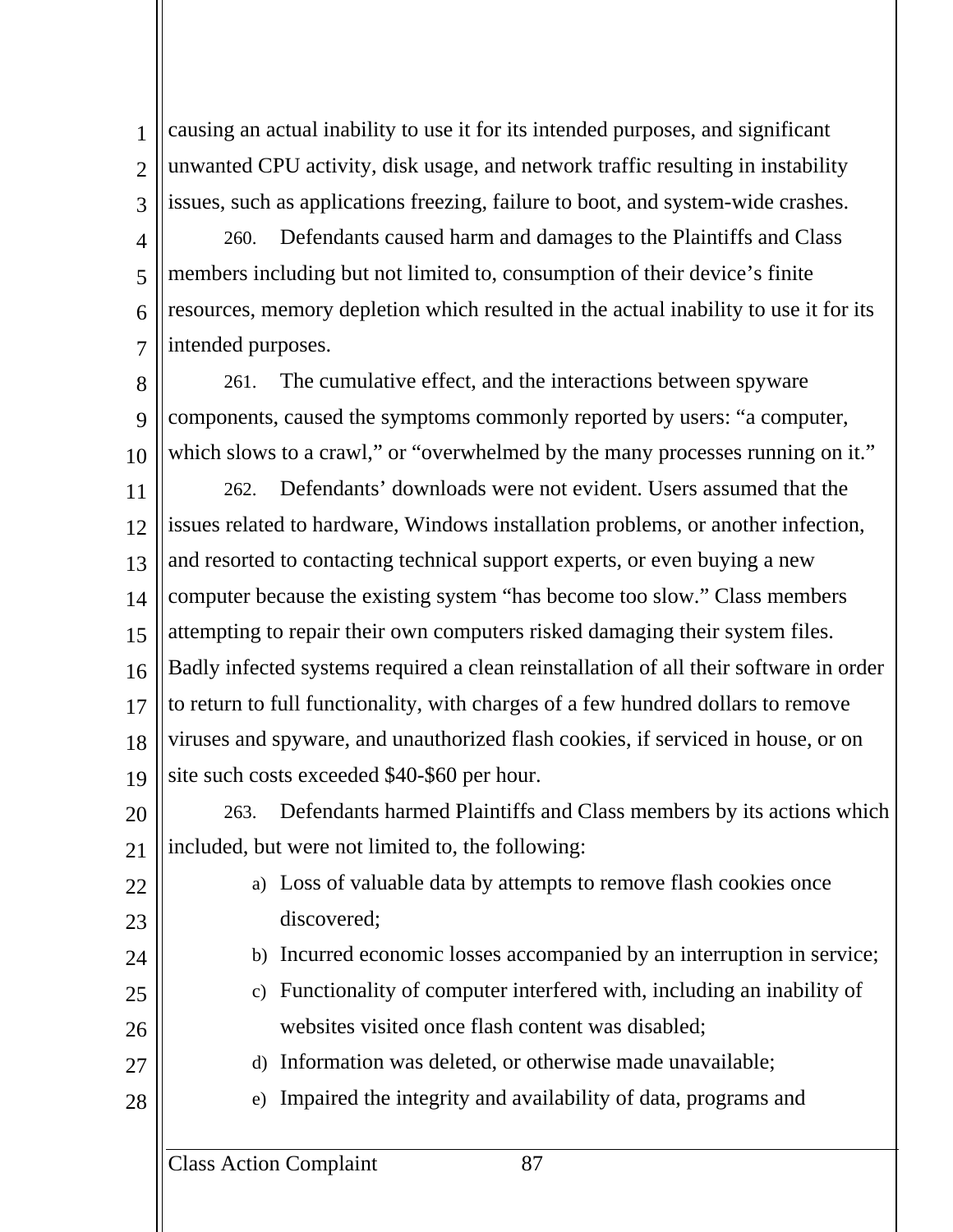1  $\overline{2}$ 3 causing an actual inability to use it for its intended purposes, and significant unwanted CPU activity, disk usage, and network traffic resulting in instability issues, such as applications freezing, failure to boot, and system-wide crashes.

4 5 6 7 260. Defendants caused harm and damages to the Plaintiffs and Class members including but not limited to, consumption of their device's finite resources, memory depletion which resulted in the actual inability to use it for its intended purposes.

8  $\mathbf Q$ 10 11 12 13 14 15 16 17 18 19 261. The cumulative effect, and the interactions between spyware components, caused the symptoms commonly reported by users: "a computer, which slows to a crawl," or "overwhelmed by the many processes running on it." 262. Defendants' downloads were not evident. Users assumed that the issues related to hardware, Windows installation problems, or another infection, and resorted to contacting technical support experts, or even buying a new computer because the existing system "has become too slow." Class members attempting to repair their own computers risked damaging their system files. Badly infected systems required a clean reinstallation of all their software in order to return to full functionality, with charges of a few hundred dollars to remove viruses and spyware, and unauthorized flash cookies, if serviced in house, or on site such costs exceeded \$40-\$60 per hour.

20 21 263. Defendants harmed Plaintiffs and Class members by its actions which included, but were not limited to, the following:

22 23

24

25

26

27

28

a) Loss of valuable data by attempts to remove flash cookies once discovered;

- b) Incurred economic losses accompanied by an interruption in service;
- c) Functionality of computer interfered with, including an inability of websites visited once flash content was disabled;

d) Information was deleted, or otherwise made unavailable;

e) Impaired the integrity and availability of data, programs and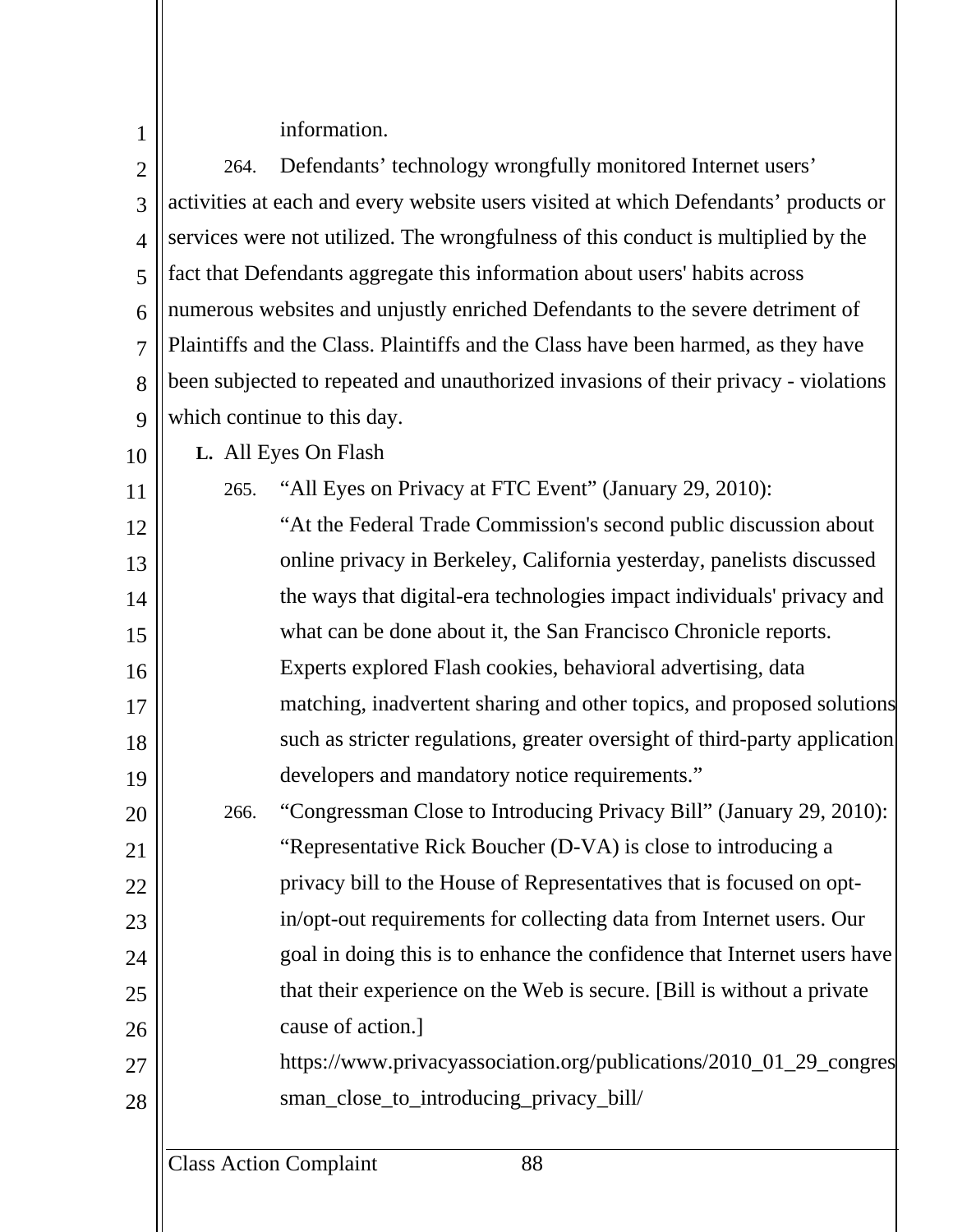| information. |
|--------------|
|              |

| $\overline{2}$ | 264. | Defendants' technology wrongfully monitored Internet users'                         |
|----------------|------|-------------------------------------------------------------------------------------|
| 3              |      | activities at each and every website users visited at which Defendants' products or |
| $\overline{4}$ |      | services were not utilized. The wrongfulness of this conduct is multiplied by the   |
| 5              |      | fact that Defendants aggregate this information about users' habits across          |
| 6              |      | numerous websites and unjustly enriched Defendants to the severe detriment of       |
| $\overline{7}$ |      | Plaintiffs and the Class. Plaintiffs and the Class have been harmed, as they have   |
| 8              |      | been subjected to repeated and unauthorized invasions of their privacy - violations |
| 9              |      | which continue to this day.                                                         |
| 10             |      | L. All Eyes On Flash                                                                |
| 11             | 265. | "All Eyes on Privacy at FTC Event" (January 29, 2010):                              |
| 12             |      | "At the Federal Trade Commission's second public discussion about                   |
| 13             |      | online privacy in Berkeley, California yesterday, panelists discussed               |
| 14             |      | the ways that digital-era technologies impact individuals' privacy and              |
| 15             |      | what can be done about it, the San Francisco Chronicle reports.                     |
| 16             |      | Experts explored Flash cookies, behavioral advertising, data                        |
| 17             |      | matching, inadvertent sharing and other topics, and proposed solutions              |
| 18             |      | such as stricter regulations, greater oversight of third-party application          |
| 19             |      | developers and mandatory notice requirements."                                      |
| 20             | 266. | "Congressman Close to Introducing Privacy Bill" (January 29, 2010):                 |
| 21             |      | "Representative Rick Boucher (D-VA) is close to introducing a                       |
| 22             |      | privacy bill to the House of Representatives that is focused on opt-                |
| 23             |      | in/opt-out requirements for collecting data from Internet users. Our                |
| 24             |      | goal in doing this is to enhance the confidence that Internet users have            |
| 25             |      | that their experience on the Web is secure. [Bill is without a private              |
| 26             |      | cause of action.]                                                                   |
| 27             |      | https://www.privacyassociation.org/publications/2010_01_29_congres                  |
| 28             |      | sman_close_to_introducing_privacy_bill/                                             |
|                |      |                                                                                     |
|                |      | <b>Class Action Complaint</b><br>88                                                 |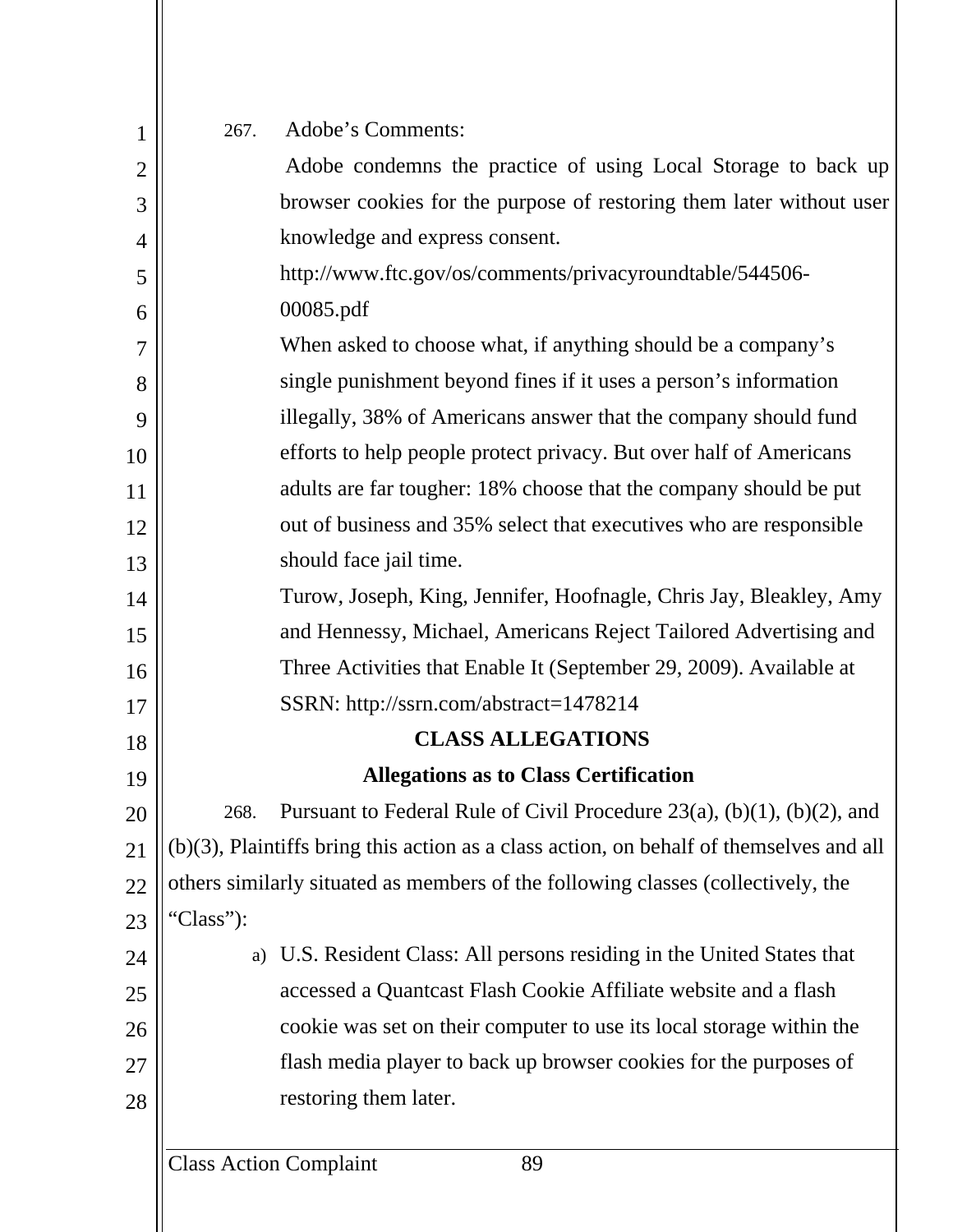| 1              | 267.     | Adobe's Comments:                                                                          |
|----------------|----------|--------------------------------------------------------------------------------------------|
| $\overline{2}$ |          | Adobe condemns the practice of using Local Storage to back up                              |
| 3              |          | browser cookies for the purpose of restoring them later without user                       |
| 4              |          | knowledge and express consent.                                                             |
| 5              |          | http://www.ftc.gov/os/comments/privacyroundtable/544506-                                   |
| 6              |          | 00085.pdf                                                                                  |
| $\overline{7}$ |          | When asked to choose what, if anything should be a company's                               |
| 8              |          | single punishment beyond fines if it uses a person's information                           |
| 9              |          | illegally, 38% of Americans answer that the company should fund                            |
| 10             |          | efforts to help people protect privacy. But over half of Americans                         |
| 11             |          | adults are far tougher: 18% choose that the company should be put                          |
| 12             |          | out of business and 35% select that executives who are responsible                         |
| 13             |          | should face jail time.                                                                     |
| 14             |          | Turow, Joseph, King, Jennifer, Hoofnagle, Chris Jay, Bleakley, Amy                         |
| 15             |          | and Hennessy, Michael, Americans Reject Tailored Advertising and                           |
| 16             |          | Three Activities that Enable It (September 29, 2009). Available at                         |
| 17             |          | SSRN: http://ssrn.com/abstract=1478214                                                     |
| 18             |          | <b>CLASS ALLEGATIONS</b>                                                                   |
| 19             |          | <b>Allegations as to Class Certification</b>                                               |
| 20             | 268.     | Pursuant to Federal Rule of Civil Procedure $23(a)$ , (b)(1), (b)(2), and                  |
| 21             |          | $(b)(3)$ , Plaintiffs bring this action as a class action, on behalf of themselves and all |
| 22             |          | others similarly situated as members of the following classes (collectively, the           |
| 23             | "Class": |                                                                                            |
| 24             | a)       | U.S. Resident Class: All persons residing in the United States that                        |
| 25             |          | accessed a Quantcast Flash Cookie Affiliate website and a flash                            |
| 26             |          | cookie was set on their computer to use its local storage within the                       |
| 27             |          | flash media player to back up browser cookies for the purposes of                          |
| 28             |          | restoring them later.                                                                      |
|                |          |                                                                                            |
|                |          | <b>Class Action Complaint</b><br>89                                                        |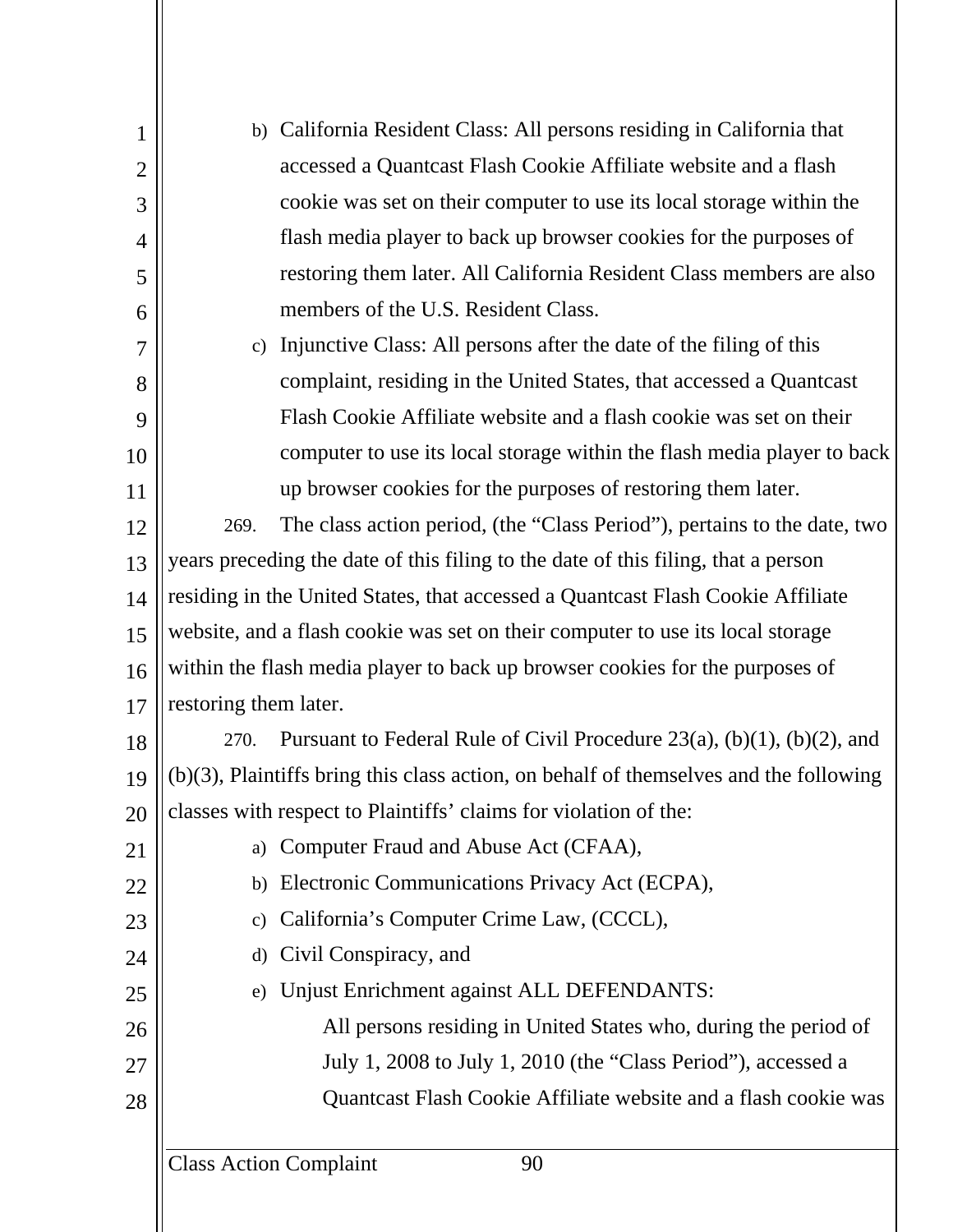| 1              | b) California Resident Class: All persons residing in California that                    |  |  |  |
|----------------|------------------------------------------------------------------------------------------|--|--|--|
| $\overline{2}$ | accessed a Quantcast Flash Cookie Affiliate website and a flash                          |  |  |  |
| 3              | cookie was set on their computer to use its local storage within the                     |  |  |  |
| 4              | flash media player to back up browser cookies for the purposes of                        |  |  |  |
| 5              | restoring them later. All California Resident Class members are also                     |  |  |  |
| 6              | members of the U.S. Resident Class.                                                      |  |  |  |
| 7              | Injunctive Class: All persons after the date of the filing of this<br>$\mathbf{c})$      |  |  |  |
| 8              | complaint, residing in the United States, that accessed a Quantcast                      |  |  |  |
| 9              | Flash Cookie Affiliate website and a flash cookie was set on their                       |  |  |  |
| 10             | computer to use its local storage within the flash media player to back                  |  |  |  |
| 11             | up browser cookies for the purposes of restoring them later.                             |  |  |  |
| 12             | The class action period, (the "Class Period"), pertains to the date, two<br>269.         |  |  |  |
| 13             | years preceding the date of this filing to the date of this filing, that a person        |  |  |  |
| 14             | residing in the United States, that accessed a Quantcast Flash Cookie Affiliate          |  |  |  |
| 15             | website, and a flash cookie was set on their computer to use its local storage           |  |  |  |
| 16             | within the flash media player to back up browser cookies for the purposes of             |  |  |  |
| 17             | restoring them later.                                                                    |  |  |  |
| 18             | Pursuant to Federal Rule of Civil Procedure $23(a)$ , (b)(1), (b)(2), and<br>270.        |  |  |  |
| 19             | $(b)(3)$ , Plaintiffs bring this class action, on behalf of themselves and the following |  |  |  |
| 20             | classes with respect to Plaintiffs' claims for violation of the:                         |  |  |  |
| 21             | Computer Fraud and Abuse Act (CFAA),<br>a)                                               |  |  |  |
| 22             | Electronic Communications Privacy Act (ECPA),<br>b)                                      |  |  |  |
| 23             | California's Computer Crime Law, (CCCL),<br>C)                                           |  |  |  |
| 24             | Civil Conspiracy, and<br>d)                                                              |  |  |  |
| 25             | Unjust Enrichment against ALL DEFENDANTS:<br>e)                                          |  |  |  |
| 26             | All persons residing in United States who, during the period of                          |  |  |  |
| 27             | July 1, 2008 to July 1, 2010 (the "Class Period"), accessed a                            |  |  |  |
| 28             | Quantcast Flash Cookie Affiliate website and a flash cookie was                          |  |  |  |
|                |                                                                                          |  |  |  |
|                | <b>Class Action Complaint</b><br>90                                                      |  |  |  |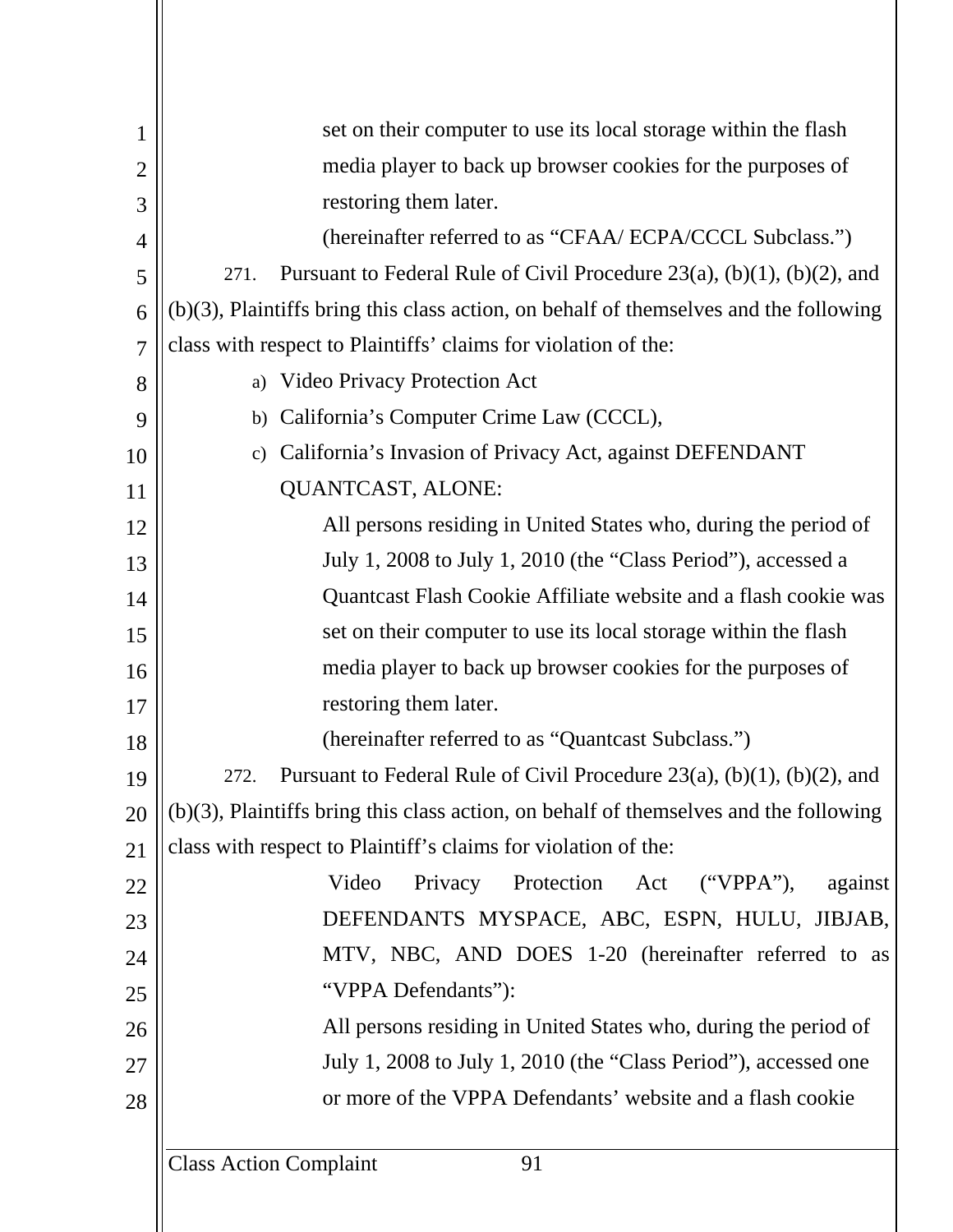| $\mathbf 1$    | set on their computer to use its local storage within the flash                          |
|----------------|------------------------------------------------------------------------------------------|
| $\overline{2}$ | media player to back up browser cookies for the purposes of                              |
| 3              | restoring them later.                                                                    |
| $\overline{4}$ | (hereinafter referred to as "CFAA/ ECPA/CCCL Subclass.")                                 |
| 5              | Pursuant to Federal Rule of Civil Procedure $23(a)$ , (b)(1), (b)(2), and<br>271.        |
| 6              | $(b)(3)$ , Plaintiffs bring this class action, on behalf of themselves and the following |
| $\overline{7}$ | class with respect to Plaintiffs' claims for violation of the:                           |
| 8              | Video Privacy Protection Act<br>a)                                                       |
| 9              | California's Computer Crime Law (CCCL),<br>b)                                            |
| 10             | California's Invasion of Privacy Act, against DEFENDANT<br>$\mathbf{c})$                 |
| 11             | <b>QUANTCAST, ALONE:</b>                                                                 |
| 12             | All persons residing in United States who, during the period of                          |
| 13             | July 1, 2008 to July 1, 2010 (the "Class Period"), accessed a                            |
| 14             | Quantcast Flash Cookie Affiliate website and a flash cookie was                          |
| 15             | set on their computer to use its local storage within the flash                          |
| 16             | media player to back up browser cookies for the purposes of                              |
| 17             | restoring them later.                                                                    |
| 18             | (hereinafter referred to as "Quantcast Subclass.")                                       |
| 19             | Pursuant to Federal Rule of Civil Procedure $23(a)$ , (b)(1), (b)(2), and<br>272.        |
| 20             | $(b)(3)$ , Plaintiffs bring this class action, on behalf of themselves and the following |
| 21             | class with respect to Plaintiff's claims for violation of the:                           |
| 22             | Protection Act<br>Privacy<br>Video<br>$($ "VPPA" $),$<br>against                         |
| 23             | DEFENDANTS MYSPACE, ABC, ESPN, HULU, JIBJAB,                                             |
| 24             | MTV, NBC, AND DOES 1-20 (hereinafter referred to as                                      |
| 25             | "VPPA Defendants"):                                                                      |
| 26             | All persons residing in United States who, during the period of                          |
| 27             | July 1, 2008 to July 1, 2010 (the "Class Period"), accessed one                          |
| 28             | or more of the VPPA Defendants' website and a flash cookie                               |
|                |                                                                                          |
|                | <b>Class Action Complaint</b><br>91                                                      |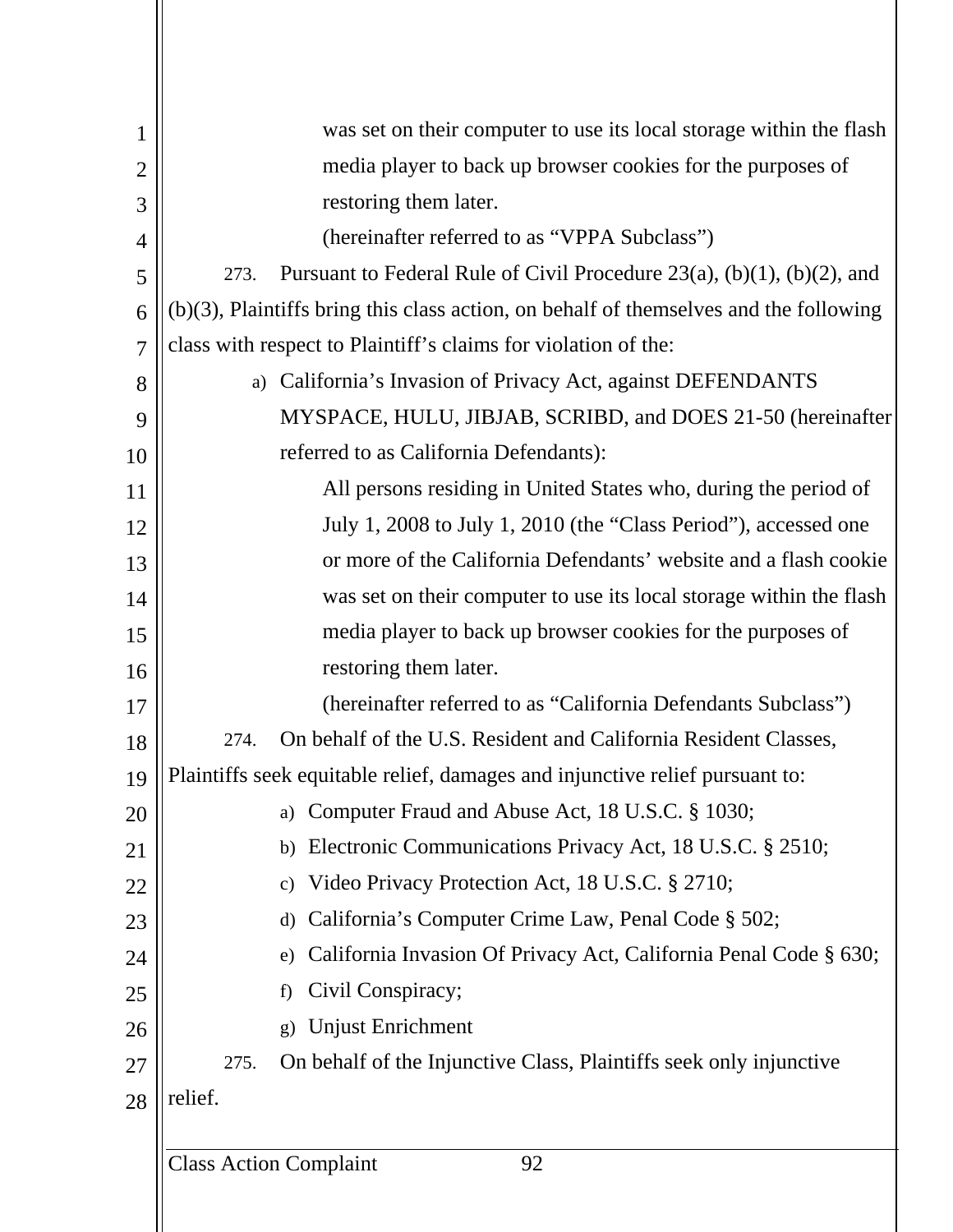| $\mathbf{1}$   | was set on their computer to use its local storage within the flash                      |
|----------------|------------------------------------------------------------------------------------------|
| $\overline{2}$ | media player to back up browser cookies for the purposes of                              |
| 3              | restoring them later.                                                                    |
| $\overline{4}$ | (hereinafter referred to as "VPPA Subclass")                                             |
| 5              | Pursuant to Federal Rule of Civil Procedure $23(a)$ , (b)(1), (b)(2), and<br>273.        |
| 6              | $(b)(3)$ , Plaintiffs bring this class action, on behalf of themselves and the following |
| $\overline{7}$ | class with respect to Plaintiff's claims for violation of the:                           |
| 8              | California's Invasion of Privacy Act, against DEFENDANTS<br>a)                           |
| 9              | MYSPACE, HULU, JIBJAB, SCRIBD, and DOES 21-50 (hereinafter                               |
| 10             | referred to as California Defendants):                                                   |
| 11             | All persons residing in United States who, during the period of                          |
| 12             | July 1, 2008 to July 1, 2010 (the "Class Period"), accessed one                          |
| 13             | or more of the California Defendants' website and a flash cookie                         |
| 14             | was set on their computer to use its local storage within the flash                      |
| 15             | media player to back up browser cookies for the purposes of                              |
| 16             | restoring them later.                                                                    |
| 17             | (hereinafter referred to as "California Defendants Subclass")                            |
| 18             | On behalf of the U.S. Resident and California Resident Classes,<br>274.                  |
| 19             | Plaintiffs seek equitable relief, damages and injunctive relief pursuant to:             |
| 20             | Computer Fraud and Abuse Act, 18 U.S.C. § 1030;<br>a)                                    |
| 21             | Electronic Communications Privacy Act, 18 U.S.C. § 2510;<br>b)                           |
| 22             | Video Privacy Protection Act, 18 U.S.C. § 2710;<br>$\mathbf{c})$                         |
| 23             | California's Computer Crime Law, Penal Code § 502;<br>d)                                 |
| 24             | California Invasion Of Privacy Act, California Penal Code § 630;<br>e)                   |
| 25             | Civil Conspiracy;<br>f)                                                                  |
| 26             | <b>Unjust Enrichment</b><br>g)                                                           |
| 27             | On behalf of the Injunctive Class, Plaintiffs seek only injunctive<br>275.               |
| 28             | relief.                                                                                  |
|                |                                                                                          |
|                | <b>Class Action Complaint</b><br>92                                                      |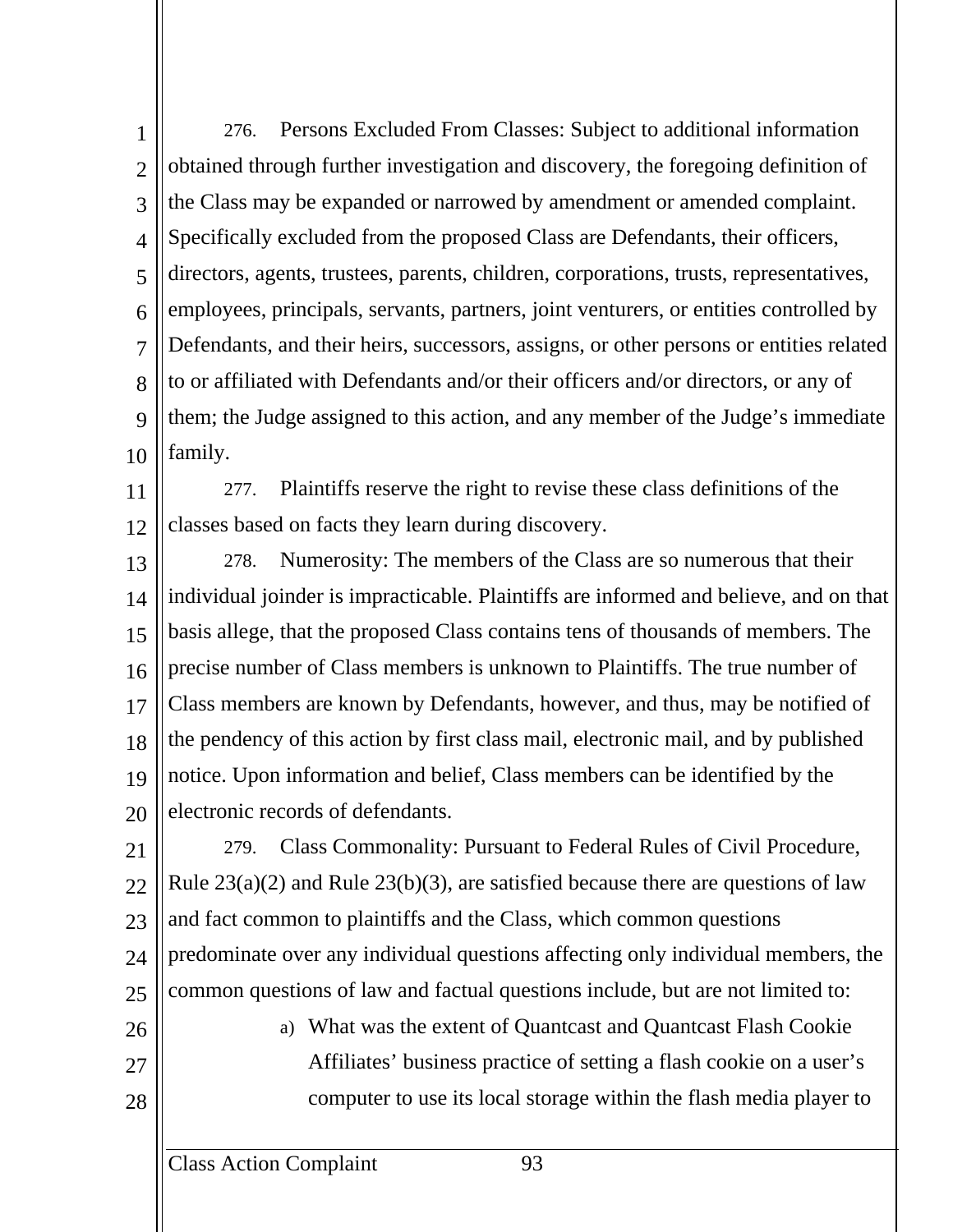1  $\mathcal{D}$ 3 4 5 6 7 8  $\mathbf Q$ 10 276. Persons Excluded From Classes: Subject to additional information obtained through further investigation and discovery, the foregoing definition of the Class may be expanded or narrowed by amendment or amended complaint. Specifically excluded from the proposed Class are Defendants, their officers, directors, agents, trustees, parents, children, corporations, trusts, representatives, employees, principals, servants, partners, joint venturers, or entities controlled by Defendants, and their heirs, successors, assigns, or other persons or entities related to or affiliated with Defendants and/or their officers and/or directors, or any of them; the Judge assigned to this action, and any member of the Judge's immediate family.

11 12 277. Plaintiffs reserve the right to revise these class definitions of the classes based on facts they learn during discovery.

13 14 15 16 17 18 19 20 278. Numerosity: The members of the Class are so numerous that their individual joinder is impracticable. Plaintiffs are informed and believe, and on that basis allege, that the proposed Class contains tens of thousands of members. The precise number of Class members is unknown to Plaintiffs. The true number of Class members are known by Defendants, however, and thus, may be notified of the pendency of this action by first class mail, electronic mail, and by published notice. Upon information and belief, Class members can be identified by the electronic records of defendants.

21 22 23 24 25 279. Class Commonality: Pursuant to Federal Rules of Civil Procedure, Rule  $23(a)(2)$  and Rule  $23(b)(3)$ , are satisfied because there are questions of law and fact common to plaintiffs and the Class, which common questions predominate over any individual questions affecting only individual members, the common questions of law and factual questions include, but are not limited to:

> a) What was the extent of Quantcast and Quantcast Flash Cookie Affiliates' business practice of setting a flash cookie on a user's computer to use its local storage within the flash media player to

26

27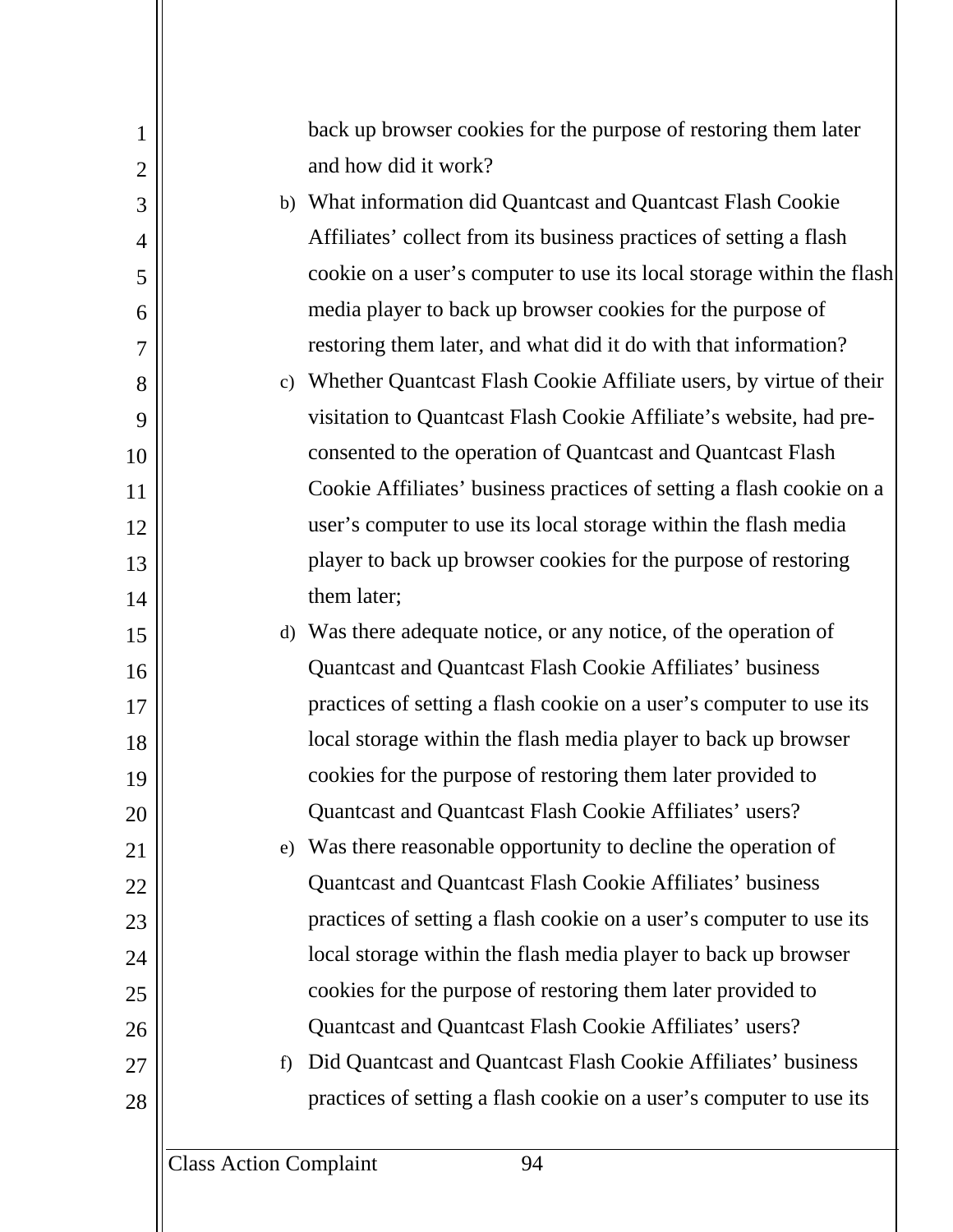| 1              |                               | back up browser cookies for the purpose of restoring them later       |
|----------------|-------------------------------|-----------------------------------------------------------------------|
| $\overline{2}$ |                               | and how did it work?                                                  |
| 3              |                               | b) What information did Quantcast and Quantcast Flash Cookie          |
| $\overline{4}$ |                               | Affiliates' collect from its business practices of setting a flash    |
| 5              |                               | cookie on a user's computer to use its local storage within the flash |
| 6              |                               | media player to back up browser cookies for the purpose of            |
| 7              |                               | restoring them later, and what did it do with that information?       |
| 8              |                               | c) Whether Quantcast Flash Cookie Affiliate users, by virtue of their |
| 9              |                               | visitation to Quantcast Flash Cookie Affiliate's website, had pre-    |
| 10             |                               | consented to the operation of Quantcast and Quantcast Flash           |
| 11             |                               | Cookie Affiliates' business practices of setting a flash cookie on a  |
| 12             |                               | user's computer to use its local storage within the flash media       |
| 13             |                               | player to back up browser cookies for the purpose of restoring        |
| 14             |                               | them later;                                                           |
| 15             |                               | d) Was there adequate notice, or any notice, of the operation of      |
| 16             |                               | Quantcast and Quantcast Flash Cookie Affiliates' business             |
| 17             |                               | practices of setting a flash cookie on a user's computer to use its   |
| 18             |                               | local storage within the flash media player to back up browser        |
| 19             |                               | cookies for the purpose of restoring them later provided to           |
| 20             |                               | Quantcast and Quantcast Flash Cookie Affiliates' users?               |
| 21             | e)                            | Was there reasonable opportunity to decline the operation of          |
| 22             |                               | Quantcast and Quantcast Flash Cookie Affiliates' business             |
| 23             |                               | practices of setting a flash cookie on a user's computer to use its   |
| 24             |                               | local storage within the flash media player to back up browser        |
| 25             |                               | cookies for the purpose of restoring them later provided to           |
| 26             |                               | Quantcast and Quantcast Flash Cookie Affiliates' users?               |
| 27             | f                             | Did Quantcast and Quantcast Flash Cookie Affiliates' business         |
| 28             |                               | practices of setting a flash cookie on a user's computer to use its   |
|                |                               |                                                                       |
|                | <b>Class Action Complaint</b> | 94                                                                    |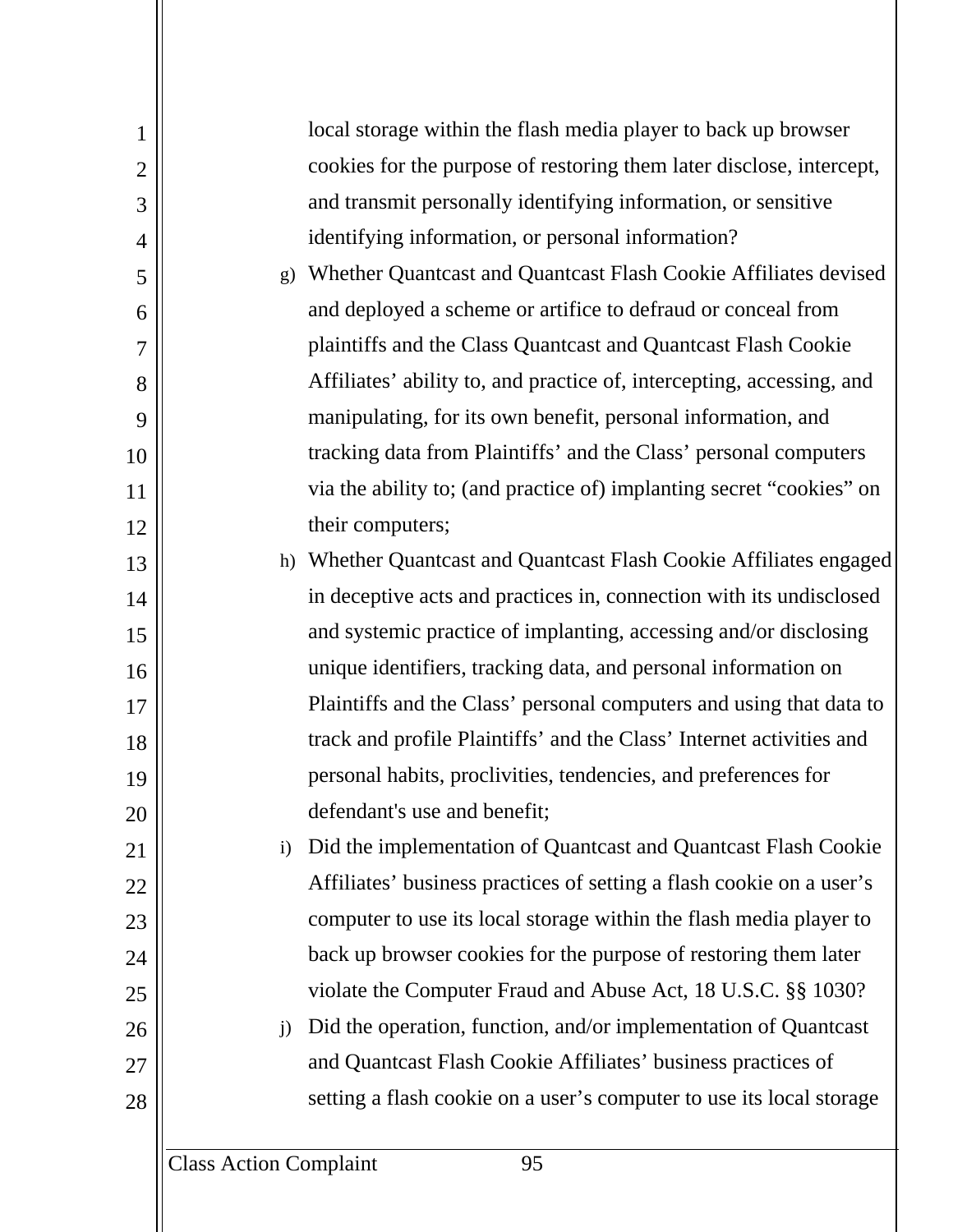| $\mathbf{1}$   |                               | local storage within the flash media player to back up browser        |
|----------------|-------------------------------|-----------------------------------------------------------------------|
| $\overline{2}$ |                               | cookies for the purpose of restoring them later disclose, intercept,  |
| 3              |                               | and transmit personally identifying information, or sensitive         |
| $\overline{4}$ |                               | identifying information, or personal information?                     |
| 5              |                               | g) Whether Quantcast and Quantcast Flash Cookie Affiliates devised    |
| 6              |                               | and deployed a scheme or artifice to defraud or conceal from          |
| $\overline{7}$ |                               | plaintiffs and the Class Quantcast and Quantcast Flash Cookie         |
| 8              |                               | Affiliates' ability to, and practice of, intercepting, accessing, and |
| 9              |                               | manipulating, for its own benefit, personal information, and          |
| 10             |                               | tracking data from Plaintiffs' and the Class' personal computers      |
| 11             |                               | via the ability to; (and practice of) implanting secret "cookies" on  |
| 12             |                               | their computers;                                                      |
| 13             |                               | h) Whether Quantcast and Quantcast Flash Cookie Affiliates engaged    |
| 14             |                               | in deceptive acts and practices in, connection with its undisclosed   |
| 15             |                               | and systemic practice of implanting, accessing and/or disclosing      |
| 16             |                               | unique identifiers, tracking data, and personal information on        |
| 17             |                               | Plaintiffs and the Class' personal computers and using that data to   |
| 18             |                               | track and profile Plaintiffs' and the Class' Internet activities and  |
| 19             |                               | personal habits, proclivities, tendencies, and preferences for        |
| 20             |                               | defendant's use and benefit;                                          |
| 21             | $\mathbf{i}$                  | Did the implementation of Quantcast and Quantcast Flash Cookie        |
| 22             |                               | Affiliates' business practices of setting a flash cookie on a user's  |
| 23             |                               | computer to use its local storage within the flash media player to    |
| 24             |                               | back up browser cookies for the purpose of restoring them later       |
| 25             |                               | violate the Computer Fraud and Abuse Act, 18 U.S.C. §§ 1030?          |
| 26             | $\ddot{1}$                    | Did the operation, function, and/or implementation of Quantcast       |
| 27             |                               | and Quantcast Flash Cookie Affiliates' business practices of          |
| 28             |                               | setting a flash cookie on a user's computer to use its local storage  |
|                | <b>Class Action Complaint</b> | 95                                                                    |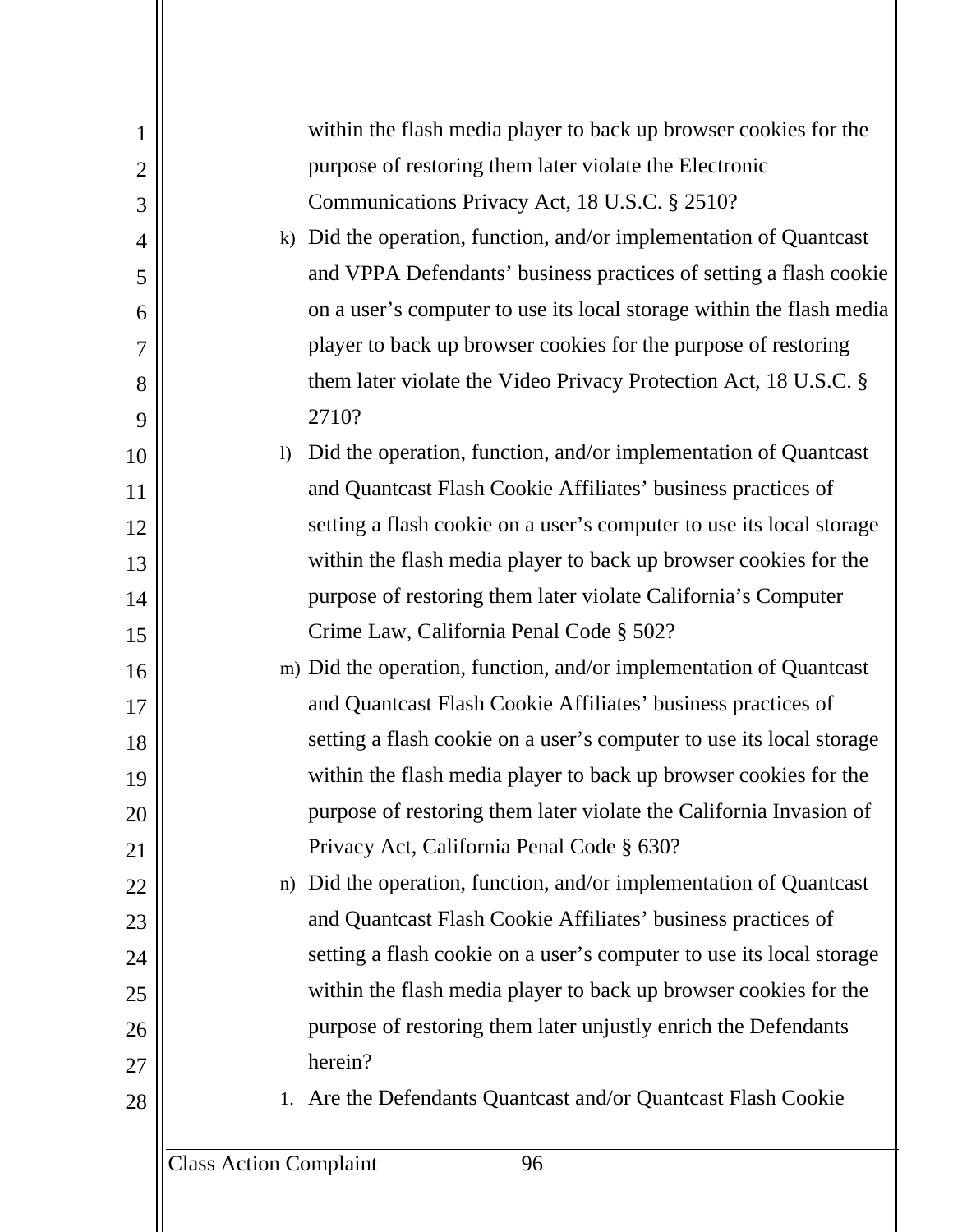| 1              | within the flash media player to back up browser cookies for the                          |
|----------------|-------------------------------------------------------------------------------------------|
| $\overline{2}$ | purpose of restoring them later violate the Electronic                                    |
| 3              | Communications Privacy Act, 18 U.S.C. § 2510?                                             |
| $\overline{4}$ | k) Did the operation, function, and/or implementation of Quantcast                        |
| 5              | and VPPA Defendants' business practices of setting a flash cookie                         |
| 6              | on a user's computer to use its local storage within the flash media                      |
| $\overline{7}$ | player to back up browser cookies for the purpose of restoring                            |
| 8              | them later violate the Video Privacy Protection Act, 18 U.S.C. §                          |
| 9              | 2710?                                                                                     |
| 10             | Did the operation, function, and/or implementation of Quantcast<br>$\left  \right\rangle$ |
| 11             | and Quantcast Flash Cookie Affiliates' business practices of                              |
| 12             | setting a flash cookie on a user's computer to use its local storage                      |
| 13             | within the flash media player to back up browser cookies for the                          |
| 14             | purpose of restoring them later violate California's Computer                             |
| 15             | Crime Law, California Penal Code § 502?                                                   |
| 16             | m) Did the operation, function, and/or implementation of Quantcast                        |
| 17             | and Quantcast Flash Cookie Affiliates' business practices of                              |
| 18             | setting a flash cookie on a user's computer to use its local storage                      |
| 19             | within the flash media player to back up browser cookies for the                          |
| 20             | purpose of restoring them later violate the California Invasion of                        |
| 21             | Privacy Act, California Penal Code § 630?                                                 |
| 22             | Did the operation, function, and/or implementation of Quantcast<br>n)                     |
| 23             | and Quantcast Flash Cookie Affiliates' business practices of                              |
| 24             | setting a flash cookie on a user's computer to use its local storage                      |
| 25             | within the flash media player to back up browser cookies for the                          |
| 26             | purpose of restoring them later unjustly enrich the Defendants                            |
| 27             | herein?                                                                                   |
| 28             | 1. Are the Defendants Quantcast and/or Quantcast Flash Cookie                             |
|                |                                                                                           |
|                | <b>Class Action Complaint</b><br>96                                                       |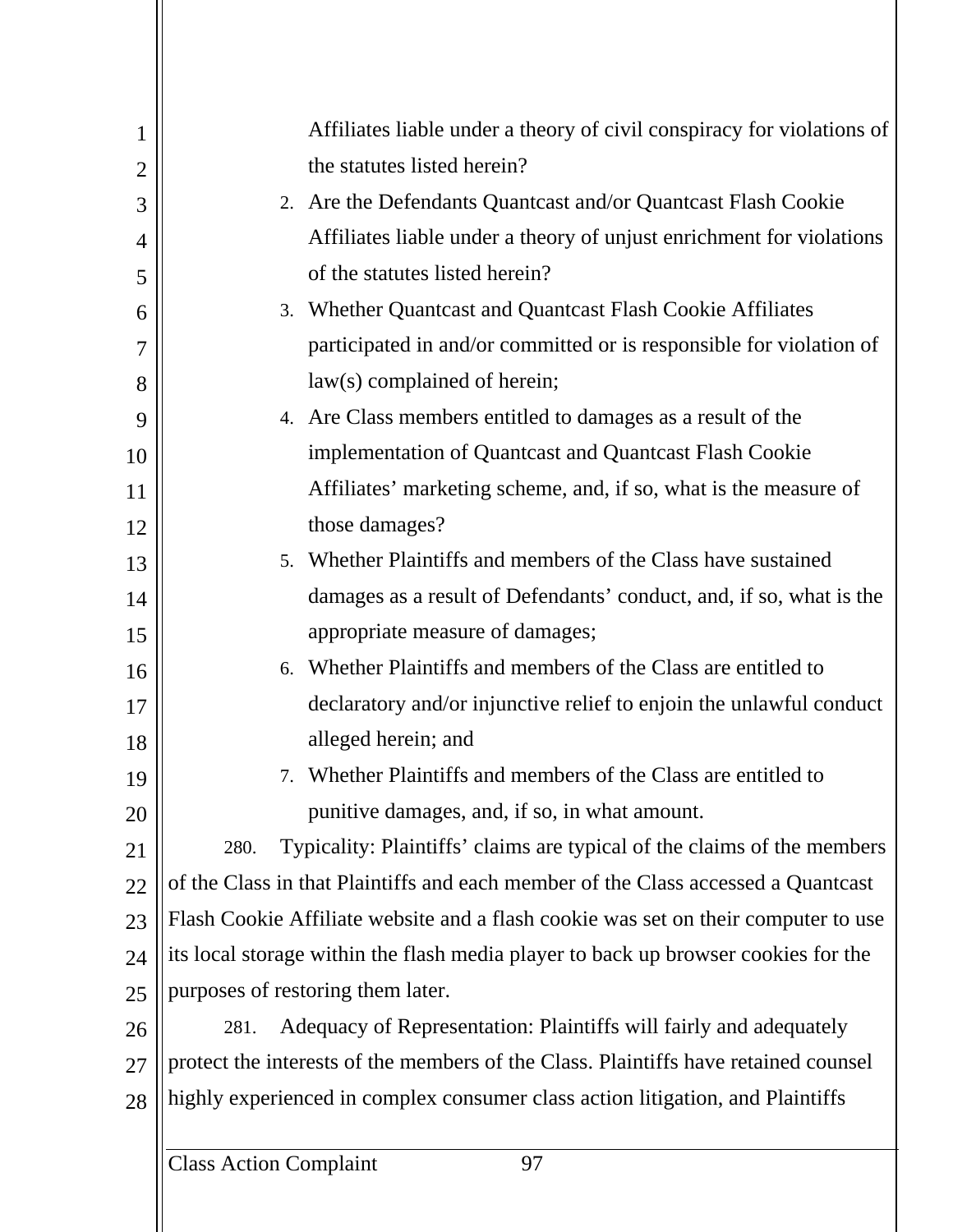| $\mathbf 1$    |                                                                                     | Affiliates liable under a theory of civil conspiracy for violations of             |  |
|----------------|-------------------------------------------------------------------------------------|------------------------------------------------------------------------------------|--|
| $\overline{2}$ |                                                                                     | the statutes listed herein?                                                        |  |
| 3              |                                                                                     | 2. Are the Defendants Quantcast and/or Quantcast Flash Cookie                      |  |
| $\overline{4}$ |                                                                                     | Affiliates liable under a theory of unjust enrichment for violations               |  |
| 5              |                                                                                     | of the statutes listed herein?                                                     |  |
| 6              |                                                                                     | 3. Whether Quantcast and Quantcast Flash Cookie Affiliates                         |  |
| $\overline{7}$ |                                                                                     | participated in and/or committed or is responsible for violation of                |  |
| 8              |                                                                                     | law(s) complained of herein;                                                       |  |
| 9              |                                                                                     | 4. Are Class members entitled to damages as a result of the                        |  |
| 10             |                                                                                     | implementation of Quantcast and Quantcast Flash Cookie                             |  |
| 11             |                                                                                     | Affiliates' marketing scheme, and, if so, what is the measure of                   |  |
| 12             |                                                                                     | those damages?                                                                     |  |
| 13             |                                                                                     | 5. Whether Plaintiffs and members of the Class have sustained                      |  |
| 14             |                                                                                     | damages as a result of Defendants' conduct, and, if so, what is the                |  |
| 15             |                                                                                     | appropriate measure of damages;                                                    |  |
| 16             |                                                                                     | 6. Whether Plaintiffs and members of the Class are entitled to                     |  |
| 17             |                                                                                     | declaratory and/or injunctive relief to enjoin the unlawful conduct                |  |
| 18             |                                                                                     | alleged herein; and                                                                |  |
| 19             |                                                                                     | 7. Whether Plaintiffs and members of the Class are entitled to                     |  |
| 20             |                                                                                     | punitive damages, and, if so, in what amount.                                      |  |
| 21             | 280.                                                                                | Typicality: Plaintiffs' claims are typical of the claims of the members            |  |
| 22             |                                                                                     | of the Class in that Plaintiffs and each member of the Class accessed a Quantcast  |  |
| 23             |                                                                                     | Flash Cookie Affiliate website and a flash cookie was set on their computer to use |  |
| 24             | its local storage within the flash media player to back up browser cookies for the  |                                                                                    |  |
| 25             |                                                                                     | purposes of restoring them later.                                                  |  |
| 26             | 281.                                                                                | Adequacy of Representation: Plaintiffs will fairly and adequately                  |  |
| 27             | protect the interests of the members of the Class. Plaintiffs have retained counsel |                                                                                    |  |
| 28             |                                                                                     | highly experienced in complex consumer class action litigation, and Plaintiffs     |  |
|                |                                                                                     |                                                                                    |  |
|                | <b>Class Action Complaint</b>                                                       | 97                                                                                 |  |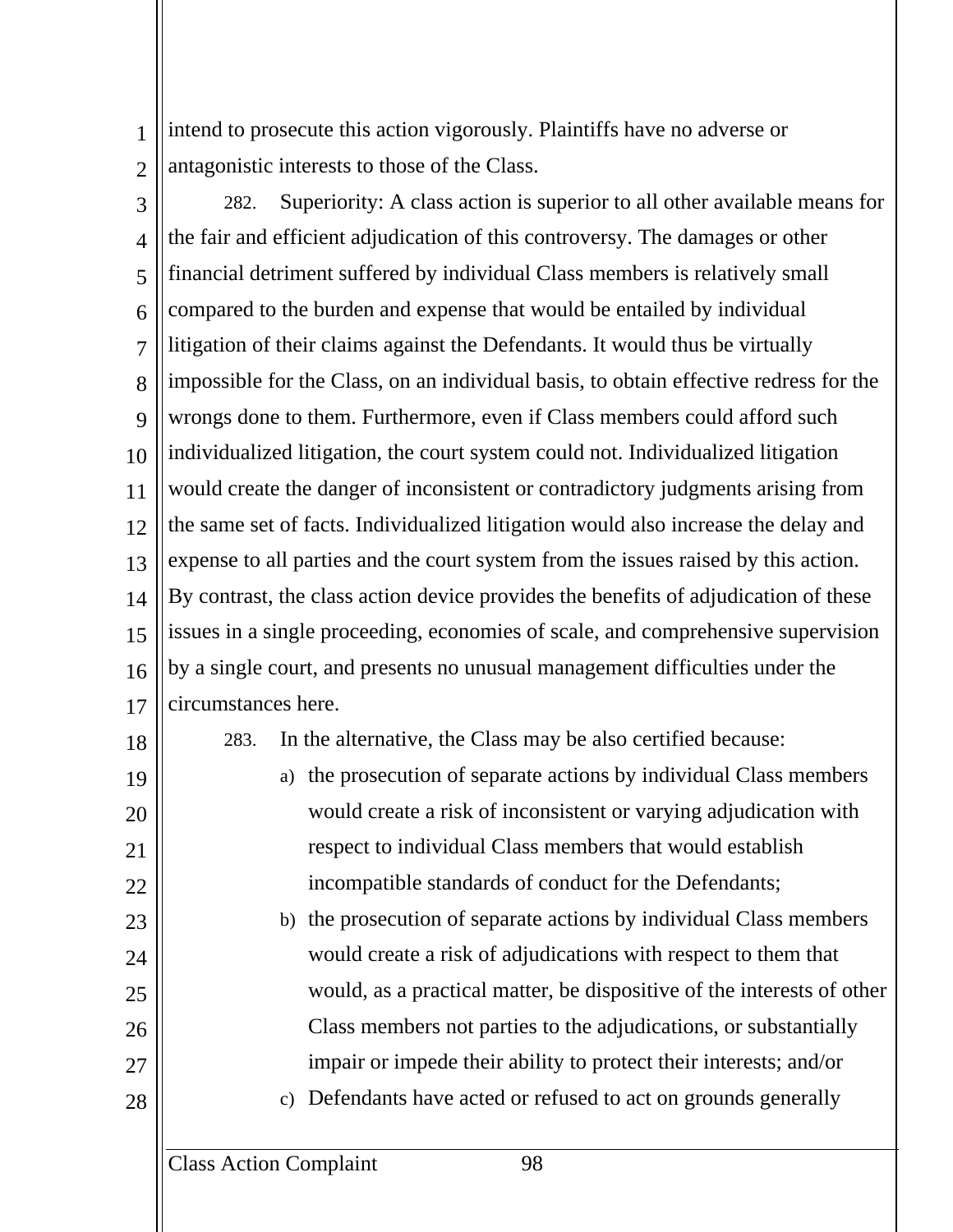1  $\mathcal{D}$ intend to prosecute this action vigorously. Plaintiffs have no adverse or antagonistic interests to those of the Class.

3 4 5 6 7 8  $\mathbf Q$ 10 11 12 13 14 15 16 17 282. Superiority: A class action is superior to all other available means for the fair and efficient adjudication of this controversy. The damages or other financial detriment suffered by individual Class members is relatively small compared to the burden and expense that would be entailed by individual litigation of their claims against the Defendants. It would thus be virtually impossible for the Class, on an individual basis, to obtain effective redress for the wrongs done to them. Furthermore, even if Class members could afford such individualized litigation, the court system could not. Individualized litigation would create the danger of inconsistent or contradictory judgments arising from the same set of facts. Individualized litigation would also increase the delay and expense to all parties and the court system from the issues raised by this action. By contrast, the class action device provides the benefits of adjudication of these issues in a single proceeding, economies of scale, and comprehensive supervision by a single court, and presents no unusual management difficulties under the circumstances here.

26

27

28

283. In the alternative, the Class may be also certified because:

a) the prosecution of separate actions by individual Class members would create a risk of inconsistent or varying adjudication with respect to individual Class members that would establish incompatible standards of conduct for the Defendants;

b) the prosecution of separate actions by individual Class members would create a risk of adjudications with respect to them that would, as a practical matter, be dispositive of the interests of other Class members not parties to the adjudications, or substantially impair or impede their ability to protect their interests; and/or c) Defendants have acted or refused to act on grounds generally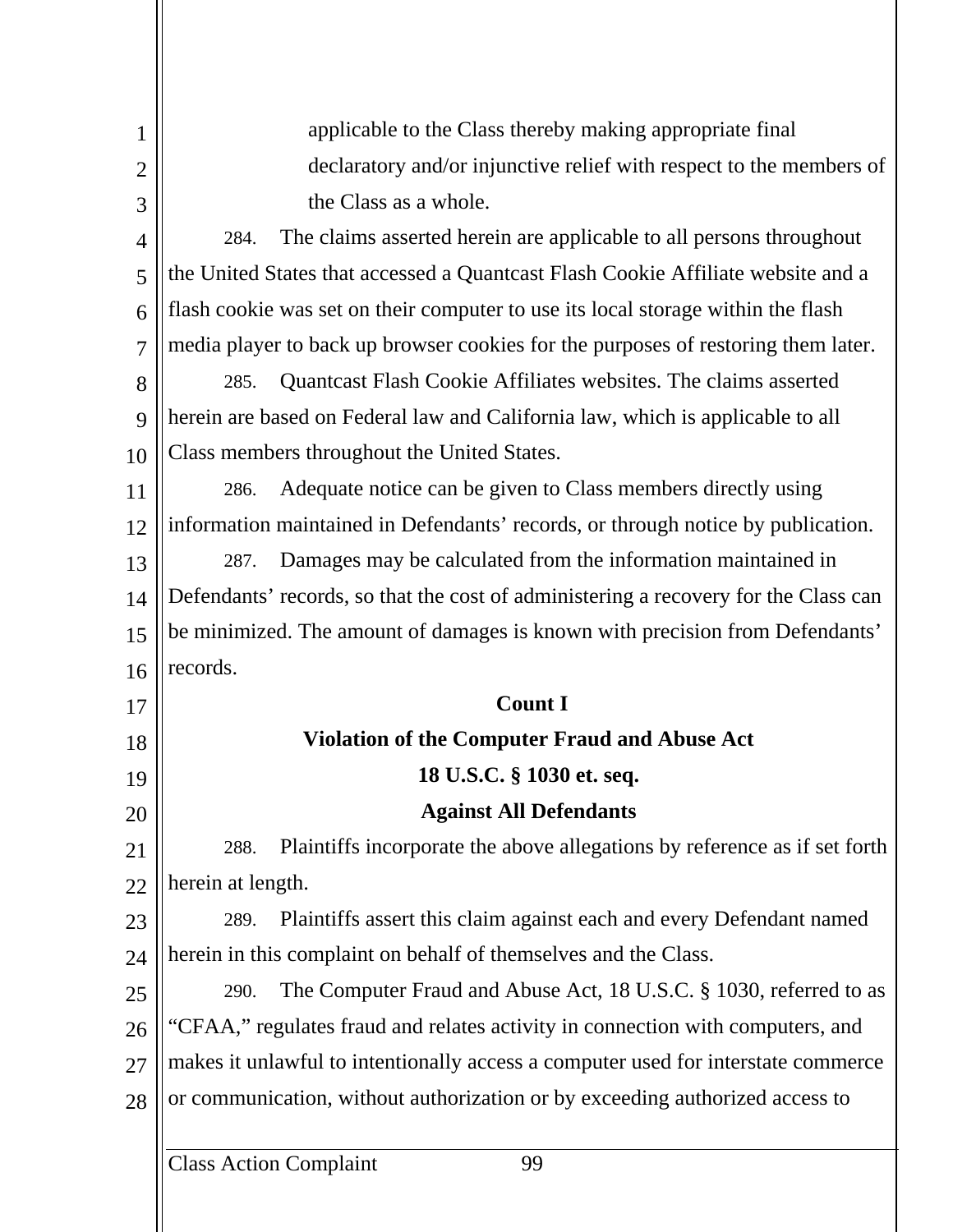| 1              | applicable to the Class thereby making appropriate final                            |  |  |  |
|----------------|-------------------------------------------------------------------------------------|--|--|--|
| $\overline{2}$ | declaratory and/or injunctive relief with respect to the members of                 |  |  |  |
| 3              | the Class as a whole.                                                               |  |  |  |
| $\overline{4}$ | The claims asserted herein are applicable to all persons throughout<br>284.         |  |  |  |
| 5              | the United States that accessed a Quantcast Flash Cookie Affiliate website and a    |  |  |  |
| 6              | flash cookie was set on their computer to use its local storage within the flash    |  |  |  |
| $\overline{7}$ | media player to back up browser cookies for the purposes of restoring them later.   |  |  |  |
| 8              | Quantcast Flash Cookie Affiliates websites. The claims asserted<br>285.             |  |  |  |
| 9              | herein are based on Federal law and California law, which is applicable to all      |  |  |  |
| 10             | Class members throughout the United States.                                         |  |  |  |
| 11             | Adequate notice can be given to Class members directly using<br>286.                |  |  |  |
| 12             | information maintained in Defendants' records, or through notice by publication.    |  |  |  |
| 13             | Damages may be calculated from the information maintained in<br>287.                |  |  |  |
| 14             | Defendants' records, so that the cost of administering a recovery for the Class can |  |  |  |
| 15             | be minimized. The amount of damages is known with precision from Defendants'        |  |  |  |
| 16             | records.                                                                            |  |  |  |
| 17             | <b>Count I</b>                                                                      |  |  |  |
| 18             | <b>Violation of the Computer Fraud and Abuse Act</b>                                |  |  |  |
| 19             | 18 U.S.C. § 1030 et. seq.                                                           |  |  |  |
| 20             | <b>Against All Defendants</b>                                                       |  |  |  |
| 21             | Plaintiffs incorporate the above allegations by reference as if set forth<br>288.   |  |  |  |
| 22             | herein at length.                                                                   |  |  |  |
| 23             | Plaintiffs assert this claim against each and every Defendant named<br>289.         |  |  |  |
| 24             | herein in this complaint on behalf of themselves and the Class.                     |  |  |  |
| 25             | The Computer Fraud and Abuse Act, 18 U.S.C. § 1030, referred to as<br>290.          |  |  |  |
| 26             | "CFAA," regulates fraud and relates activity in connection with computers, and      |  |  |  |
| 27             | makes it unlawful to intentionally access a computer used for interstate commerce   |  |  |  |
| 28             | or communication, without authorization or by exceeding authorized access to        |  |  |  |
|                |                                                                                     |  |  |  |
|                | <b>Class Action Complaint</b><br>99                                                 |  |  |  |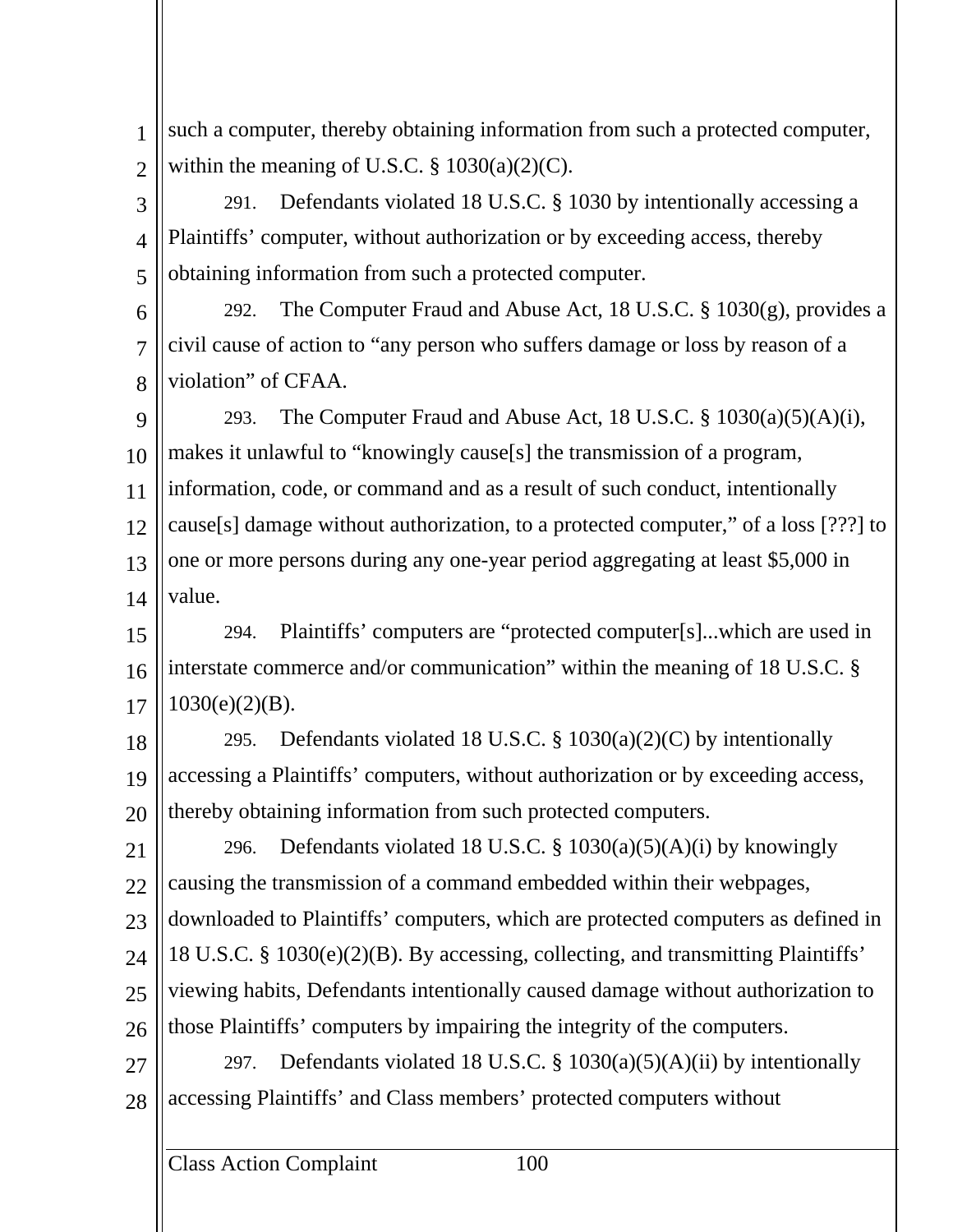1  $\mathcal{L}$ 3 4 5 6 7 8  $\mathbf Q$ 10 11 12 13 14 15 16 17 18 19 20 21 22 23 24 25 26 27 28 such a computer, thereby obtaining information from such a protected computer, within the meaning of U.S.C.  $\S$  1030(a)(2)(C). 291. Defendants violated 18 U.S.C. § 1030 by intentionally accessing a Plaintiffs' computer, without authorization or by exceeding access, thereby obtaining information from such a protected computer. 292. The Computer Fraud and Abuse Act, 18 U.S.C. § 1030(g), provides a civil cause of action to "any person who suffers damage or loss by reason of a violation" of CFAA. 293. The Computer Fraud and Abuse Act,  $18 \text{ U.S.C.} \$  $1030(a)(5)(A)(i)$ , makes it unlawful to "knowingly cause[s] the transmission of a program, information, code, or command and as a result of such conduct, intentionally cause[s] damage without authorization, to a protected computer," of a loss [???] to one or more persons during any one-year period aggregating at least \$5,000 in value. 294. Plaintiffs' computers are "protected computer[s]...which are used in interstate commerce and/or communication" within the meaning of 18 U.S.C. § 1030(e)(2)(B). 295. Defendants violated 18 U.S.C. § 1030(a)(2)(C) by intentionally accessing a Plaintiffs' computers, without authorization or by exceeding access, thereby obtaining information from such protected computers. 296. Defendants violated 18 U.S.C.  $\S$  1030(a)(5)(A)(i) by knowingly causing the transmission of a command embedded within their webpages, downloaded to Plaintiffs' computers, which are protected computers as defined in 18 U.S.C. § 1030(e)(2)(B). By accessing, collecting, and transmitting Plaintiffs' viewing habits, Defendants intentionally caused damage without authorization to those Plaintiffs' computers by impairing the integrity of the computers. 297. Defendants violated 18 U.S.C. § 1030(a)(5)(A)(ii) by intentionally accessing Plaintiffs' and Class members' protected computers without

Class Action Complaint 100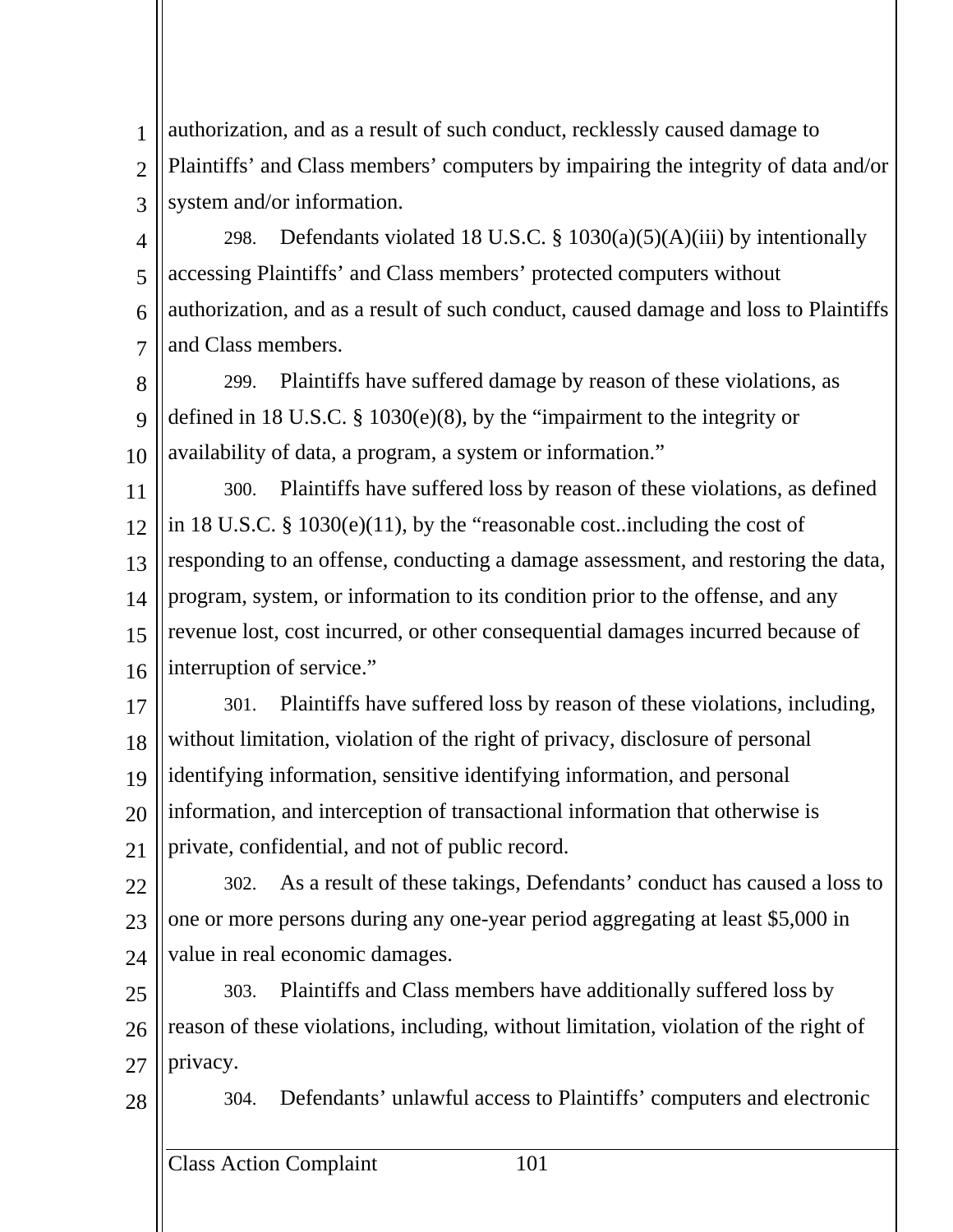1  $\mathcal{D}$ 3 authorization, and as a result of such conduct, recklessly caused damage to Plaintiffs' and Class members' computers by impairing the integrity of data and/or system and/or information.

4 5 6 7 298. Defendants violated 18 U.S.C.  $\S$  1030(a)(5)(A)(iii) by intentionally accessing Plaintiffs' and Class members' protected computers without authorization, and as a result of such conduct, caused damage and loss to Plaintiffs and Class members.

8  $\mathbf Q$ 10 299. Plaintiffs have suffered damage by reason of these violations, as defined in 18 U.S.C. § 1030(e)(8), by the "impairment to the integrity or availability of data, a program, a system or information."

11 12 13 14 15 16 300. Plaintiffs have suffered loss by reason of these violations, as defined in 18 U.S.C. § 1030(e)(11), by the "reasonable cost..including the cost of responding to an offense, conducting a damage assessment, and restoring the data, program, system, or information to its condition prior to the offense, and any revenue lost, cost incurred, or other consequential damages incurred because of interruption of service."

17 18 19 20 21 301. Plaintiffs have suffered loss by reason of these violations, including, without limitation, violation of the right of privacy, disclosure of personal identifying information, sensitive identifying information, and personal information, and interception of transactional information that otherwise is private, confidential, and not of public record.

22 23 24 302. As a result of these takings, Defendants' conduct has caused a loss to one or more persons during any one-year period aggregating at least \$5,000 in value in real economic damages.

25 26 27 303. Plaintiffs and Class members have additionally suffered loss by reason of these violations, including, without limitation, violation of the right of privacy.

304. Defendants' unlawful access to Plaintiffs' computers and electronic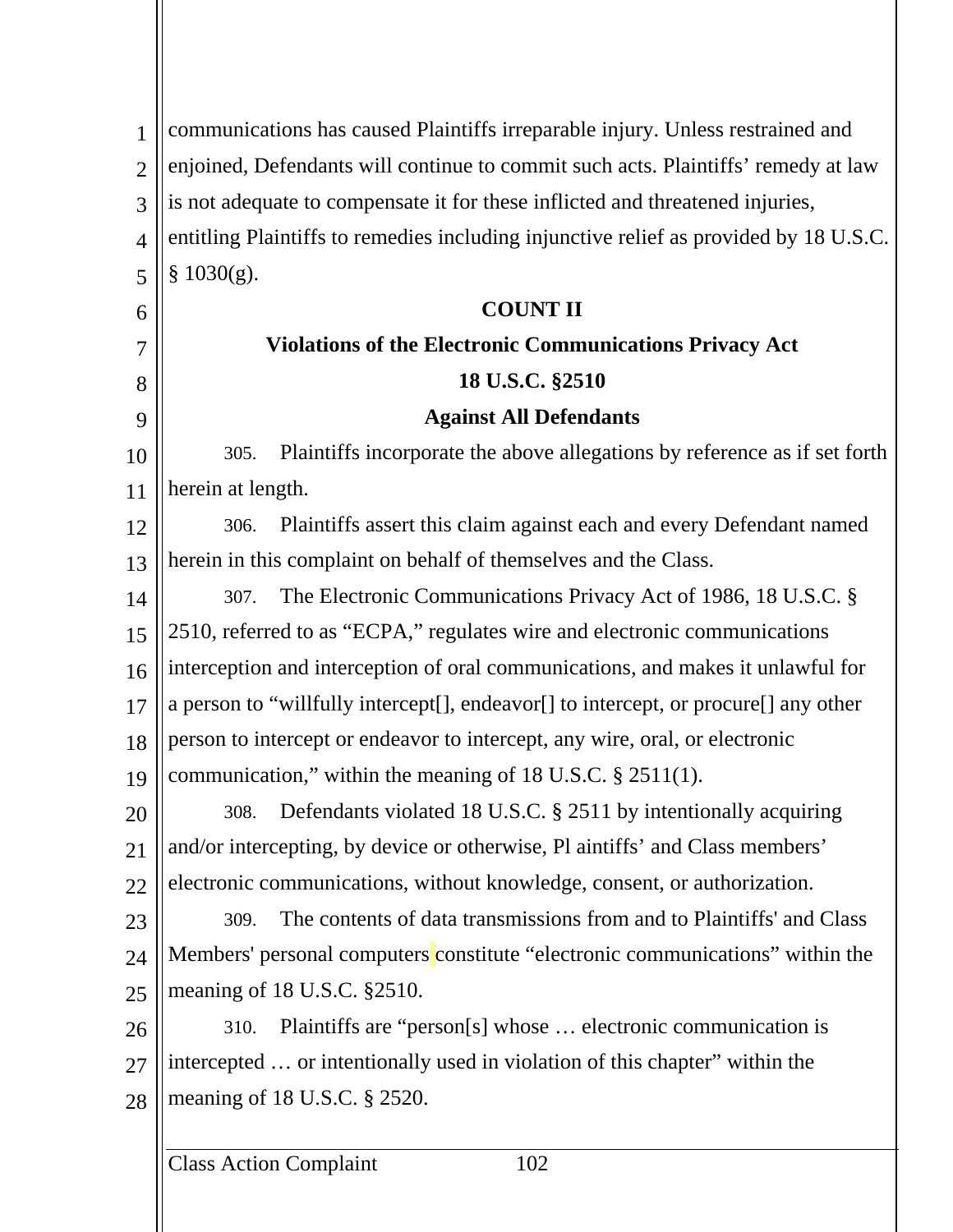| $\mathbf{1}$   | communications has caused Plaintiffs irreparable injury. Unless restrained and        |
|----------------|---------------------------------------------------------------------------------------|
| $\overline{2}$ | enjoined, Defendants will continue to commit such acts. Plaintiffs' remedy at law     |
| 3              | is not adequate to compensate it for these inflicted and threatened injuries,         |
| $\overline{4}$ | entitling Plaintiffs to remedies including injunctive relief as provided by 18 U.S.C. |
| 5              | § 1030(g).                                                                            |
| 6              | <b>COUNT II</b>                                                                       |
| 7              | <b>Violations of the Electronic Communications Privacy Act</b>                        |
| 8              | 18 U.S.C. §2510                                                                       |
| 9              | <b>Against All Defendants</b>                                                         |
| 10             | Plaintiffs incorporate the above allegations by reference as if set forth<br>305.     |
| 11             | herein at length.                                                                     |
| 12             | Plaintiffs assert this claim against each and every Defendant named<br>306.           |
| 13             | herein in this complaint on behalf of themselves and the Class.                       |
| 14             | The Electronic Communications Privacy Act of 1986, 18 U.S.C. §<br>307.                |
| 15             | 2510, referred to as "ECPA," regulates wire and electronic communications             |
| 16             | interception and interception of oral communications, and makes it unlawful for       |
| 17             | a person to "willfully intercept[], endeavor[] to intercept, or procure[] any other   |
| 18             | person to intercept or endeavor to intercept, any wire, oral, or electronic           |
| 19             | communication," within the meaning of 18 U.S.C. $\S 2511(1)$ .                        |
| 20             | Defendants violated 18 U.S.C. § 2511 by intentionally acquiring<br>308.               |
| 21             | and/or intercepting, by device or otherwise, Pl aintiffs' and Class members'          |
| 22             | electronic communications, without knowledge, consent, or authorization.              |
| 23             | The contents of data transmissions from and to Plaintiffs' and Class<br>309.          |
| 24             | Members' personal computers constitute "electronic communications" within the         |
| 25             | meaning of 18 U.S.C. §2510.                                                           |
| 26             | Plaintiffs are "person[s] whose  electronic communication is<br>310.                  |
| 27             | intercepted  or intentionally used in violation of this chapter" within the           |
| 28             | meaning of 18 U.S.C. § 2520.                                                          |
|                |                                                                                       |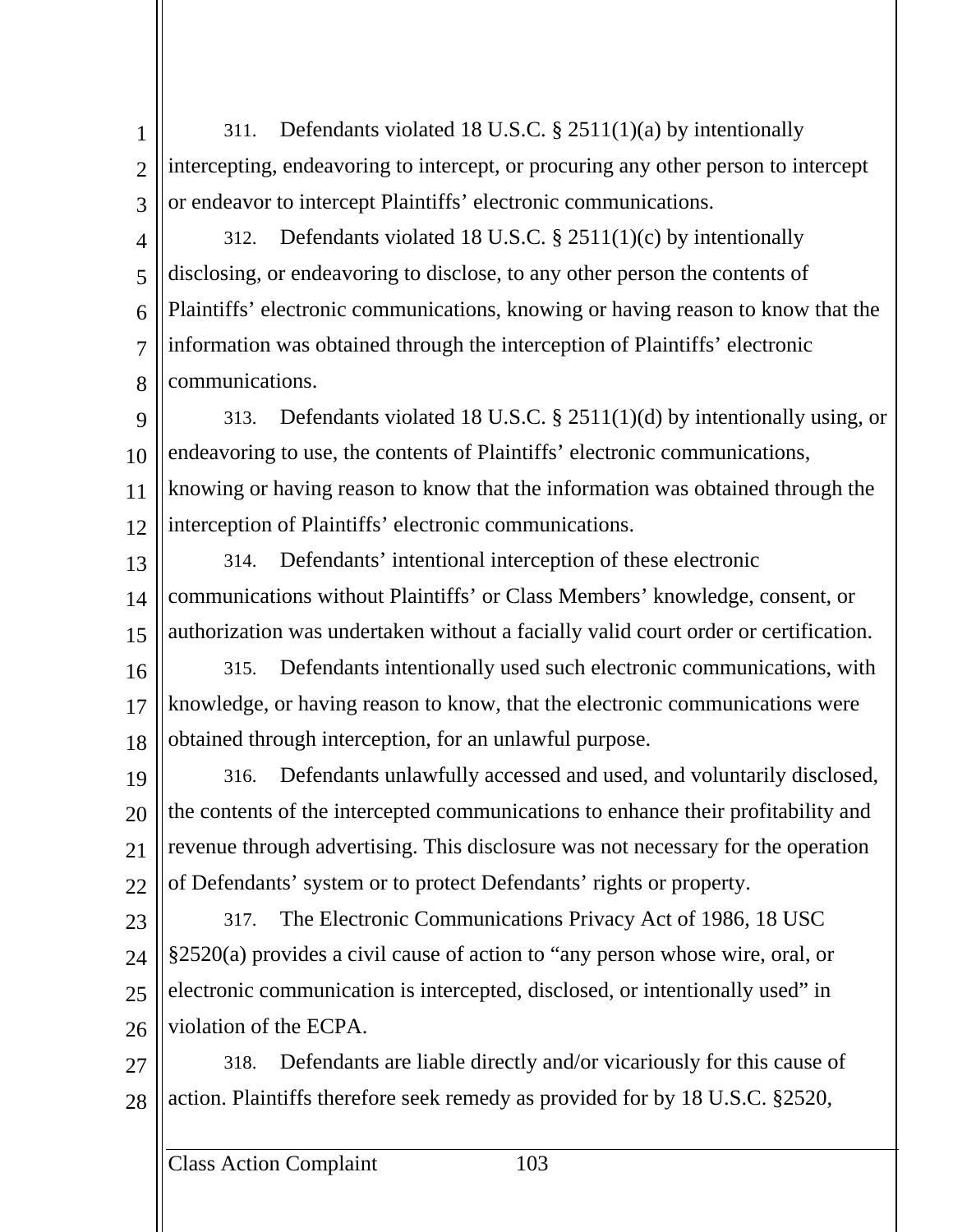1  $\mathcal{D}$ 3 311. Defendants violated 18 U.S.C. § 2511(1)(a) by intentionally intercepting, endeavoring to intercept, or procuring any other person to intercept or endeavor to intercept Plaintiffs' electronic communications.

- 4 5 6 7 8 312. Defendants violated 18 U.S.C. § 2511(1)(c) by intentionally disclosing, or endeavoring to disclose, to any other person the contents of Plaintiffs' electronic communications, knowing or having reason to know that the information was obtained through the interception of Plaintiffs' electronic communications.
- $\mathbf Q$ 10 11 12 313. Defendants violated 18 U.S.C. § 2511(1)(d) by intentionally using, or endeavoring to use, the contents of Plaintiffs' electronic communications, knowing or having reason to know that the information was obtained through the interception of Plaintiffs' electronic communications.
- 13 14 15 314. Defendants' intentional interception of these electronic communications without Plaintiffs' or Class Members' knowledge, consent, or authorization was undertaken without a facially valid court order or certification. 315. Defendants intentionally used such electronic communications, with
- 16 17 18 knowledge, or having reason to know, that the electronic communications were obtained through interception, for an unlawful purpose.
- 19 20 21 22 316. Defendants unlawfully accessed and used, and voluntarily disclosed, the contents of the intercepted communications to enhance their profitability and revenue through advertising. This disclosure was not necessary for the operation of Defendants' system or to protect Defendants' rights or property.
- 23 24 25 26 317. The Electronic Communications Privacy Act of 1986, 18 USC §2520(a) provides a civil cause of action to "any person whose wire, oral, or electronic communication is intercepted, disclosed, or intentionally used" in violation of the ECPA.
- 27 28 318. Defendants are liable directly and/or vicariously for this cause of action. Plaintiffs therefore seek remedy as provided for by 18 U.S.C. §2520,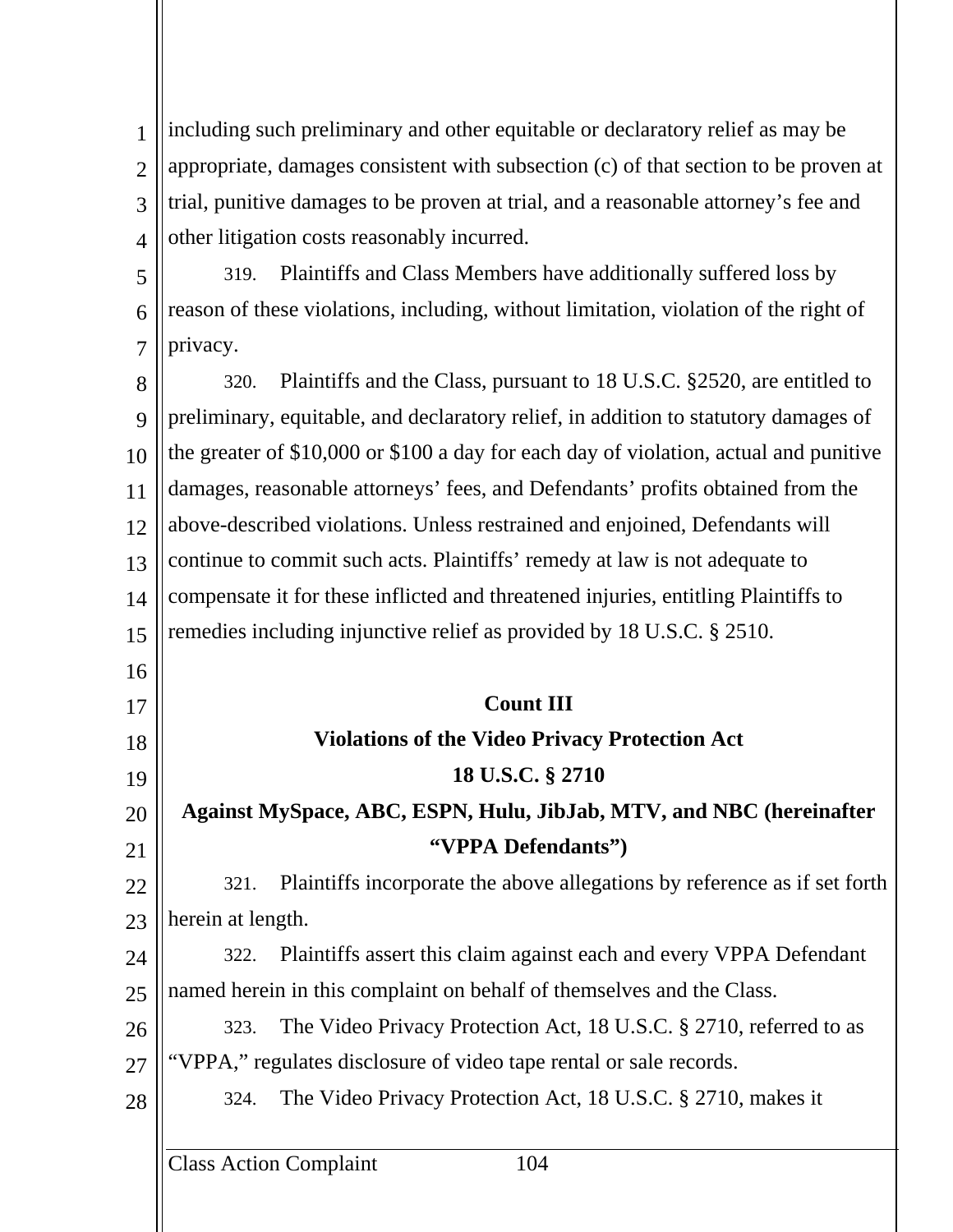1  $\mathcal{L}$ 3 4 including such preliminary and other equitable or declaratory relief as may be appropriate, damages consistent with subsection (c) of that section to be proven at trial, punitive damages to be proven at trial, and a reasonable attorney's fee and other litigation costs reasonably incurred.

5 6 7 319. Plaintiffs and Class Members have additionally suffered loss by reason of these violations, including, without limitation, violation of the right of privacy.

8 9 10 11 12 13 14 15 320. Plaintiffs and the Class, pursuant to 18 U.S.C. §2520, are entitled to preliminary, equitable, and declaratory relief, in addition to statutory damages of the greater of \$10,000 or \$100 a day for each day of violation, actual and punitive damages, reasonable attorneys' fees, and Defendants' profits obtained from the above-described violations. Unless restrained and enjoined, Defendants will continue to commit such acts. Plaintiffs' remedy at law is not adequate to compensate it for these inflicted and threatened injuries, entitling Plaintiffs to remedies including injunctive relief as provided by 18 U.S.C. § 2510.

## **Count III**

16 17

| $\perp$ |                                                                                   |
|---------|-----------------------------------------------------------------------------------|
| 18      | <b>Violations of the Video Privacy Protection Act</b>                             |
| 19      | 18 U.S.C. § 2710                                                                  |
| 20      | Against MySpace, ABC, ESPN, Hulu, JibJab, MTV, and NBC (hereinafter               |
| 21      | "VPPA Defendants")                                                                |
| 22      | Plaintiffs incorporate the above allegations by reference as if set forth<br>321. |
| 23      | herein at length.                                                                 |
| 24      | Plaintiffs assert this claim against each and every VPPA Defendant<br>322.        |
| 25      | named herein in this complaint on behalf of themselves and the Class.             |
| 26      | The Video Privacy Protection Act, 18 U.S.C. § 2710, referred to as<br>323.        |
| 27      | "VPPA," regulates disclosure of video tape rental or sale records.                |
| 28      | The Video Privacy Protection Act, 18 U.S.C. § 2710, makes it<br>324.              |
|         |                                                                                   |
|         | <b>Class Action Complaint</b><br>104                                              |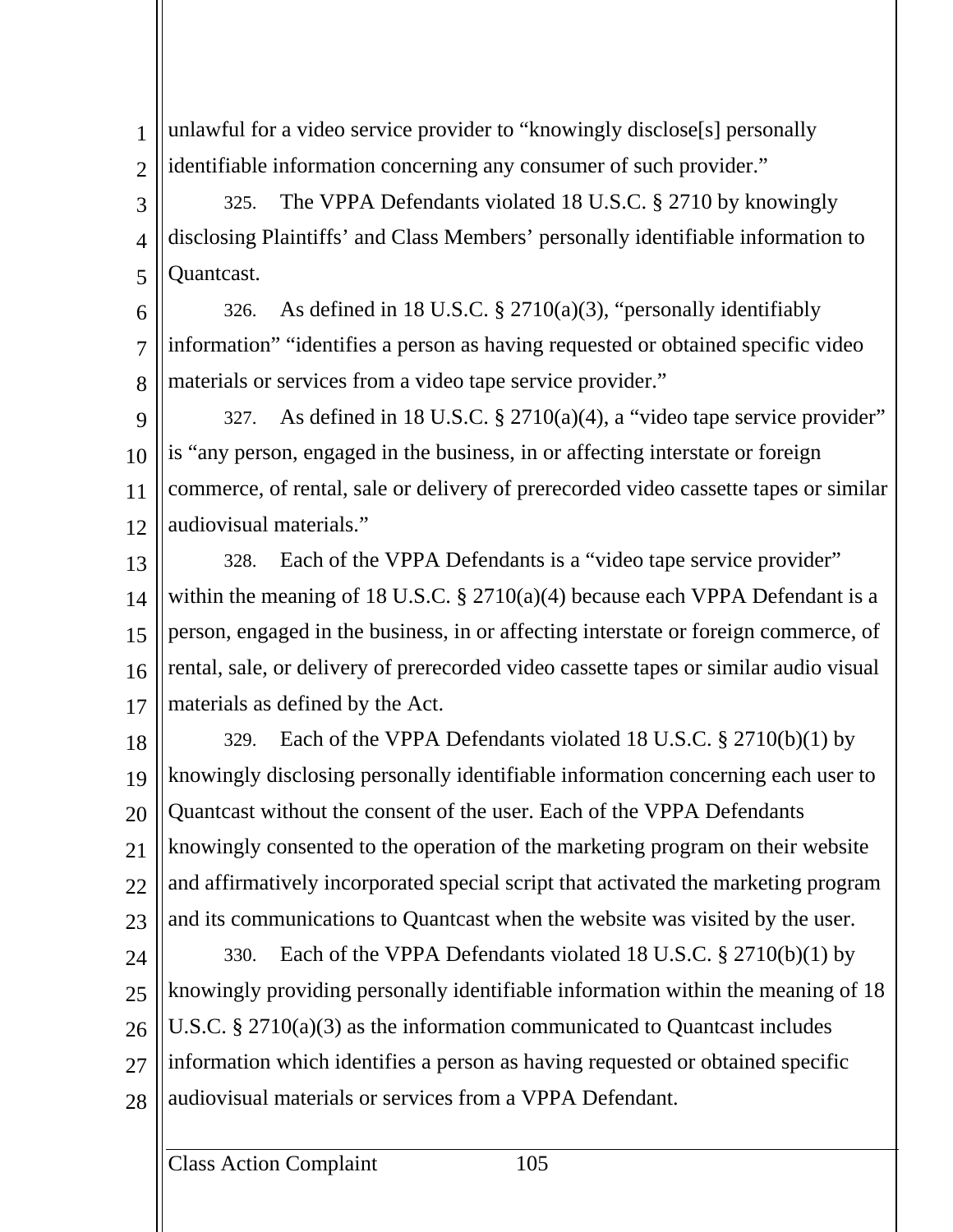1  $\overline{2}$ unlawful for a video service provider to "knowingly disclose[s] personally identifiable information concerning any consumer of such provider."

3 4 5 325. The VPPA Defendants violated 18 U.S.C. § 2710 by knowingly disclosing Plaintiffs' and Class Members' personally identifiable information to Quantcast.

6 7 8 326. As defined in 18 U.S.C. § 2710(a)(3), "personally identifiably information" "identifies a person as having requested or obtained specific video materials or services from a video tape service provider."

 $\mathbf Q$ 10 11 12 327. As defined in 18 U.S.C. § 2710(a)(4), a "video tape service provider" is "any person, engaged in the business, in or affecting interstate or foreign commerce, of rental, sale or delivery of prerecorded video cassette tapes or similar audiovisual materials."

13 14 15 16 17 328. Each of the VPPA Defendants is a "video tape service provider" within the meaning of 18 U.S.C. § 2710(a)(4) because each VPPA Defendant is a person, engaged in the business, in or affecting interstate or foreign commerce, of rental, sale, or delivery of prerecorded video cassette tapes or similar audio visual materials as defined by the Act.

18 19 20 21 22 23 24 25 329. Each of the VPPA Defendants violated 18 U.S.C. § 2710(b)(1) by knowingly disclosing personally identifiable information concerning each user to Quantcast without the consent of the user. Each of the VPPA Defendants knowingly consented to the operation of the marketing program on their website and affirmatively incorporated special script that activated the marketing program and its communications to Quantcast when the website was visited by the user. 330. Each of the VPPA Defendants violated 18 U.S.C. § 2710(b)(1) by knowingly providing personally identifiable information within the meaning of 18

26 27 28 U.S.C. § 2710(a)(3) as the information communicated to Quantcast includes information which identifies a person as having requested or obtained specific audiovisual materials or services from a VPPA Defendant.

Class Action Complaint 105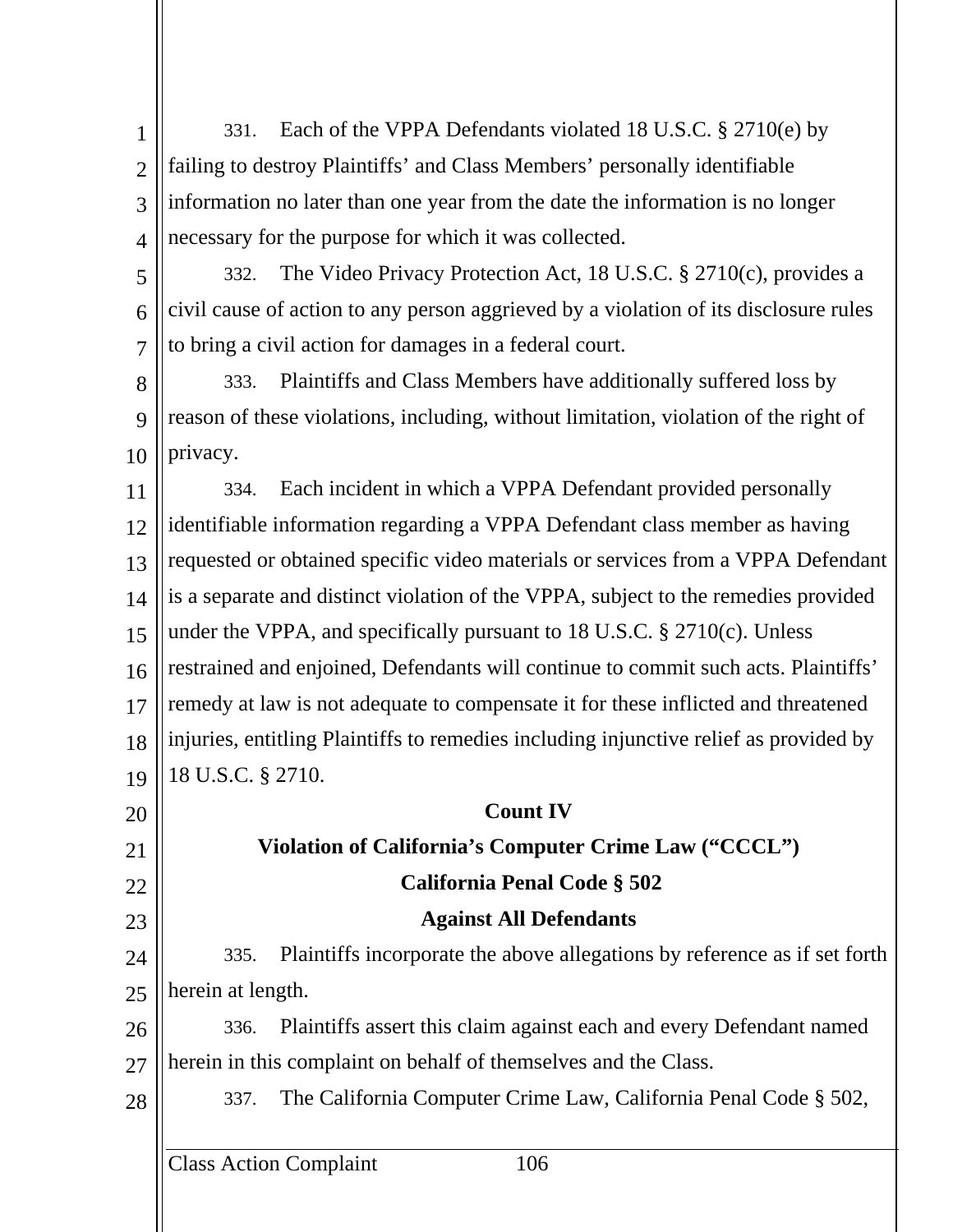| $\mathbf{1}$   | Each of the VPPA Defendants violated 18 U.S.C. § 2710(e) by<br>331.                   |
|----------------|---------------------------------------------------------------------------------------|
| $\overline{2}$ | failing to destroy Plaintiffs' and Class Members' personally identifiable             |
| 3              | information no later than one year from the date the information is no longer         |
| $\overline{4}$ | necessary for the purpose for which it was collected.                                 |
| 5              | The Video Privacy Protection Act, 18 U.S.C. § 2710(c), provides a<br>332.             |
| 6              | civil cause of action to any person aggrieved by a violation of its disclosure rules  |
| $\overline{7}$ | to bring a civil action for damages in a federal court.                               |
| 8              | Plaintiffs and Class Members have additionally suffered loss by<br>333.               |
| 9              | reason of these violations, including, without limitation, violation of the right of  |
| 10             | privacy.                                                                              |
| 11             | Each incident in which a VPPA Defendant provided personally<br>334.                   |
| 12             | identifiable information regarding a VPPA Defendant class member as having            |
| 13             | requested or obtained specific video materials or services from a VPPA Defendant      |
| 14             | is a separate and distinct violation of the VPPA, subject to the remedies provided    |
| 15             | under the VPPA, and specifically pursuant to 18 U.S.C. $\S 2710(c)$ . Unless          |
| 16             | restrained and enjoined, Defendants will continue to commit such acts. Plaintiffs'    |
| 17             | remedy at law is not adequate to compensate it for these inflicted and threatened     |
| 18             | injuries, entitling Plaintiffs to remedies including injunctive relief as provided by |
| 19             | 18 U.S.C. § 2710.                                                                     |
| 20             | <b>Count IV</b>                                                                       |
| 21             | Violation of California's Computer Crime Law ("CCCL")                                 |
| 22             | <b>California Penal Code § 502</b>                                                    |
| 23             | <b>Against All Defendants</b>                                                         |
| 24             | Plaintiffs incorporate the above allegations by reference as if set forth<br>335.     |
| 25             | herein at length.                                                                     |
| 26             | Plaintiffs assert this claim against each and every Defendant named<br>336.           |
| 27             | herein in this complaint on behalf of themselves and the Class.                       |
| 28             | The California Computer Crime Law, California Penal Code § 502,<br>337.               |
|                |                                                                                       |
|                | <b>Class Action Complaint</b><br>106                                                  |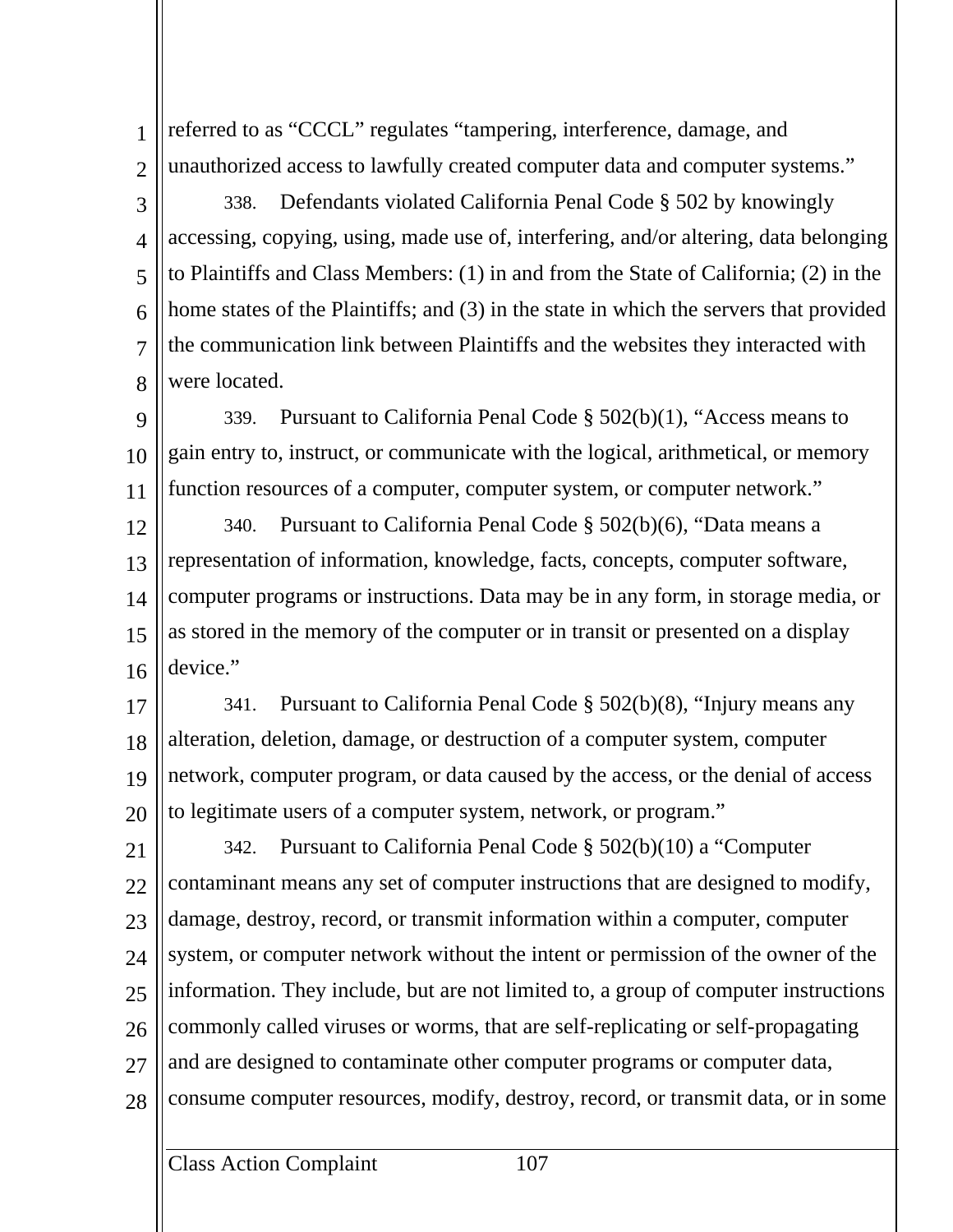1  $\mathcal{D}$ referred to as "CCCL" regulates "tampering, interference, damage, and unauthorized access to lawfully created computer data and computer systems."

3 4 5 6 7 8 338. Defendants violated California Penal Code § 502 by knowingly accessing, copying, using, made use of, interfering, and/or altering, data belonging to Plaintiffs and Class Members: (1) in and from the State of California; (2) in the home states of the Plaintiffs; and (3) in the state in which the servers that provided the communication link between Plaintiffs and the websites they interacted with were located.

 $\mathbf Q$ 10 11 339. Pursuant to California Penal Code § 502(b)(1), "Access means to gain entry to, instruct, or communicate with the logical, arithmetical, or memory function resources of a computer, computer system, or computer network."

12 13 14 15 16 340. Pursuant to California Penal Code § 502(b)(6), "Data means a representation of information, knowledge, facts, concepts, computer software, computer programs or instructions. Data may be in any form, in storage media, or as stored in the memory of the computer or in transit or presented on a display device."

17 18 19 20 341. Pursuant to California Penal Code § 502(b)(8), "Injury means any alteration, deletion, damage, or destruction of a computer system, computer network, computer program, or data caused by the access, or the denial of access to legitimate users of a computer system, network, or program."

21 22 23 24 25 26 27 28 342. Pursuant to California Penal Code § 502(b)(10) a "Computer contaminant means any set of computer instructions that are designed to modify, damage, destroy, record, or transmit information within a computer, computer system, or computer network without the intent or permission of the owner of the information. They include, but are not limited to, a group of computer instructions commonly called viruses or worms, that are self-replicating or self-propagating and are designed to contaminate other computer programs or computer data, consume computer resources, modify, destroy, record, or transmit data, or in some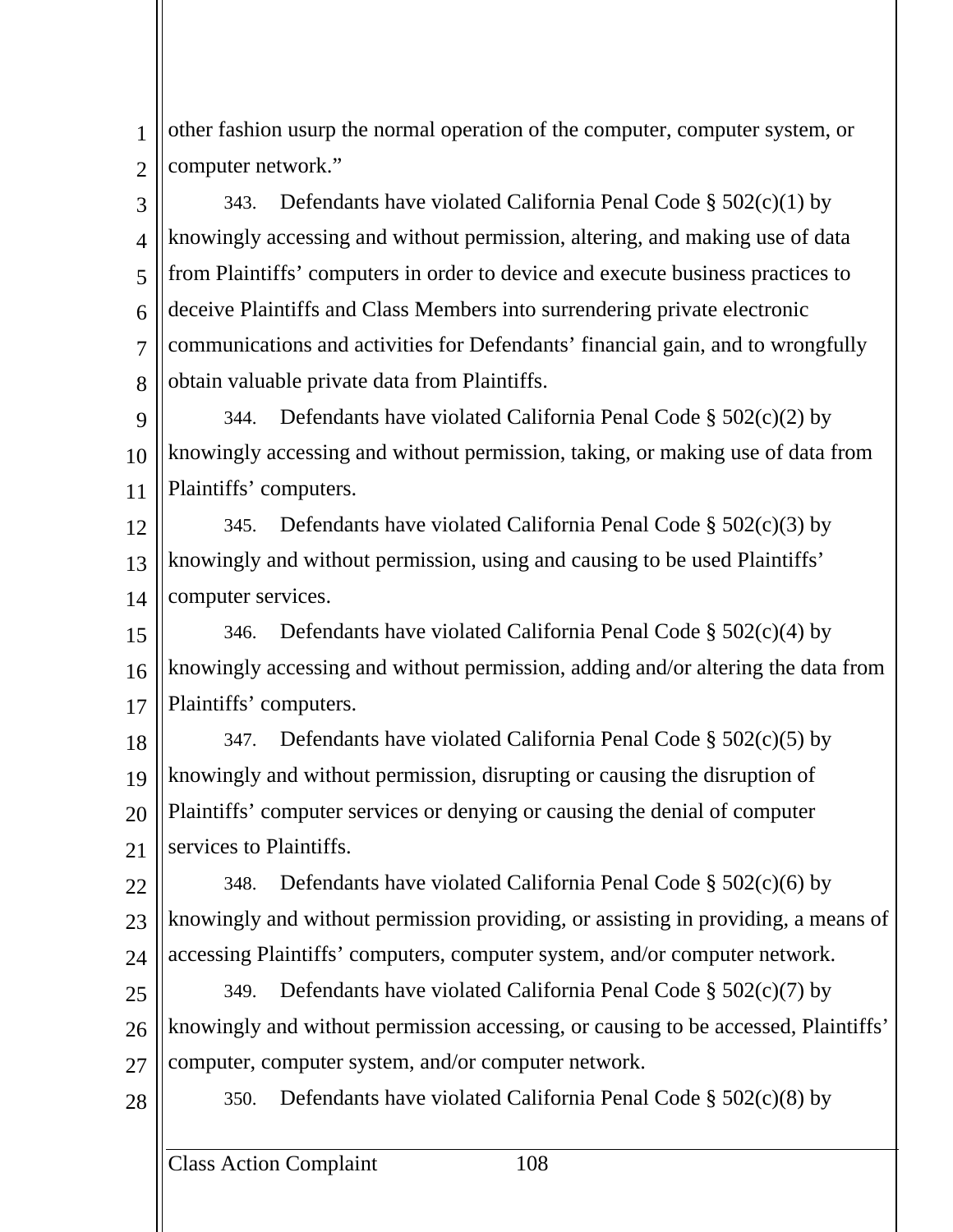1  $\overline{2}$ other fashion usurp the normal operation of the computer, computer system, or computer network."

3 4 5 6 7 8 343. Defendants have violated California Penal Code  $\S 502(c)(1)$  by knowingly accessing and without permission, altering, and making use of data from Plaintiffs' computers in order to device and execute business practices to deceive Plaintiffs and Class Members into surrendering private electronic communications and activities for Defendants' financial gain, and to wrongfully obtain valuable private data from Plaintiffs.

 $\mathbf Q$ 10 11 344. Defendants have violated California Penal Code  $\S$  502(c)(2) by knowingly accessing and without permission, taking, or making use of data from Plaintiffs' computers.

12 13 14 345. Defendants have violated California Penal Code  $\S 502(c)(3)$  by knowingly and without permission, using and causing to be used Plaintiffs' computer services.

15 16 17 346. Defendants have violated California Penal Code  $\S 502(c)(4)$  by knowingly accessing and without permission, adding and/or altering the data from Plaintiffs' computers.

18 19 20 21 347. Defendants have violated California Penal Code  $\S$  502(c)(5) by knowingly and without permission, disrupting or causing the disruption of Plaintiffs' computer services or denying or causing the denial of computer services to Plaintiffs.

22 23 24 348. Defendants have violated California Penal Code  $\S 502(c)(6)$  by knowingly and without permission providing, or assisting in providing, a means of accessing Plaintiffs' computers, computer system, and/or computer network.

25 26 27 349. Defendants have violated California Penal Code  $\S 502(c)(7)$  by knowingly and without permission accessing, or causing to be accessed, Plaintiffs' computer, computer system, and/or computer network.

28

350. Defendants have violated California Penal Code  $\S$  502(c)(8) by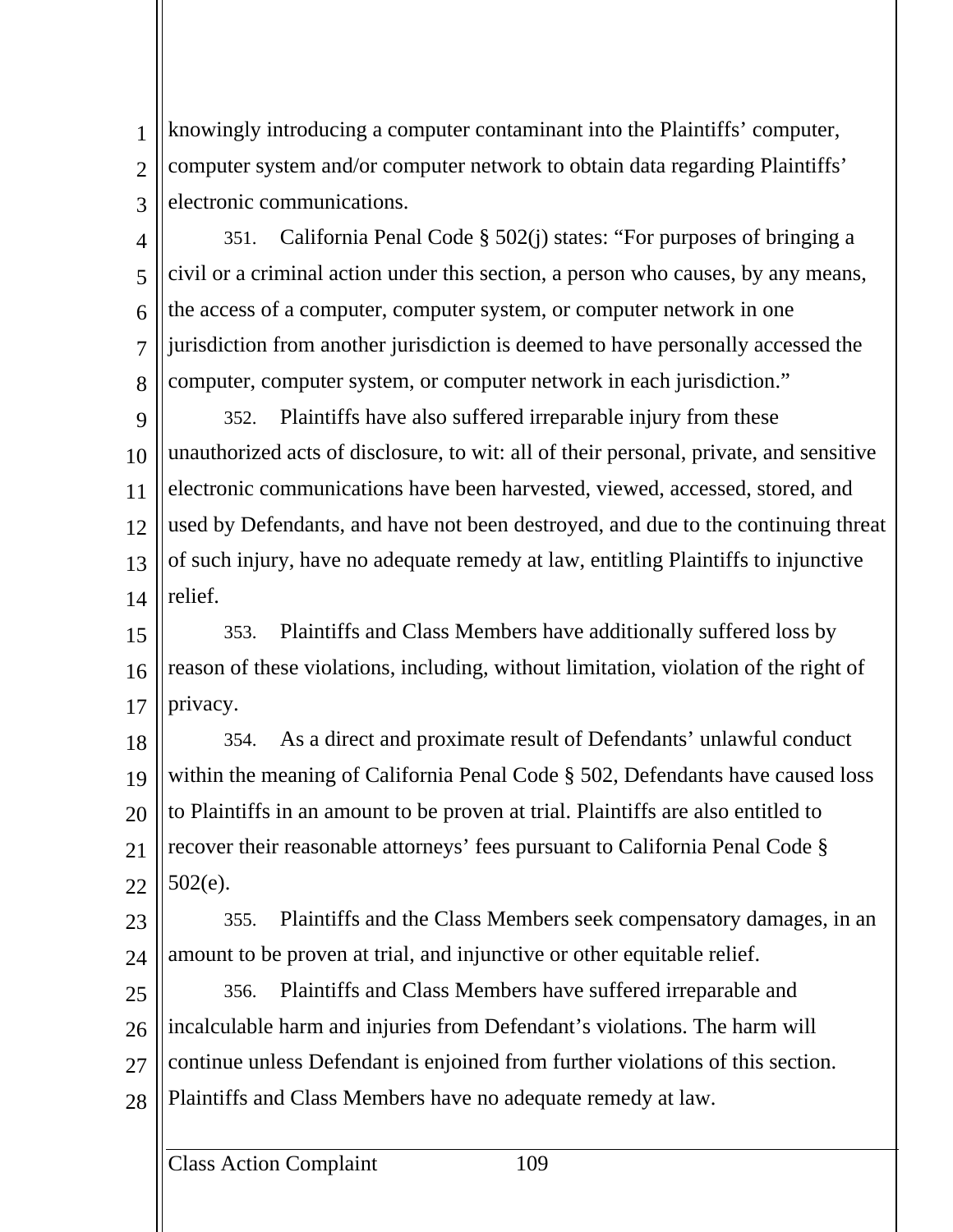1  $\overline{2}$ 3 knowingly introducing a computer contaminant into the Plaintiffs' computer, computer system and/or computer network to obtain data regarding Plaintiffs' electronic communications.

4 5 6 7 8 351. California Penal Code § 502(j) states: "For purposes of bringing a civil or a criminal action under this section, a person who causes, by any means, the access of a computer, computer system, or computer network in one jurisdiction from another jurisdiction is deemed to have personally accessed the computer, computer system, or computer network in each jurisdiction."

 $\mathbf Q$ 10 11 12 13 14 352. Plaintiffs have also suffered irreparable injury from these unauthorized acts of disclosure, to wit: all of their personal, private, and sensitive electronic communications have been harvested, viewed, accessed, stored, and used by Defendants, and have not been destroyed, and due to the continuing threat of such injury, have no adequate remedy at law, entitling Plaintiffs to injunctive relief.

15 16 17 353. Plaintiffs and Class Members have additionally suffered loss by reason of these violations, including, without limitation, violation of the right of privacy.

18 19 20 21 22 354. As a direct and proximate result of Defendants' unlawful conduct within the meaning of California Penal Code § 502, Defendants have caused loss to Plaintiffs in an amount to be proven at trial. Plaintiffs are also entitled to recover their reasonable attorneys' fees pursuant to California Penal Code § 502(e).

23 24 355. Plaintiffs and the Class Members seek compensatory damages, in an amount to be proven at trial, and injunctive or other equitable relief.

25 26 27 28 356. Plaintiffs and Class Members have suffered irreparable and incalculable harm and injuries from Defendant's violations. The harm will continue unless Defendant is enjoined from further violations of this section. Plaintiffs and Class Members have no adequate remedy at law.

Class Action Complaint 109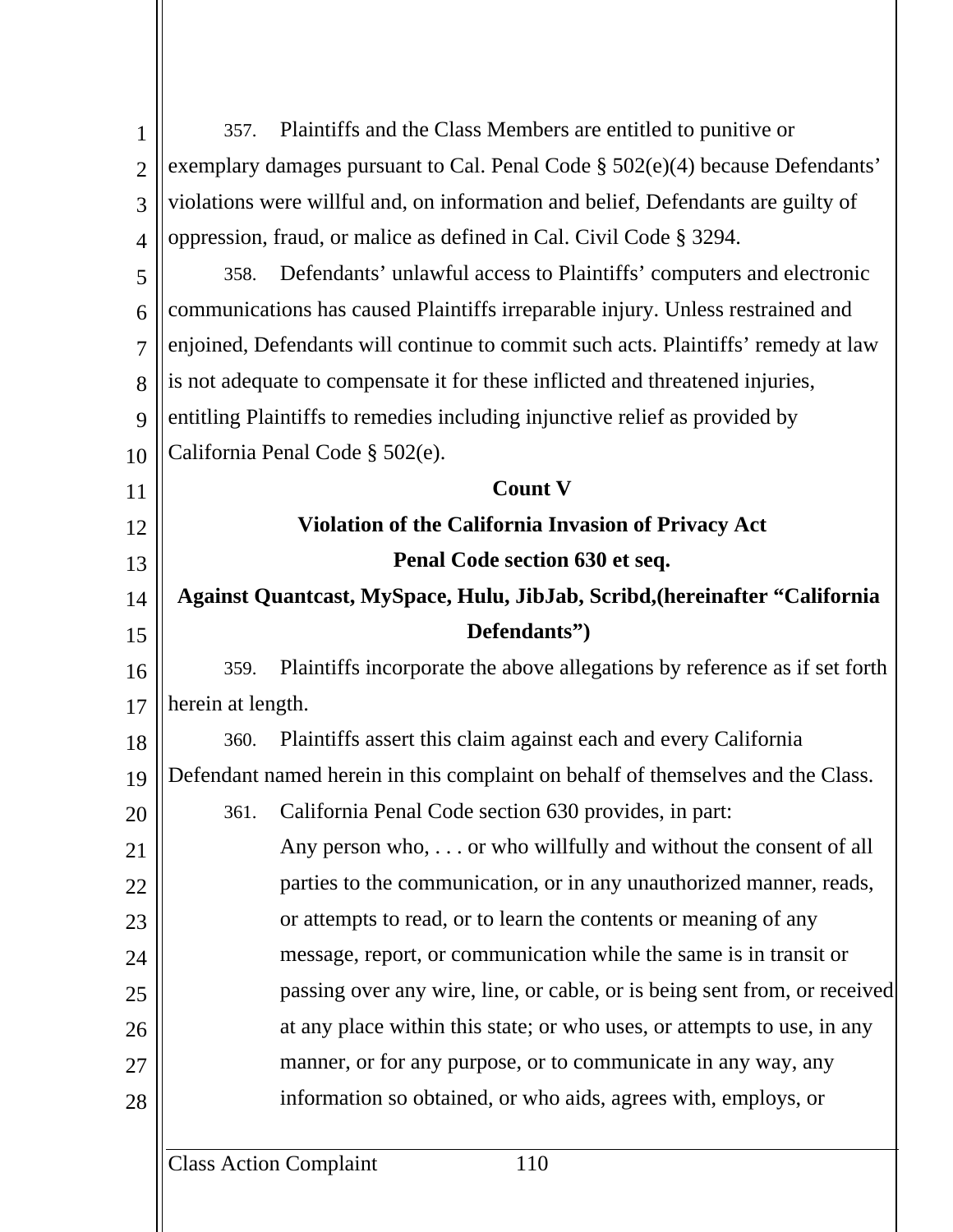| $\mathbf{1}$   | Plaintiffs and the Class Members are entitled to punitive or<br>357.              |
|----------------|-----------------------------------------------------------------------------------|
| $\overline{2}$ | exemplary damages pursuant to Cal. Penal Code $\S$ 502(e)(4) because Defendants'  |
| 3              | violations were willful and, on information and belief, Defendants are guilty of  |
| $\overline{4}$ | oppression, fraud, or malice as defined in Cal. Civil Code § 3294.                |
| 5              | Defendants' unlawful access to Plaintiffs' computers and electronic<br>358.       |
| 6              | communications has caused Plaintiffs irreparable injury. Unless restrained and    |
| $\overline{7}$ | enjoined, Defendants will continue to commit such acts. Plaintiffs' remedy at law |
| 8              | is not adequate to compensate it for these inflicted and threatened injuries,     |
| 9              | entitling Plaintiffs to remedies including injunctive relief as provided by       |
| 10             | California Penal Code § 502(e).                                                   |
| 11             | <b>Count V</b>                                                                    |
| 12             | Violation of the California Invasion of Privacy Act                               |
| 13             | Penal Code section 630 et seq.                                                    |
| 14             | Against Quantcast, MySpace, Hulu, JibJab, Scribd, (hereinafter "California        |
| 15             | Defendants")                                                                      |
| 16             | Plaintiffs incorporate the above allegations by reference as if set forth<br>359. |
| 17             | herein at length.                                                                 |
| 18             | Plaintiffs assert this claim against each and every California<br>360.            |
| 19             | Defendant named herein in this complaint on behalf of themselves and the Class.   |
| 20             | California Penal Code section 630 provides, in part:<br>361.                      |
| 21             | Any person who, or who willfully and without the consent of all                   |
| 22             | parties to the communication, or in any unauthorized manner, reads,               |
| 23             | or attempts to read, or to learn the contents or meaning of any                   |
| 24             | message, report, or communication while the same is in transit or                 |
| 25             | passing over any wire, line, or cable, or is being sent from, or received         |
| 26             | at any place within this state; or who uses, or attempts to use, in any           |
| 27             | manner, or for any purpose, or to communicate in any way, any                     |
| 28             | information so obtained, or who aids, agrees with, employs, or                    |
|                |                                                                                   |
|                | <b>Class Action Complaint</b><br>110                                              |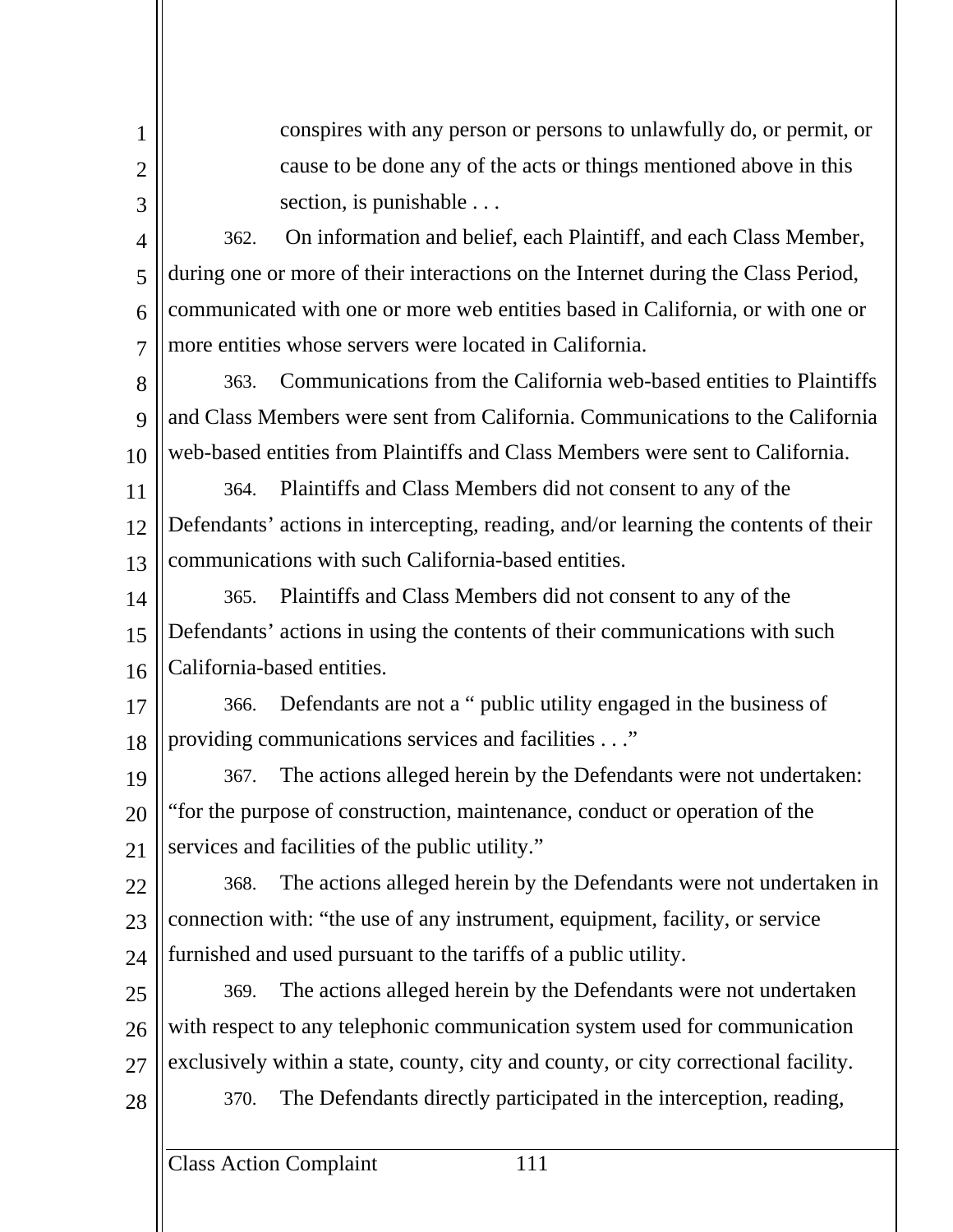1 2 3 4 5 6 7 8  $\mathbf Q$ 10 11 12 13 14 15 16 17 18 19 20 21 22 23 24 25 26 27 28 conspires with any person or persons to unlawfully do, or permit, or cause to be done any of the acts or things mentioned above in this section, is punishable . . . 362. On information and belief, each Plaintiff, and each Class Member, during one or more of their interactions on the Internet during the Class Period, communicated with one or more web entities based in California, or with one or more entities whose servers were located in California. 363. Communications from the California web-based entities to Plaintiffs and Class Members were sent from California. Communications to the California web-based entities from Plaintiffs and Class Members were sent to California. 364. Plaintiffs and Class Members did not consent to any of the Defendants' actions in intercepting, reading, and/or learning the contents of their communications with such California-based entities. 365. Plaintiffs and Class Members did not consent to any of the Defendants' actions in using the contents of their communications with such California-based entities. 366. Defendants are not a " public utility engaged in the business of providing communications services and facilities . . ." 367. The actions alleged herein by the Defendants were not undertaken: "for the purpose of construction, maintenance, conduct or operation of the services and facilities of the public utility." 368. The actions alleged herein by the Defendants were not undertaken in connection with: "the use of any instrument, equipment, facility, or service furnished and used pursuant to the tariffs of a public utility. 369. The actions alleged herein by the Defendants were not undertaken with respect to any telephonic communication system used for communication exclusively within a state, county, city and county, or city correctional facility. 370. The Defendants directly participated in the interception, reading,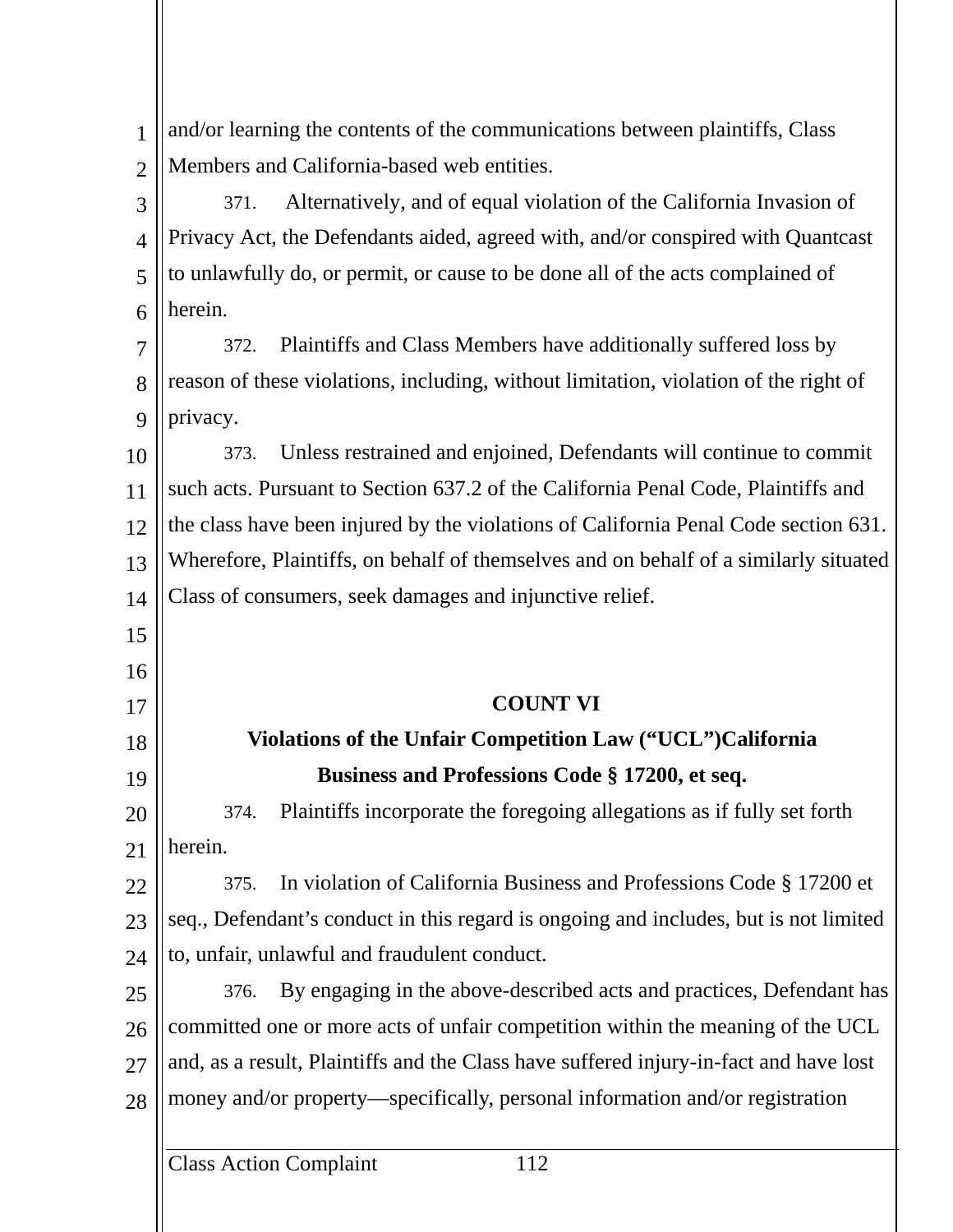| $\mathbf{1}$   | and/or learning the contents of the communications between plaintiffs, Class          |
|----------------|---------------------------------------------------------------------------------------|
| $\overline{2}$ | Members and California-based web entities.                                            |
| 3              | Alternatively, and of equal violation of the California Invasion of<br>371.           |
| $\overline{4}$ | Privacy Act, the Defendants aided, agreed with, and/or conspired with Quantcast       |
| 5              | to unlawfully do, or permit, or cause to be done all of the acts complained of        |
| 6              | herein.                                                                               |
| 7              | Plaintiffs and Class Members have additionally suffered loss by<br>372.               |
| 8              | reason of these violations, including, without limitation, violation of the right of  |
| 9              | privacy.                                                                              |
| 10             | Unless restrained and enjoined, Defendants will continue to commit<br>373.            |
| 11             | such acts. Pursuant to Section 637.2 of the California Penal Code, Plaintiffs and     |
| 12             | the class have been injured by the violations of California Penal Code section 631.   |
| 13             | Wherefore, Plaintiffs, on behalf of themselves and on behalf of a similarly situated  |
| 14             | Class of consumers, seek damages and injunctive relief.                               |
| 15             |                                                                                       |
| 16             |                                                                                       |
| 17             | <b>COUNT VI</b>                                                                       |
| 18             | Violations of the Unfair Competition Law ("UCL")California                            |
| 19             | Business and Professions Code § 17200, et seq.                                        |
| 20             | Plaintiffs incorporate the foregoing allegations as if fully set forth<br>374.        |
| 21             | herein.                                                                               |
| 22             | In violation of California Business and Professions Code § 17200 et<br>375.           |
| 23             | seq., Defendant's conduct in this regard is ongoing and includes, but is not limited  |
| 24             | to, unfair, unlawful and fraudulent conduct.                                          |
| 25             | By engaging in the above-described acts and practices, Defendant has<br>376.          |
| 26             | committed one or more acts of unfair competition within the meaning of the UCL        |
| 27             | and, as a result, Plaintiffs and the Class have suffered injury-in-fact and have lost |
| 28             | money and/or property—specifically, personal information and/or registration          |
|                |                                                                                       |
|                | <b>Class Action Complaint</b><br>112                                                  |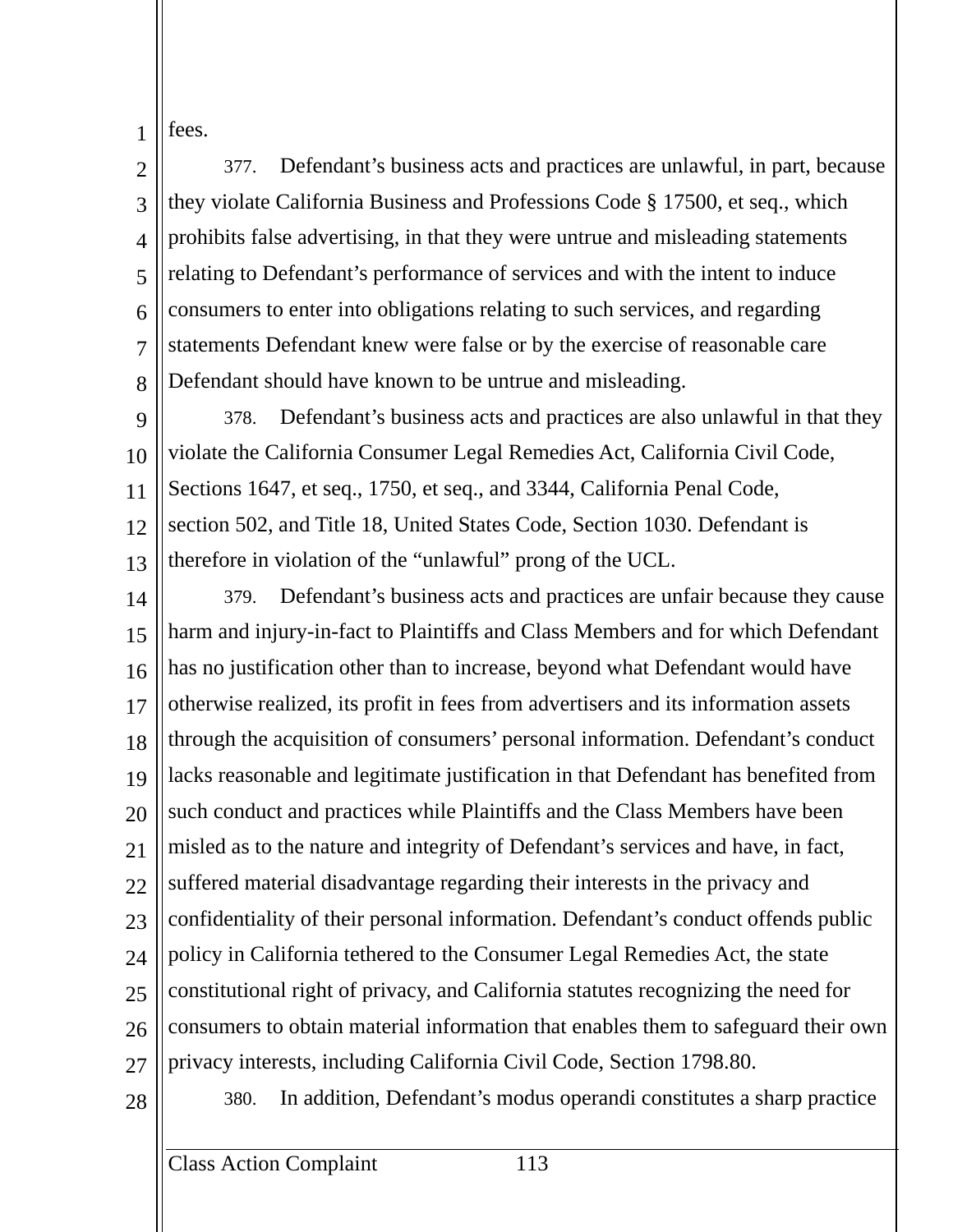1 fees.

 $\mathcal{L}$ 3 4 5 6 7 8 377. Defendant's business acts and practices are unlawful, in part, because they violate California Business and Professions Code § 17500, et seq., which prohibits false advertising, in that they were untrue and misleading statements relating to Defendant's performance of services and with the intent to induce consumers to enter into obligations relating to such services, and regarding statements Defendant knew were false or by the exercise of reasonable care Defendant should have known to be untrue and misleading.

 $\mathbf Q$ 10 11 12 13 378. Defendant's business acts and practices are also unlawful in that they violate the California Consumer Legal Remedies Act, California Civil Code, Sections 1647, et seq., 1750, et seq., and 3344, California Penal Code, section 502, and Title 18, United States Code, Section 1030. Defendant is therefore in violation of the "unlawful" prong of the UCL.

14 15 16 17 18 19 20 21 22 23 24 25 26 27 379. Defendant's business acts and practices are unfair because they cause harm and injury-in-fact to Plaintiffs and Class Members and for which Defendant has no justification other than to increase, beyond what Defendant would have otherwise realized, its profit in fees from advertisers and its information assets through the acquisition of consumers' personal information. Defendant's conduct lacks reasonable and legitimate justification in that Defendant has benefited from such conduct and practices while Plaintiffs and the Class Members have been misled as to the nature and integrity of Defendant's services and have, in fact, suffered material disadvantage regarding their interests in the privacy and confidentiality of their personal information. Defendant's conduct offends public policy in California tethered to the Consumer Legal Remedies Act, the state constitutional right of privacy, and California statutes recognizing the need for consumers to obtain material information that enables them to safeguard their own privacy interests, including California Civil Code, Section 1798.80.

28

380. In addition, Defendant's modus operandi constitutes a sharp practice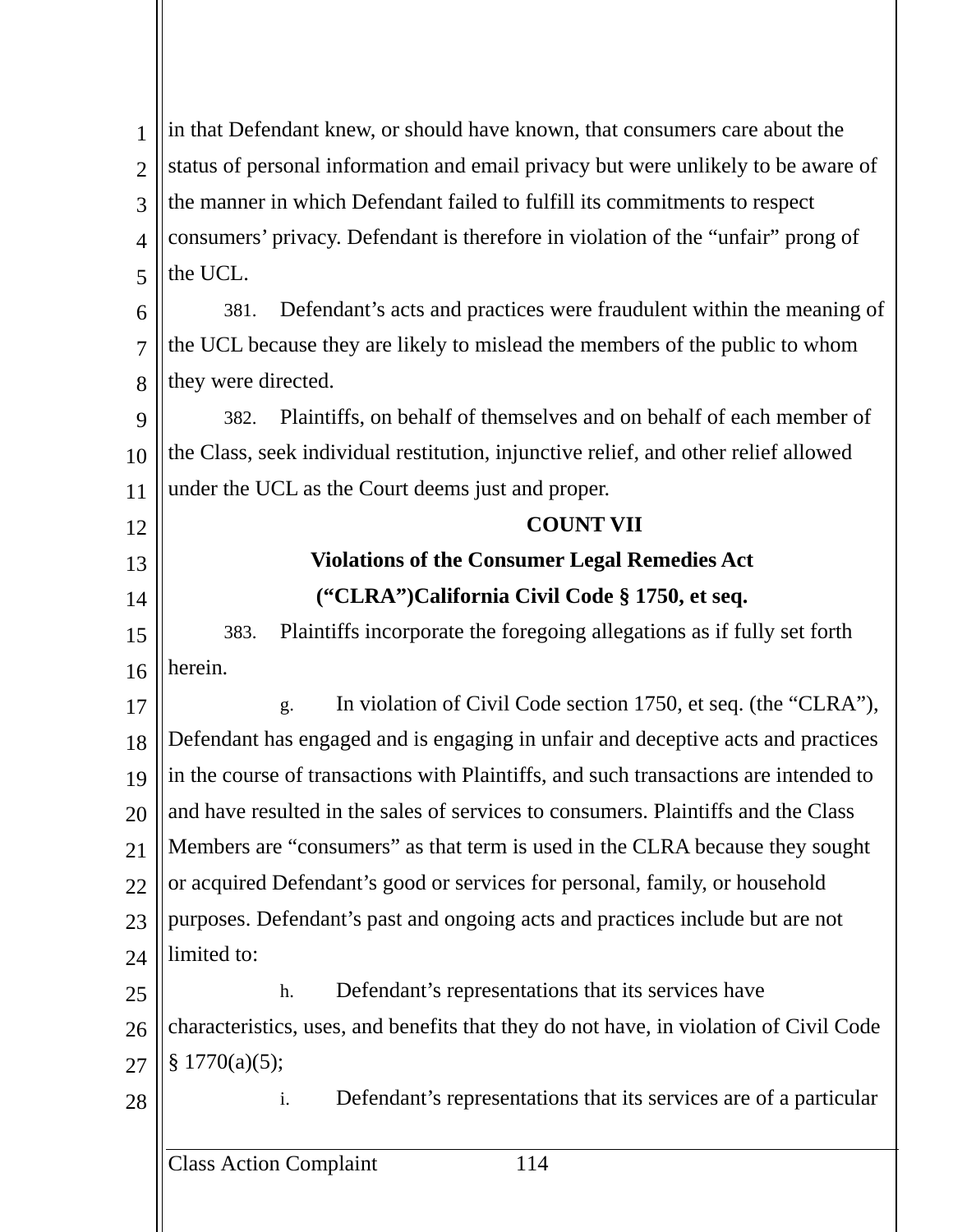| $\mathbf{1}$   | in that Defendant knew, or should have known, that consumers care about the           |
|----------------|---------------------------------------------------------------------------------------|
| $\overline{2}$ | status of personal information and email privacy but were unlikely to be aware of     |
| 3              | the manner in which Defendant failed to fulfill its commitments to respect            |
| $\overline{4}$ | consumers' privacy. Defendant is therefore in violation of the "unfair" prong of      |
| 5              | the UCL.                                                                              |
| 6              | Defendant's acts and practices were fraudulent within the meaning of<br>381.          |
| $\overline{7}$ | the UCL because they are likely to mislead the members of the public to whom          |
| 8              | they were directed.                                                                   |
| 9              | Plaintiffs, on behalf of themselves and on behalf of each member of<br>382.           |
| 10             | the Class, seek individual restitution, injunctive relief, and other relief allowed   |
| 11             | under the UCL as the Court deems just and proper.                                     |
| 12             | <b>COUNT VII</b>                                                                      |
| 13             | <b>Violations of the Consumer Legal Remedies Act</b>                                  |
| 14             | ("CLRA")California Civil Code § 1750, et seq.                                         |
| 15             | Plaintiffs incorporate the foregoing allegations as if fully set forth<br>383.        |
| 16             | herein.                                                                               |
| 17             | In violation of Civil Code section 1750, et seq. (the "CLRA"),<br>g.                  |
| 18             | Defendant has engaged and is engaging in unfair and deceptive acts and practices      |
| 19             | in the course of transactions with Plaintiffs, and such transactions are intended to  |
| 20             | and have resulted in the sales of services to consumers. Plaintiffs and the Class     |
| 21             | Members are "consumers" as that term is used in the CLRA because they sought          |
| 22             | or acquired Defendant's good or services for personal, family, or household           |
| 23             | purposes. Defendant's past and ongoing acts and practices include but are not         |
| 24             | limited to:                                                                           |
| 25             | Defendant's representations that its services have<br>h.                              |
| 26             | characteristics, uses, and benefits that they do not have, in violation of Civil Code |
| 27             | § 1770(a)(5);                                                                         |
| 28             | Defendant's representations that its services are of a particular<br>i.               |
|                |                                                                                       |
|                | <b>Class Action Complaint</b><br>114                                                  |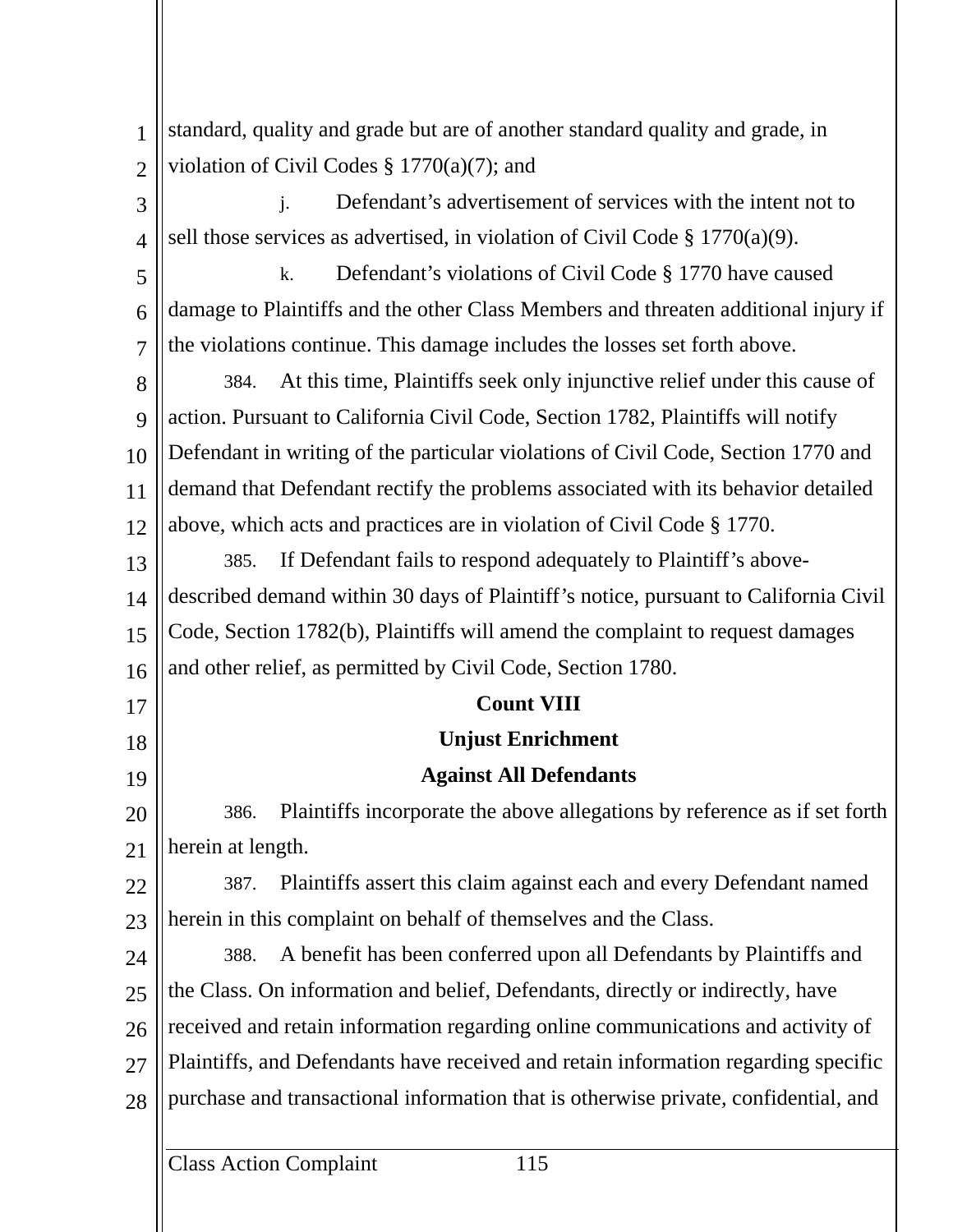| 1              | standard, quality and grade but are of another standard quality and grade, in       |
|----------------|-------------------------------------------------------------------------------------|
| $\overline{2}$ | violation of Civil Codes $\S 1770(a)(7)$ ; and                                      |
| 3              | Defendant's advertisement of services with the intent not to<br>j.                  |
| $\overline{4}$ | sell those services as advertised, in violation of Civil Code $\S 1770(a)(9)$ .     |
| 5              | Defendant's violations of Civil Code § 1770 have caused<br>k.                       |
| 6              | damage to Plaintiffs and the other Class Members and threaten additional injury if  |
| $\overline{7}$ | the violations continue. This damage includes the losses set forth above.           |
| 8              | At this time, Plaintiffs seek only injunctive relief under this cause of<br>384.    |
| 9              | action. Pursuant to California Civil Code, Section 1782, Plaintiffs will notify     |
| 10             | Defendant in writing of the particular violations of Civil Code, Section 1770 and   |
| 11             | demand that Defendant rectify the problems associated with its behavior detailed    |
| 12             | above, which acts and practices are in violation of Civil Code § 1770.              |
| 13             | If Defendant fails to respond adequately to Plaintiff's above-<br>385.              |
| 14             | described demand within 30 days of Plaintiff's notice, pursuant to California Civil |
| 15             | Code, Section 1782(b), Plaintiffs will amend the complaint to request damages       |
| 16             | and other relief, as permitted by Civil Code, Section 1780.                         |
| 17             | <b>Count VIII</b>                                                                   |
| 18             | <b>Unjust Enrichment</b>                                                            |
| 19             | <b>Against All Defendants</b>                                                       |
| 20             | Plaintiffs incorporate the above allegations by reference as if set forth<br>386.   |
| 21             | herein at length.                                                                   |
| 22             | Plaintiffs assert this claim against each and every Defendant named<br>387.         |
| 23             | herein in this complaint on behalf of themselves and the Class.                     |
| 24             | A benefit has been conferred upon all Defendants by Plaintiffs and<br>388.          |
| 25             | the Class. On information and belief, Defendants, directly or indirectly, have      |
| 26             | received and retain information regarding online communications and activity of     |
| 27             | Plaintiffs, and Defendants have received and retain information regarding specific  |
| 28             | purchase and transactional information that is otherwise private, confidential, and |
|                | <b>Class Action Complaint</b><br>115                                                |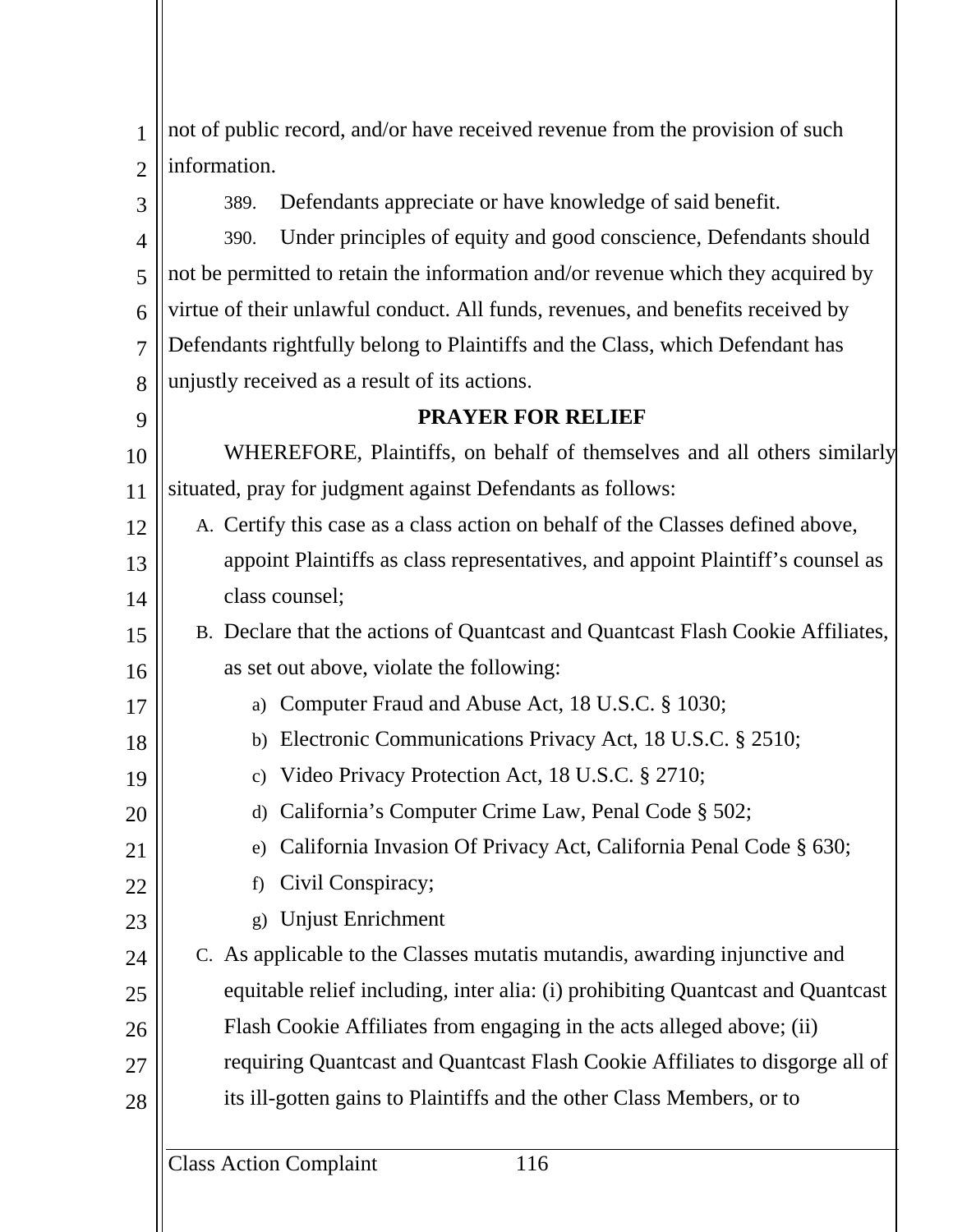| 1              | not of public record, and/or have received revenue from the provision of such    |
|----------------|----------------------------------------------------------------------------------|
| $\overline{2}$ | information.                                                                     |
| 3              | Defendants appreciate or have knowledge of said benefit.<br>389.                 |
| $\overline{4}$ | Under principles of equity and good conscience, Defendants should<br>390.        |
| 5              | not be permitted to retain the information and/or revenue which they acquired by |
| 6              | virtue of their unlawful conduct. All funds, revenues, and benefits received by  |
| 7              | Defendants rightfully belong to Plaintiffs and the Class, which Defendant has    |
| 8              | unjustly received as a result of its actions.                                    |
| 9              | <b>PRAYER FOR RELIEF</b>                                                         |
| 10             | WHEREFORE, Plaintiffs, on behalf of themselves and all others similarly          |
| 11             | situated, pray for judgment against Defendants as follows:                       |
| 12             | A. Certify this case as a class action on behalf of the Classes defined above,   |
| 13             | appoint Plaintiffs as class representatives, and appoint Plaintiff's counsel as  |
| 14             | class counsel;                                                                   |
| 15             | B. Declare that the actions of Quantcast and Quantcast Flash Cookie Affiliates,  |
| 16             | as set out above, violate the following:                                         |
| 17             | Computer Fraud and Abuse Act, 18 U.S.C. § 1030;<br>a)                            |
| 18             | Electronic Communications Privacy Act, 18 U.S.C. § 2510;<br>b)                   |
| 19             | Video Privacy Protection Act, 18 U.S.C. § 2710;<br>$\mathbf{c})$                 |
| 20             | California's Computer Crime Law, Penal Code § 502;<br>$\rm d$                    |
| 21             | California Invasion Of Privacy Act, California Penal Code § 630;<br>e)           |
| 22             | Civil Conspiracy;<br>f)                                                          |
| 23             | <b>Unjust Enrichment</b><br>g)                                                   |
| 24             | C. As applicable to the Classes mutatis mutandis, awarding injunctive and        |
| 25             | equitable relief including, inter alia: (i) prohibiting Quantcast and Quantcast  |
| 26             | Flash Cookie Affiliates from engaging in the acts alleged above; (ii)            |
| 27             | requiring Quantcast and Quantcast Flash Cookie Affiliates to disgorge all of     |
| 28             | its ill-gotten gains to Plaintiffs and the other Class Members, or to            |
|                |                                                                                  |
|                | <b>Class Action Complaint</b><br>116                                             |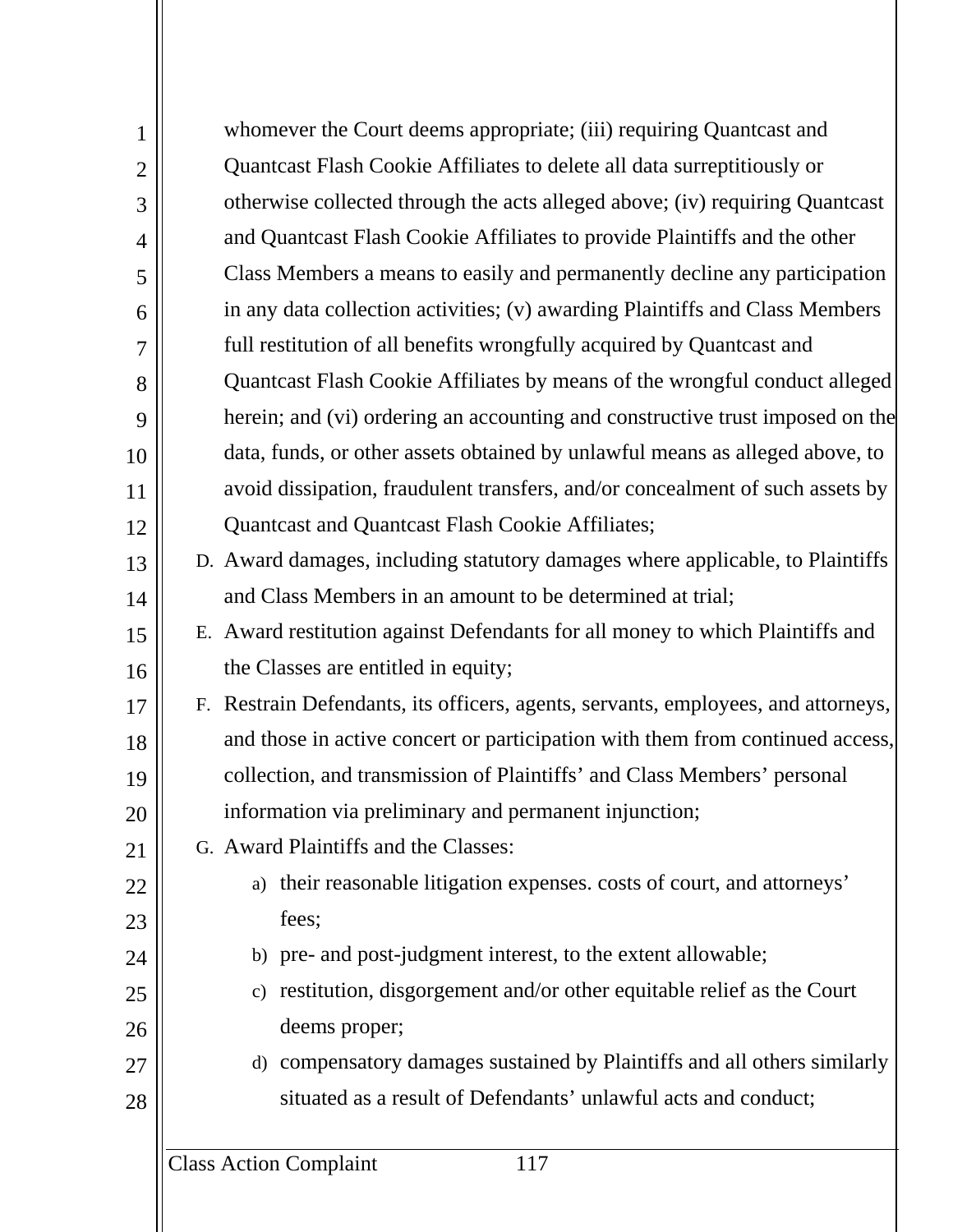| $\mathbf{1}$   | whomever the Court deems appropriate; (iii) requiring Quantcast and               |
|----------------|-----------------------------------------------------------------------------------|
| $\overline{2}$ | Quantcast Flash Cookie Affiliates to delete all data surreptitiously or           |
| 3              | otherwise collected through the acts alleged above; (iv) requiring Quantcast      |
| $\overline{4}$ | and Quantcast Flash Cookie Affiliates to provide Plaintiffs and the other         |
| 5              | Class Members a means to easily and permanently decline any participation         |
| 6              | in any data collection activities; (v) awarding Plaintiffs and Class Members      |
| $\overline{7}$ | full restitution of all benefits wrongfully acquired by Quantcast and             |
| 8              | Quantcast Flash Cookie Affiliates by means of the wrongful conduct alleged        |
| 9              | herein; and (vi) ordering an accounting and constructive trust imposed on the     |
| 10             | data, funds, or other assets obtained by unlawful means as alleged above, to      |
| 11             | avoid dissipation, fraudulent transfers, and/or concealment of such assets by     |
| 12             | Quantcast and Quantcast Flash Cookie Affiliates;                                  |
| 13             | D. Award damages, including statutory damages where applicable, to Plaintiffs     |
| 14             | and Class Members in an amount to be determined at trial;                         |
| 15             | E. Award restitution against Defendants for all money to which Plaintiffs and     |
| 16             | the Classes are entitled in equity;                                               |
| 17             | F. Restrain Defendants, its officers, agents, servants, employees, and attorneys, |
| 18             | and those in active concert or participation with them from continued access,     |
| 19             | collection, and transmission of Plaintiffs' and Class Members' personal           |
| 20             | information via preliminary and permanent injunction;                             |
| 21             | G. Award Plaintiffs and the Classes:                                              |
| <u>22</u>      | a) their reasonable litigation expenses. costs of court, and attorneys'           |
| 23             | fees;                                                                             |
| 24             | b) pre- and post-judgment interest, to the extent allowable;                      |
| 25             | c) restitution, disgorgement and/or other equitable relief as the Court           |
| 26             | deems proper;                                                                     |
| 27             | d) compensatory damages sustained by Plaintiffs and all others similarly          |
| 28             | situated as a result of Defendants' unlawful acts and conduct;                    |
|                |                                                                                   |
|                | <b>Class Action Complaint</b><br>117                                              |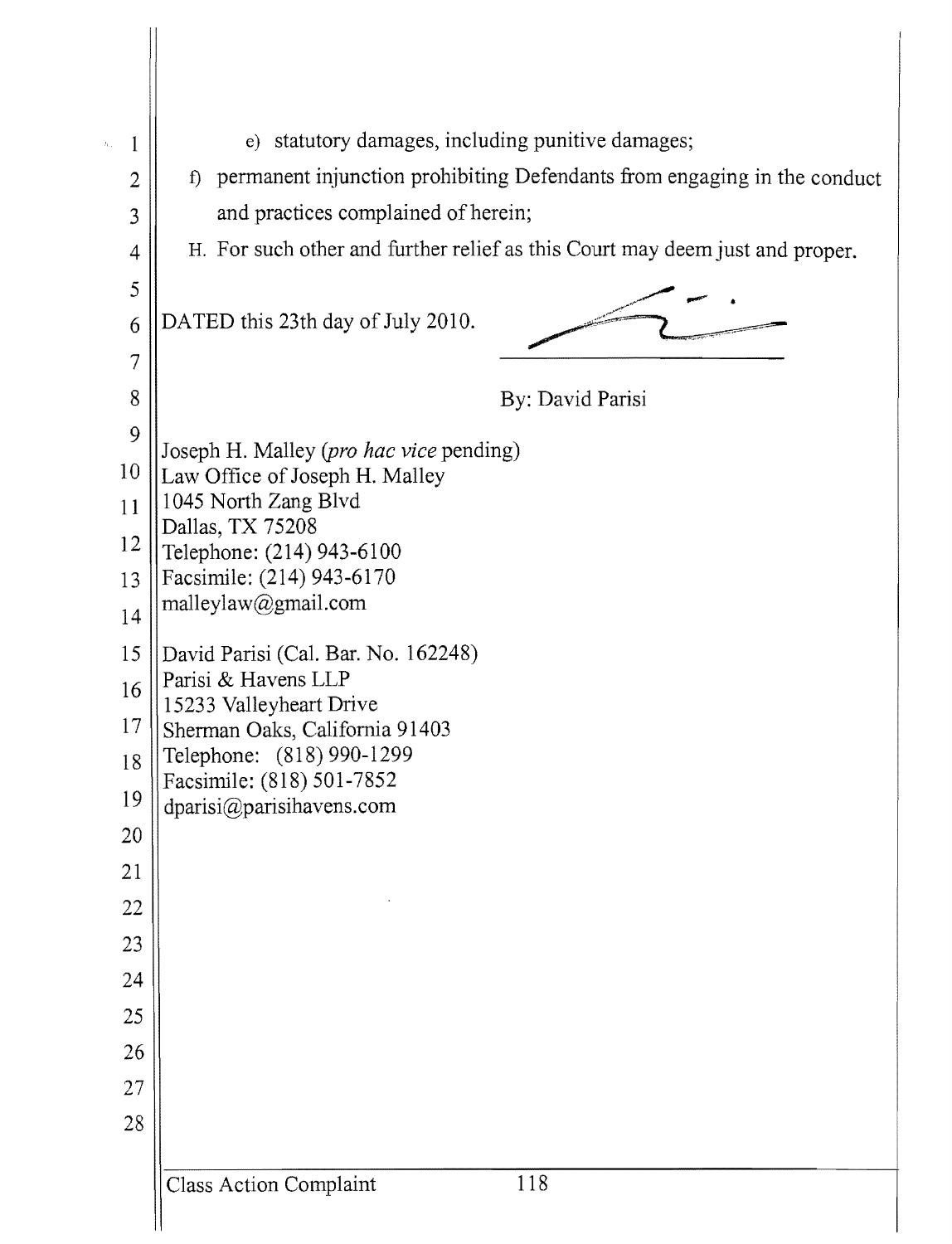| 1<br>$\tilde{\gamma}_{1,i}$ | statutory damages, including punitive damages;<br>e)                         |
|-----------------------------|------------------------------------------------------------------------------|
| $\overline{2}$              | f) permanent injunction prohibiting Defendants from engaging in the conduct  |
| 3                           | and practices complained of herein;                                          |
| 4                           | H. For such other and further relief as this Court may deem just and proper. |
| 5                           |                                                                              |
| 6                           | DATED this 23th day of July 2010.                                            |
| 7                           |                                                                              |
| 8                           | By: David Parisi                                                             |
| 9                           | Joseph H. Malley (pro hac vice pending)                                      |
| 10                          | Law Office of Joseph H. Malley                                               |
| 11                          | 1045 North Zang Blvd<br>Dallas, TX 75208                                     |
| 12                          | Telephone: (214) 943-6100                                                    |
| 13                          | Facsimile: (214) 943-6170<br>malleylaw@gmail.com                             |
| 14                          |                                                                              |
| 15                          | David Parisi (Cal. Bar. No. 162248)<br>Parisi & Havens LLP                   |
| 16                          | 15233 Valleyheart Drive                                                      |
| 17                          | Sherman Oaks, California 91403                                               |
| 18                          | Telephone: (818) 990-1299<br>Facsimile: (818) 501-7852                       |
| 19                          | dparisi@parisihavens.com                                                     |
| 20                          |                                                                              |
| 21                          |                                                                              |
| 22                          |                                                                              |
| 23                          |                                                                              |
| 24                          |                                                                              |
| 25                          |                                                                              |
| 26<br>27                    |                                                                              |
| 28                          |                                                                              |
|                             |                                                                              |
|                             | 118<br><b>Class Action Complaint</b>                                         |
|                             |                                                                              |